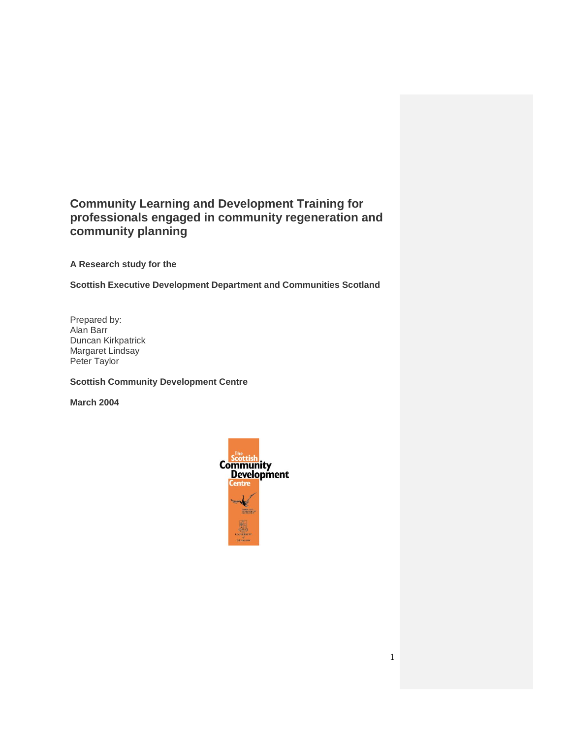# **Community Learning and Development Training for professionals engaged in community regeneration and community planning**

**A Research study for the** 

**Scottish Executive Development Department and Communities Scotland**

Prepared by: Alan Barr Duncan Kirkpatrick Margaret Lindsay Peter Taylor

**Scottish Community Development Centre**

**March 2004**

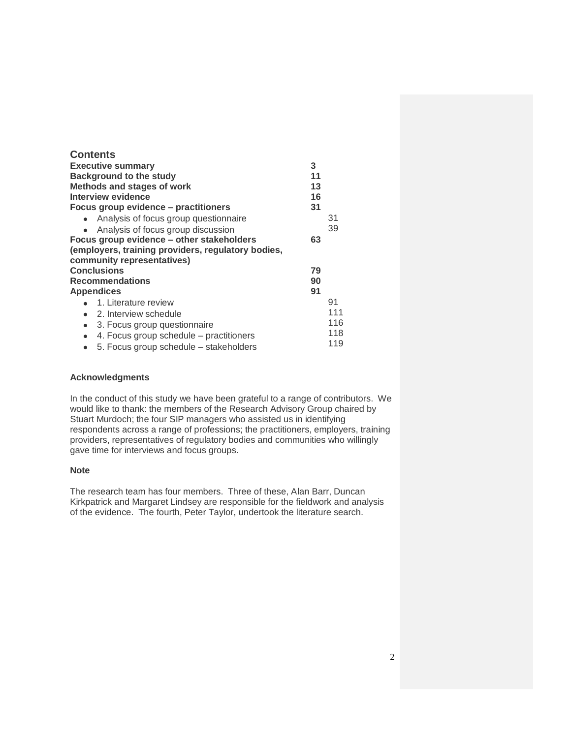| <b>Contents</b>    |                                                    |    |     |
|--------------------|----------------------------------------------------|----|-----|
|                    | <b>Executive summary</b>                           | 3  |     |
|                    | <b>Background to the study</b>                     | 11 |     |
|                    | Methods and stages of work                         | 13 |     |
|                    | Interview evidence                                 | 16 |     |
|                    | Focus group evidence - practitioners               | 31 |     |
|                    | Analysis of focus group questionnaire              |    | 31  |
|                    | Analysis of focus group discussion                 |    | 39  |
|                    | Focus group evidence - other stakeholders          | 63 |     |
|                    | (employers, training providers, regulatory bodies, |    |     |
|                    | community representatives)                         |    |     |
| <b>Conclusions</b> |                                                    | 79 |     |
|                    | <b>Recommendations</b>                             | 90 |     |
| <b>Appendices</b>  |                                                    | 91 |     |
|                    | • 1. Literature review                             |    | 91  |
|                    | 2. Interview schedule                              |    | 111 |
| $\bullet$          | 3. Focus group questionnaire                       |    | 116 |
| $\bullet$          | 4. Focus group schedule - practitioners            |    | 118 |
|                    | 5. Focus group schedule - stakeholders             |    | 119 |

### **Acknowledgments**

In the conduct of this study we have been grateful to a range of contributors. We would like to thank: the members of the Research Advisory Group chaired by Stuart Murdoch; the four SIP managers who assisted us in identifying respondents across a range of professions; the practitioners, employers, training providers, representatives of regulatory bodies and communities who willingly gave time for interviews and focus groups.

#### **Note**

The research team has four members. Three of these, Alan Barr, Duncan Kirkpatrick and Margaret Lindsey are responsible for the fieldwork and analysis of the evidence. The fourth, Peter Taylor, undertook the literature search.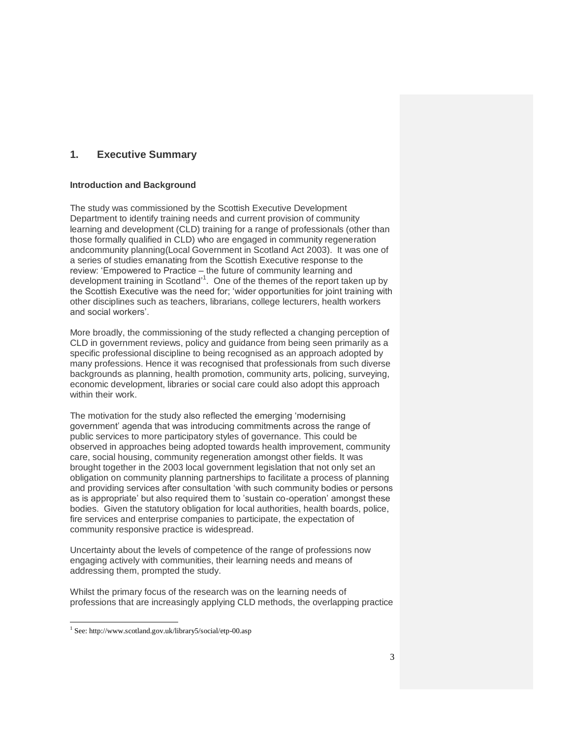# **1. Executive Summary**

### **Introduction and Background**

The study was commissioned by the Scottish Executive Development Department to identify training needs and current provision of community learning and development (CLD) training for a range of professionals (other than those formally qualified in CLD) who are engaged in community regeneration andcommunity planning(Local Government in Scotland Act 2003). It was one of a series of studies emanating from the Scottish Executive response to the review: "Empowered to Practice – the future of community learning and development training in Scotland<sup>11</sup>. One of the themes of the report taken up by the Scottish Executive was the need for; "wider opportunities for joint training with other disciplines such as teachers, librarians, college lecturers, health workers and social workers".

More broadly, the commissioning of the study reflected a changing perception of CLD in government reviews, policy and guidance from being seen primarily as a specific professional discipline to being recognised as an approach adopted by many professions. Hence it was recognised that professionals from such diverse backgrounds as planning, health promotion, community arts, policing, surveying, economic development, libraries or social care could also adopt this approach within their work.

The motivation for the study also reflected the emerging "modernising government" agenda that was introducing commitments across the range of public services to more participatory styles of governance. This could be observed in approaches being adopted towards health improvement, community care, social housing, community regeneration amongst other fields. It was brought together in the 2003 local government legislation that not only set an obligation on community planning partnerships to facilitate a process of planning and providing services after consultation "with such community bodies or persons as is appropriate" but also required them to "sustain co-operation" amongst these bodies. Given the statutory obligation for local authorities, health boards, police, fire services and enterprise companies to participate, the expectation of community responsive practice is widespread.

Uncertainty about the levels of competence of the range of professions now engaging actively with communities, their learning needs and means of addressing them, prompted the study.

Whilst the primary focus of the research was on the learning needs of professions that are increasingly applying CLD methods, the overlapping practice

l

<sup>&</sup>lt;sup>1</sup> See: http://www.scotland.gov.uk/library5/social/etp-00.asp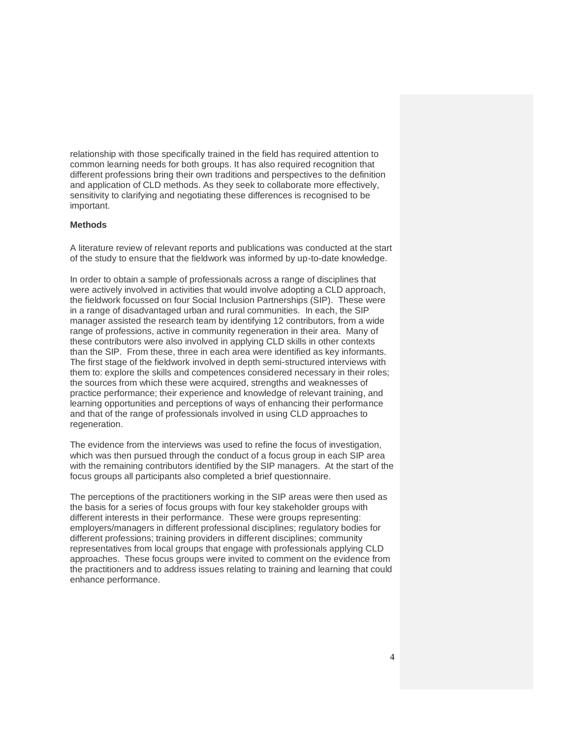relationship with those specifically trained in the field has required attention to common learning needs for both groups. It has also required recognition that different professions bring their own traditions and perspectives to the definition and application of CLD methods. As they seek to collaborate more effectively, sensitivity to clarifying and negotiating these differences is recognised to be important.

### **Methods**

A literature review of relevant reports and publications was conducted at the start of the study to ensure that the fieldwork was informed by up-to-date knowledge.

In order to obtain a sample of professionals across a range of disciplines that were actively involved in activities that would involve adopting a CLD approach, the fieldwork focussed on four Social Inclusion Partnerships (SIP). These were in a range of disadvantaged urban and rural communities. In each, the SIP manager assisted the research team by identifying 12 contributors, from a wide range of professions, active in community regeneration in their area. Many of these contributors were also involved in applying CLD skills in other contexts than the SIP. From these, three in each area were identified as key informants. The first stage of the fieldwork involved in depth semi-structured interviews with them to: explore the skills and competences considered necessary in their roles; the sources from which these were acquired, strengths and weaknesses of practice performance; their experience and knowledge of relevant training, and learning opportunities and perceptions of ways of enhancing their performance and that of the range of professionals involved in using CLD approaches to regeneration.

The evidence from the interviews was used to refine the focus of investigation, which was then pursued through the conduct of a focus group in each SIP area with the remaining contributors identified by the SIP managers. At the start of the focus groups all participants also completed a brief questionnaire.

The perceptions of the practitioners working in the SIP areas were then used as the basis for a series of focus groups with four key stakeholder groups with different interests in their performance. These were groups representing: employers/managers in different professional disciplines; regulatory bodies for different professions; training providers in different disciplines; community representatives from local groups that engage with professionals applying CLD approaches. These focus groups were invited to comment on the evidence from the practitioners and to address issues relating to training and learning that could enhance performance.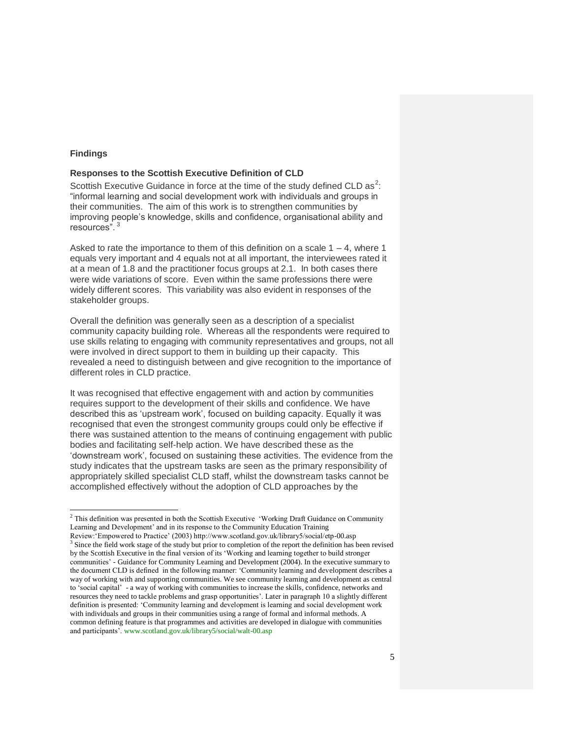### **Findings**

 $\overline{a}$ 

#### **Responses to the Scottish Executive Definition of CLD**

Scottish Executive Guidance in force at the time of the study defined CLD as<sup>2</sup>: "informal learning and social development work with individuals and groups in their communities. The aim of this work is to strengthen communities by improving people"s knowledge, skills and confidence, organisational ability and resources".

Asked to rate the importance to them of this definition on a scale  $1 - 4$ , where 1 equals very important and 4 equals not at all important, the interviewees rated it at a mean of 1.8 and the practitioner focus groups at 2.1. In both cases there were wide variations of score. Even within the same professions there were widely different scores. This variability was also evident in responses of the stakeholder groups.

Overall the definition was generally seen as a description of a specialist community capacity building role. Whereas all the respondents were required to use skills relating to engaging with community representatives and groups, not all were involved in direct support to them in building up their capacity. This revealed a need to distinguish between and give recognition to the importance of different roles in CLD practice.

It was recognised that effective engagement with and action by communities requires support to the development of their skills and confidence. We have described this as "upstream work", focused on building capacity. Equally it was recognised that even the strongest community groups could only be effective if there was sustained attention to the means of continuing engagement with public bodies and facilitating self-help action. We have described these as the "downstream work", focused on sustaining these activities. The evidence from the study indicates that the upstream tasks are seen as the primary responsibility of appropriately skilled specialist CLD staff, whilst the downstream tasks cannot be accomplished effectively without the adoption of CLD approaches by the

<sup>&</sup>lt;sup>2</sup> This definition was presented in both the Scottish Executive 'Working Draft Guidance on Community Learning and Development' and in its response to the Community Education Training

Review:"Empowered to Practice" (2003) http://www.scotland.gov.uk/library5/social/etp-00.asp <sup>3</sup> Since the field work stage of the study but prior to completion of the report the definition has been revised by the Scottish Executive in the final version of its "Working and learning together to build stronger communities" - Guidance for Community Learning and Development (2004). In the executive summary to the document CLD is defined in the following manner: "Community learning and development describes a way of working with and supporting communities. We see community learning and development as central to "social capital" - a way of working with communities to increase the skills, confidence, networks and resources they need to tackle problems and grasp opportunities". Later in paragraph 10 a slightly different definition is presented: "Community learning and development is learning and social development work with individuals and groups in their communities using a range of formal and informal methods. A common defining feature is that programmes and activities are developed in dialogue with communities and participants". www.scotland.gov.uk/library5/social/walt-00.asp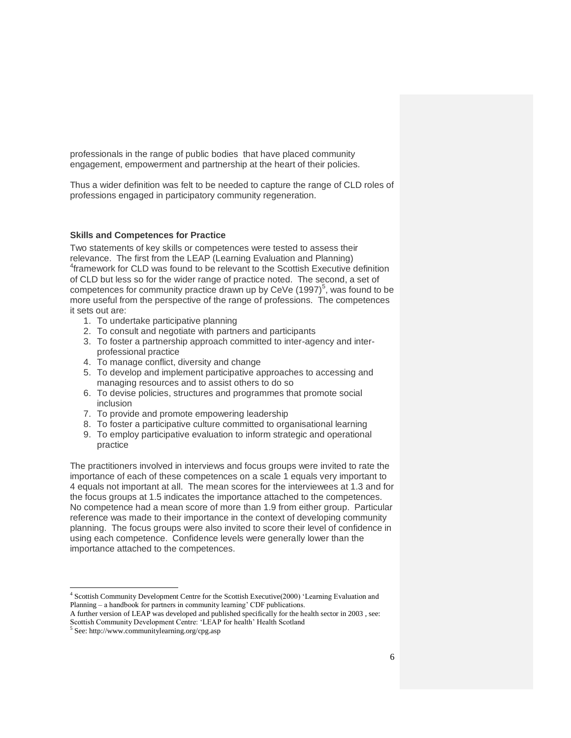professionals in the range of public bodies that have placed community engagement, empowerment and partnership at the heart of their policies.

Thus a wider definition was felt to be needed to capture the range of CLD roles of professions engaged in participatory community regeneration.

### **Skills and Competences for Practice**

Two statements of key skills or competences were tested to assess their relevance. The first from the LEAP (Learning Evaluation and Planning) <sup>4</sup> framework for CLD was found to be relevant to the Scottish Executive definition of CLD but less so for the wider range of practice noted. The second, a set of competences for community practice drawn up by CeVe (1997)<sup>5</sup>, was found to be more useful from the perspective of the range of professions. The competences it sets out are:

- 1. To undertake participative planning
- 2. To consult and negotiate with partners and participants
- 3. To foster a partnership approach committed to inter-agency and interprofessional practice
- 4. To manage conflict, diversity and change
- 5. To develop and implement participative approaches to accessing and managing resources and to assist others to do so
- 6. To devise policies, structures and programmes that promote social inclusion
- 7. To provide and promote empowering leadership
- 8. To foster a participative culture committed to organisational learning
- 9. To employ participative evaluation to inform strategic and operational practice

The practitioners involved in interviews and focus groups were invited to rate the importance of each of these competences on a scale 1 equals very important to 4 equals not important at all. The mean scores for the interviewees at 1.3 and for the focus groups at 1.5 indicates the importance attached to the competences. No competence had a mean score of more than 1.9 from either group. Particular reference was made to their importance in the context of developing community planning. The focus groups were also invited to score their level of confidence in using each competence. Confidence levels were generally lower than the importance attached to the competences.

l

<sup>&</sup>lt;sup>4</sup> Scottish Community Development Centre for the Scottish Executive(2000) 'Learning Evaluation and Planning – a handbook for partners in community learning' CDF publications.

A further version of LEAP was developed and published specifically for the health sector in 2003 , see: Scottish Community Development Centre: 'LEAP for health' Health Scotland

<sup>5</sup> See: http://www.communitylearning.org/cpg.asp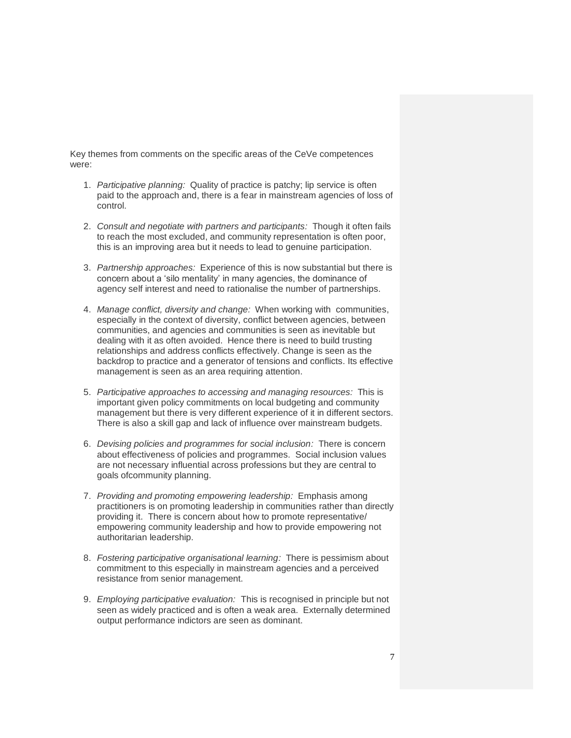Key themes from comments on the specific areas of the CeVe competences were:

- 1. *Participative planning:* Quality of practice is patchy; lip service is often paid to the approach and, there is a fear in mainstream agencies of loss of control.
- 2. *Consult and negotiate with partners and participants:* Though it often fails to reach the most excluded, and community representation is often poor, this is an improving area but it needs to lead to genuine participation.
- 3. *Partnership approaches:* Experience of this is now substantial but there is concern about a "silo mentality" in many agencies, the dominance of agency self interest and need to rationalise the number of partnerships.
- 4. *Manage conflict, diversity and change:* When working with communities, especially in the context of diversity, conflict between agencies, between communities, and agencies and communities is seen as inevitable but dealing with it as often avoided. Hence there is need to build trusting relationships and address conflicts effectively. Change is seen as the backdrop to practice and a generator of tensions and conflicts. Its effective management is seen as an area requiring attention.
- 5. *Participative approaches to accessing and managing resources:* This is important given policy commitments on local budgeting and community management but there is very different experience of it in different sectors. There is also a skill gap and lack of influence over mainstream budgets.
- 6. *Devising policies and programmes for social inclusion:* There is concern about effectiveness of policies and programmes. Social inclusion values are not necessary influential across professions but they are central to goals ofcommunity planning.
- 7. *Providing and promoting empowering leadership:* Emphasis among practitioners is on promoting leadership in communities rather than directly providing it. There is concern about how to promote representative/ empowering community leadership and how to provide empowering not authoritarian leadership.
- 8. *Fostering participative organisational learning:* There is pessimism about commitment to this especially in mainstream agencies and a perceived resistance from senior management.
- 9. *Employing participative evaluation:* This is recognised in principle but not seen as widely practiced and is often a weak area. Externally determined output performance indictors are seen as dominant.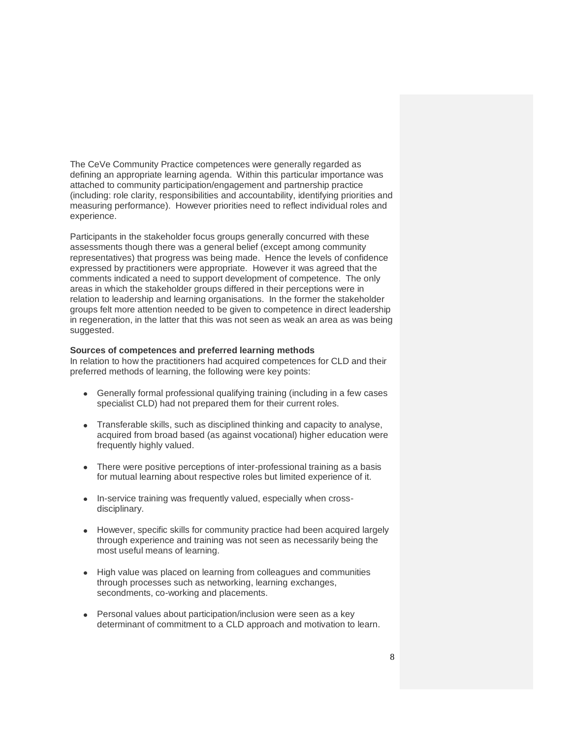The CeVe Community Practice competences were generally regarded as defining an appropriate learning agenda. Within this particular importance was attached to community participation/engagement and partnership practice (including: role clarity, responsibilities and accountability, identifying priorities and measuring performance). However priorities need to reflect individual roles and experience.

Participants in the stakeholder focus groups generally concurred with these assessments though there was a general belief (except among community representatives) that progress was being made. Hence the levels of confidence expressed by practitioners were appropriate. However it was agreed that the comments indicated a need to support development of competence. The only areas in which the stakeholder groups differed in their perceptions were in relation to leadership and learning organisations. In the former the stakeholder groups felt more attention needed to be given to competence in direct leadership in regeneration, in the latter that this was not seen as weak an area as was being suggested.

### **Sources of competences and preferred learning methods**

In relation to how the practitioners had acquired competences for CLD and their preferred methods of learning, the following were key points:

- Generally formal professional qualifying training (including in a few cases specialist CLD) had not prepared them for their current roles.
- Transferable skills, such as disciplined thinking and capacity to analyse, acquired from broad based (as against vocational) higher education were frequently highly valued.
- There were positive perceptions of inter-professional training as a basis for mutual learning about respective roles but limited experience of it.
- In-service training was frequently valued, especially when crossdisciplinary.
- However, specific skills for community practice had been acquired largely through experience and training was not seen as necessarily being the most useful means of learning.
- High value was placed on learning from colleagues and communities through processes such as networking, learning exchanges, secondments, co-working and placements.
- Personal values about participation/inclusion were seen as a key determinant of commitment to a CLD approach and motivation to learn.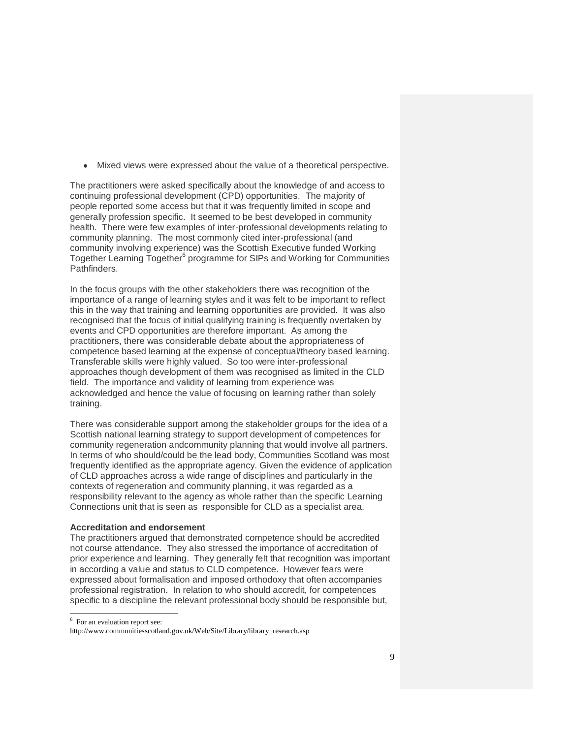Mixed views were expressed about the value of a theoretical perspective.

The practitioners were asked specifically about the knowledge of and access to continuing professional development (CPD) opportunities.The majority of people reported some access but that it was frequently limited in scope and generally profession specific. It seemed to be best developed in community health. There were few examples of inter-professional developments relating to community planning. The most commonly cited inter-professional (and community involving experience) was the Scottish Executive funded Working Together Learning Together<sup>6</sup> programme for SIPs and Working for Communities Pathfinders.

In the focus groups with the other stakeholders there was recognition of the importance of a range of learning styles and it was felt to be important to reflect this in the way that training and learning opportunities are provided. It was also recognised that the focus of initial qualifying training is frequently overtaken by events and CPD opportunities are therefore important. As among the practitioners, there was considerable debate about the appropriateness of competence based learning at the expense of conceptual/theory based learning. Transferable skills were highly valued. So too were inter-professional approaches though development of them was recognised as limited in the CLD field. The importance and validity of learning from experience was acknowledged and hence the value of focusing on learning rather than solely training.

There was considerable support among the stakeholder groups for the idea of a Scottish national learning strategy to support development of competences for community regeneration andcommunity planning that would involve all partners. In terms of who should/could be the lead body, Communities Scotland was most frequently identified as the appropriate agency. Given the evidence of application of CLD approaches across a wide range of disciplines and particularly in the contexts of regeneration and community planning, it was regarded as a responsibility relevant to the agency as whole rather than the specific Learning Connections unit that is seen as responsible for CLD as a specialist area.

### **Accreditation and endorsement**

The practitioners argued that demonstrated competence should be accredited not course attendance. They also stressed the importance of accreditation of prior experience and learning. They generally felt that recognition was important in according a value and status to CLD competence. However fears were expressed about formalisation and imposed orthodoxy that often accompanies professional registration. In relation to who should accredit, for competences specific to a discipline the relevant professional body should be responsible but,

<sup>6</sup> For an evaluation report see:

http://www.communitiesscotland.gov.uk/Web/Site/Library/library\_research.asp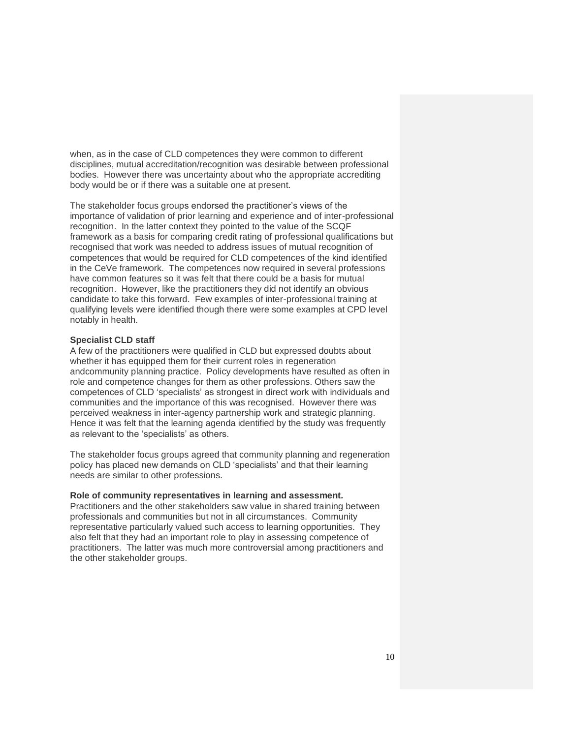when, as in the case of CLD competences they were common to different disciplines, mutual accreditation/recognition was desirable between professional bodies. However there was uncertainty about who the appropriate accrediting body would be or if there was a suitable one at present.

The stakeholder focus groups endorsed the practitioner"s views of the importance of validation of prior learning and experience and of inter-professional recognition. In the latter context they pointed to the value of the SCQF framework as a basis for comparing credit rating of professional qualifications but recognised that work was needed to address issues of mutual recognition of competences that would be required for CLD competences of the kind identified in the CeVe framework. The competences now required in several professions have common features so it was felt that there could be a basis for mutual recognition. However, like the practitioners they did not identify an obvious candidate to take this forward. Few examples of inter-professional training at qualifying levels were identified though there were some examples at CPD level notably in health.

### **Specialist CLD staff**

A few of the practitioners were qualified in CLD but expressed doubts about whether it has equipped them for their current roles in regeneration andcommunity planning practice. Policy developments have resulted as often in role and competence changes for them as other professions. Others saw the competences of CLD "specialists" as strongest in direct work with individuals and communities and the importance of this was recognised. However there was perceived weakness in inter-agency partnership work and strategic planning. Hence it was felt that the learning agenda identified by the study was frequently as relevant to the 'specialists' as others.

The stakeholder focus groups agreed that community planning and regeneration policy has placed new demands on CLD "specialists" and that their learning needs are similar to other professions.

#### **Role of community representatives in learning and assessment***.*

Practitioners and the other stakeholders saw value in shared training between professionals and communities but not in all circumstances. Community representative particularly valued such access to learning opportunities. They also felt that they had an important role to play in assessing competence of practitioners. The latter was much more controversial among practitioners and the other stakeholder groups.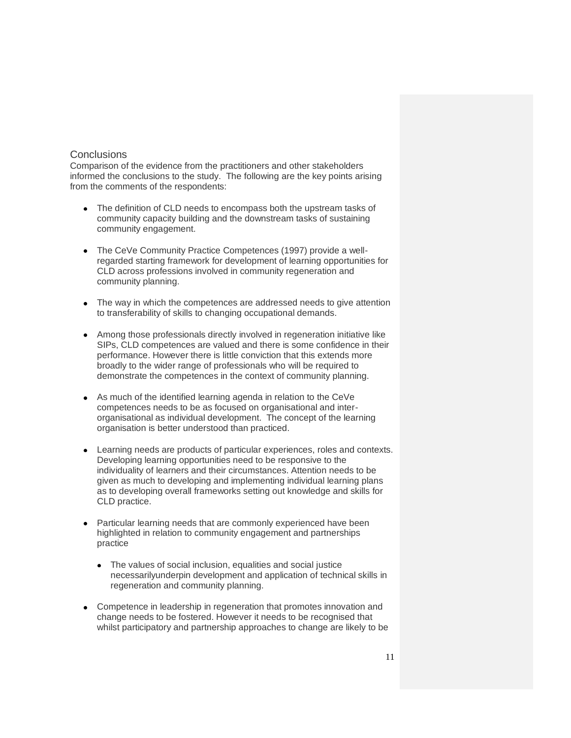### **Conclusions**

Comparison of the evidence from the practitioners and other stakeholders informed the conclusions to the study. The following are the key points arising from the comments of the respondents:

- The definition of CLD needs to encompass both the upstream tasks of community capacity building and the downstream tasks of sustaining community engagement.
- The CeVe Community Practice Competences (1997) provide a wellregarded starting framework for development of learning opportunities for CLD across professions involved in community regeneration and community planning.
- The way in which the competences are addressed needs to give attention to transferability of skills to changing occupational demands.
- Among those professionals directly involved in regeneration initiative like SIPs, CLD competences are valued and there is some confidence in their performance. However there is little conviction that this extends more broadly to the wider range of professionals who will be required to demonstrate the competences in the context of community planning.
- As much of the identified learning agenda in relation to the CeVe competences needs to be as focused on organisational and interorganisational as individual development. The concept of the learning organisation is better understood than practiced.
- Learning needs are products of particular experiences, roles and contexts. Developing learning opportunities need to be responsive to the individuality of learners and their circumstances. Attention needs to be given as much to developing and implementing individual learning plans as to developing overall frameworks setting out knowledge and skills for CLD practice.
- Particular learning needs that are commonly experienced have been highlighted in relation to community engagement and partnerships practice
	- The values of social inclusion, equalities and social justice necessarilyunderpin development and application of technical skills in regeneration and community planning.
- Competence in leadership in regeneration that promotes innovation and change needs to be fostered. However it needs to be recognised that whilst participatory and partnership approaches to change are likely to be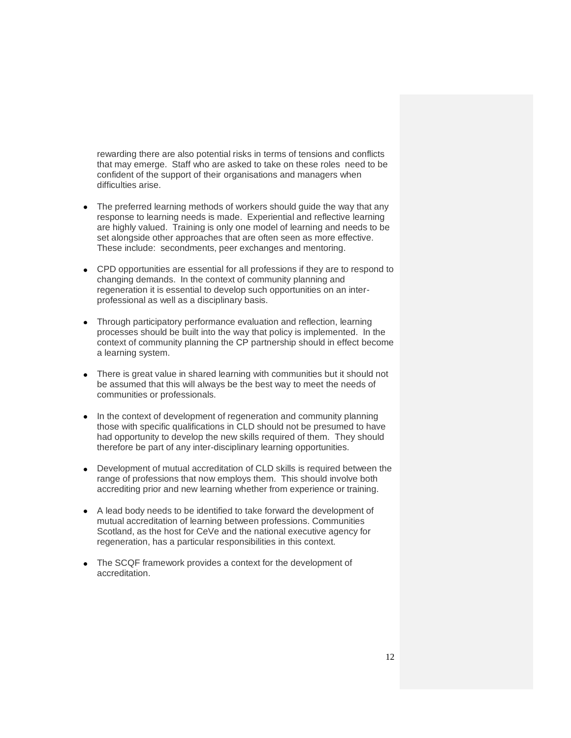rewarding there are also potential risks in terms of tensions and conflicts that may emerge. Staff who are asked to take on these roles need to be confident of the support of their organisations and managers when difficulties arise.

- The preferred learning methods of workers should guide the way that any response to learning needs is made. Experiential and reflective learning are highly valued. Training is only one model of learning and needs to be set alongside other approaches that are often seen as more effective. These include: secondments, peer exchanges and mentoring.
- CPD opportunities are essential for all professions if they are to respond to changing demands. In the context of community planning and regeneration it is essential to develop such opportunities on an interprofessional as well as a disciplinary basis.
- Through participatory performance evaluation and reflection, learning processes should be built into the way that policy is implemented. In the context of community planning the CP partnership should in effect become a learning system.
- There is great value in shared learning with communities but it should not be assumed that this will always be the best way to meet the needs of communities or professionals.
- In the context of development of regeneration and community planning those with specific qualifications in CLD should not be presumed to have had opportunity to develop the new skills required of them. They should therefore be part of any inter-disciplinary learning opportunities.
- Development of mutual accreditation of CLD skills is required between the range of professions that now employs them. This should involve both accrediting prior and new learning whether from experience or training.
- A lead body needs to be identified to take forward the development of mutual accreditation of learning between professions. Communities Scotland, as the host for CeVe and the national executive agency for regeneration, has a particular responsibilities in this context.
- The SCQF framework provides a context for the development of accreditation.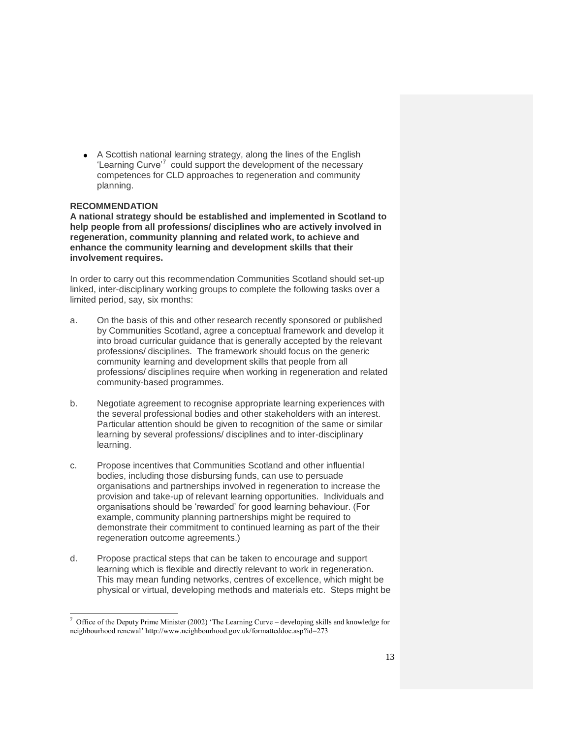A Scottish national learning strategy, along the lines of the English 'Learning Curve<sup>7</sup> could support the development of the necessary competences for CLD approaches to regeneration and community planning.

### **RECOMMENDATION**

**A national strategy should be established and implemented in Scotland to help people from all professions/ disciplines who are actively involved in regeneration, community planning and related work, to achieve and enhance the community learning and development skills that their involvement requires.** 

In order to carry out this recommendation Communities Scotland should set-up linked, inter-disciplinary working groups to complete the following tasks over a limited period, say, six months:

- a. On the basis of this and other research recently sponsored or published by Communities Scotland, agree a conceptual framework and develop it into broad curricular guidance that is generally accepted by the relevant professions/ disciplines. The framework should focus on the generic community learning and development skills that people from all professions/ disciplines require when working in regeneration and related community-based programmes.
- b. Negotiate agreement to recognise appropriate learning experiences with the several professional bodies and other stakeholders with an interest. Particular attention should be given to recognition of the same or similar learning by several professions/ disciplines and to inter-disciplinary learning.
- c. Propose incentives that Communities Scotland and other influential bodies, including those disbursing funds, can use to persuade organisations and partnerships involved in regeneration to increase the provision and take-up of relevant learning opportunities. Individuals and organisations should be "rewarded" for good learning behaviour. (For example, community planning partnerships might be required to demonstrate their commitment to continued learning as part of the their regeneration outcome agreements.)
- d. Propose practical steps that can be taken to encourage and support learning which is flexible and directly relevant to work in regeneration. This may mean funding networks, centres of excellence, which might be physical or virtual, developing methods and materials etc. Steps might be

 $\frac{1}{7}$  Office of the Deputy Prime Minister (2002) 'The Learning Curve – developing skills and knowledge for neighbourhood renewal" http://www.neighbourhood.gov.uk/formatteddoc.asp?id=273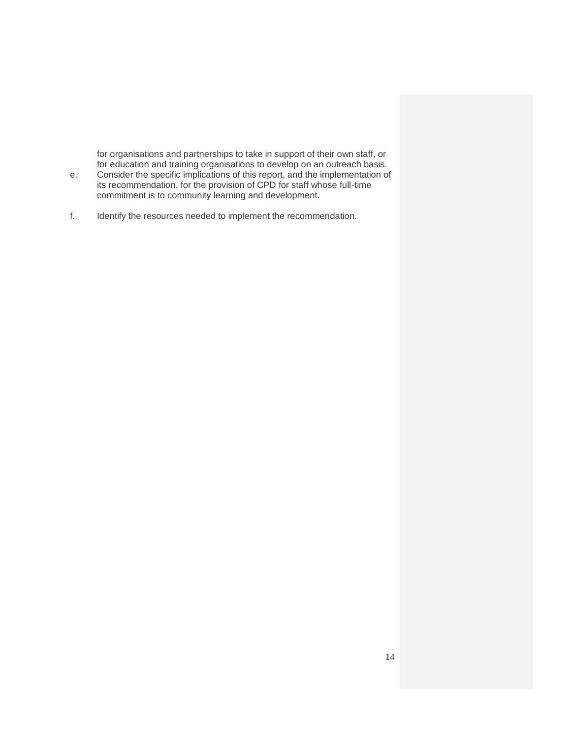for organisations and partnerships to take in support of their own staff, or for education and training organisations to develop on an outreach basis.

- e. Consider the specific implications of this report, and the implementation of its recommendation, for the provision of CPD for staff whose full-time commitment is to community learning and development.
- f. Identify the resources needed to implement the recommendation.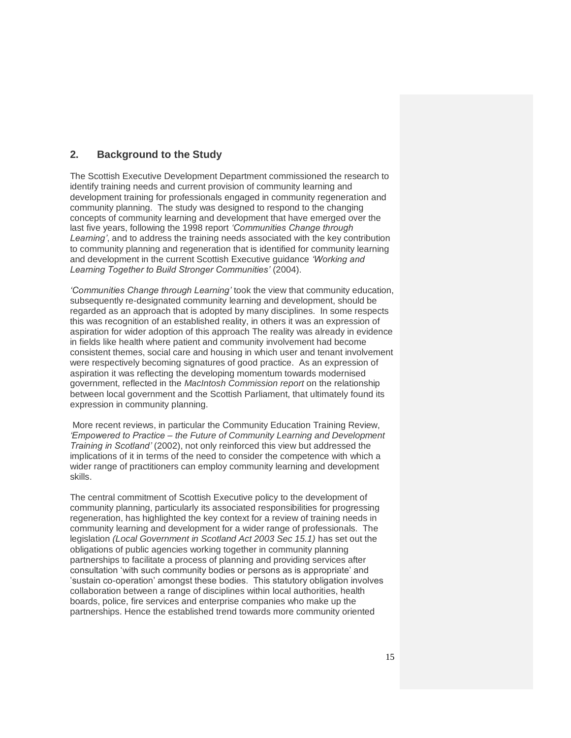## **2. Background to the Study**

The Scottish Executive Development Department commissioned the research to identify training needs and current provision of community learning and development training for professionals engaged in community regeneration and community planning. The study was designed to respond to the changing concepts of community learning and development that have emerged over the last five years, following the 1998 report *"Communities Change through* Learning<sup>'</sup>, and to address the training needs associated with the key contribution to community planning and regeneration that is identified for community learning and development in the current Scottish Executive guidance *"Working and Learning Together to Build Stronger Communities"* (2004).

*"Communities Change through Learning"* took the view that community education, subsequently re-designated community learning and development, should be regarded as an approach that is adopted by many disciplines. In some respects this was recognition of an established reality, in others it was an expression of aspiration for wider adoption of this approach The reality was already in evidence in fields like health where patient and community involvement had become consistent themes, social care and housing in which user and tenant involvement were respectively becoming signatures of good practice. As an expression of aspiration it was reflecting the developing momentum towards modernised government, reflected in the *MacIntosh Commission report* on the relationship between local government and the Scottish Parliament, that ultimately found its expression in community planning.

More recent reviews, in particular the Community Education Training Review, *"Empowered to Practice – the Future of Community Learning and Development Training in Scotland"* (2002), not only reinforced this view but addressed the implications of it in terms of the need to consider the competence with which a wider range of practitioners can employ community learning and development skills.

The central commitment of Scottish Executive policy to the development of community planning, particularly its associated responsibilities for progressing regeneration, has highlighted the key context for a review of training needs in community learning and development for a wider range of professionals. The legislation *(Local Government in Scotland Act 2003 Sec 15.1)* has set out the obligations of public agencies working together in community planning partnerships to facilitate a process of planning and providing services after consultation "with such community bodies or persons as is appropriate" and "sustain co-operation" amongst these bodies. This statutory obligation involves collaboration between a range of disciplines within local authorities, health boards, police, fire services and enterprise companies who make up the partnerships. Hence the established trend towards more community oriented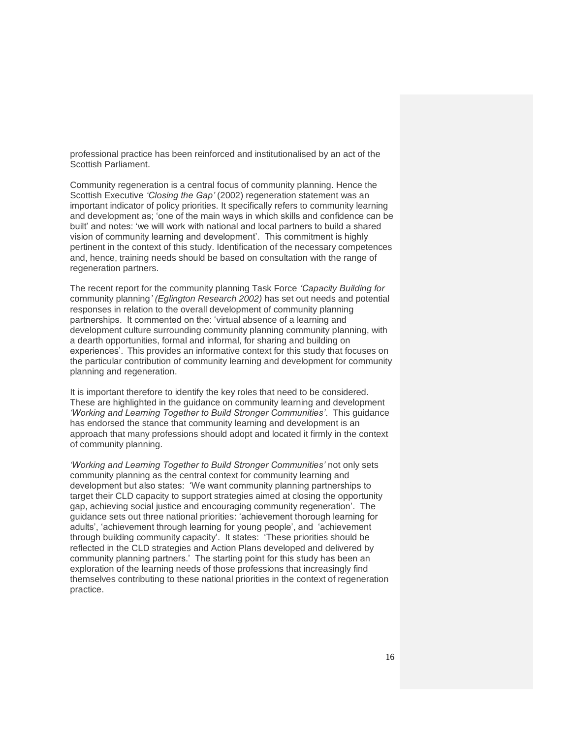professional practice has been reinforced and institutionalised by an act of the Scottish Parliament.

Community regeneration is a central focus of community planning. Hence the Scottish Executive *"Closing the Gap"* (2002) regeneration statement was an important indicator of policy priorities. It specifically refers to community learning and development as; "one of the main ways in which skills and confidence can be built" and notes: "we will work with national and local partners to build a shared vision of community learning and development". This commitment is highly pertinent in the context of this study. Identification of the necessary competences and, hence, training needs should be based on consultation with the range of regeneration partners.

The recent report for the community planning Task Force *"Capacity Building for* community planning*" (Eglington Research 2002)* has set out needs and potential responses in relation to the overall development of community planning partnerships. It commented on the: "virtual absence of a learning and development culture surrounding community planning community planning, with a dearth opportunities, formal and informal, for sharing and building on experiences'. This provides an informative context for this study that focuses on the particular contribution of community learning and development for community planning and regeneration.

It is important therefore to identify the key roles that need to be considered. These are highlighted in the guidance on community learning and development *"Working and Learning Together to Build Stronger Communities"*. This guidance has endorsed the stance that community learning and development is an approach that many professions should adopt and located it firmly in the context of community planning.

*"Working and Learning Together to Build Stronger Communities'* not only sets community planning as the central context for community learning and development but also states: "We want community planning partnerships to target their CLD capacity to support strategies aimed at closing the opportunity gap, achieving social justice and encouraging community regeneration". The guidance sets out three national priorities: "achievement thorough learning for adults', 'achievement through learning for young people', and 'achievement through building community capacity". It states: "These priorities should be reflected in the CLD strategies and Action Plans developed and delivered by community planning partners." The starting point for this study has been an exploration of the learning needs of those professions that increasingly find themselves contributing to these national priorities in the context of regeneration practice.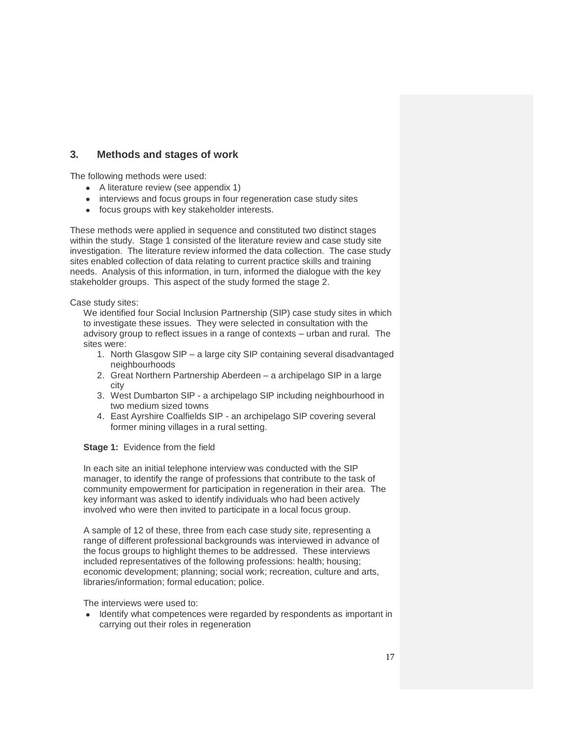### **3. Methods and stages of work**

The following methods were used:

- A literature review (see appendix 1)
- interviews and focus groups in four regeneration case study sites
- focus groups with key stakeholder interests.

These methods were applied in sequence and constituted two distinct stages within the study. Stage 1 consisted of the literature review and case study site investigation. The literature review informed the data collection. The case study sites enabled collection of data relating to current practice skills and training needs. Analysis of this information, in turn, informed the dialogue with the key stakeholder groups. This aspect of the study formed the stage 2.

### Case study sites:

We identified four Social Inclusion Partnership (SIP) case study sites in which to investigate these issues. They were selected in consultation with the advisory group to reflect issues in a range of contexts – urban and rural. The sites were:

- 1. North Glasgow SIP a large city SIP containing several disadvantaged neighbourhoods
- 2. Great Northern Partnership Aberdeen a archipelago SIP in a large city
- 3. West Dumbarton SIP a archipelago SIP including neighbourhood in two medium sized towns
- 4. East Ayrshire Coalfields SIP an archipelago SIP covering several former mining villages in a rural setting.

### **Stage 1: Evidence from the field**

In each site an initial telephone interview was conducted with the SIP manager, to identify the range of professions that contribute to the task of community empowerment for participation in regeneration in their area. The key informant was asked to identify individuals who had been actively involved who were then invited to participate in a local focus group.

A sample of 12 of these, three from each case study site, representing a range of different professional backgrounds was interviewed in advance of the focus groups to highlight themes to be addressed. These interviews included representatives of the following professions: health; housing; economic development; planning; social work; recreation, culture and arts, libraries/information; formal education; police.

The interviews were used to:

• Identify what competences were regarded by respondents as important in carrying out their roles in regeneration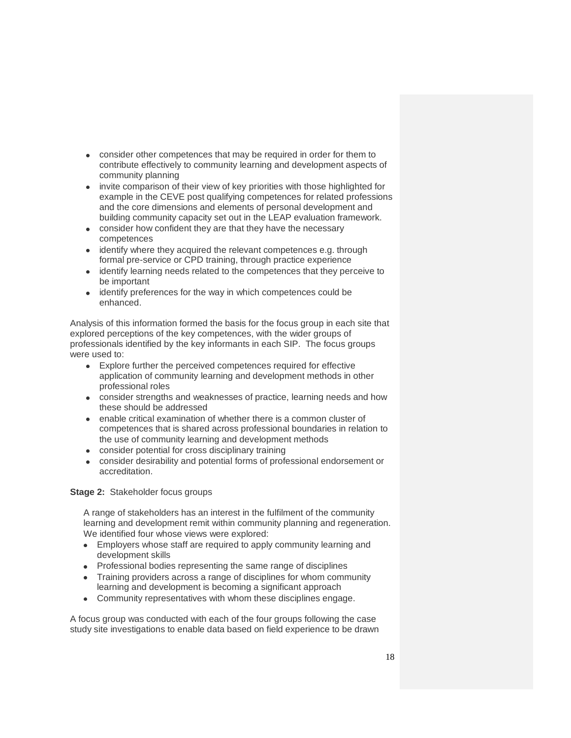- consider other competences that may be required in order for them to contribute effectively to community learning and development aspects of community planning
- invite comparison of their view of key priorities with those highlighted for example in the CEVE post qualifying competences for related professions and the core dimensions and elements of personal development and building community capacity set out in the LEAP evaluation framework.
- consider how confident they are that they have the necessary competences
- identify where they acquired the relevant competences e.g. through formal pre-service or CPD training, through practice experience
- identify learning needs related to the competences that they perceive to be important
- identify preferences for the way in which competences could be enhanced.

Analysis of this information formed the basis for the focus group in each site that explored perceptions of the key competences, with the wider groups of professionals identified by the key informants in each SIP. The focus groups were used to:

- Explore further the perceived competences required for effective application of community learning and development methods in other professional roles
- consider strengths and weaknesses of practice, learning needs and how these should be addressed
- enable critical examination of whether there is a common cluster of competences that is shared across professional boundaries in relation to the use of community learning and development methods
- consider potential for cross disciplinary training
- consider desirability and potential forms of professional endorsement or accreditation.

### **Stage 2:** Stakeholder focus groups

A range of stakeholders has an interest in the fulfilment of the community learning and development remit within community planning and regeneration. We identified four whose views were explored:

- Employers whose staff are required to apply community learning and development skills
- Professional bodies representing the same range of disciplines
- Training providers across a range of disciplines for whom community learning and development is becoming a significant approach
- Community representatives with whom these disciplines engage.

A focus group was conducted with each of the four groups following the case study site investigations to enable data based on field experience to be drawn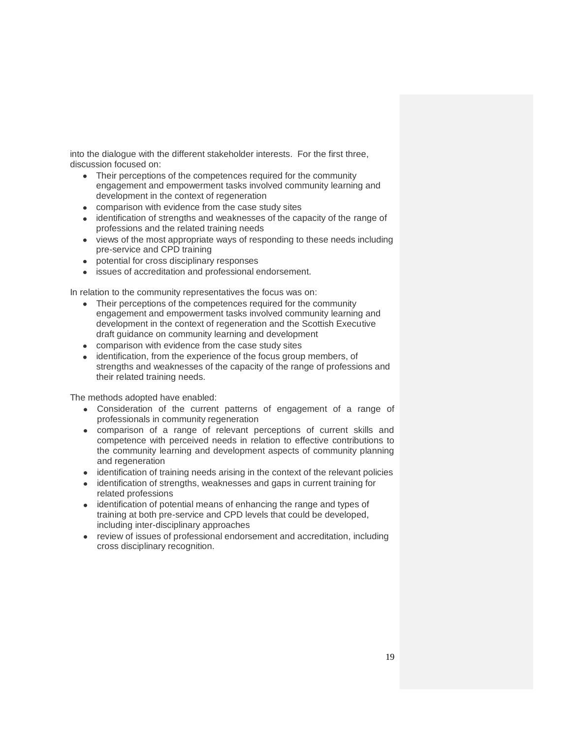into the dialogue with the different stakeholder interests. For the first three, discussion focused on:

- Their perceptions of the competences required for the community engagement and empowerment tasks involved community learning and development in the context of regeneration
- comparison with evidence from the case study sites
- identification of strengths and weaknesses of the capacity of the range of professions and the related training needs
- views of the most appropriate ways of responding to these needs including pre-service and CPD training
- potential for cross disciplinary responses
- issues of accreditation and professional endorsement.

In relation to the community representatives the focus was on:

- Their perceptions of the competences required for the community engagement and empowerment tasks involved community learning and development in the context of regeneration and the Scottish Executive draft guidance on community learning and development
- comparison with evidence from the case study sites
- identification, from the experience of the focus group members, of strengths and weaknesses of the capacity of the range of professions and their related training needs.

The methods adopted have enabled:

- Consideration of the current patterns of engagement of a range of professionals in community regeneration
- comparison of a range of relevant perceptions of current skills and competence with perceived needs in relation to effective contributions to the community learning and development aspects of community planning and regeneration
- identification of training needs arising in the context of the relevant policies
- identification of strengths, weaknesses and gaps in current training for related professions
- identification of potential means of enhancing the range and types of training at both pre-service and CPD levels that could be developed, including inter-disciplinary approaches
- review of issues of professional endorsement and accreditation, including cross disciplinary recognition.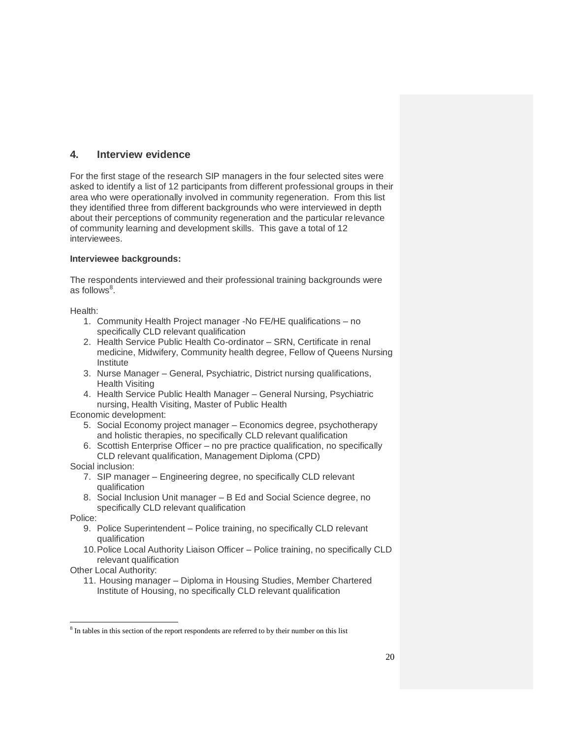## **4. Interview evidence**

For the first stage of the research SIP managers in the four selected sites were asked to identify a list of 12 participants from different professional groups in their area who were operationally involved in community regeneration. From this list they identified three from different backgrounds who were interviewed in depth about their perceptions of community regeneration and the particular relevance of community learning and development skills. This gave a total of 12 interviewees.

### **Interviewee backgrounds:**

The respondents interviewed and their professional training backgrounds were as follows $8$ .

Health:

- 1. Community Health Project manager -No FE/HE qualifications no specifically CLD relevant qualification
- 2. Health Service Public Health Co-ordinator SRN, Certificate in renal medicine, Midwifery, Community health degree, Fellow of Queens Nursing Institute
- 3. Nurse Manager General, Psychiatric, District nursing qualifications, Health Visiting
- 4. Health Service Public Health Manager General Nursing, Psychiatric nursing, Health Visiting, Master of Public Health

Economic development:

- 5. Social Economy project manager Economics degree, psychotherapy and holistic therapies, no specifically CLD relevant qualification
- 6. Scottish Enterprise Officer no pre practice qualification, no specifically CLD relevant qualification, Management Diploma (CPD)

Social inclusion:

- 7. SIP manager Engineering degree, no specifically CLD relevant qualification
- 8. Social Inclusion Unit manager B Ed and Social Science degree, no specifically CLD relevant qualification

Police:

- 9. Police Superintendent Police training, no specifically CLD relevant qualification
- 10.Police Local Authority Liaison Officer Police training, no specifically CLD relevant qualification

Other Local Authority:

11. Housing manager – Diploma in Housing Studies, Member Chartered Institute of Housing, no specifically CLD relevant qualification

l  $8 \text{ In tables in this section of the report respondents are referred to by their number on this list.}$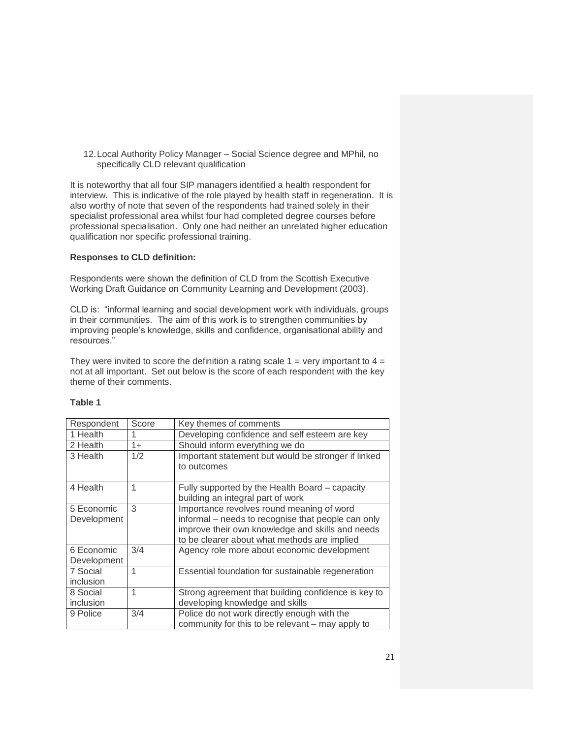12.Local Authority Policy Manager – Social Science degree and MPhil, no specifically CLD relevant qualification

It is noteworthy that all four SIP managers identified a health respondent for interview. This is indicative of the role played by health staff in regeneration. It is also worthy of note that seven of the respondents had trained solely in their specialist professional area whilst four had completed degree courses before professional specialisation. Only one had neither an unrelated higher education qualification nor specific professional training.

### **Responses to CLD definition:**

Respondents were shown the definition of CLD from the Scottish Executive Working Draft Guidance on Community Learning and Development (2003).

CLD is: "informal learning and social development work with individuals, groups in their communities. The aim of this work is to strengthen communities by improving people"s knowledge, skills and confidence, organisational ability and resources."

They were invited to score the definition a rating scale  $1 = \text{very important to } 4 = 1$ not at all important. Set out below is the score of each respondent with the key theme of their comments.

| Table |
|-------|
|-------|

| Respondent  | Score | Key themes of comments                                                                                                                                 |
|-------------|-------|--------------------------------------------------------------------------------------------------------------------------------------------------------|
| 1 Health    |       | Developing confidence and self esteem are key                                                                                                          |
| 2 Health    | $1+$  | Should inform everything we do                                                                                                                         |
| 3 Health    | 1/2   | Important statement but would be stronger if linked                                                                                                    |
|             |       | to outcomes                                                                                                                                            |
| 4 Health    | 1     | Fully supported by the Health Board – capacity<br>building an integral part of work                                                                    |
| 5 Economic  | 3     | Importance revolves round meaning of word                                                                                                              |
| Development |       | informal – needs to recognise that people can only<br>improve their own knowledge and skills and needs<br>to be clearer about what methods are implied |
| 6 Economic  | 3/4   | Agency role more about economic development                                                                                                            |
| Development |       |                                                                                                                                                        |
| 7 Social    | 1     | Essential foundation for sustainable regeneration                                                                                                      |
| inclusion   |       |                                                                                                                                                        |
| 8 Social    | 1     | Strong agreement that building confidence is key to                                                                                                    |
| inclusion   |       | developing knowledge and skills                                                                                                                        |
| 9 Police    | 3/4   | Police do not work directly enough with the                                                                                                            |
|             |       | community for this to be relevant - may apply to                                                                                                       |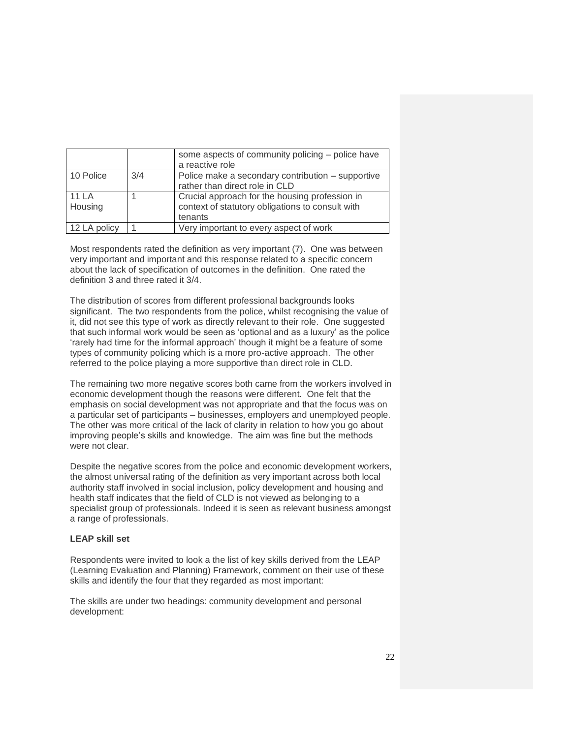|              |     | some aspects of community policing – police have<br>a reactive role |
|--------------|-----|---------------------------------------------------------------------|
| 10 Police    | 3/4 | Police make a secondary contribution – supportive                   |
|              |     | rather than direct role in CLD                                      |
| 11LA         |     | Crucial approach for the housing profession in                      |
| Housing      |     | context of statutory obligations to consult with                    |
|              |     | tenants                                                             |
| 12 LA policy |     | Very important to every aspect of work                              |

Most respondents rated the definition as very important (7). One was between very important and important and this response related to a specific concern about the lack of specification of outcomes in the definition. One rated the definition 3 and three rated it 3/4.

The distribution of scores from different professional backgrounds looks significant. The two respondents from the police, whilst recognising the value of it, did not see this type of work as directly relevant to their role. One suggested that such informal work would be seen as "optional and as a luxury" as the police "rarely had time for the informal approach" though it might be a feature of some types of community policing which is a more pro-active approach. The other referred to the police playing a more supportive than direct role in CLD.

The remaining two more negative scores both came from the workers involved in economic development though the reasons were different. One felt that the emphasis on social development was not appropriate and that the focus was on a particular set of participants – businesses, employers and unemployed people. The other was more critical of the lack of clarity in relation to how you go about improving people"s skills and knowledge. The aim was fine but the methods were not clear.

Despite the negative scores from the police and economic development workers, the almost universal rating of the definition as very important across both local authority staff involved in social inclusion, policy development and housing and health staff indicates that the field of CLD is not viewed as belonging to a specialist group of professionals. Indeed it is seen as relevant business amongst a range of professionals.

### **LEAP skill set**

Respondents were invited to look a the list of key skills derived from the LEAP (Learning Evaluation and Planning) Framework, comment on their use of these skills and identify the four that they regarded as most important:

The skills are under two headings: community development and personal development: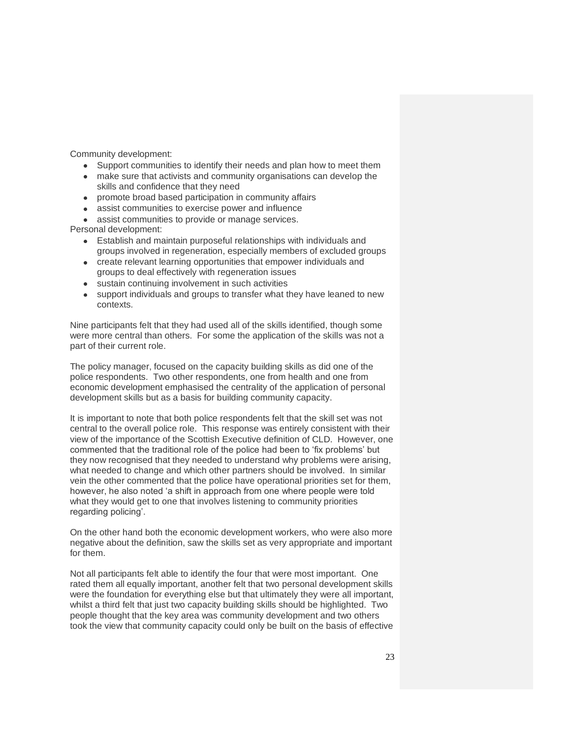Community development:

- Support communities to identify their needs and plan how to meet them
- make sure that activists and community organisations can develop the skills and confidence that they need
- promote broad based participation in community affairs
- assist communities to exercise power and influence
- assist communities to provide or manage services.

Personal development:

- Establish and maintain purposeful relationships with individuals and groups involved in regeneration, especially members of excluded groups
- create relevant learning opportunities that empower individuals and groups to deal effectively with regeneration issues
- sustain continuing involvement in such activities
- support individuals and groups to transfer what they have leaned to new contexts.

Nine participants felt that they had used all of the skills identified, though some were more central than others. For some the application of the skills was not a part of their current role.

The policy manager, focused on the capacity building skills as did one of the police respondents. Two other respondents, one from health and one from economic development emphasised the centrality of the application of personal development skills but as a basis for building community capacity.

It is important to note that both police respondents felt that the skill set was not central to the overall police role. This response was entirely consistent with their view of the importance of the Scottish Executive definition of CLD. However, one commented that the traditional role of the police had been to "fix problems" but they now recognised that they needed to understand why problems were arising, what needed to change and which other partners should be involved. In similar vein the other commented that the police have operational priorities set for them, however, he also noted "a shift in approach from one where people were told what they would get to one that involves listening to community priorities regarding policing".

On the other hand both the economic development workers, who were also more negative about the definition, saw the skills set as very appropriate and important for them.

Not all participants felt able to identify the four that were most important. One rated them all equally important, another felt that two personal development skills were the foundation for everything else but that ultimately they were all important, whilst a third felt that just two capacity building skills should be highlighted. Two people thought that the key area was community development and two others took the view that community capacity could only be built on the basis of effective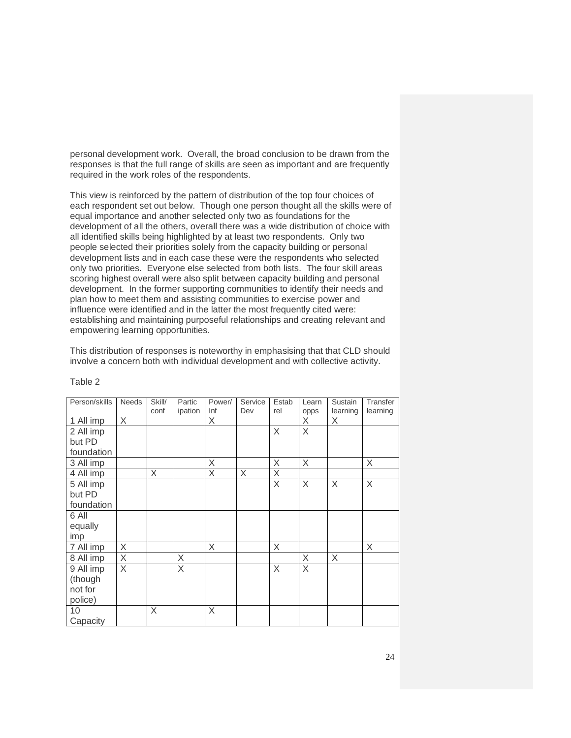personal development work. Overall, the broad conclusion to be drawn from the responses is that the full range of skills are seen as important and are frequently required in the work roles of the respondents.

This view is reinforced by the pattern of distribution of the top four choices of each respondent set out below. Though one person thought all the skills were of equal importance and another selected only two as foundations for the development of all the others, overall there was a wide distribution of choice with all identified skills being highlighted by at least two respondents. Only two people selected their priorities solely from the capacity building or personal development lists and in each case these were the respondents who selected only two priorities. Everyone else selected from both lists. The four skill areas scoring highest overall were also split between capacity building and personal development. In the former supporting communities to identify their needs and plan how to meet them and assisting communities to exercise power and influence were identified and in the latter the most frequently cited were: establishing and maintaining purposeful relationships and creating relevant and empowering learning opportunities.

This distribution of responses is noteworthy in emphasising that that CLD should involve a concern both with individual development and with collective activity.

| Person/skills | <b>Needs</b> | Skill/<br>conf | Partic<br>ipation | Power/<br>Inf | Service<br>Dev | Estab    | Learn | Sustain  | Transfer<br>learning |
|---------------|--------------|----------------|-------------------|---------------|----------------|----------|-------|----------|----------------------|
|               |              |                |                   |               |                | rel      | opps  | learning |                      |
| 1 All imp     | X            |                |                   | X             |                |          | X     | X        |                      |
| 2 All imp     |              |                |                   |               |                | $\times$ | X     |          |                      |
| but PD        |              |                |                   |               |                |          |       |          |                      |
| foundation    |              |                |                   |               |                |          |       |          |                      |
| 3 All imp     |              |                |                   | X             |                | X        | X     |          | X                    |
| 4 All imp     |              | X              |                   | X             | X              | X        |       |          |                      |
| 5 All imp     |              |                |                   |               |                | X        | X     | X        | X                    |
| but PD        |              |                |                   |               |                |          |       |          |                      |
| foundation    |              |                |                   |               |                |          |       |          |                      |
| 6 All         |              |                |                   |               |                |          |       |          |                      |
| equally       |              |                |                   |               |                |          |       |          |                      |
| imp           |              |                |                   |               |                |          |       |          |                      |
| 7 All imp     | X            |                |                   | X             |                | X        |       |          | X                    |
| 8 All imp     | X            |                | X                 |               |                |          | X     | X        |                      |
| 9 All imp     | X            |                | X                 |               |                | X        | X     |          |                      |
| (though       |              |                |                   |               |                |          |       |          |                      |
| not for       |              |                |                   |               |                |          |       |          |                      |
| police)       |              |                |                   |               |                |          |       |          |                      |
| 10            |              | X              |                   | X             |                |          |       |          |                      |
| Capacity      |              |                |                   |               |                |          |       |          |                      |

### Table 2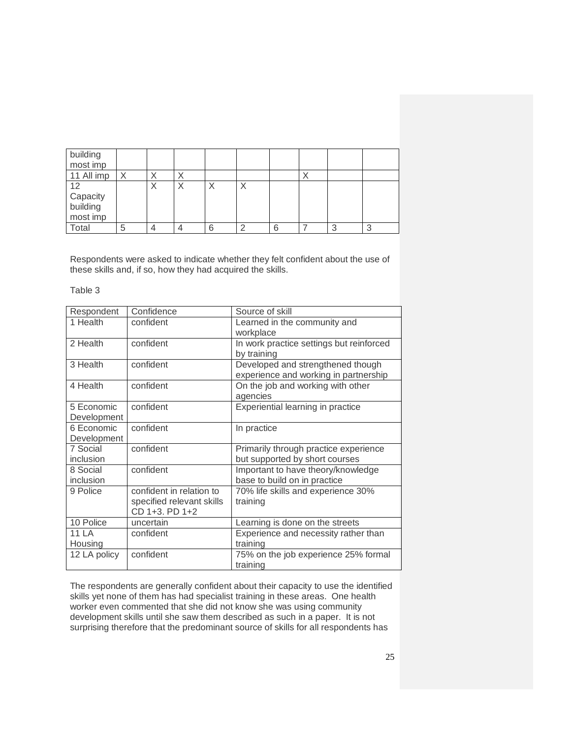| building<br>most imp                     |          |           |   |   |           |   |   |
|------------------------------------------|----------|-----------|---|---|-----------|---|---|
| 11 All imp                               | $\times$ | $\lambda$ |   |   | $\lambda$ |   |   |
| 12<br>Capacity<br>  building<br>most imp |          | ↗         |   |   |           |   |   |
| Total                                    | 5        |           | 6 | 6 |           | 3 | ⌒ |

Respondents were asked to indicate whether they felt confident about the use of these skills and, if so, how they had acquired the skills.

### Table 3

| Respondent                | Confidence                                                              | Source of skill                                                            |
|---------------------------|-------------------------------------------------------------------------|----------------------------------------------------------------------------|
| 1 Health                  | confident                                                               | Learned in the community and<br>workplace                                  |
| 2 Health                  | confident                                                               | In work practice settings but reinforced<br>by training                    |
| 3 Health                  | confident                                                               | Developed and strengthened though<br>experience and working in partnership |
| 4 Health                  | confident                                                               | On the job and working with other<br>agencies                              |
| 5 Economic<br>Development | confident                                                               | Experiential learning in practice                                          |
| 6 Economic<br>Development | confident                                                               | In practice                                                                |
| 7 Social<br>inclusion     | confident                                                               | Primarily through practice experience<br>but supported by short courses    |
| 8 Social<br>inclusion     | confident                                                               | Important to have theory/knowledge<br>base to build on in practice         |
| 9 Police                  | confident in relation to<br>specified relevant skills<br>CD 1+3. PD 1+2 | 70% life skills and experience 30%<br>training                             |
| 10 Police                 | uncertain                                                               | Learning is done on the streets                                            |
| 11 LA<br>Housing          | confident                                                               | Experience and necessity rather than<br>training                           |
| 12 LA policy              | confident                                                               | 75% on the job experience 25% formal<br>training                           |

The respondents are generally confident about their capacity to use the identified skills yet none of them has had specialist training in these areas. One health worker even commented that she did not know she was using community development skills until she saw them described as such in a paper. It is not surprising therefore that the predominant source of skills for all respondents has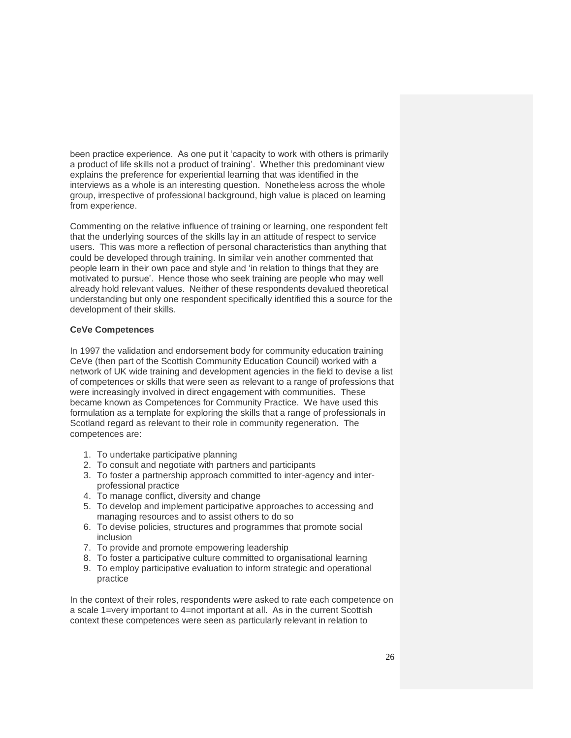been practice experience. As one put it "capacity to work with others is primarily a product of life skills not a product of training". Whether this predominant view explains the preference for experiential learning that was identified in the interviews as a whole is an interesting question. Nonetheless across the whole group, irrespective of professional background, high value is placed on learning from experience.

Commenting on the relative influence of training or learning, one respondent felt that the underlying sources of the skills lay in an attitude of respect to service users. This was more a reflection of personal characteristics than anything that could be developed through training. In similar vein another commented that people learn in their own pace and style and "in relation to things that they are motivated to pursue". Hence those who seek training are people who may well already hold relevant values. Neither of these respondents devalued theoretical understanding but only one respondent specifically identified this a source for the development of their skills.

### **CeVe Competences**

In 1997 the validation and endorsement body for community education training CeVe (then part of the Scottish Community Education Council) worked with a network of UK wide training and development agencies in the field to devise a list of competences or skills that were seen as relevant to a range of professions that were increasingly involved in direct engagement with communities. These became known as Competences for Community Practice. We have used this formulation as a template for exploring the skills that a range of professionals in Scotland regard as relevant to their role in community regeneration. The competences are:

- 1. To undertake participative planning
- 2. To consult and negotiate with partners and participants
- 3. To foster a partnership approach committed to inter-agency and interprofessional practice
- 4. To manage conflict, diversity and change
- 5. To develop and implement participative approaches to accessing and managing resources and to assist others to do so
- 6. To devise policies, structures and programmes that promote social inclusion
- 7. To provide and promote empowering leadership
- 8. To foster a participative culture committed to organisational learning
- 9. To employ participative evaluation to inform strategic and operational practice

In the context of their roles, respondents were asked to rate each competence on a scale 1=very important to 4=not important at all. As in the current Scottish context these competences were seen as particularly relevant in relation to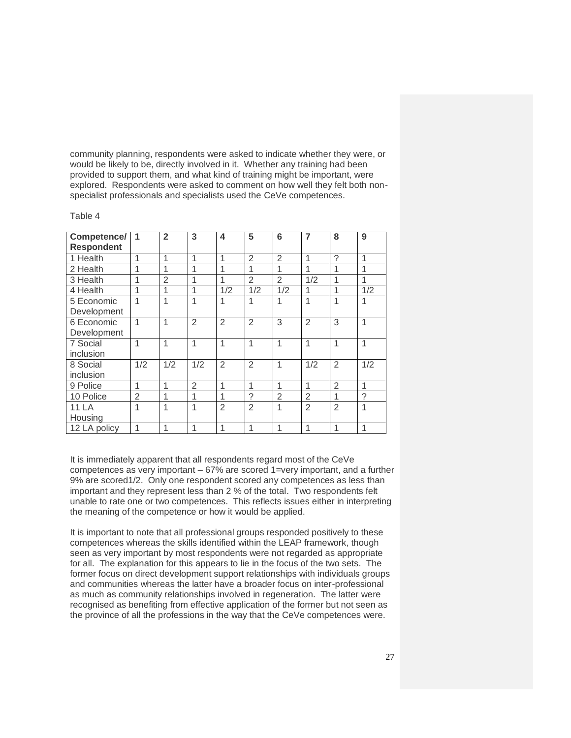community planning, respondents were asked to indicate whether they were, or would be likely to be, directly involved in it. Whether any training had been provided to support them, and what kind of training might be important, were explored. Respondents were asked to comment on how well they felt both nonspecialist professionals and specialists used the CeVe competences.

| Competence/       | 1              | $\overline{2}$ | 3              | 4              | 5              | 6              | 7              | 8              | 9   |
|-------------------|----------------|----------------|----------------|----------------|----------------|----------------|----------------|----------------|-----|
| <b>Respondent</b> |                |                |                |                |                |                |                |                |     |
| 1 Health          | 1              | 1              | 1              | 1              | $\overline{2}$ | $\overline{2}$ | 1              | ?              | 1   |
| 2 Health          | 1              | 1              | 1              | 1              | 1              | 1              | 1              | 1              | 1   |
| 3 Health          | 1              | $\overline{2}$ | 1              | 1              | $\overline{2}$ | $\overline{2}$ | 1/2            | 1              | 1   |
| 4 Health          | 1              | 1              | 1              | 1/2            | 1/2            | 1/2            | 1              | 1              | 1/2 |
| 5 Economic        | 1              | 1              | 1              | 1              | 1              | 1              | 1              | 1              | 1   |
| Development       |                |                |                |                |                |                |                |                |     |
| 6 Economic        | 1              | 1              | $\overline{2}$ | $\overline{2}$ | $\mathfrak{p}$ | 3              | $\overline{2}$ | 3              | 1   |
| Development       |                |                |                |                |                |                |                |                |     |
| 7 Social          | 1              | 1              | 1              | 1              | 1              | 1              | 1              | 1              | 1   |
| inclusion         |                |                |                |                |                |                |                |                |     |
| 8 Social          | 1/2            | 1/2            | 1/2            | $\overline{2}$ | $\mathfrak{p}$ | 1              | 1/2            | $\mathfrak{D}$ | 1/2 |
| inclusion         |                |                |                |                |                |                |                |                |     |
| 9 Police          | 1              | 1              | $\overline{2}$ | 1              | 1              | 1              | 1              | $\overline{2}$ | 1   |
| 10 Police         | $\overline{2}$ | 1              | 1              | 1              | $\gamma$       | $\overline{2}$ | $\overline{2}$ | 1              | ?   |
| 11 LA             | 1              | 1              | 1              | $\overline{2}$ | $\overline{2}$ | 1              | $\overline{2}$ | $\overline{2}$ | 1   |
| Housing           |                |                |                |                |                |                |                |                |     |
| 12 LA policy      | 1              | 1              | 1              | 1              | 1              | 1              | 1              | 1              | 1   |

Table 4

It is immediately apparent that all respondents regard most of the CeVe competences as very important – 67% are scored 1=very important, and a further 9% are scored1/2. Only one respondent scored any competences as less than important and they represent less than 2 % of the total. Two respondents felt unable to rate one or two competences. This reflects issues either in interpreting the meaning of the competence or how it would be applied.

It is important to note that all professional groups responded positively to these competences whereas the skills identified within the LEAP framework, though seen as very important by most respondents were not regarded as appropriate for all. The explanation for this appears to lie in the focus of the two sets. The former focus on direct development support relationships with individuals groups and communities whereas the latter have a broader focus on inter-professional as much as community relationships involved in regeneration. The latter were recognised as benefiting from effective application of the former but not seen as the province of all the professions in the way that the CeVe competences were.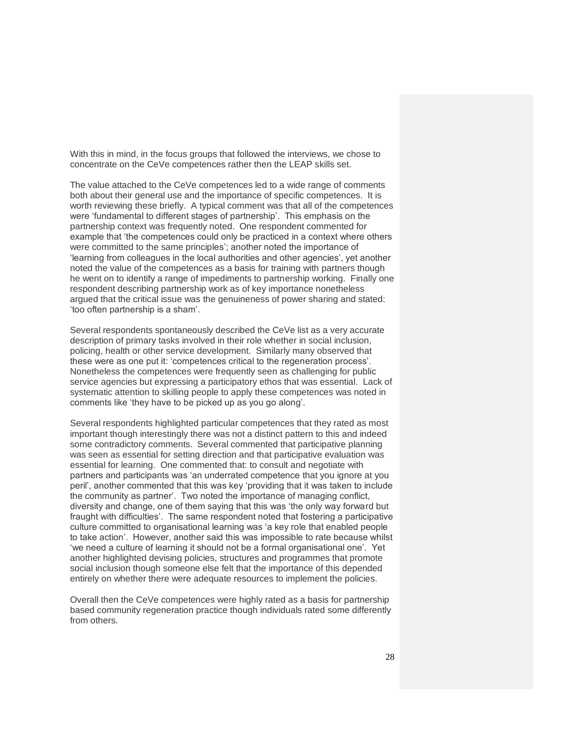With this in mind, in the focus groups that followed the interviews, we chose to concentrate on the CeVe competences rather then the LEAP skills set.

The value attached to the CeVe competences led to a wide range of comments both about their general use and the importance of specific competences. It is worth reviewing these briefly. A typical comment was that all of the competences were 'fundamental to different stages of partnership'. This emphasis on the partnership context was frequently noted. One respondent commented for example that "the competences could only be practiced in a context where others were committed to the same principles"; another noted the importance of "learning from colleagues in the local authorities and other agencies", yet another noted the value of the competences as a basis for training with partners though he went on to identify a range of impediments to partnership working. Finally one respondent describing partnership work as of key importance nonetheless argued that the critical issue was the genuineness of power sharing and stated: "too often partnership is a sham".

Several respondents spontaneously described the CeVe list as a very accurate description of primary tasks involved in their role whether in social inclusion, policing, health or other service development. Similarly many observed that these were as one put it: "competences critical to the regeneration process". Nonetheless the competences were frequently seen as challenging for public service agencies but expressing a participatory ethos that was essential. Lack of systematic attention to skilling people to apply these competences was noted in comments like "they have to be picked up as you go along".

Several respondents highlighted particular competences that they rated as most important though interestingly there was not a distinct pattern to this and indeed some contradictory comments. Several commented that participative planning was seen as essential for setting direction and that participative evaluation was essential for learning. One commented that: to consult and negotiate with partners and participants was "an underrated competence that you ignore at you peril", another commented that this was key "providing that it was taken to include the community as partner". Two noted the importance of managing conflict, diversity and change, one of them saying that this was "the only way forward but fraught with difficulties". The same respondent noted that fostering a participative culture committed to organisational learning was "a key role that enabled people to take action". However, another said this was impossible to rate because whilst 'we need a culture of learning it should not be a formal organisational one'. Yet another highlighted devising policies, structures and programmes that promote social inclusion though someone else felt that the importance of this depended entirely on whether there were adequate resources to implement the policies.

Overall then the CeVe competences were highly rated as a basis for partnership based community regeneration practice though individuals rated some differently from others.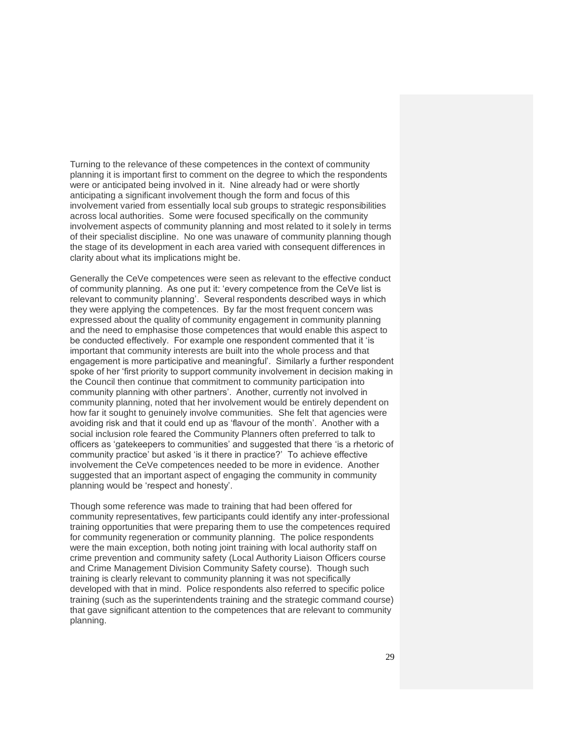Turning to the relevance of these competences in the context of community planning it is important first to comment on the degree to which the respondents were or anticipated being involved in it. Nine already had or were shortly anticipating a significant involvement though the form and focus of this involvement varied from essentially local sub groups to strategic responsibilities across local authorities. Some were focused specifically on the community involvement aspects of community planning and most related to it solely in terms of their specialist discipline. No one was unaware of community planning though the stage of its development in each area varied with consequent differences in clarity about what its implications might be.

Generally the CeVe competences were seen as relevant to the effective conduct of community planning. As one put it: "every competence from the CeVe list is relevant to community planning". Several respondents described ways in which they were applying the competences. By far the most frequent concern was expressed about the quality of community engagement in community planning and the need to emphasise those competences that would enable this aspect to be conducted effectively. For example one respondent commented that it "is important that community interests are built into the whole process and that engagement is more participative and meaningful". Similarly a further respondent spoke of her "first priority to support community involvement in decision making in the Council then continue that commitment to community participation into community planning with other partners'. Another, currently not involved in community planning, noted that her involvement would be entirely dependent on how far it sought to genuinely involve communities. She felt that agencies were avoiding risk and that it could end up as "flavour of the month". Another with a social inclusion role feared the Community Planners often preferred to talk to officers as "gatekeepers to communities" and suggested that there "is a rhetoric of community practice" but asked "is it there in practice?" To achieve effective involvement the CeVe competences needed to be more in evidence. Another suggested that an important aspect of engaging the community in community planning would be "respect and honesty".

Though some reference was made to training that had been offered for community representatives, few participants could identify any inter-professional training opportunities that were preparing them to use the competences required for community regeneration or community planning. The police respondents were the main exception, both noting joint training with local authority staff on crime prevention and community safety (Local Authority Liaison Officers course and Crime Management Division Community Safety course). Though such training is clearly relevant to community planning it was not specifically developed with that in mind. Police respondents also referred to specific police training (such as the superintendents training and the strategic command course) that gave significant attention to the competences that are relevant to community planning.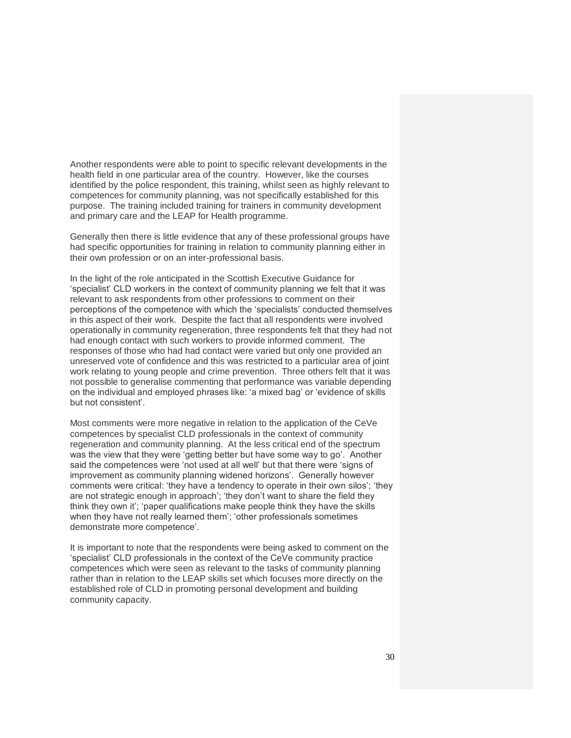Another respondents were able to point to specific relevant developments in the health field in one particular area of the country. However, like the courses identified by the police respondent, this training, whilst seen as highly relevant to competences for community planning, was not specifically established for this purpose. The training included training for trainers in community development and primary care and the LEAP for Health programme.

Generally then there is little evidence that any of these professional groups have had specific opportunities for training in relation to community planning either in their own profession or on an inter-professional basis.

In the light of the role anticipated in the Scottish Executive Guidance for "specialist" CLD workers in the context of community planning we felt that it was relevant to ask respondents from other professions to comment on their perceptions of the competence with which the "specialists" conducted themselves in this aspect of their work. Despite the fact that all respondents were involved operationally in community regeneration, three respondents felt that they had not had enough contact with such workers to provide informed comment. The responses of those who had had contact were varied but only one provided an unreserved vote of confidence and this was restricted to a particular area of joint work relating to young people and crime prevention. Three others felt that it was not possible to generalise commenting that performance was variable depending on the individual and employed phrases like: "a mixed bag" or "evidence of skills but not consistent".

Most comments were more negative in relation to the application of the CeVe competences by specialist CLD professionals in the context of community regeneration and community planning. At the less critical end of the spectrum was the view that they were "getting better but have some way to go". Another said the competences were "not used at all well" but that there were "signs of improvement as community planning widened horizons". Generally however comments were critical: "they have a tendency to operate in their own silos"; "they are not strategic enough in approach'; 'they don't want to share the field they think they own it"; "paper qualifications make people think they have the skills when they have not really learned them'; 'other professionals sometimes demonstrate more competence".

It is important to note that the respondents were being asked to comment on the "specialist" CLD professionals in the context of the CeVe community practice competences which were seen as relevant to the tasks of community planning rather than in relation to the LEAP skills set which focuses more directly on the established role of CLD in promoting personal development and building community capacity.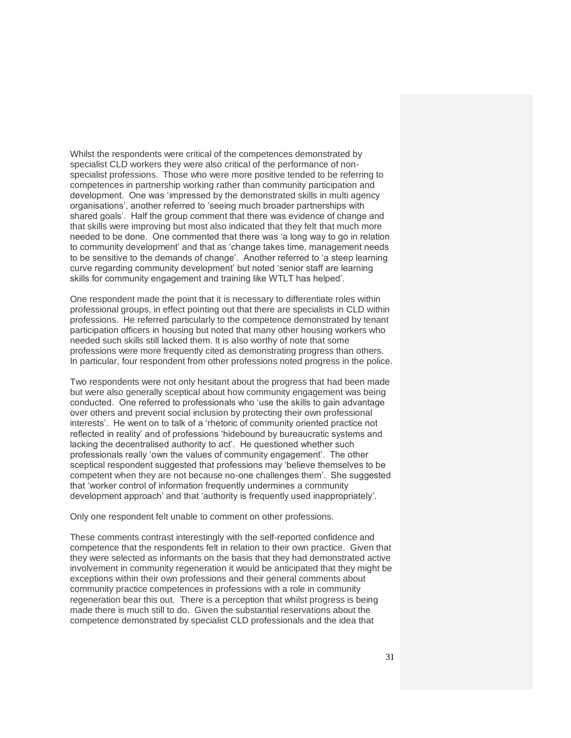Whilst the respondents were critical of the competences demonstrated by specialist CLD workers they were also critical of the performance of nonspecialist professions. Those who were more positive tended to be referring to competences in partnership working rather than community participation and development. One was "impressed by the demonstrated skills in multi agency organisations', another referred to 'seeing much broader partnerships with shared goals'. Half the group comment that there was evidence of change and that skills were improving but most also indicated that they felt that much more needed to be done. One commented that there was "a long way to go in relation to community development" and that as "change takes time, management needs to be sensitive to the demands of change". Another referred to "a steep learning curve regarding community development" but noted "senior staff are learning skills for community engagement and training like WTLT has helped".

One respondent made the point that it is necessary to differentiate roles within professional groups, in effect pointing out that there are specialists in CLD within professions. He referred particularly to the competence demonstrated by tenant participation officers in housing but noted that many other housing workers who needed such skills still lacked them. It is also worthy of note that some professions were more frequently cited as demonstrating progress than others. In particular, four respondent from other professions noted progress in the police.

Two respondents were not only hesitant about the progress that had been made but were also generally sceptical about how community engagement was being conducted. One referred to professionals who "use the skills to gain advantage over others and prevent social inclusion by protecting their own professional interests". He went on to talk of a "rhetoric of community oriented practice not reflected in reality' and of professions 'hidebound by bureaucratic systems and lacking the decentralised authority to act". He questioned whether such professionals really "own the values of community engagement". The other sceptical respondent suggested that professions may "believe themselves to be competent when they are not because no-one challenges them". She suggested that "worker control of information frequently undermines a community development approach' and that 'authority is frequently used inappropriately'.

Only one respondent felt unable to comment on other professions.

These comments contrast interestingly with the self-reported confidence and competence that the respondents felt in relation to their own practice. Given that they were selected as informants on the basis that they had demonstrated active involvement in community regeneration it would be anticipated that they might be exceptions within their own professions and their general comments about community practice competences in professions with a role in community regeneration bear this out. There is a perception that whilst progress is being made there is much still to do. Given the substantial reservations about the competence demonstrated by specialist CLD professionals and the idea that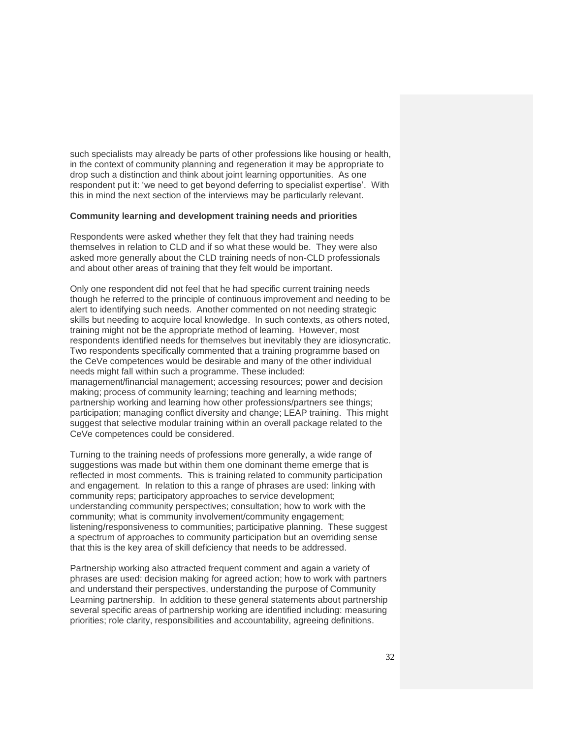such specialists may already be parts of other professions like housing or health, in the context of community planning and regeneration it may be appropriate to drop such a distinction and think about joint learning opportunities. As one respondent put it: "we need to get beyond deferring to specialist expertise". With this in mind the next section of the interviews may be particularly relevant.

#### **Community learning and development training needs and priorities**

Respondents were asked whether they felt that they had training needs themselves in relation to CLD and if so what these would be. They were also asked more generally about the CLD training needs of non-CLD professionals and about other areas of training that they felt would be important.

Only one respondent did not feel that he had specific current training needs though he referred to the principle of continuous improvement and needing to be alert to identifying such needs. Another commented on not needing strategic skills but needing to acquire local knowledge. In such contexts, as others noted, training might not be the appropriate method of learning. However, most respondents identified needs for themselves but inevitably they are idiosyncratic. Two respondents specifically commented that a training programme based on the CeVe competences would be desirable and many of the other individual needs might fall within such a programme. These included: management/financial management; accessing resources; power and decision making; process of community learning; teaching and learning methods; partnership working and learning how other professions/partners see things; participation; managing conflict diversity and change; LEAP training. This might suggest that selective modular training within an overall package related to the CeVe competences could be considered.

Turning to the training needs of professions more generally, a wide range of suggestions was made but within them one dominant theme emerge that is reflected in most comments. This is training related to community participation and engagement. In relation to this a range of phrases are used: linking with community reps; participatory approaches to service development; understanding community perspectives; consultation; how to work with the community; what is community involvement/community engagement; listening/responsiveness to communities; participative planning. These suggest a spectrum of approaches to community participation but an overriding sense that this is the key area of skill deficiency that needs to be addressed.

Partnership working also attracted frequent comment and again a variety of phrases are used: decision making for agreed action; how to work with partners and understand their perspectives, understanding the purpose of Community Learning partnership. In addition to these general statements about partnership several specific areas of partnership working are identified including: measuring priorities; role clarity, responsibilities and accountability, agreeing definitions.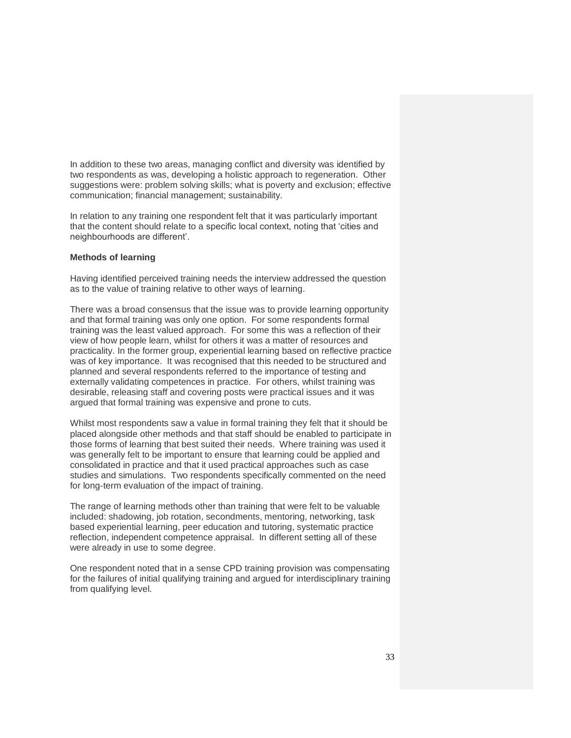In addition to these two areas, managing conflict and diversity was identified by two respondents as was, developing a holistic approach to regeneration. Other suggestions were: problem solving skills; what is poverty and exclusion; effective communication; financial management; sustainability.

In relation to any training one respondent felt that it was particularly important that the content should relate to a specific local context, noting that "cities and neighbourhoods are different".

#### **Methods of learning**

Having identified perceived training needs the interview addressed the question as to the value of training relative to other ways of learning.

There was a broad consensus that the issue was to provide learning opportunity and that formal training was only one option. For some respondents formal training was the least valued approach. For some this was a reflection of their view of how people learn, whilst for others it was a matter of resources and practicality. In the former group, experiential learning based on reflective practice was of key importance. It was recognised that this needed to be structured and planned and several respondents referred to the importance of testing and externally validating competences in practice. For others, whilst training was desirable, releasing staff and covering posts were practical issues and it was argued that formal training was expensive and prone to cuts.

Whilst most respondents saw a value in formal training they felt that it should be placed alongside other methods and that staff should be enabled to participate in those forms of learning that best suited their needs. Where training was used it was generally felt to be important to ensure that learning could be applied and consolidated in practice and that it used practical approaches such as case studies and simulations. Two respondents specifically commented on the need for long-term evaluation of the impact of training.

The range of learning methods other than training that were felt to be valuable included: shadowing, job rotation, secondments, mentoring, networking, task based experiential learning, peer education and tutoring, systematic practice reflection, independent competence appraisal. In different setting all of these were already in use to some degree.

One respondent noted that in a sense CPD training provision was compensating for the failures of initial qualifying training and argued for interdisciplinary training from qualifying level.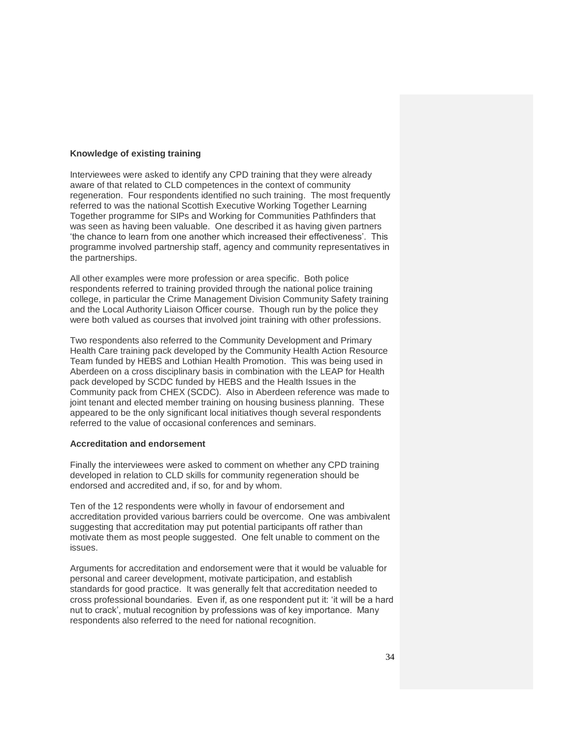### **Knowledge of existing training**

Interviewees were asked to identify any CPD training that they were already aware of that related to CLD competences in the context of community regeneration. Four respondents identified no such training. The most frequently referred to was the national Scottish Executive Working Together Learning Together programme for SIPs and Working for Communities Pathfinders that was seen as having been valuable. One described it as having given partners "the chance to learn from one another which increased their effectiveness". This programme involved partnership staff, agency and community representatives in the partnerships.

All other examples were more profession or area specific. Both police respondents referred to training provided through the national police training college, in particular the Crime Management Division Community Safety training and the Local Authority Liaison Officer course. Though run by the police they were both valued as courses that involved joint training with other professions.

Two respondents also referred to the Community Development and Primary Health Care training pack developed by the Community Health Action Resource Team funded by HEBS and Lothian Health Promotion. This was being used in Aberdeen on a cross disciplinary basis in combination with the LEAP for Health pack developed by SCDC funded by HEBS and the Health Issues in the Community pack from CHEX (SCDC). Also in Aberdeen reference was made to joint tenant and elected member training on housing business planning. These appeared to be the only significant local initiatives though several respondents referred to the value of occasional conferences and seminars.

### **Accreditation and endorsement**

Finally the interviewees were asked to comment on whether any CPD training developed in relation to CLD skills for community regeneration should be endorsed and accredited and, if so, for and by whom.

Ten of the 12 respondents were wholly in favour of endorsement and accreditation provided various barriers could be overcome. One was ambivalent suggesting that accreditation may put potential participants off rather than motivate them as most people suggested. One felt unable to comment on the issues.

Arguments for accreditation and endorsement were that it would be valuable for personal and career development, motivate participation, and establish standards for good practice. It was generally felt that accreditation needed to cross professional boundaries. Even if, as one respondent put it: "it will be a hard nut to crack", mutual recognition by professions was of key importance. Many respondents also referred to the need for national recognition.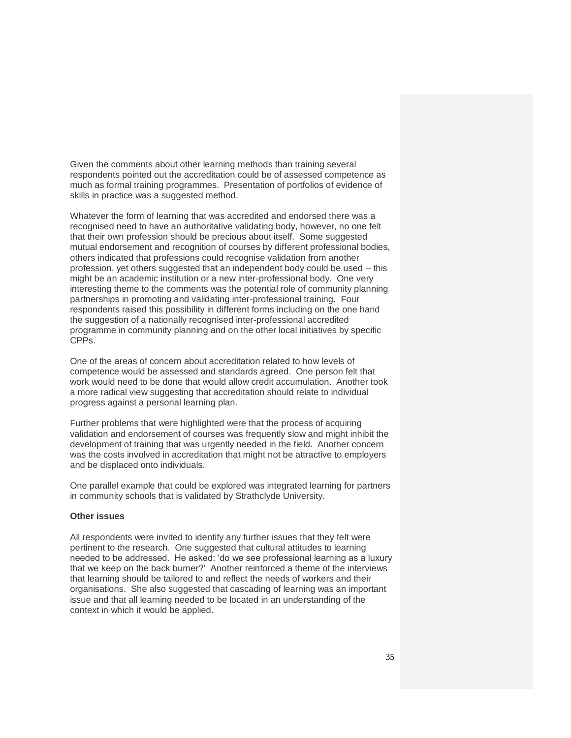Given the comments about other learning methods than training several respondents pointed out the accreditation could be of assessed competence as much as formal training programmes. Presentation of portfolios of evidence of skills in practice was a suggested method.

Whatever the form of learning that was accredited and endorsed there was a recognised need to have an authoritative validating body, however, no one felt that their own profession should be precious about itself. Some suggested mutual endorsement and recognition of courses by different professional bodies, others indicated that professions could recognise validation from another profession, yet others suggested that an independent body could be used – this might be an academic institution or a new inter-professional body. One very interesting theme to the comments was the potential role of community planning partnerships in promoting and validating inter-professional training. Four respondents raised this possibility in different forms including on the one hand the suggestion of a nationally recognised inter-professional accredited programme in community planning and on the other local initiatives by specific CPPs.

One of the areas of concern about accreditation related to how levels of competence would be assessed and standards agreed. One person felt that work would need to be done that would allow credit accumulation. Another took a more radical view suggesting that accreditation should relate to individual progress against a personal learning plan.

Further problems that were highlighted were that the process of acquiring validation and endorsement of courses was frequently slow and might inhibit the development of training that was urgently needed in the field. Another concern was the costs involved in accreditation that might not be attractive to employers and be displaced onto individuals.

One parallel example that could be explored was integrated learning for partners in community schools that is validated by Strathclyde University.

#### **Other issues**

All respondents were invited to identify any further issues that they felt were pertinent to the research. One suggested that cultural attitudes to learning needed to be addressed. He asked: "do we see professional learning as a luxury that we keep on the back burner?" Another reinforced a theme of the interviews that learning should be tailored to and reflect the needs of workers and their organisations. She also suggested that cascading of learning was an important issue and that all learning needed to be located in an understanding of the context in which it would be applied.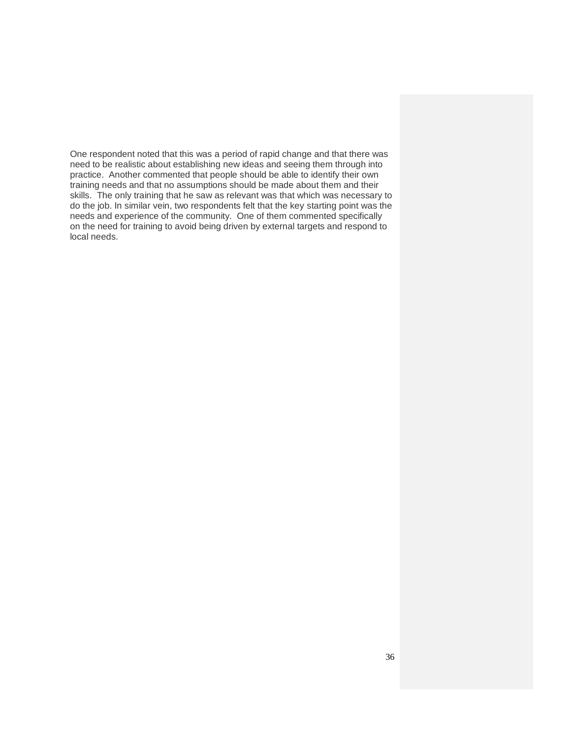One respondent noted that this was a period of rapid change and that there was need to be realistic about establishing new ideas and seeing them through into practice. Another commented that people should be able to identify their own training needs and that no assumptions should be made about them and their skills. The only training that he saw as relevant was that which was necessary to do the job. In similar vein, two respondents felt that the key starting point was the needs and experience of the community. One of them commented specifically on the need for training to avoid being driven by external targets and respond to local needs.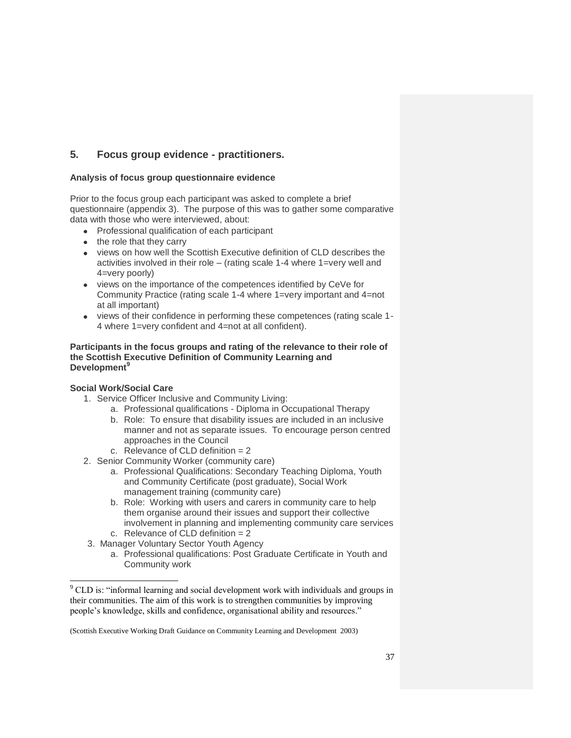## **5. Focus group evidence - practitioners.**

## **Analysis of focus group questionnaire evidence**

Prior to the focus group each participant was asked to complete a brief questionnaire (appendix 3). The purpose of this was to gather some comparative data with those who were interviewed, about:

- Professional qualification of each participant
- the role that they carry
- views on how well the Scottish Executive definition of CLD describes the activities involved in their role – (rating scale 1-4 where 1=very well and 4=very poorly)
- views on the importance of the competences identified by CeVe for Community Practice (rating scale 1-4 where 1=very important and 4=not at all important)
- views of their confidence in performing these competences (rating scale 1-4 where 1=very confident and 4=not at all confident).

#### **Participants in the focus groups and rating of the relevance to their role of the Scottish Executive Definition of Community Learning and Development<sup>9</sup>**

## **Social Work/Social Care**

 $\overline{a}$ 

- 1. Service Officer Inclusive and Community Living:
	- a. Professional qualifications Diploma in Occupational Therapy
		- b. Role: To ensure that disability issues are included in an inclusive manner and not as separate issues. To encourage person centred approaches in the Council
	- c. Relevance of CLD definition = 2
- 2. Senior Community Worker (community care)
	- a. Professional Qualifications: Secondary Teaching Diploma, Youth and Community Certificate (post graduate), Social Work management training (community care)
	- b. Role: Working with users and carers in community care to help them organise around their issues and support their collective involvement in planning and implementing community care services
	- c. Relevance of CLD definition = 2
- 3. Manager Voluntary Sector Youth Agency
	- a. Professional qualifications: Post Graduate Certificate in Youth and Community work

 $9$  CLD is: "informal learning and social development work with individuals and groups in their communities. The aim of this work is to strengthen communities by improving people"s knowledge, skills and confidence, organisational ability and resources."

<sup>(</sup>Scottish Executive Working Draft Guidance on Community Learning and Development 2003)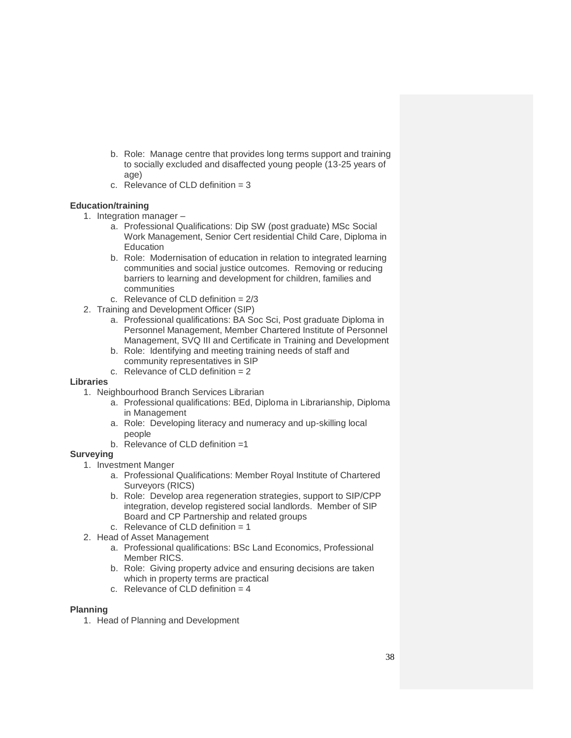- b. Role: Manage centre that provides long terms support and training to socially excluded and disaffected young people (13-25 years of age)
- c. Relevance of CLD definition = 3

## **Education/training**

- 1. Integration manager
	- a. Professional Qualifications: Dip SW (post graduate) MSc Social Work Management, Senior Cert residential Child Care, Diploma in Education
	- b. Role: Modernisation of education in relation to integrated learning communities and social justice outcomes. Removing or reducing barriers to learning and development for children, families and communities
	- c. Relevance of CLD definition  $= 2/3$
- 2. Training and Development Officer (SIP)
	- a. Professional qualifications: BA Soc Sci, Post graduate Diploma in Personnel Management, Member Chartered Institute of Personnel Management, SVQ III and Certificate in Training and Development
	- b. Role: Identifying and meeting training needs of staff and community representatives in SIP
	- c. Relevance of CLD definition  $= 2$

## **Libraries**

- 1. Neighbourhood Branch Services Librarian
	- a. Professional qualifications: BEd, Diploma in Librarianship, Diploma in Management
	- a. Role: Developing literacy and numeracy and up-skilling local people
	- b. Relevance of CLD definition =1

## **Surveying**

- 1. Investment Manger
	- a. Professional Qualifications: Member Royal Institute of Chartered Surveyors (RICS)
	- b. Role: Develop area regeneration strategies, support to SIP/CPP integration, develop registered social landlords. Member of SIP Board and CP Partnership and related groups
- c. Relevance of CLD definition  $= 1$ 2. Head of Asset Management
	- a. Professional qualifications: BSc Land Economics, Professional Member RICS.
	- b. Role: Giving property advice and ensuring decisions are taken which in property terms are practical
	- c. Relevance of CLD definition  $= 4$

## **Planning**

1. Head of Planning and Development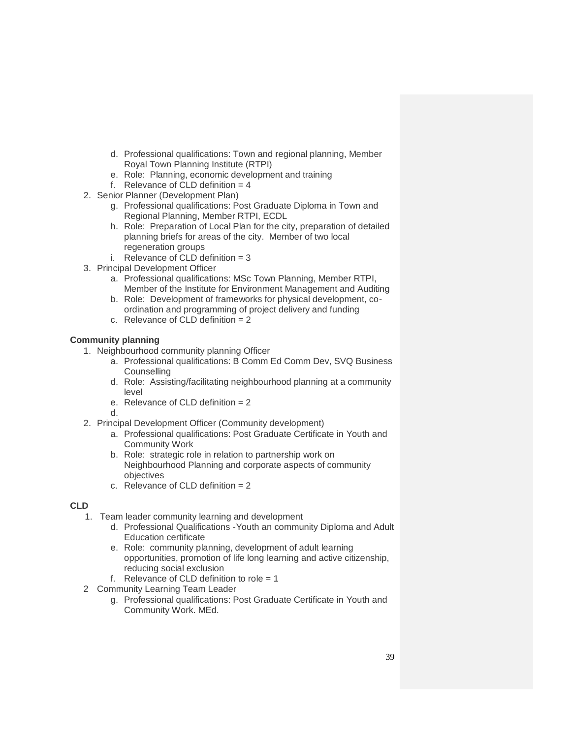- d. Professional qualifications: Town and regional planning, Member Royal Town Planning Institute (RTPI)
- e. Role: Planning, economic development and training
- f. Relevance of  $CLD$  definition = 4
- 2. Senior Planner (Development Plan)
	- g. Professional qualifications: Post Graduate Diploma in Town and Regional Planning, Member RTPI, ECDL
	- h. Role: Preparation of Local Plan for the city, preparation of detailed planning briefs for areas of the city. Member of two local regeneration groups
	- i. Relevance of  $CLD$  definition = 3
- 3. Principal Development Officer
	- a. Professional qualifications: MSc Town Planning, Member RTPI, Member of the Institute for Environment Management and Auditing
	- b. Role: Development of frameworks for physical development, coordination and programming of project delivery and funding
	- c. Relevance of CLD definition  $= 2$

## **Community planning**

- 1. Neighbourhood community planning Officer
	- a. Professional qualifications: B Comm Ed Comm Dev, SVQ Business **Counselling** 
		- d. Role: Assisting/facilitating neighbourhood planning at a community level
	- e. Relevance of CLD definition = 2
	-
- d.
- 2. Principal Development Officer (Community development)
	- a. Professional qualifications: Post Graduate Certificate in Youth and Community Work
	- b. Role: strategic role in relation to partnership work on Neighbourhood Planning and corporate aspects of community objectives
	- c. Relevance of CLD definition = 2

## **CLD**

- 1. Team leader community learning and development
	- d. Professional Qualifications -Youth an community Diploma and Adult Education certificate
	- e. Role: community planning, development of adult learning opportunities, promotion of life long learning and active citizenship, reducing social exclusion
	- f. Relevance of CLD definition to role  $= 1$
- 2 Community Learning Team Leader
	- g. Professional qualifications: Post Graduate Certificate in Youth and Community Work. MEd.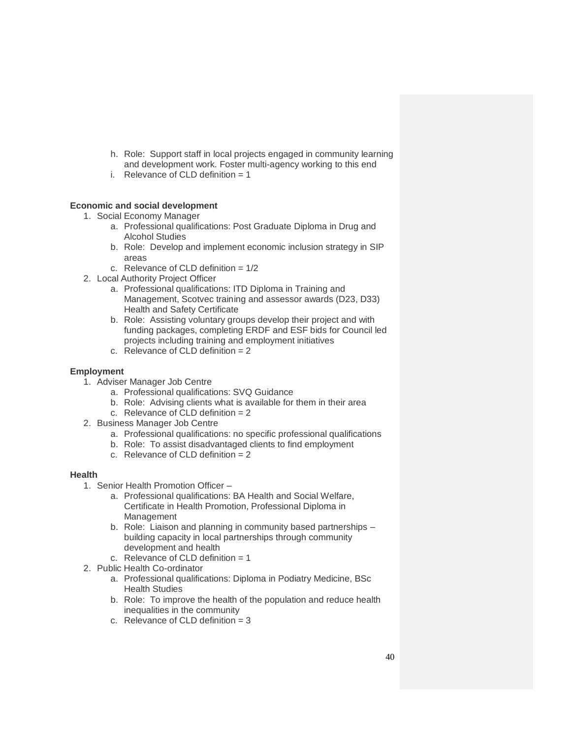- h. Role: Support staff in local projects engaged in community learning and development work. Foster multi-agency working to this end
- i. Relevance of CLD definition  $= 1$

## **Economic and social development**

- 1. Social Economy Manager
	- a. Professional qualifications: Post Graduate Diploma in Drug and Alcohol Studies
	- b. Role: Develop and implement economic inclusion strategy in SIP areas
	- c. Relevance of CLD definition  $= 1/2$
- 2. Local Authority Project Officer
	- a. Professional qualifications: ITD Diploma in Training and Management, Scotvec training and assessor awards (D23, D33) Health and Safety Certificate
	- b. Role: Assisting voluntary groups develop their project and with funding packages, completing ERDF and ESF bids for Council led projects including training and employment initiatives
	- c. Relevance of CLD definition  $= 2$

## **Employment**

- 1. Adviser Manager Job Centre
	- a. Professional qualifications: SVQ Guidance
	- b. Role: Advising clients what is available for them in their area
	- c. Relevance of CLD definition  $= 2$
- 2. Business Manager Job Centre
	- a. Professional qualifications: no specific professional qualifications
	- b. Role: To assist disadvantaged clients to find employment
	- c. Relevance of CLD definition  $= 2$

#### **Health**

- 1. Senior Health Promotion Officer
	- a. Professional qualifications: BA Health and Social Welfare, Certificate in Health Promotion, Professional Diploma in Management
	- b. Role: Liaison and planning in community based partnerships building capacity in local partnerships through community development and health
	- c. Relevance of CLD definition = 1
- 2. Public Health Co-ordinator
	- a. Professional qualifications: Diploma in Podiatry Medicine, BSc Health Studies
	- b. Role: To improve the health of the population and reduce health inequalities in the community
	- c. Relevance of CLD definition  $= 3$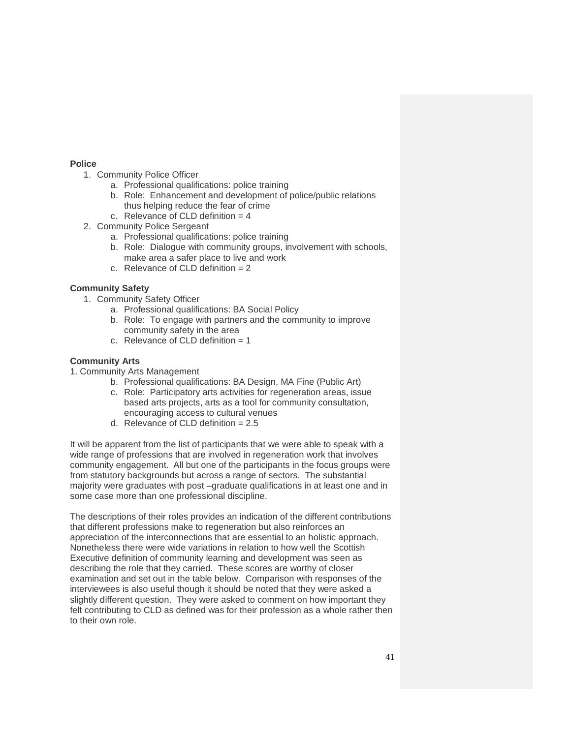## **Police**

- 1. Community Police Officer
	- a. Professional qualifications: police training
	- b. Role: Enhancement and development of police/public relations thus helping reduce the fear of crime
	- c. Relevance of CLD definition  $= 4$
- 2. Community Police Sergeant
	- a. Professional qualifications: police training
	- b. Role: Dialogue with community groups, involvement with schools, make area a safer place to live and work
	- c. Relevance of CLD definition  $= 2$

## **Community Safety**

- 1. Community Safety Officer
	- a. Professional qualifications: BA Social Policy
	- b. Role: To engage with partners and the community to improve community safety in the area
	- c. Relevance of CLD definition  $= 1$

## **Community Arts**

- 1. Community Arts Management
	- b. Professional qualifications: BA Design, MA Fine (Public Art)
	- c. Role: Participatory arts activities for regeneration areas, issue based arts projects, arts as a tool for community consultation, encouraging access to cultural venues
	- d. Relevance of CLD definition  $= 2.5$

It will be apparent from the list of participants that we were able to speak with a wide range of professions that are involved in regeneration work that involves community engagement. All but one of the participants in the focus groups were from statutory backgrounds but across a range of sectors. The substantial majority were graduates with post –graduate qualifications in at least one and in some case more than one professional discipline.

The descriptions of their roles provides an indication of the different contributions that different professions make to regeneration but also reinforces an appreciation of the interconnections that are essential to an holistic approach. Nonetheless there were wide variations in relation to how well the Scottish Executive definition of community learning and development was seen as describing the role that they carried. These scores are worthy of closer examination and set out in the table below. Comparison with responses of the interviewees is also useful though it should be noted that they were asked a slightly different question. They were asked to comment on how important they felt contributing to CLD as defined was for their profession as a whole rather then to their own role.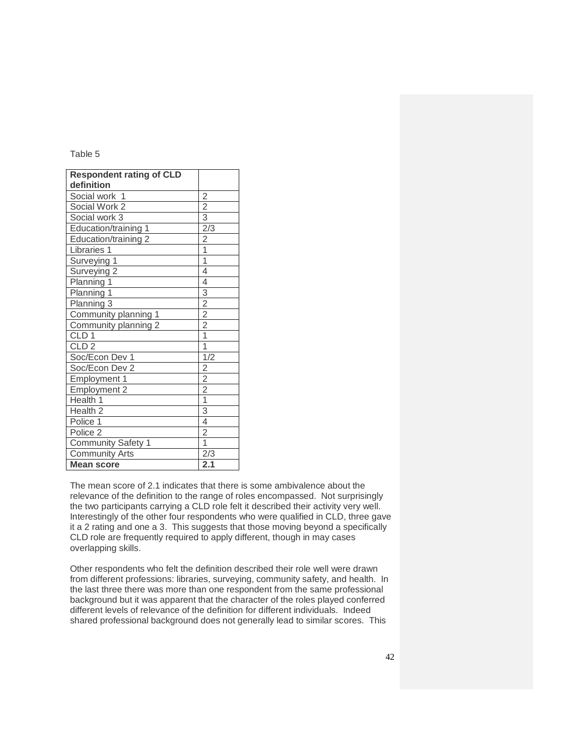## Table 5

| <b>Respondent rating of CLD</b> |                                            |
|---------------------------------|--------------------------------------------|
| definition                      |                                            |
| Social work 1                   | $\overline{2}$                             |
| Social Work 2                   | $\frac{2}{\frac{3}{2/3}}$<br>$\frac{2}{1}$ |
| Social work 3                   |                                            |
| Education/training 1            |                                            |
| Education/training 2            |                                            |
| Libraries 1                     |                                            |
| Surveying 1                     | $\overline{1}$                             |
| Surveying 2                     | $\overline{4}$                             |
| Planning 1                      | $\overline{4}$                             |
| Planning 1                      | $\frac{3}{2}$                              |
| Planning 3                      |                                            |
| Community planning 1            |                                            |
| Community planning 2            |                                            |
| CLD <sub>1</sub>                | $\overline{1}$                             |
| CLD <sub>2</sub>                | $\overline{1}$                             |
| Soc/Econ Dev 1                  | 1/2                                        |
| Soc/Econ Dev 2                  | $\frac{2}{2}$ $\frac{2}{1}$                |
| Employment 1                    |                                            |
| Employment 2                    |                                            |
| Health 1                        |                                            |
| Health <sub>2</sub>             | $\overline{3}$                             |
| Police 1                        | $\overline{4}$                             |
| Police <sub>2</sub>             | $\overline{2}$                             |
| Community Safety 1              | $\overline{1}$                             |
| <b>Community Arts</b>           | 2/3                                        |
| <b>Mean score</b>               | 2.1                                        |

The mean score of 2.1 indicates that there is some ambivalence about the relevance of the definition to the range of roles encompassed. Not surprisingly the two participants carrying a CLD role felt it described their activity very well. Interestingly of the other four respondents who were qualified in CLD, three gave it a 2 rating and one a 3. This suggests that those moving beyond a specifically CLD role are frequently required to apply different, though in may cases overlapping skills.

Other respondents who felt the definition described their role well were drawn from different professions: libraries, surveying, community safety, and health. In the last three there was more than one respondent from the same professional background but it was apparent that the character of the roles played conferred different levels of relevance of the definition for different individuals. Indeed shared professional background does not generally lead to similar scores. This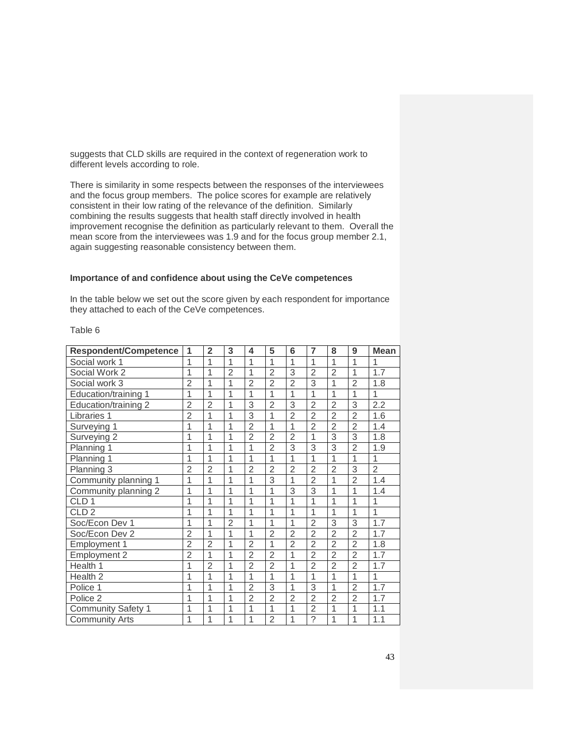suggests that CLD skills are required in the context of regeneration work to different levels according to role.

There is similarity in some respects between the responses of the interviewees and the focus group members. The police scores for example are relatively consistent in their low rating of the relevance of the definition. Similarly combining the results suggests that health staff directly involved in health improvement recognise the definition as particularly relevant to them. Overall the mean score from the interviewees was 1.9 and for the focus group member 2.1, again suggesting reasonable consistency between them.

#### **Importance of and confidence about using the CeVe competences**

In the table below we set out the score given by each respondent for importance they attached to each of the CeVe competences.

| <b>Respondent/Competence</b> | 1              | $\overline{2}$ | 3              | 4              | 5              | 6              | $\overline{7}$ | 8              | 9              | <b>Mean</b>    |
|------------------------------|----------------|----------------|----------------|----------------|----------------|----------------|----------------|----------------|----------------|----------------|
| Social work 1                | 1              | 1              | 1              | 1              | 1              | 1              | 1              | 1              | 1              | 1              |
| Social Work 2                | 1              | 1              | $\overline{2}$ | 1              | $\overline{2}$ | 3              | $\overline{2}$ | $\overline{2}$ | 1              | 1.7            |
| Social work 3                | $\overline{2}$ | 1              | $\overline{1}$ | $\overline{2}$ | $\overline{2}$ | $\overline{2}$ | 3              | 1              | $\overline{2}$ | 1.8            |
| Education/training 1         | 1              | 1              | 1              | 1              | 1              | 1              | 1              | 1              | 1              | 1              |
| Education/training 2         | $\overline{2}$ | $\overline{2}$ | 1              | 3              | $\overline{2}$ | 3              | $\overline{2}$ | $\overline{2}$ | 3              | 2.2            |
| Libraries 1                  | $\overline{2}$ | 1              | 1              | $\overline{3}$ | 1              | $\overline{2}$ | $\overline{2}$ | $\overline{2}$ | $\overline{2}$ | 1.6            |
| Surveying 1                  | $\overline{1}$ | 1              | 1              | $\overline{2}$ | 1              | $\overline{1}$ | $\overline{2}$ | $\overline{2}$ | $\overline{2}$ | 1.4            |
| Surveying 2                  | 1              | 1              | 1              | $\overline{2}$ | $\overline{2}$ | $\overline{2}$ | 1              | 3              | 3              | 1.8            |
| Planning 1                   | 1              | 1              | 1              | $\overline{1}$ | $\overline{2}$ | 3              | 3              | 3              | $\overline{2}$ | 1.9            |
| Planning 1                   | 1              | 1              | 1              | 1              | 1              | 1              | $\overline{1}$ | 1              | 1              | 1              |
| Planning 3                   | $\overline{2}$ | $\overline{2}$ | 1              | $\overline{2}$ | $\overline{2}$ | $\overline{2}$ | $\overline{2}$ | $\overline{2}$ | 3              | $\overline{2}$ |
| Community planning 1         | 1              | 1              | 1              | 1              | 3              | 1              | $\overline{2}$ | 1              | $\overline{2}$ | $1.4$          |
| Community planning 2         | 1              | 1              | 1              | 1              | 1              | 3              | 3              | 1              | 1              | 1.4            |
| CLD <sub>1</sub>             | 1              | 1              | 1              | 1              | 1              | 1              | $\overline{1}$ | 1              | 1              | 1              |
| CLD <sub>2</sub>             | 1              | 1              | 1              | 1              | $\mathbf{1}$   | 1              | 1              | 1              | 1              | 1              |
| Soc/Econ Dev 1               | 1              | 1              | $\overline{2}$ | 1              | 1              | 1              | $\overline{2}$ | 3              | 3              | 1.7            |
| Soc/Econ Dev 2               | $\overline{2}$ | 1              | $\overline{1}$ | 1              | $\overline{2}$ | $\overline{2}$ | $\overline{2}$ | $\overline{2}$ | $\overline{2}$ | 1.7            |
| <b>Employment 1</b>          | $\overline{2}$ | $\overline{2}$ | 1              | $\overline{2}$ | 1              | $\overline{2}$ | $\overline{2}$ | $\overline{2}$ | $\overline{2}$ | 1.8            |
| <b>Employment 2</b>          | $\overline{2}$ | 1              | 1              | $\overline{2}$ | $\overline{2}$ | 1              | $\overline{2}$ | $\overline{2}$ | $\overline{2}$ | 1.7            |
| Health 1                     | 1              | $\overline{2}$ | 1              | $\overline{2}$ | $\overline{2}$ | 1              | $\overline{2}$ | $\overline{2}$ | $\overline{2}$ | 1.7            |
| Health <sub>2</sub>          | 1              | 1              | 1              | 1              | 1              | 1              | $\overline{1}$ | 1              | 1              | 1              |
| Police 1                     | 1              | 1              | 1              | $\overline{2}$ | 3              | 1              | 3              | 1              | $\overline{2}$ | 1.7            |
| Police <sub>2</sub>          | 1              | 1              | 1              | $\overline{2}$ | $\overline{2}$ | $\overline{2}$ | $\overline{2}$ | $\overline{2}$ | $\overline{2}$ | 1.7            |
| <b>Community Safety 1</b>    | 1              | 1              | 1              | 1              | 1              | 1              | $\overline{2}$ | 1              | 1              | 1.1            |
| <b>Community Arts</b>        | 1              | 1              | 1              | 1              | $\overline{2}$ | 1              | $\tilde{?}$    | 1              | 1              | 1.1            |

#### Table 6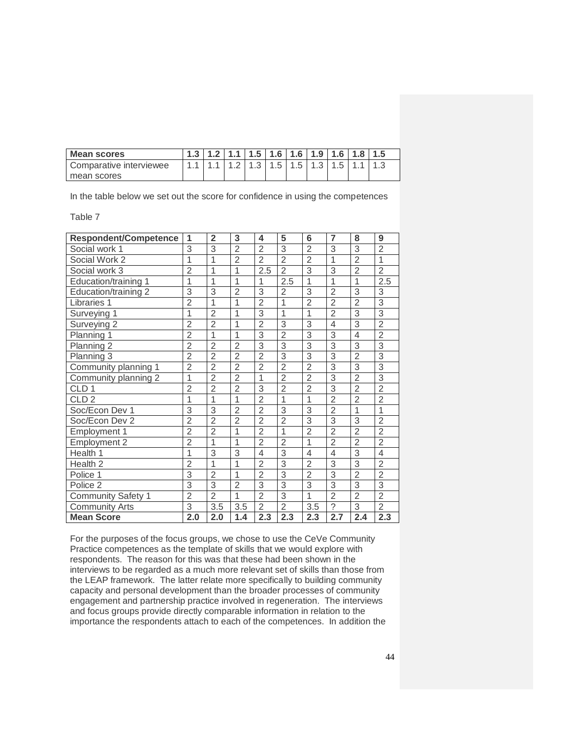| Mean scores             | $1.3$   $1.2$   $1.1$ | $1.5$   1.6   1.6   1.9 |                  |               | $1.6$   1.8 |  |
|-------------------------|-----------------------|-------------------------|------------------|---------------|-------------|--|
| Comparative interviewee |                       |                         | 1.5 <sub>1</sub> | $1.5^{\circ}$ |             |  |
| mean scores             |                       |                         |                  |               |             |  |

In the table below we set out the score for confidence in using the competences

Table 7

| <b>Respondent/Competence</b> | 1                | $\overline{2}$ | 3              | 4              | 5              | 6              | $\overline{7}$           | 8              | 9              |
|------------------------------|------------------|----------------|----------------|----------------|----------------|----------------|--------------------------|----------------|----------------|
| Social work 1                | 3                | 3              | $\overline{2}$ | $\overline{2}$ | 3              | $\overline{2}$ | 3                        | 3              | 2              |
| Social Work 2                | 1                | 1              | $\overline{2}$ | $\overline{2}$ | $\overline{2}$ | $\overline{2}$ | 1                        | $\overline{2}$ | 1              |
| Social work 3                | $\overline{2}$   | 1              | 1              | 2.5            | $\overline{2}$ | $\overline{3}$ | 3                        | $\overline{2}$ | $\overline{2}$ |
| Education/training 1         | 1                | 1              | 1              | 1              | 2.5            | 1              | 1                        | 1              | 2.5            |
| Education/training 2         | 3                | 3              | $\overline{2}$ | 3              | 2              | 3              | $\overline{2}$           | 3              | 3              |
| Libraries 1                  | $\overline{2}$   | 1              | $\overline{1}$ | $\overline{2}$ | 1              | $\overline{2}$ | $\overline{2}$           | $\overline{2}$ | $\overline{3}$ |
| Surveying 1                  | 1                | $\overline{2}$ | 1              | 3              | 1              | 1              | $\overline{2}$           | 3              | $\overline{3}$ |
| Surveying 2                  | $\overline{2}$   | $\overline{2}$ | 1              | $\overline{2}$ | 3              | 3              | $\overline{4}$           | 3              | $\overline{2}$ |
| Planning 1                   | $\overline{2}$   | 1              | 1              | 3              | $\overline{2}$ | 3              | 3                        | 4              | $\overline{2}$ |
| Planning 2                   | $\overline{2}$   | $\overline{2}$ | $\overline{2}$ | $\overline{3}$ | 3              | $\overline{3}$ | 3                        | $\overline{3}$ | 3              |
| Planning 3                   | $\overline{2}$   | $\overline{2}$ | $\overline{2}$ | $\overline{2}$ | 3              | $\overline{3}$ | 3                        | $\overline{2}$ | $\overline{3}$ |
| Community planning 1         | $\overline{2}$   | $\overline{2}$ | $\overline{2}$ | $\overline{2}$ | $\overline{2}$ | $\overline{2}$ | 3                        | 3              | $\overline{3}$ |
| Community planning 2         | 1                | $\overline{2}$ | $\overline{2}$ | 1              | $\overline{2}$ | $\overline{2}$ | 3                        | $\overline{2}$ | 3              |
| CLD <sub>1</sub>             | $\overline{2}$   | $\overline{2}$ | $\overline{2}$ | $\overline{3}$ | $\overline{2}$ | $\overline{2}$ | $\overline{3}$           | $\overline{2}$ | $\overline{2}$ |
| CLD <sub>2</sub>             | 1                | 1              | $\overline{1}$ | $\overline{2}$ | 1              | 1              | $\overline{2}$           | $\overline{2}$ | $\overline{2}$ |
| Soc/Econ Dev 1               | 3                | 3              | $\overline{2}$ | $\overline{2}$ | 3              | 3              | $\overline{2}$           | 1              | 1              |
| Soc/Econ Dev 2               | $\overline{2}$   | $\overline{2}$ | $\overline{2}$ | $\overline{2}$ | $\overline{2}$ | $\overline{3}$ | $\overline{3}$           | 3              | $\overline{2}$ |
| <b>Employment 1</b>          | $\overline{2}$   | $\overline{2}$ | $\overline{1}$ | $\overline{2}$ | 1              | $\overline{2}$ | $\overline{2}$           | $\overline{2}$ | $\overline{2}$ |
| <b>Employment 2</b>          | $\overline{2}$   | 1              | $\overline{1}$ | $\overline{2}$ | $\overline{2}$ | 1              | $\overline{2}$           | $\overline{2}$ | $\overline{2}$ |
| Health 1                     | 1                | 3              | 3              | $\overline{4}$ | 3              | $\overline{4}$ | $\overline{4}$           | 3              | 4              |
| Health <sub>2</sub>          | $\overline{2}$   | 1              | $\overline{1}$ | $\overline{2}$ | $\overline{3}$ | $\overline{2}$ | $\overline{3}$           | $\overline{3}$ | $\overline{2}$ |
| Police 1                     | 3                | $\overline{2}$ | $\overline{1}$ | $\overline{2}$ | 3              | $\overline{2}$ | $\overline{3}$           | $\overline{2}$ | $\overline{2}$ |
| Police <sub>2</sub>          | 3                | 3              | $\overline{2}$ | 3              | 3              | 3              | 3                        | 3              | 3              |
| <b>Community Safety 1</b>    | $\overline{2}$   | $\overline{2}$ | 1              | $\overline{2}$ | 3              | $\overline{1}$ | $\overline{2}$           | $\overline{2}$ | $\overline{2}$ |
| <b>Community Arts</b>        | $\overline{3}$   | 3.5            | 3.5            | $\overline{2}$ | $\overline{2}$ | 3.5            | $\overline{\phantom{0}}$ | 3              | $\overline{2}$ |
| <b>Mean Score</b>            | $\overline{2.0}$ | 2.0            | 1.4            | 2.3            | 2.3            | 2.3            | 2.7                      | 2.4            | 2.3            |

For the purposes of the focus groups, we chose to use the CeVe Community Practice competences as the template of skills that we would explore with respondents. The reason for this was that these had been shown in the interviews to be regarded as a much more relevant set of skills than those from the LEAP framework. The latter relate more specifically to building community capacity and personal development than the broader processes of community engagement and partnership practice involved in regeneration. The interviews and focus groups provide directly comparable information in relation to the importance the respondents attach to each of the competences. In addition the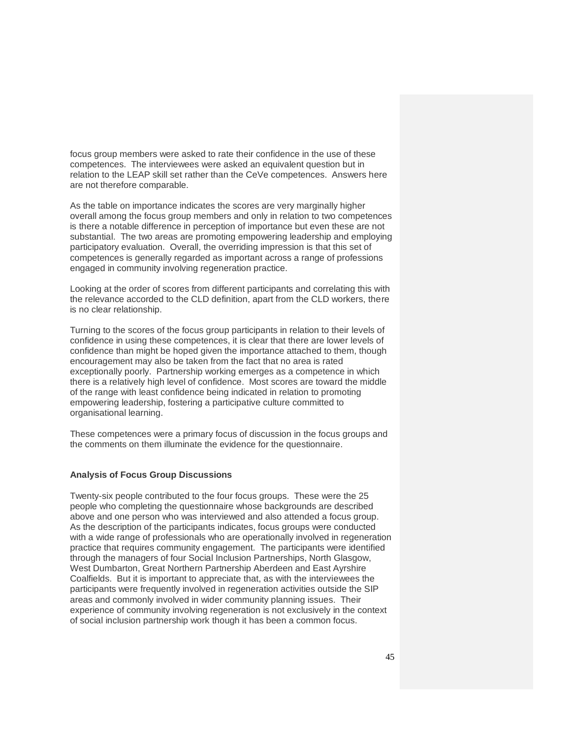focus group members were asked to rate their confidence in the use of these competences. The interviewees were asked an equivalent question but in relation to the LEAP skill set rather than the CeVe competences. Answers here are not therefore comparable.

As the table on importance indicates the scores are very marginally higher overall among the focus group members and only in relation to two competences is there a notable difference in perception of importance but even these are not substantial. The two areas are promoting empowering leadership and employing participatory evaluation. Overall, the overriding impression is that this set of competences is generally regarded as important across a range of professions engaged in community involving regeneration practice.

Looking at the order of scores from different participants and correlating this with the relevance accorded to the CLD definition, apart from the CLD workers, there is no clear relationship.

Turning to the scores of the focus group participants in relation to their levels of confidence in using these competences, it is clear that there are lower levels of confidence than might be hoped given the importance attached to them, though encouragement may also be taken from the fact that no area is rated exceptionally poorly. Partnership working emerges as a competence in which there is a relatively high level of confidence. Most scores are toward the middle of the range with least confidence being indicated in relation to promoting empowering leadership, fostering a participative culture committed to organisational learning.

These competences were a primary focus of discussion in the focus groups and the comments on them illuminate the evidence for the questionnaire.

#### **Analysis of Focus Group Discussions**

Twenty-six people contributed to the four focus groups. These were the 25 people who completing the questionnaire whose backgrounds are described above and one person who was interviewed and also attended a focus group. As the description of the participants indicates, focus groups were conducted with a wide range of professionals who are operationally involved in regeneration practice that requires community engagement. The participants were identified through the managers of four Social Inclusion Partnerships, North Glasgow, West Dumbarton, Great Northern Partnership Aberdeen and East Ayrshire Coalfields. But it is important to appreciate that, as with the interviewees the participants were frequently involved in regeneration activities outside the SIP areas and commonly involved in wider community planning issues. Their experience of community involving regeneration is not exclusively in the context of social inclusion partnership work though it has been a common focus.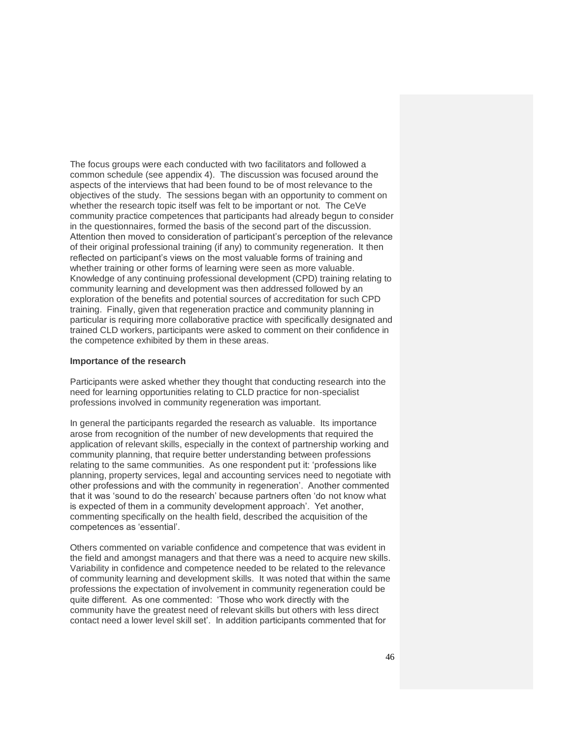The focus groups were each conducted with two facilitators and followed a common schedule (see appendix 4). The discussion was focused around the aspects of the interviews that had been found to be of most relevance to the objectives of the study. The sessions began with an opportunity to comment on whether the research topic itself was felt to be important or not. The CeVe community practice competences that participants had already begun to consider in the questionnaires, formed the basis of the second part of the discussion. Attention then moved to consideration of participant"s perception of the relevance of their original professional training (if any) to community regeneration. It then reflected on participant"s views on the most valuable forms of training and whether training or other forms of learning were seen as more valuable. Knowledge of any continuing professional development (CPD) training relating to community learning and development was then addressed followed by an exploration of the benefits and potential sources of accreditation for such CPD training. Finally, given that regeneration practice and community planning in particular is requiring more collaborative practice with specifically designated and trained CLD workers, participants were asked to comment on their confidence in the competence exhibited by them in these areas.

#### **Importance of the research**

Participants were asked whether they thought that conducting research into the need for learning opportunities relating to CLD practice for non-specialist professions involved in community regeneration was important.

In general the participants regarded the research as valuable. Its importance arose from recognition of the number of new developments that required the application of relevant skills, especially in the context of partnership working and community planning, that require better understanding between professions relating to the same communities. As one respondent put it: "professions like planning, property services, legal and accounting services need to negotiate with other professions and with the community in regeneration". Another commented that it was "sound to do the research" because partners often "do not know what is expected of them in a community development approach'. Yet another, commenting specifically on the health field, described the acquisition of the competences as "essential".

Others commented on variable confidence and competence that was evident in the field and amongst managers and that there was a need to acquire new skills. Variability in confidence and competence needed to be related to the relevance of community learning and development skills. It was noted that within the same professions the expectation of involvement in community regeneration could be quite different. As one commented: "Those who work directly with the community have the greatest need of relevant skills but others with less direct contact need a lower level skill set". In addition participants commented that for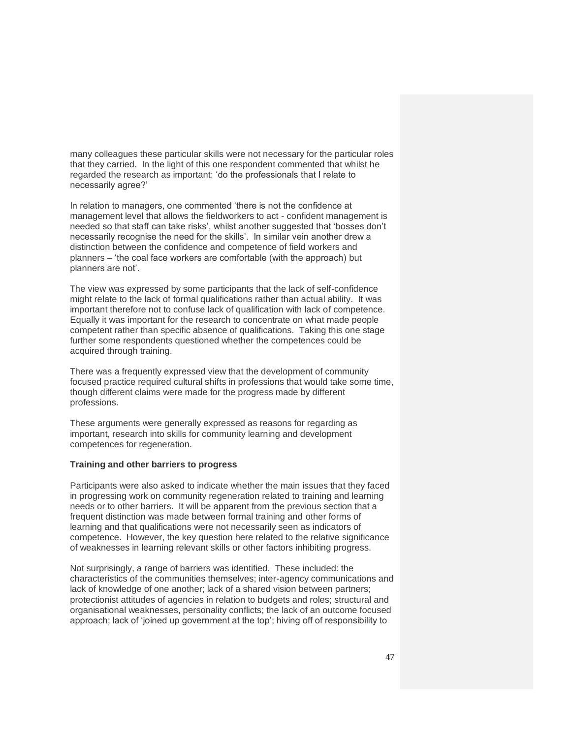many colleagues these particular skills were not necessary for the particular roles that they carried. In the light of this one respondent commented that whilst he regarded the research as important: "do the professionals that I relate to necessarily agree?"

In relation to managers, one commented "there is not the confidence at management level that allows the fieldworkers to act - confident management is needed so that staff can take risks", whilst another suggested that "bosses don"t necessarily recognise the need for the skills". In similar vein another drew a distinction between the confidence and competence of field workers and planners – "the coal face workers are comfortable (with the approach) but planners are not".

The view was expressed by some participants that the lack of self-confidence might relate to the lack of formal qualifications rather than actual ability. It was important therefore not to confuse lack of qualification with lack of competence. Equally it was important for the research to concentrate on what made people competent rather than specific absence of qualifications. Taking this one stage further some respondents questioned whether the competences could be acquired through training.

There was a frequently expressed view that the development of community focused practice required cultural shifts in professions that would take some time, though different claims were made for the progress made by different professions.

These arguments were generally expressed as reasons for regarding as important, research into skills for community learning and development competences for regeneration.

#### **Training and other barriers to progress**

Participants were also asked to indicate whether the main issues that they faced in progressing work on community regeneration related to training and learning needs or to other barriers. It will be apparent from the previous section that a frequent distinction was made between formal training and other forms of learning and that qualifications were not necessarily seen as indicators of competence. However, the key question here related to the relative significance of weaknesses in learning relevant skills or other factors inhibiting progress.

Not surprisingly, a range of barriers was identified. These included: the characteristics of the communities themselves; inter-agency communications and lack of knowledge of one another; lack of a shared vision between partners; protectionist attitudes of agencies in relation to budgets and roles; structural and organisational weaknesses, personality conflicts; the lack of an outcome focused approach; lack of "joined up government at the top"; hiving off of responsibility to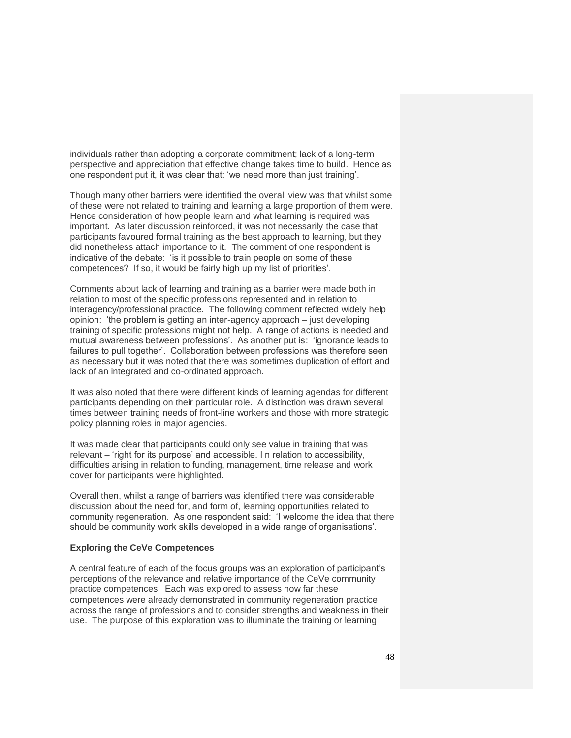individuals rather than adopting a corporate commitment; lack of a long-term perspective and appreciation that effective change takes time to build. Hence as one respondent put it, it was clear that: "we need more than just training".

Though many other barriers were identified the overall view was that whilst some of these were not related to training and learning a large proportion of them were. Hence consideration of how people learn and what learning is required was important. As later discussion reinforced, it was not necessarily the case that participants favoured formal training as the best approach to learning, but they did nonetheless attach importance to it. The comment of one respondent is indicative of the debate: "is it possible to train people on some of these competences? If so, it would be fairly high up my list of priorities".

Comments about lack of learning and training as a barrier were made both in relation to most of the specific professions represented and in relation to interagency/professional practice. The following comment reflected widely help opinion: "the problem is getting an inter-agency approach – just developing training of specific professions might not help. A range of actions is needed and mutual awareness between professions'. As another put is: 'ignorance leads to failures to pull together". Collaboration between professions was therefore seen as necessary but it was noted that there was sometimes duplication of effort and lack of an integrated and co-ordinated approach.

It was also noted that there were different kinds of learning agendas for different participants depending on their particular role. A distinction was drawn several times between training needs of front-line workers and those with more strategic policy planning roles in major agencies.

It was made clear that participants could only see value in training that was relevant – "right for its purpose" and accessible. I n relation to accessibility, difficulties arising in relation to funding, management, time release and work cover for participants were highlighted.

Overall then, whilst a range of barriers was identified there was considerable discussion about the need for, and form of, learning opportunities related to community regeneration. As one respondent said: "I welcome the idea that there should be community work skills developed in a wide range of organisations".

## **Exploring the CeVe Competences**

A central feature of each of the focus groups was an exploration of participant"s perceptions of the relevance and relative importance of the CeVe community practice competences. Each was explored to assess how far these competences were already demonstrated in community regeneration practice across the range of professions and to consider strengths and weakness in their use. The purpose of this exploration was to illuminate the training or learning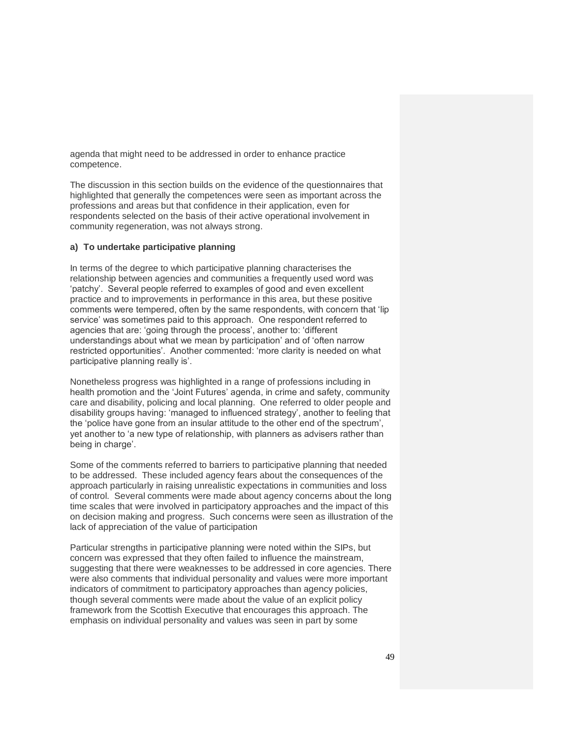agenda that might need to be addressed in order to enhance practice competence.

The discussion in this section builds on the evidence of the questionnaires that highlighted that generally the competences were seen as important across the professions and areas but that confidence in their application, even for respondents selected on the basis of their active operational involvement in community regeneration, was not always strong.

## **a) To undertake participative planning**

In terms of the degree to which participative planning characterises the relationship between agencies and communities a frequently used word was "patchy". Several people referred to examples of good and even excellent practice and to improvements in performance in this area, but these positive comments were tempered, often by the same respondents, with concern that "lip service' was sometimes paid to this approach. One respondent referred to agencies that are: "going through the process", another to: "different understandings about what we mean by participation" and of "often narrow restricted opportunities". Another commented: "more clarity is needed on what participative planning really is".

Nonetheless progress was highlighted in a range of professions including in health promotion and the "Joint Futures" agenda, in crime and safety, community care and disability, policing and local planning. One referred to older people and disability groups having: "managed to influenced strategy", another to feeling that the "police have gone from an insular attitude to the other end of the spectrum", yet another to "a new type of relationship, with planners as advisers rather than being in charge'.

Some of the comments referred to barriers to participative planning that needed to be addressed. These included agency fears about the consequences of the approach particularly in raising unrealistic expectations in communities and loss of control. Several comments were made about agency concerns about the long time scales that were involved in participatory approaches and the impact of this on decision making and progress. Such concerns were seen as illustration of the lack of appreciation of the value of participation

Particular strengths in participative planning were noted within the SIPs, but concern was expressed that they often failed to influence the mainstream, suggesting that there were weaknesses to be addressed in core agencies. There were also comments that individual personality and values were more important indicators of commitment to participatory approaches than agency policies, though several comments were made about the value of an explicit policy framework from the Scottish Executive that encourages this approach. The emphasis on individual personality and values was seen in part by some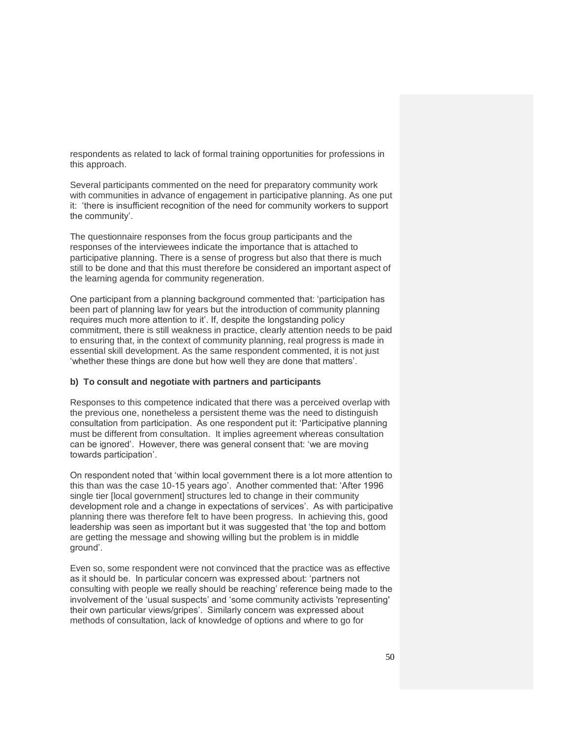respondents as related to lack of formal training opportunities for professions in this approach.

Several participants commented on the need for preparatory community work with communities in advance of engagement in participative planning. As one put it: "there is insufficient recognition of the need for community workers to support the community'.

The questionnaire responses from the focus group participants and the responses of the interviewees indicate the importance that is attached to participative planning. There is a sense of progress but also that there is much still to be done and that this must therefore be considered an important aspect of the learning agenda for community regeneration.

One participant from a planning background commented that: "participation has been part of planning law for years but the introduction of community planning requires much more attention to it". If, despite the longstanding policy commitment, there is still weakness in practice, clearly attention needs to be paid to ensuring that, in the context of community planning, real progress is made in essential skill development. As the same respondent commented, it is not just 'whether these things are done but how well they are done that matters'.

### **b) To consult and negotiate with partners and participants**

Responses to this competence indicated that there was a perceived overlap with the previous one, nonetheless a persistent theme was the need to distinguish consultation from participation. As one respondent put it: "Participative planning must be different from consultation. It implies agreement whereas consultation can be ignored". However, there was general consent that: "we are moving towards participation".

On respondent noted that "within local government there is a lot more attention to this than was the case 10-15 years ago". Another commented that: "After 1996 single tier [local government] structures led to change in their community development role and a change in expectations of services'. As with participative planning there was therefore felt to have been progress. In achieving this, good leadership was seen as important but it was suggested that "the top and bottom are getting the message and showing willing but the problem is in middle ground".

Even so, some respondent were not convinced that the practice was as effective as it should be. In particular concern was expressed about: "partners not consulting with people we really should be reaching' reference being made to the involvement of the "usual suspects" and "some community activists 'representing' their own particular views/gripes'. Similarly concern was expressed about methods of consultation, lack of knowledge of options and where to go for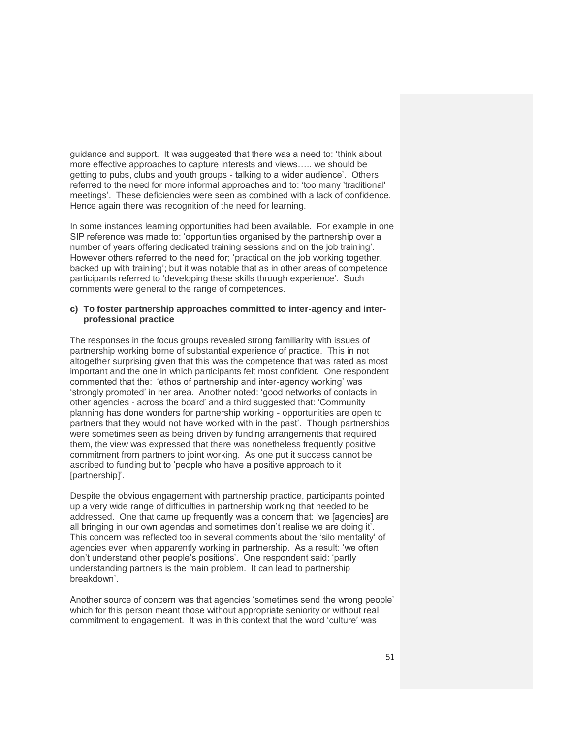guidance and support. It was suggested that there was a need to: "think about more effective approaches to capture interests and views….. we should be getting to pubs, clubs and youth groups - talking to a wider audience'. Others referred to the need for more informal approaches and to: "too many 'traditional' meetings". These deficiencies were seen as combined with a lack of confidence. Hence again there was recognition of the need for learning.

In some instances learning opportunities had been available. For example in one SIP reference was made to: "opportunities organised by the partnership over a number of years offering dedicated training sessions and on the job training". However others referred to the need for; "practical on the job working together, backed up with training"; but it was notable that as in other areas of competence participants referred to "developing these skills through experience". Such comments were general to the range of competences.

### **c) To foster partnership approaches committed to inter-agency and interprofessional practice**

The responses in the focus groups revealed strong familiarity with issues of partnership working borne of substantial experience of practice. This in not altogether surprising given that this was the competence that was rated as most important and the one in which participants felt most confident. One respondent commented that the: "ethos of partnership and inter-agency working" was "strongly promoted" in her area. Another noted: "good networks of contacts in other agencies - across the board" and a third suggested that: "Community planning has done wonders for partnership working - opportunities are open to partners that they would not have worked with in the past". Though partnerships were sometimes seen as being driven by funding arrangements that required them, the view was expressed that there was nonetheless frequently positive commitment from partners to joint working. As one put it success cannot be ascribed to funding but to "people who have a positive approach to it [partnership]'.

Despite the obvious engagement with partnership practice, participants pointed up a very wide range of difficulties in partnership working that needed to be addressed. One that came up frequently was a concern that: "we [agencies] are all bringing in our own agendas and sometimes don't realise we are doing it'. This concern was reflected too in several comments about the "silo mentality" of agencies even when apparently working in partnership. As a result: "we often don"t understand other people"s positions". One respondent said: "partly understanding partners is the main problem. It can lead to partnership breakdown".

Another source of concern was that agencies "sometimes send the wrong people" which for this person meant those without appropriate seniority or without real commitment to engagement. It was in this context that the word "culture" was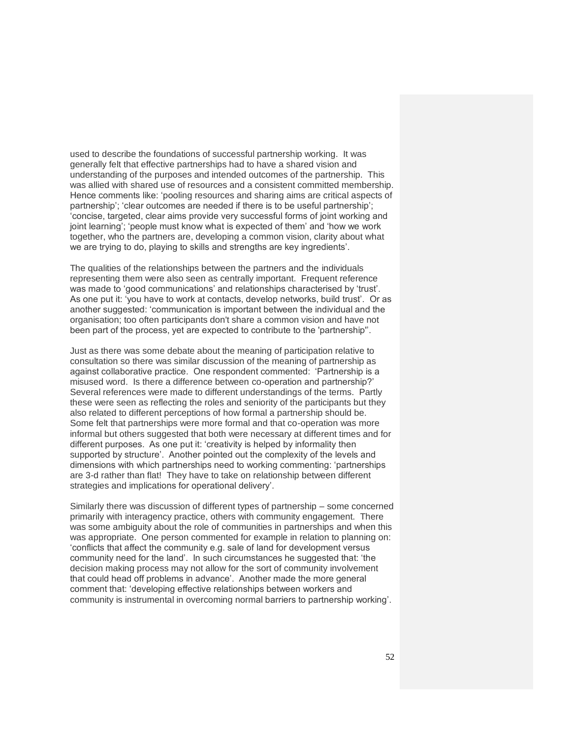used to describe the foundations of successful partnership working. It was generally felt that effective partnerships had to have a shared vision and understanding of the purposes and intended outcomes of the partnership. This was allied with shared use of resources and a consistent committed membership. Hence comments like: "pooling resources and sharing aims are critical aspects of partnership'; 'clear outcomes are needed if there is to be useful partnership'; "concise, targeted, clear aims provide very successful forms of joint working and joint learning'; 'people must know what is expected of them' and 'how we work together, who the partners are, developing a common vision, clarity about what we are trying to do, playing to skills and strengths are key ingredients".

The qualities of the relationships between the partners and the individuals representing them were also seen as centrally important. Frequent reference was made to 'good communications' and relationships characterised by 'trust'. As one put it: 'you have to work at contacts, develop networks, build trust'. Or as another suggested: "communication is important between the individual and the organisation; too often participants don't share a common vision and have not been part of the process, yet are expected to contribute to the 'partnership'".

Just as there was some debate about the meaning of participation relative to consultation so there was similar discussion of the meaning of partnership as against collaborative practice. One respondent commented: "Partnership is a misused word. Is there a difference between co-operation and partnership?" Several references were made to different understandings of the terms. Partly these were seen as reflecting the roles and seniority of the participants but they also related to different perceptions of how formal a partnership should be. Some felt that partnerships were more formal and that co-operation was more informal but others suggested that both were necessary at different times and for different purposes. As one put it: "creativity is helped by informality then supported by structure'. Another pointed out the complexity of the levels and dimensions with which partnerships need to working commenting: "partnerships are 3-d rather than flat! They have to take on relationship between different strategies and implications for operational delivery".

Similarly there was discussion of different types of partnership – some concerned primarily with interagency practice, others with community engagement. There was some ambiguity about the role of communities in partnerships and when this was appropriate. One person commented for example in relation to planning on: "conflicts that affect the community e.g. sale of land for development versus community need for the land". In such circumstances he suggested that: "the decision making process may not allow for the sort of community involvement that could head off problems in advance'. Another made the more general comment that: "developing effective relationships between workers and community is instrumental in overcoming normal barriers to partnership working".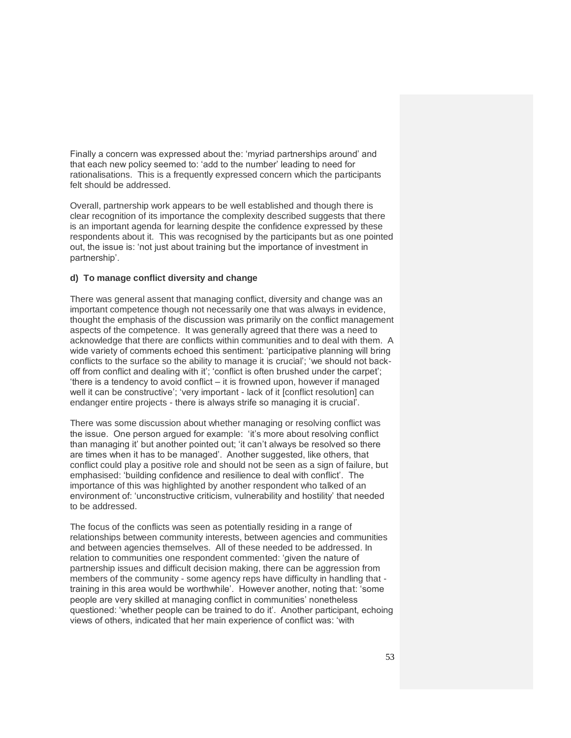Finally a concern was expressed about the: "myriad partnerships around" and that each new policy seemed to: "add to the number" leading to need for rationalisations. This is a frequently expressed concern which the participants felt should be addressed.

Overall, partnership work appears to be well established and though there is clear recognition of its importance the complexity described suggests that there is an important agenda for learning despite the confidence expressed by these respondents about it. This was recognised by the participants but as one pointed out, the issue is: "not just about training but the importance of investment in partnership".

## **d) To manage conflict diversity and change**

There was general assent that managing conflict, diversity and change was an important competence though not necessarily one that was always in evidence, thought the emphasis of the discussion was primarily on the conflict management aspects of the competence. It was generally agreed that there was a need to acknowledge that there are conflicts within communities and to deal with them. A wide variety of comments echoed this sentiment: 'participative planning will bring conflicts to the surface so the ability to manage it is crucial"; "we should not backoff from conflict and dealing with it"; "conflict is often brushed under the carpet"; "there is a tendency to avoid conflict – it is frowned upon, however if managed well it can be constructive'; 'very important - lack of it [conflict resolution] can endanger entire projects - there is always strife so managing it is crucial".

There was some discussion about whether managing or resolving conflict was the issue. One person argued for example: "it"s more about resolving conflict than managing it" but another pointed out; "it can"t always be resolved so there are times when it has to be managed". Another suggested, like others, that conflict could play a positive role and should not be seen as a sign of failure, but emphasised: "building confidence and resilience to deal with conflict". The importance of this was highlighted by another respondent who talked of an environment of: "unconstructive criticism, vulnerability and hostility" that needed to be addressed.

The focus of the conflicts was seen as potentially residing in a range of relationships between community interests, between agencies and communities and between agencies themselves. All of these needed to be addressed. In relation to communities one respondent commented: "given the nature of partnership issues and difficult decision making, there can be aggression from members of the community - some agency reps have difficulty in handling that training in this area would be worthwhile". However another, noting that: "some people are very skilled at managing conflict in communities' nonetheless questioned: "whether people can be trained to do it". Another participant, echoing views of others, indicated that her main experience of conflict was: "with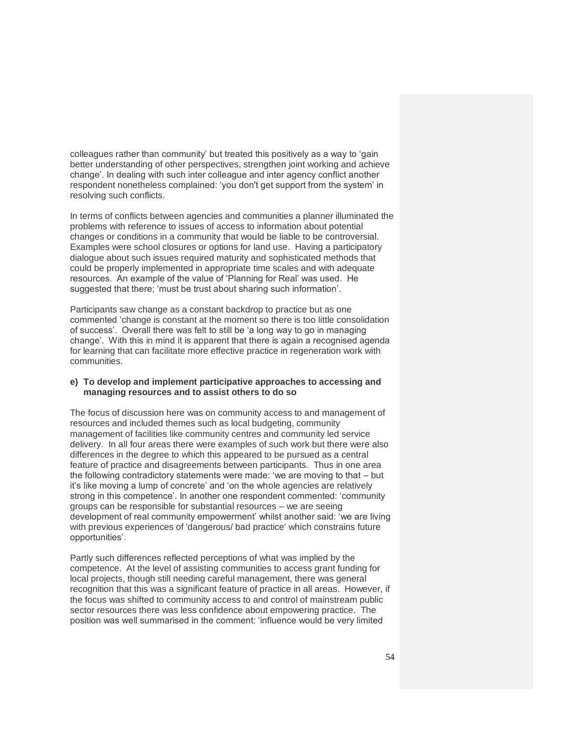colleagues rather than community" but treated this positively as a way to "gain better understanding of other perspectives, strengthen joint working and achieve change". In dealing with such inter colleague and inter agency conflict another respondent nonetheless complained: "you don't get support from the system" in resolving such conflicts.

In terms of conflicts between agencies and communities a planner illuminated the problems with reference to issues of access to information about potential changes or conditions in a community that would be liable to be controversial. Examples were school closures or options for land use. Having a participatory dialogue about such issues required maturity and sophisticated methods that could be properly implemented in appropriate time scales and with adequate resources. An example of the value of "Planning for Real" was used. He suggested that there; 'must be trust about sharing such information'.

Participants saw change as a constant backdrop to practice but as one commented "change is constant at the moment so there is too little consolidation of success". Overall there was felt to still be "a long way to go in managing change". With this in mind it is apparent that there is again a recognised agenda for learning that can facilitate more effective practice in regeneration work with communities.

#### **e) To develop and implement participative approaches to accessing and managing resources and to assist others to do so**

The focus of discussion here was on community access to and management of resources and included themes such as local budgeting, community management of facilities like community centres and community led service delivery. In all four areas there were examples of such work but there were also differences in the degree to which this appeared to be pursued as a central feature of practice and disagreements between participants. Thus in one area the following contradictory statements were made: "we are moving to that – but it"s like moving a lump of concrete" and "on the whole agencies are relatively strong in this competence". In another one respondent commented: "community groups can be responsible for substantial resources – we are seeing development of real community empowerment' whilst another said: 'we are living with previous experiences of 'dangerous/ bad practice' which constrains future opportunities".

Partly such differences reflected perceptions of what was implied by the competence. At the level of assisting communities to access grant funding for local projects, though still needing careful management, there was general recognition that this was a significant feature of practice in all areas. However, if the focus was shifted to community access to and control of mainstream public sector resources there was less confidence about empowering practice. The position was well summarised in the comment: "influence would be very limited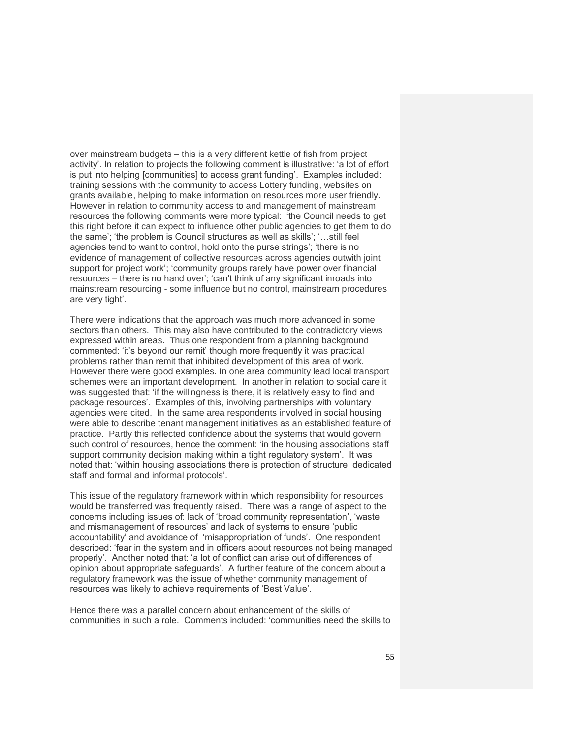over mainstream budgets – this is a very different kettle of fish from project activity". In relation to projects the following comment is illustrative: "a lot of effort is put into helping [communities] to access grant funding'. Examples included: training sessions with the community to access Lottery funding, websites on grants available, helping to make information on resources more user friendly. However in relation to community access to and management of mainstream resources the following comments were more typical: "the Council needs to get this right before it can expect to influence other public agencies to get them to do the same"; "the problem is Council structures as well as skills"; "…still feel agencies tend to want to control, hold onto the purse strings"; "there is no evidence of management of collective resources across agencies outwith joint support for project work"; "community groups rarely have power over financial resources – there is no hand over"; "can't think of any significant inroads into mainstream resourcing - some influence but no control, mainstream procedures are very tight".

There were indications that the approach was much more advanced in some sectors than others. This may also have contributed to the contradictory views expressed within areas. Thus one respondent from a planning background commented: 'it's beyond our remit' though more frequently it was practical problems rather than remit that inhibited development of this area of work. However there were good examples. In one area community lead local transport schemes were an important development. In another in relation to social care it was suggested that: "if the willingness is there, it is relatively easy to find and package resources'. Examples of this, involving partnerships with voluntary agencies were cited. In the same area respondents involved in social housing were able to describe tenant management initiatives as an established feature of practice. Partly this reflected confidence about the systems that would govern such control of resources, hence the comment: "in the housing associations staff support community decision making within a tight regulatory system". It was noted that: "within housing associations there is protection of structure, dedicated staff and formal and informal protocols".

This issue of the regulatory framework within which responsibility for resources would be transferred was frequently raised. There was a range of aspect to the concerns including issues of: lack of "broad community representation", "waste and mismanagement of resources' and lack of systems to ensure 'public accountability' and avoidance of 'misappropriation of funds'. One respondent described: "fear in the system and in officers about resources not being managed properly". Another noted that: "a lot of conflict can arise out of differences of opinion about appropriate safeguards". A further feature of the concern about a regulatory framework was the issue of whether community management of resources was likely to achieve requirements of "Best Value".

Hence there was a parallel concern about enhancement of the skills of communities in such a role. Comments included: "communities need the skills to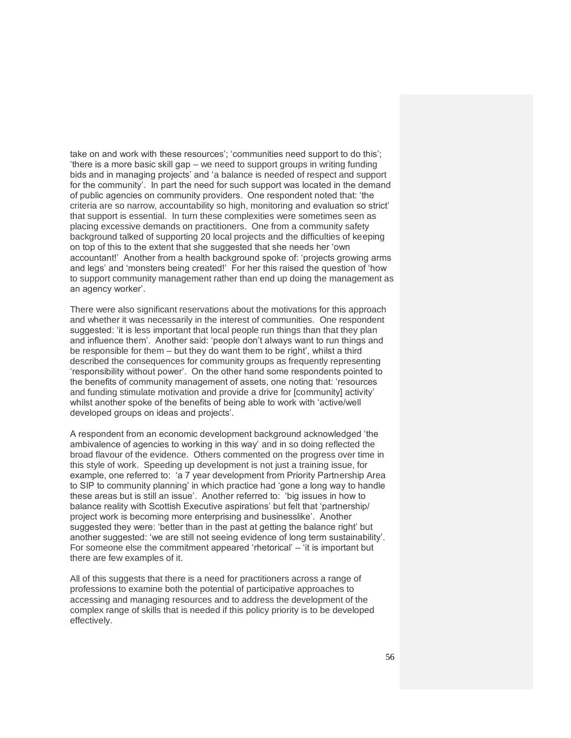take on and work with these resources'; 'communities need support to do this'; "there is a more basic skill gap – we need to support groups in writing funding bids and in managing projects" and "a balance is needed of respect and support for the community'. In part the need for such support was located in the demand of public agencies on community providers. One respondent noted that: "the criteria are so narrow, accountability so high, monitoring and evaluation so strict" that support is essential. In turn these complexities were sometimes seen as placing excessive demands on practitioners. One from a community safety background talked of supporting 20 local projects and the difficulties of keeping on top of this to the extent that she suggested that she needs her "own accountant!" Another from a health background spoke of: "projects growing arms and legs" and "monsters being created!" For her this raised the question of "how to support community management rather than end up doing the management as an agency worker".

There were also significant reservations about the motivations for this approach and whether it was necessarily in the interest of communities. One respondent suggested: "it is less important that local people run things than that they plan and influence them'. Another said: 'people don't always want to run things and be responsible for them – but they do want them to be right", whilst a third described the consequences for community groups as frequently representing "responsibility without power". On the other hand some respondents pointed to the benefits of community management of assets, one noting that: "resources and funding stimulate motivation and provide a drive for [community] activity" whilst another spoke of the benefits of being able to work with "active/well developed groups on ideas and projects".

A respondent from an economic development background acknowledged "the ambivalence of agencies to working in this way" and in so doing reflected the broad flavour of the evidence. Others commented on the progress over time in this style of work. Speeding up development is not just a training issue, for example, one referred to: "a 7 year development from Priority Partnership Area to SIP to community planning" in which practice had "gone a long way to handle these areas but is still an issue". Another referred to: "big issues in how to balance reality with Scottish Executive aspirations' but felt that 'partnership/ project work is becoming more enterprising and businesslike". Another suggested they were: "better than in the past at getting the balance right" but another suggested: "we are still not seeing evidence of long term sustainability". For someone else the commitment appeared 'rhetorical' – 'it is important but there are few examples of it.

All of this suggests that there is a need for practitioners across a range of professions to examine both the potential of participative approaches to accessing and managing resources and to address the development of the complex range of skills that is needed if this policy priority is to be developed effectively.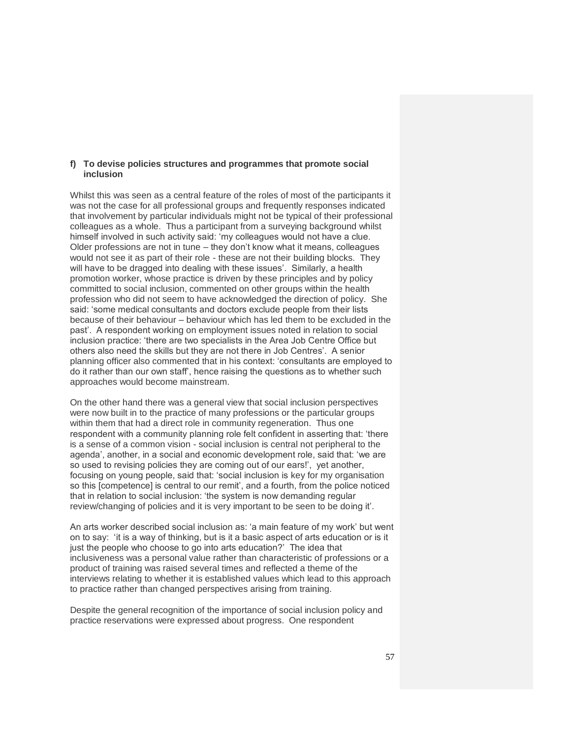## **f) To devise policies structures and programmes that promote social inclusion**

Whilst this was seen as a central feature of the roles of most of the participants it was not the case for all professional groups and frequently responses indicated that involvement by particular individuals might not be typical of their professional colleagues as a whole. Thus a participant from a surveying background whilst himself involved in such activity said: "my colleagues would not have a clue. Older professions are not in tune – they don"t know what it means, colleagues would not see it as part of their role - these are not their building blocks. They will have to be dragged into dealing with these issues'. Similarly, a health promotion worker, whose practice is driven by these principles and by policy committed to social inclusion, commented on other groups within the health profession who did not seem to have acknowledged the direction of policy. She said: "some medical consultants and doctors exclude people from their lists because of their behaviour – behaviour which has led them to be excluded in the past". A respondent working on employment issues noted in relation to social inclusion practice: "there are two specialists in the Area Job Centre Office but others also need the skills but they are not there in Job Centres'. A senior planning officer also commented that in his context: "consultants are employed to do it rather than our own staff", hence raising the questions as to whether such approaches would become mainstream.

On the other hand there was a general view that social inclusion perspectives were now built in to the practice of many professions or the particular groups within them that had a direct role in community regeneration. Thus one respondent with a community planning role felt confident in asserting that: "there is a sense of a common vision - social inclusion is central not peripheral to the agenda", another, in a social and economic development role, said that: "we are so used to revising policies they are coming out of our ears!", yet another, focusing on young people, said that: "social inclusion is key for my organisation so this [competence] is central to our remit', and a fourth, from the police noticed that in relation to social inclusion: "the system is now demanding regular review/changing of policies and it is very important to be seen to be doing it".

An arts worker described social inclusion as: "a main feature of my work" but went on to say: "it is a way of thinking, but is it a basic aspect of arts education or is it just the people who choose to go into arts education?" The idea that inclusiveness was a personal value rather than characteristic of professions or a product of training was raised several times and reflected a theme of the interviews relating to whether it is established values which lead to this approach to practice rather than changed perspectives arising from training.

Despite the general recognition of the importance of social inclusion policy and practice reservations were expressed about progress. One respondent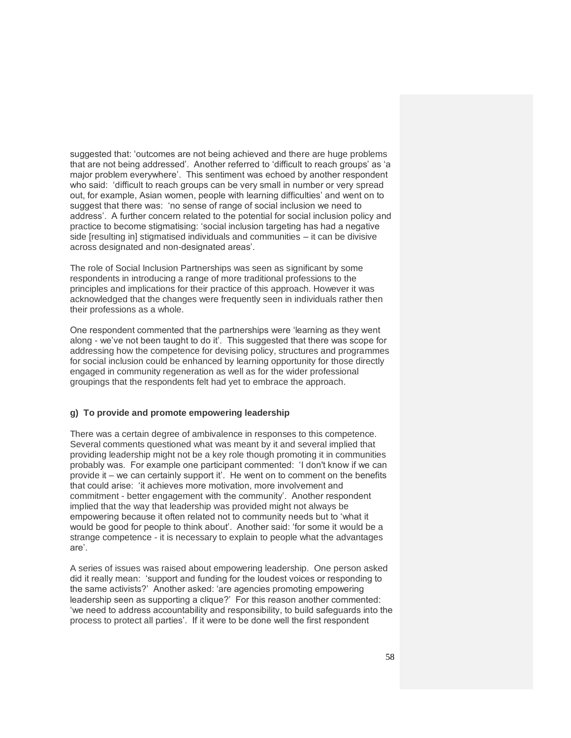suggested that: "outcomes are not being achieved and there are huge problems that are not being addressed'. Another referred to 'difficult to reach groups' as 'a major problem everywhere". This sentiment was echoed by another respondent who said: "difficult to reach groups can be very small in number or very spread out, for example, Asian women, people with learning difficulties" and went on to suggest that there was: "no sense of range of social inclusion we need to address". A further concern related to the potential for social inclusion policy and practice to become stigmatising: "social inclusion targeting has had a negative side [resulting in] stigmatised individuals and communities – it can be divisive across designated and non-designated areas".

The role of Social Inclusion Partnerships was seen as significant by some respondents in introducing a range of more traditional professions to the principles and implications for their practice of this approach. However it was acknowledged that the changes were frequently seen in individuals rather then their professions as a whole.

One respondent commented that the partnerships were "learning as they went along - we've not been taught to do it'. This suggested that there was scope for addressing how the competence for devising policy, structures and programmes for social inclusion could be enhanced by learning opportunity for those directly engaged in community regeneration as well as for the wider professional groupings that the respondents felt had yet to embrace the approach.

## **g) To provide and promote empowering leadership**

There was a certain degree of ambivalence in responses to this competence. Several comments questioned what was meant by it and several implied that providing leadership might not be a key role though promoting it in communities probably was. For example one participant commented: "I don't know if we can provide it – we can certainly support it'. He went on to comment on the benefits that could arise: "it achieves more motivation, more involvement and commitment - better engagement with the community'. Another respondent implied that the way that leadership was provided might not always be empowering because it often related not to community needs but to "what it would be good for people to think about". Another said: "for some it would be a strange competence - it is necessary to explain to people what the advantages are".

A series of issues was raised about empowering leadership. One person asked did it really mean: "support and funding for the loudest voices or responding to the same activists?" Another asked: "are agencies promoting empowering leadership seen as supporting a clique?' For this reason another commented: "we need to address accountability and responsibility, to build safeguards into the process to protect all parties". If it were to be done well the first respondent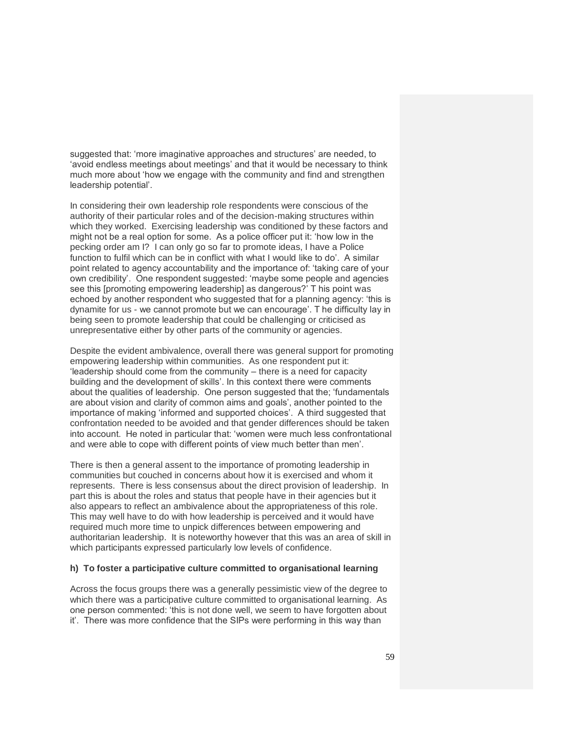suggested that: 'more imaginative approaches and structures' are needed, to 'avoid endless meetings about meetings' and that it would be necessary to think much more about "how we engage with the community and find and strengthen leadership potential".

In considering their own leadership role respondents were conscious of the authority of their particular roles and of the decision-making structures within which they worked. Exercising leadership was conditioned by these factors and might not be a real option for some. As a police officer put it: "how low in the pecking order am I? I can only go so far to promote ideas, I have a Police function to fulfil which can be in conflict with what I would like to do". A similar point related to agency accountability and the importance of: "taking care of your own credibility'. One respondent suggested: 'maybe some people and agencies see this [promoting empowering leadership] as dangerous?" T his point was echoed by another respondent who suggested that for a planning agency: "this is dynamite for us - we cannot promote but we can encourage". T he difficulty lay in being seen to promote leadership that could be challenging or criticised as unrepresentative either by other parts of the community or agencies.

Despite the evident ambivalence, overall there was general support for promoting empowering leadership within communities. As one respondent put it: "leadership should come from the community – there is a need for capacity building and the development of skills". In this context there were comments about the qualities of leadership. One person suggested that the; "fundamentals are about vision and clarity of common aims and goals', another pointed to the importance of making "informed and supported choices". A third suggested that confrontation needed to be avoided and that gender differences should be taken into account. He noted in particular that: "women were much less confrontational and were able to cope with different points of view much better than men".

There is then a general assent to the importance of promoting leadership in communities but couched in concerns about how it is exercised and whom it represents. There is less consensus about the direct provision of leadership. In part this is about the roles and status that people have in their agencies but it also appears to reflect an ambivalence about the appropriateness of this role. This may well have to do with how leadership is perceived and it would have required much more time to unpick differences between empowering and authoritarian leadership. It is noteworthy however that this was an area of skill in which participants expressed particularly low levels of confidence.

#### **h) To foster a participative culture committed to organisational learning**

Across the focus groups there was a generally pessimistic view of the degree to which there was a participative culture committed to organisational learning. As one person commented: "this is not done well, we seem to have forgotten about it'. There was more confidence that the SIPs were performing in this way than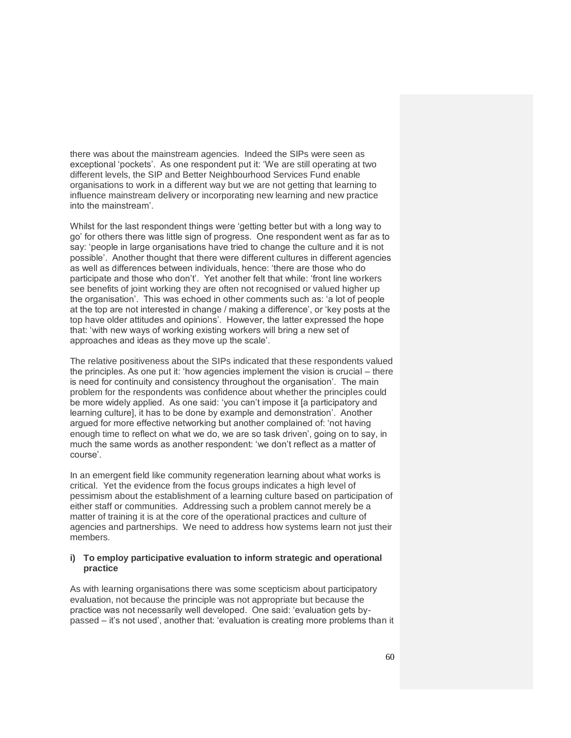there was about the mainstream agencies. Indeed the SIPs were seen as exceptional 'pockets'. As one respondent put it: 'We are still operating at two different levels, the SIP and Better Neighbourhood Services Fund enable organisations to work in a different way but we are not getting that learning to influence mainstream delivery or incorporating new learning and new practice into the mainstream".

Whilst for the last respondent things were "getting better but with a long way to go" for others there was little sign of progress. One respondent went as far as to say: "people in large organisations have tried to change the culture and it is not possible". Another thought that there were different cultures in different agencies as well as differences between individuals, hence: "there are those who do participate and those who don't'. Yet another felt that while: 'front line workers see benefits of joint working they are often not recognised or valued higher up the organisation". This was echoed in other comments such as: "a lot of people at the top are not interested in change / making a difference", or "key posts at the top have older attitudes and opinions". However, the latter expressed the hope that: "with new ways of working existing workers will bring a new set of approaches and ideas as they move up the scale".

The relative positiveness about the SIPs indicated that these respondents valued the principles. As one put it: "how agencies implement the vision is crucial – there is need for continuity and consistency throughout the organisation'. The main problem for the respondents was confidence about whether the principles could be more widely applied. As one said: 'you can't impose it [a participatory and learning culture], it has to be done by example and demonstration". Another argued for more effective networking but another complained of: "not having enough time to reflect on what we do, we are so task driven", going on to say, in much the same words as another respondent: "we don"t reflect as a matter of course'.

In an emergent field like community regeneration learning about what works is critical. Yet the evidence from the focus groups indicates a high level of pessimism about the establishment of a learning culture based on participation of either staff or communities. Addressing such a problem cannot merely be a matter of training it is at the core of the operational practices and culture of agencies and partnerships. We need to address how systems learn not just their members.

#### **i) To employ participative evaluation to inform strategic and operational practice**

As with learning organisations there was some scepticism about participatory evaluation, not because the principle was not appropriate but because the practice was not necessarily well developed. One said: "evaluation gets bypassed – it"s not used", another that: "evaluation is creating more problems than it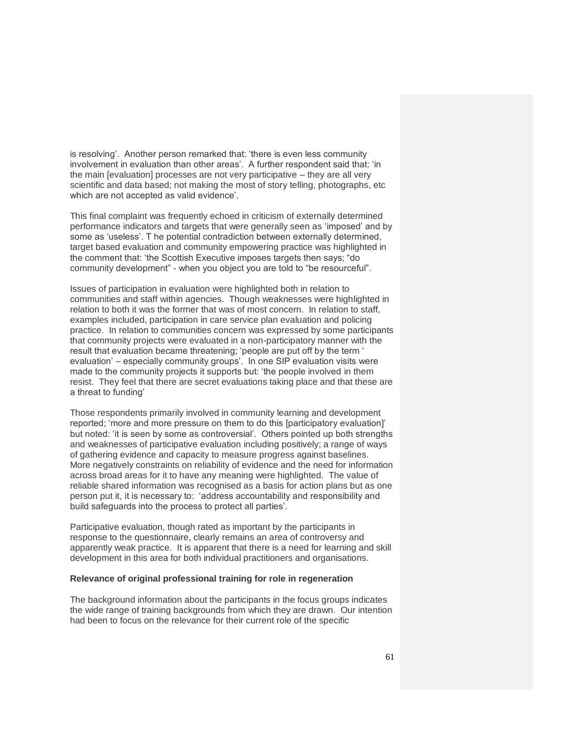is resolving'. Another person remarked that: 'there is even less community involvement in evaluation than other areas'. A further respondent said that: 'in the main [evaluation] processes are not very participative – they are all very scientific and data based; not making the most of story telling, photographs, etc which are not accepted as valid evidence'.

This final complaint was frequently echoed in criticism of externally determined performance indicators and targets that were generally seen as "imposed" and by some as 'useless'. T he potential contradiction between externally determined, target based evaluation and community empowering practice was highlighted in the comment that: "the Scottish Executive imposes targets then says; "do community development" - when you object you are told to "be resourceful".

Issues of participation in evaluation were highlighted both in relation to communities and staff within agencies. Though weaknesses were highlighted in relation to both it was the former that was of most concern. In relation to staff, examples included, participation in care service plan evaluation and policing practice. In relation to communities concern was expressed by some participants that community projects were evaluated in a non-participatory manner with the result that evaluation became threatening; 'people are put off by the term ' evaluation' – especially community groups'. In one SIP evaluation visits were made to the community projects it supports but: "the people involved in them resist. They feel that there are secret evaluations taking place and that these are a threat to funding"

Those respondents primarily involved in community learning and development reported; "more and more pressure on them to do this [participatory evaluation]" but noted: 'it is seen by some as controversial'. Others pointed up both strengths and weaknesses of participative evaluation including positively; a range of ways of gathering evidence and capacity to measure progress against baselines. More negatively constraints on reliability of evidence and the need for information across broad areas for it to have any meaning were highlighted. The value of reliable shared information was recognised as a basis for action plans but as one person put it, it is necessary to: "address accountability and responsibility and build safeguards into the process to protect all parties'.

Participative evaluation, though rated as important by the participants in response to the questionnaire, clearly remains an area of controversy and apparently weak practice. It is apparent that there is a need for learning and skill development in this area for both individual practitioners and organisations.

#### **Relevance of original professional training for role in regeneration**

The background information about the participants in the focus groups indicates the wide range of training backgrounds from which they are drawn. Our intention had been to focus on the relevance for their current role of the specific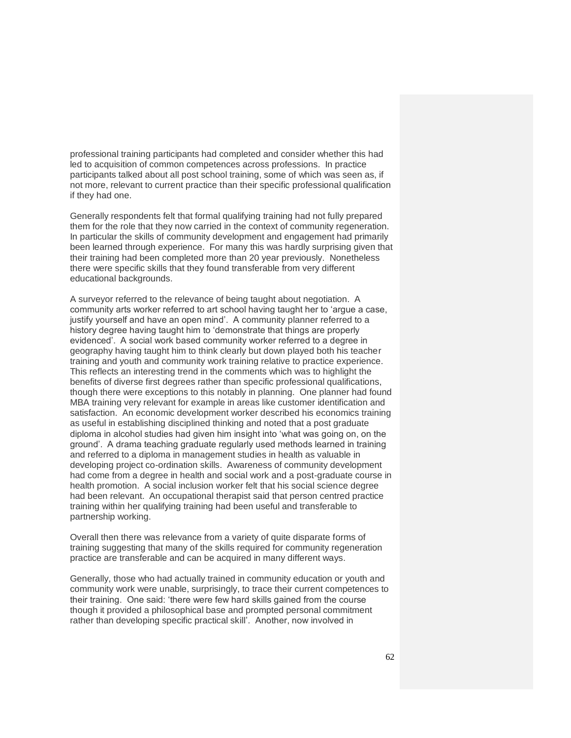professional training participants had completed and consider whether this had led to acquisition of common competences across professions. In practice participants talked about all post school training, some of which was seen as, if not more, relevant to current practice than their specific professional qualification if they had one.

Generally respondents felt that formal qualifying training had not fully prepared them for the role that they now carried in the context of community regeneration. In particular the skills of community development and engagement had primarily been learned through experience. For many this was hardly surprising given that their training had been completed more than 20 year previously. Nonetheless there were specific skills that they found transferable from very different educational backgrounds.

A surveyor referred to the relevance of being taught about negotiation. A community arts worker referred to art school having taught her to "argue a case, justify yourself and have an open mind'. A community planner referred to a history degree having taught him to "demonstrate that things are properly evidenced". A social work based community worker referred to a degree in geography having taught him to think clearly but down played both his teacher training and youth and community work training relative to practice experience. This reflects an interesting trend in the comments which was to highlight the benefits of diverse first degrees rather than specific professional qualifications, though there were exceptions to this notably in planning. One planner had found MBA training very relevant for example in areas like customer identification and satisfaction. An economic development worker described his economics training as useful in establishing disciplined thinking and noted that a post graduate diploma in alcohol studies had given him insight into "what was going on, on the ground". A drama teaching graduate regularly used methods learned in training and referred to a diploma in management studies in health as valuable in developing project co-ordination skills. Awareness of community development had come from a degree in health and social work and a post-graduate course in health promotion. A social inclusion worker felt that his social science degree had been relevant. An occupational therapist said that person centred practice training within her qualifying training had been useful and transferable to partnership working.

Overall then there was relevance from a variety of quite disparate forms of training suggesting that many of the skills required for community regeneration practice are transferable and can be acquired in many different ways.

Generally, those who had actually trained in community education or youth and community work were unable, surprisingly, to trace their current competences to their training. One said: "there were few hard skills gained from the course though it provided a philosophical base and prompted personal commitment rather than developing specific practical skill". Another, now involved in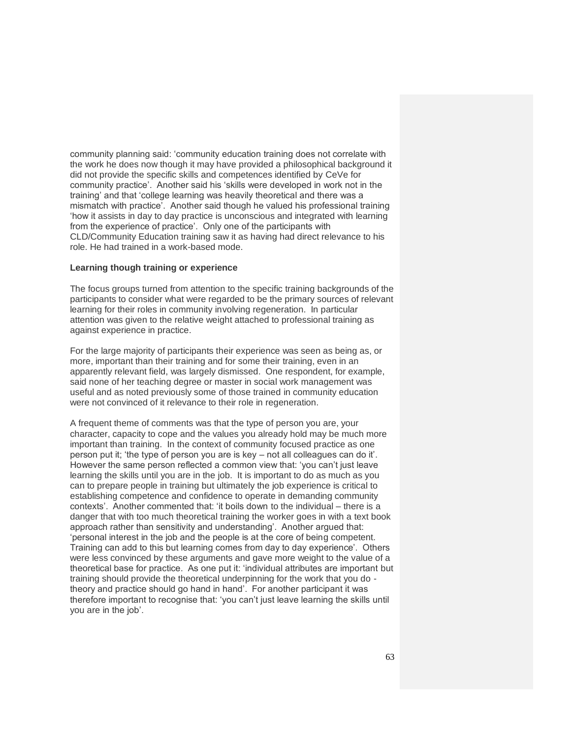community planning said: "community education training does not correlate with the work he does now though it may have provided a philosophical background it did not provide the specific skills and competences identified by CeVe for community practice'. Another said his 'skills were developed in work not in the training' and that 'college learning was heavily theoretical and there was a mismatch with practice'. Another said though he valued his professional training "how it assists in day to day practice is unconscious and integrated with learning from the experience of practice'. Only one of the participants with CLD/Community Education training saw it as having had direct relevance to his role. He had trained in a work-based mode.

#### **Learning though training or experience**

The focus groups turned from attention to the specific training backgrounds of the participants to consider what were regarded to be the primary sources of relevant learning for their roles in community involving regeneration. In particular attention was given to the relative weight attached to professional training as against experience in practice.

For the large majority of participants their experience was seen as being as, or more, important than their training and for some their training, even in an apparently relevant field, was largely dismissed. One respondent, for example, said none of her teaching degree or master in social work management was useful and as noted previously some of those trained in community education were not convinced of it relevance to their role in regeneration.

A frequent theme of comments was that the type of person you are, your character, capacity to cope and the values you already hold may be much more important than training. In the context of community focused practice as one person put it; "the type of person you are is key – not all colleagues can do it". However the same person reflected a common view that: "you can"t just leave learning the skills until you are in the job. It is important to do as much as you can to prepare people in training but ultimately the job experience is critical to establishing competence and confidence to operate in demanding community contexts". Another commented that: "it boils down to the individual – there is a danger that with too much theoretical training the worker goes in with a text book approach rather than sensitivity and understanding'. Another argued that: "personal interest in the job and the people is at the core of being competent. Training can add to this but learning comes from day to day experience". Others were less convinced by these arguments and gave more weight to the value of a theoretical base for practice. As one put it: "individual attributes are important but training should provide the theoretical underpinning for the work that you do theory and practice should go hand in hand". For another participant it was therefore important to recognise that: "you can"t just leave learning the skills until you are in the job".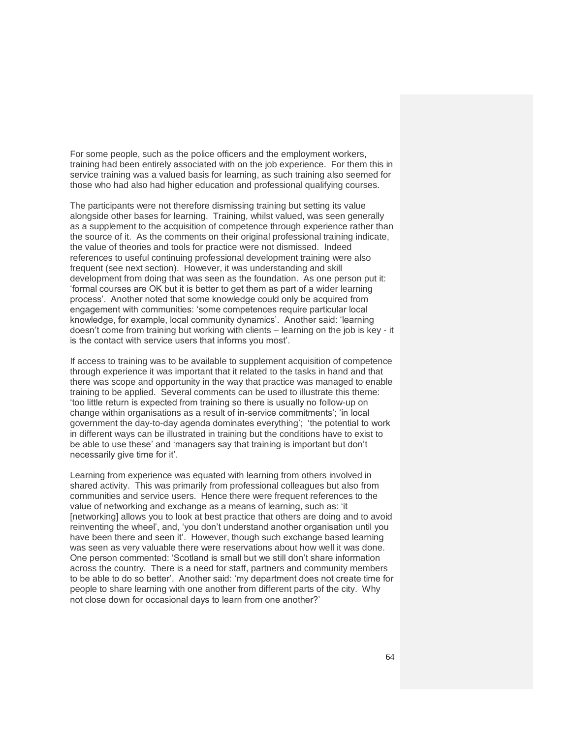For some people, such as the police officers and the employment workers, training had been entirely associated with on the job experience. For them this in service training was a valued basis for learning, as such training also seemed for those who had also had higher education and professional qualifying courses.

The participants were not therefore dismissing training but setting its value alongside other bases for learning. Training, whilst valued, was seen generally as a supplement to the acquisition of competence through experience rather than the source of it. As the comments on their original professional training indicate, the value of theories and tools for practice were not dismissed. Indeed references to useful continuing professional development training were also frequent (see next section). However, it was understanding and skill development from doing that was seen as the foundation. As one person put it: "formal courses are OK but it is better to get them as part of a wider learning process". Another noted that some knowledge could only be acquired from engagement with communities: "some competences require particular local knowledge, for example, local community dynamics". Another said: "learning doesn"t come from training but working with clients – learning on the job is key - it is the contact with service users that informs you most".

If access to training was to be available to supplement acquisition of competence through experience it was important that it related to the tasks in hand and that there was scope and opportunity in the way that practice was managed to enable training to be applied. Several comments can be used to illustrate this theme: "too little return is expected from training so there is usually no follow-up on change within organisations as a result of in-service commitments"; "in local government the day-to-day agenda dominates everything"; "the potential to work in different ways can be illustrated in training but the conditions have to exist to be able to use these" and "managers say that training is important but don"t necessarily give time for it".

Learning from experience was equated with learning from others involved in shared activity. This was primarily from professional colleagues but also from communities and service users. Hence there were frequent references to the value of networking and exchange as a means of learning, such as: "it [networking] allows you to look at best practice that others are doing and to avoid reinventing the wheel", and, "you don"t understand another organisation until you have been there and seen it'. However, though such exchange based learning was seen as very valuable there were reservations about how well it was done. One person commented: "Scotland is small but we still don"t share information across the country. There is a need for staff, partners and community members to be able to do so better". Another said: "my department does not create time for people to share learning with one another from different parts of the city. Why not close down for occasional days to learn from one another?"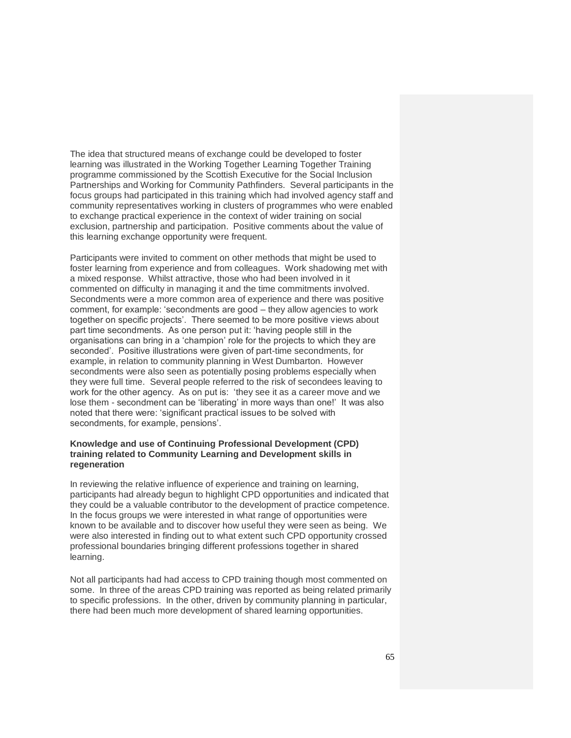The idea that structured means of exchange could be developed to foster learning was illustrated in the Working Together Learning Together Training programme commissioned by the Scottish Executive for the Social Inclusion Partnerships and Working for Community Pathfinders. Several participants in the focus groups had participated in this training which had involved agency staff and community representatives working in clusters of programmes who were enabled to exchange practical experience in the context of wider training on social exclusion, partnership and participation. Positive comments about the value of this learning exchange opportunity were frequent.

Participants were invited to comment on other methods that might be used to foster learning from experience and from colleagues. Work shadowing met with a mixed response. Whilst attractive, those who had been involved in it commented on difficulty in managing it and the time commitments involved. Secondments were a more common area of experience and there was positive comment, for example: "secondments are good – they allow agencies to work together on specific projects". There seemed to be more positive views about part time secondments. As one person put it: "having people still in the organisations can bring in a "champion" role for the projects to which they are seconded'. Positive illustrations were given of part-time secondments, for example, in relation to community planning in West Dumbarton. However secondments were also seen as potentially posing problems especially when they were full time. Several people referred to the risk of secondees leaving to work for the other agency. As on put is: "they see it as a career move and we lose them - secondment can be 'liberating' in more ways than one!' It was also noted that there were: "significant practical issues to be solved with secondments, for example, pensions'.

#### **Knowledge and use of Continuing Professional Development (CPD) training related to Community Learning and Development skills in regeneration**

In reviewing the relative influence of experience and training on learning, participants had already begun to highlight CPD opportunities and indicated that they could be a valuable contributor to the development of practice competence. In the focus groups we were interested in what range of opportunities were known to be available and to discover how useful they were seen as being. We were also interested in finding out to what extent such CPD opportunity crossed professional boundaries bringing different professions together in shared learning.

Not all participants had had access to CPD training though most commented on some. In three of the areas CPD training was reported as being related primarily to specific professions. In the other, driven by community planning in particular, there had been much more development of shared learning opportunities.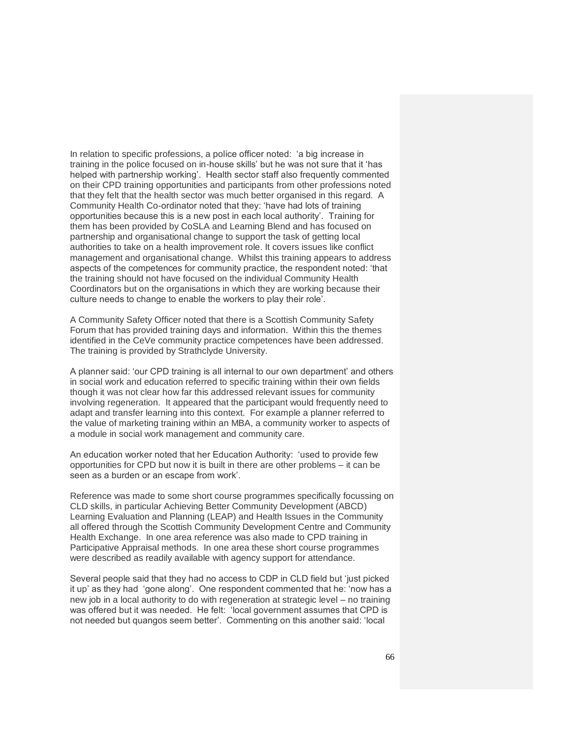In relation to specific professions, a police officer noted: "a big increase in training in the police focused on in-house skills" but he was not sure that it "has helped with partnership working'. Health sector staff also frequently commented on their CPD training opportunities and participants from other professions noted that they felt that the health sector was much better organised in this regard. A Community Health Co-ordinator noted that they: "have had lots of training opportunities because this is a new post in each local authority". Training for them has been provided by CoSLA and Learning Blend and has focused on partnership and organisational change to support the task of getting local authorities to take on a health improvement role. It covers issues like conflict management and organisational change. Whilst this training appears to address aspects of the competences for community practice, the respondent noted: "that the training should not have focused on the individual Community Health Coordinators but on the organisations in which they are working because their culture needs to change to enable the workers to play their role".

A Community Safety Officer noted that there is a Scottish Community Safety Forum that has provided training days and information. Within this the themes identified in the CeVe community practice competences have been addressed. The training is provided by Strathclyde University.

A planner said: "our CPD training is all internal to our own department" and others in social work and education referred to specific training within their own fields though it was not clear how far this addressed relevant issues for community involving regeneration. It appeared that the participant would frequently need to adapt and transfer learning into this context. For example a planner referred to the value of marketing training within an MBA, a community worker to aspects of a module in social work management and community care.

An education worker noted that her Education Authority: "used to provide few opportunities for CPD but now it is built in there are other problems – it can be seen as a burden or an escape from work".

Reference was made to some short course programmes specifically focussing on CLD skills, in particular Achieving Better Community Development (ABCD) Learning Evaluation and Planning (LEAP) and Health Issues in the Community all offered through the Scottish Community Development Centre and Community Health Exchange. In one area reference was also made to CPD training in Participative Appraisal methods. In one area these short course programmes were described as readily available with agency support for attendance.

Several people said that they had no access to CDP in CLD field but "just picked it up" as they had "gone along". One respondent commented that he: "now has a new job in a local authority to do with regeneration at strategic level – no training was offered but it was needed. He felt: "local government assumes that CPD is not needed but quangos seem better". Commenting on this another said: "local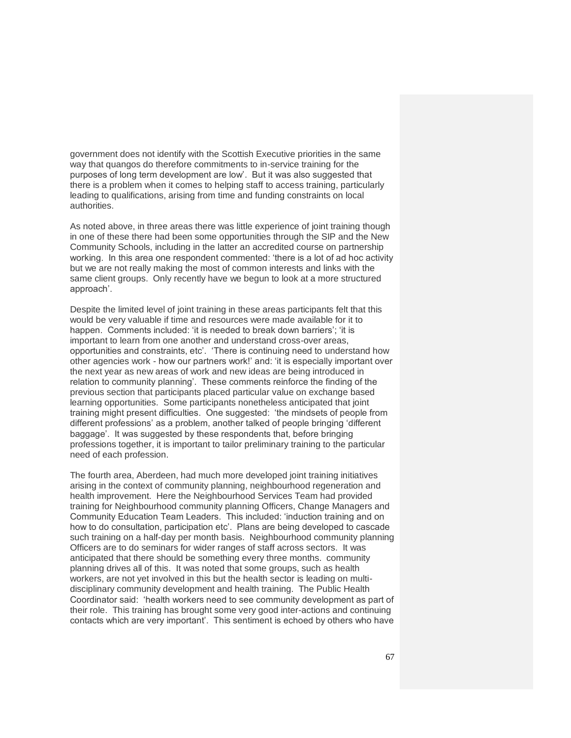government does not identify with the Scottish Executive priorities in the same way that quangos do therefore commitments to in-service training for the purposes of long term development are low'. But it was also suggested that there is a problem when it comes to helping staff to access training, particularly leading to qualifications, arising from time and funding constraints on local authorities.

As noted above, in three areas there was little experience of joint training though in one of these there had been some opportunities through the SIP and the New Community Schools, including in the latter an accredited course on partnership working. In this area one respondent commented: "there is a lot of ad hoc activity but we are not really making the most of common interests and links with the same client groups. Only recently have we begun to look at a more structured approach".

Despite the limited level of joint training in these areas participants felt that this would be very valuable if time and resources were made available for it to happen. Comments included: 'it is needed to break down barriers': 'it is important to learn from one another and understand cross-over areas, opportunities and constraints, etc'. 'There is continuing need to understand how other agencies work - how our partners work!" and: "it is especially important over the next year as new areas of work and new ideas are being introduced in relation to community planning". These comments reinforce the finding of the previous section that participants placed particular value on exchange based learning opportunities. Some participants nonetheless anticipated that joint training might present difficulties. One suggested: "the mindsets of people from different professions" as a problem, another talked of people bringing "different baggage". It was suggested by these respondents that, before bringing professions together, it is important to tailor preliminary training to the particular need of each profession.

The fourth area, Aberdeen, had much more developed joint training initiatives arising in the context of community planning, neighbourhood regeneration and health improvement. Here the Neighbourhood Services Team had provided training for Neighbourhood community planning Officers, Change Managers and Community Education Team Leaders. This included: "induction training and on how to do consultation, participation etc'. Plans are being developed to cascade such training on a half-day per month basis. Neighbourhood community planning Officers are to do seminars for wider ranges of staff across sectors. It was anticipated that there should be something every three months. community planning drives all of this. It was noted that some groups, such as health workers, are not yet involved in this but the health sector is leading on multidisciplinary community development and health training. The Public Health Coordinator said: "health workers need to see community development as part of their role. This training has brought some very good inter-actions and continuing contacts which are very important'. This sentiment is echoed by others who have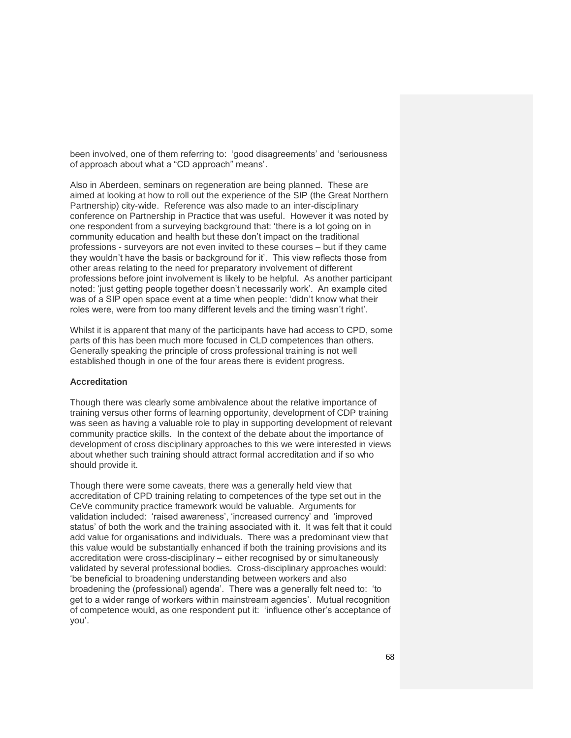been involved, one of them referring to: 'good disagreements' and 'seriousness of approach about what a "CD approach" means".

Also in Aberdeen, seminars on regeneration are being planned. These are aimed at looking at how to roll out the experience of the SIP (the Great Northern Partnership) city-wide. Reference was also made to an inter-disciplinary conference on Partnership in Practice that was useful. However it was noted by one respondent from a surveying background that: "there is a lot going on in community education and health but these don"t impact on the traditional professions - surveyors are not even invited to these courses – but if they came they wouldn"t have the basis or background for it". This view reflects those from other areas relating to the need for preparatory involvement of different professions before joint involvement is likely to be helpful. As another participant noted: "just getting people together doesn"t necessarily work". An example cited was of a SIP open space event at a time when people: "didn"t know what their roles were, were from too many different levels and the timing wasn"t right".

Whilst it is apparent that many of the participants have had access to CPD, some parts of this has been much more focused in CLD competences than others. Generally speaking the principle of cross professional training is not well established though in one of the four areas there is evident progress.

### **Accreditation**

Though there was clearly some ambivalence about the relative importance of training versus other forms of learning opportunity, development of CDP training was seen as having a valuable role to play in supporting development of relevant community practice skills. In the context of the debate about the importance of development of cross disciplinary approaches to this we were interested in views about whether such training should attract formal accreditation and if so who should provide it.

Though there were some caveats, there was a generally held view that accreditation of CPD training relating to competences of the type set out in the CeVe community practice framework would be valuable. Arguments for validation included: "raised awareness", "increased currency" and "improved status' of both the work and the training associated with it. It was felt that it could add value for organisations and individuals. There was a predominant view that this value would be substantially enhanced if both the training provisions and its accreditation were cross-disciplinary – either recognised by or simultaneously validated by several professional bodies. Cross-disciplinary approaches would: "be beneficial to broadening understanding between workers and also broadening the (professional) agenda'. There was a generally felt need to: 'to get to a wider range of workers within mainstream agencies". Mutual recognition of competence would, as one respondent put it: "influence other"s acceptance of you".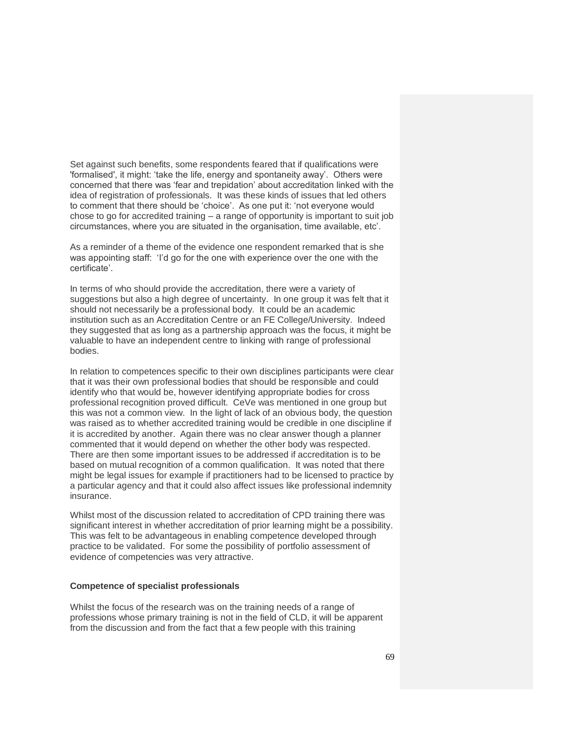Set against such benefits, some respondents feared that if qualifications were 'formalised', it might: "take the life, energy and spontaneity away". Others were concerned that there was "fear and trepidation" about accreditation linked with the idea of registration of professionals. It was these kinds of issues that led others to comment that there should be "choice". As one put it: "not everyone would chose to go for accredited training – a range of opportunity is important to suit job circumstances, where you are situated in the organisation, time available, etc".

As a reminder of a theme of the evidence one respondent remarked that is she was appointing staff: 'I'd go for the one with experience over the one with the certificate".

In terms of who should provide the accreditation, there were a variety of suggestions but also a high degree of uncertainty. In one group it was felt that it should not necessarily be a professional body. It could be an academic institution such as an Accreditation Centre or an FE College/University. Indeed they suggested that as long as a partnership approach was the focus, it might be valuable to have an independent centre to linking with range of professional bodies.

In relation to competences specific to their own disciplines participants were clear that it was their own professional bodies that should be responsible and could identify who that would be, however identifying appropriate bodies for cross professional recognition proved difficult. CeVe was mentioned in one group but this was not a common view. In the light of lack of an obvious body, the question was raised as to whether accredited training would be credible in one discipline if it is accredited by another. Again there was no clear answer though a planner commented that it would depend on whether the other body was respected. There are then some important issues to be addressed if accreditation is to be based on mutual recognition of a common qualification. It was noted that there might be legal issues for example if practitioners had to be licensed to practice by a particular agency and that it could also affect issues like professional indemnity insurance.

Whilst most of the discussion related to accreditation of CPD training there was significant interest in whether accreditation of prior learning might be a possibility. This was felt to be advantageous in enabling competence developed through practice to be validated. For some the possibility of portfolio assessment of evidence of competencies was very attractive.

#### **Competence of specialist professionals**

Whilst the focus of the research was on the training needs of a range of professions whose primary training is not in the field of CLD, it will be apparent from the discussion and from the fact that a few people with this training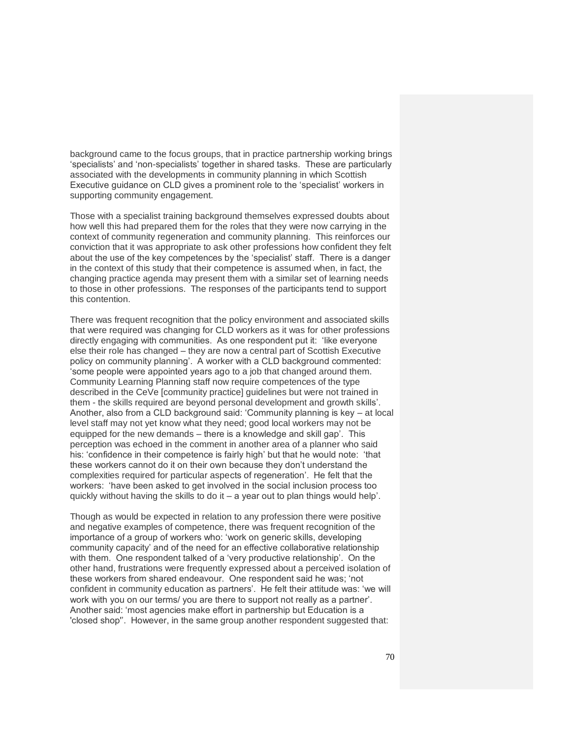background came to the focus groups, that in practice partnership working brings "specialists" and "non-specialists" together in shared tasks. These are particularly associated with the developments in community planning in which Scottish Executive guidance on CLD gives a prominent role to the "specialist" workers in supporting community engagement.

Those with a specialist training background themselves expressed doubts about how well this had prepared them for the roles that they were now carrying in the context of community regeneration and community planning. This reinforces our conviction that it was appropriate to ask other professions how confident they felt about the use of the key competences by the "specialist" staff. There is a danger in the context of this study that their competence is assumed when, in fact, the changing practice agenda may present them with a similar set of learning needs to those in other professions. The responses of the participants tend to support this contention.

There was frequent recognition that the policy environment and associated skills that were required was changing for CLD workers as it was for other professions directly engaging with communities. As one respondent put it: "like everyone else their role has changed – they are now a central part of Scottish Executive policy on community planning". A worker with a CLD background commented: "some people were appointed years ago to a job that changed around them. Community Learning Planning staff now require competences of the type described in the CeVe [community practice] guidelines but were not trained in them - the skills required are beyond personal development and growth skills". Another, also from a CLD background said: "Community planning is key – at local level staff may not yet know what they need; good local workers may not be equipped for the new demands – there is a knowledge and skill gap'. This perception was echoed in the comment in another area of a planner who said his: "confidence in their competence is fairly high" but that he would note: "that these workers cannot do it on their own because they don"t understand the complexities required for particular aspects of regeneration". He felt that the workers: "have been asked to get involved in the social inclusion process too quickly without having the skills to do it  $-$  a year out to plan things would help'.

Though as would be expected in relation to any profession there were positive and negative examples of competence, there was frequent recognition of the importance of a group of workers who: "work on generic skills, developing community capacity" and of the need for an effective collaborative relationship with them. One respondent talked of a "very productive relationship". On the other hand, frustrations were frequently expressed about a perceived isolation of these workers from shared endeavour. One respondent said he was; "not confident in community education as partners'. He felt their attitude was: 'we will work with you on our terms/ you are there to support not really as a partner". Another said: "most agencies make effort in partnership but Education is a 'closed shop'". However, in the same group another respondent suggested that: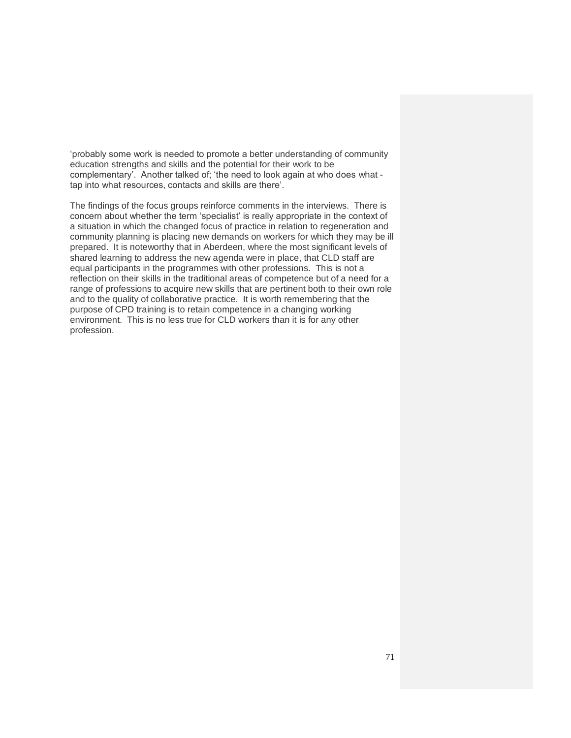"probably some work is needed to promote a better understanding of community education strengths and skills and the potential for their work to be complementary". Another talked of; "the need to look again at who does what tap into what resources, contacts and skills are there".

The findings of the focus groups reinforce comments in the interviews. There is concern about whether the term "specialist" is really appropriate in the context of a situation in which the changed focus of practice in relation to regeneration and community planning is placing new demands on workers for which they may be ill prepared. It is noteworthy that in Aberdeen, where the most significant levels of shared learning to address the new agenda were in place, that CLD staff are equal participants in the programmes with other professions. This is not a reflection on their skills in the traditional areas of competence but of a need for a range of professions to acquire new skills that are pertinent both to their own role and to the quality of collaborative practice. It is worth remembering that the purpose of CPD training is to retain competence in a changing working environment. This is no less true for CLD workers than it is for any other profession.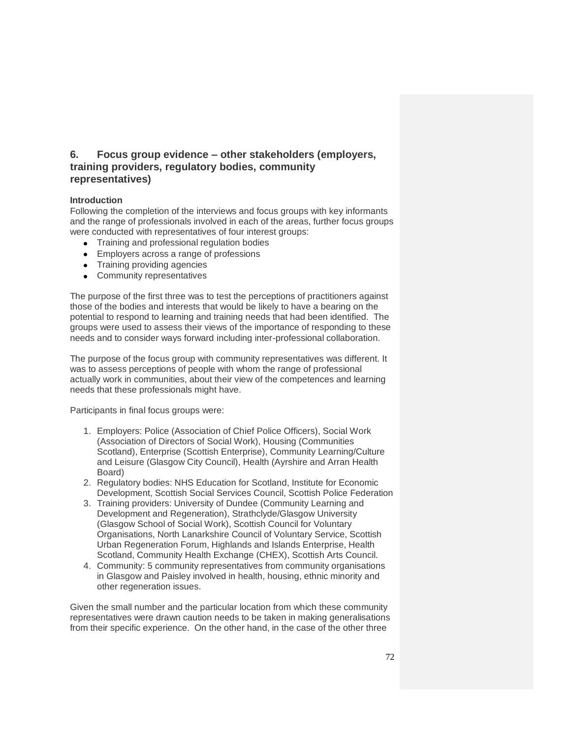# **6. Focus group evidence – other stakeholders (employers, training providers, regulatory bodies, community representatives)**

## **Introduction**

Following the completion of the interviews and focus groups with key informants and the range of professionals involved in each of the areas, further focus groups were conducted with representatives of four interest groups:

- Training and professional regulation bodies
- Employers across a range of professions
- Training providing agencies
- Community representatives

The purpose of the first three was to test the perceptions of practitioners against those of the bodies and interests that would be likely to have a bearing on the potential to respond to learning and training needs that had been identified. The groups were used to assess their views of the importance of responding to these needs and to consider ways forward including inter-professional collaboration.

The purpose of the focus group with community representatives was different. It was to assess perceptions of people with whom the range of professional actually work in communities, about their view of the competences and learning needs that these professionals might have.

Participants in final focus groups were:

- 1. Employers: Police (Association of Chief Police Officers), Social Work (Association of Directors of Social Work), Housing (Communities Scotland), Enterprise (Scottish Enterprise), Community Learning/Culture and Leisure (Glasgow City Council), Health (Ayrshire and Arran Health Board)
- 2. Regulatory bodies: NHS Education for Scotland, Institute for Economic Development, Scottish Social Services Council, Scottish Police Federation
- 3. Training providers: University of Dundee (Community Learning and Development and Regeneration), Strathclyde/Glasgow University (Glasgow School of Social Work), Scottish Council for Voluntary Organisations, North Lanarkshire Council of Voluntary Service, Scottish Urban Regeneration Forum, Highlands and Islands Enterprise, Health Scotland, Community Health Exchange (CHEX), Scottish Arts Council.
- 4. Community: 5 community representatives from community organisations in Glasgow and Paisley involved in health, housing, ethnic minority and other regeneration issues.

Given the small number and the particular location from which these community representatives were drawn caution needs to be taken in making generalisations from their specific experience. On the other hand, in the case of the other three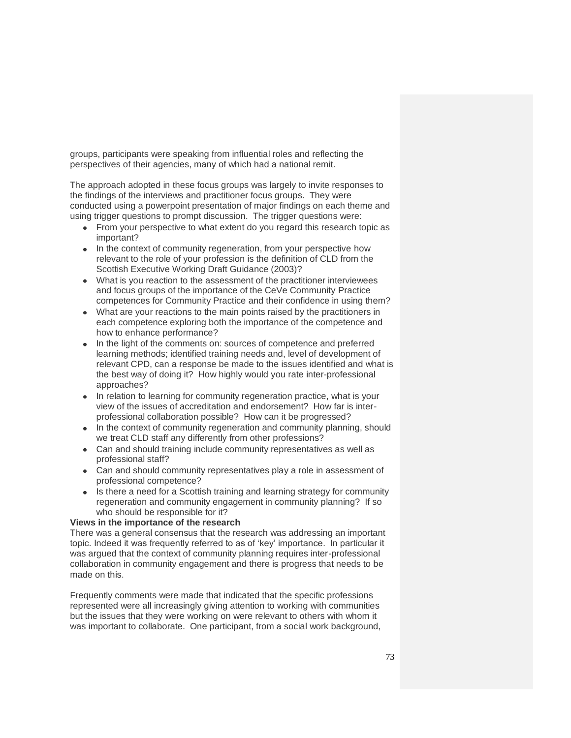groups, participants were speaking from influential roles and reflecting the perspectives of their agencies, many of which had a national remit.

The approach adopted in these focus groups was largely to invite responses to the findings of the interviews and practitioner focus groups. They were conducted using a powerpoint presentation of major findings on each theme and using trigger questions to prompt discussion. The trigger questions were:

- From your perspective to what extent do you regard this research topic as important?
- In the context of community regeneration, from your perspective how relevant to the role of your profession is the definition of CLD from the Scottish Executive Working Draft Guidance (2003)?
- What is you reaction to the assessment of the practitioner interviewees and focus groups of the importance of the CeVe Community Practice competences for Community Practice and their confidence in using them?
- What are your reactions to the main points raised by the practitioners in each competence exploring both the importance of the competence and how to enhance performance?
- In the light of the comments on: sources of competence and preferred learning methods; identified training needs and, level of development of relevant CPD, can a response be made to the issues identified and what is the best way of doing it? How highly would you rate inter-professional approaches?
- In relation to learning for community regeneration practice, what is your view of the issues of accreditation and endorsement? How far is interprofessional collaboration possible? How can it be progressed?
- In the context of community regeneration and community planning, should we treat CLD staff any differently from other professions?
- Can and should training include community representatives as well as professional staff?
- Can and should community representatives play a role in assessment of professional competence?
- Is there a need for a Scottish training and learning strategy for community regeneration and community engagement in community planning? If so who should be responsible for it?

# **Views in the importance of the research**

There was a general consensus that the research was addressing an important topic. Indeed it was frequently referred to as of "key" importance. In particular it was argued that the context of community planning requires inter-professional collaboration in community engagement and there is progress that needs to be made on this.

Frequently comments were made that indicated that the specific professions represented were all increasingly giving attention to working with communities but the issues that they were working on were relevant to others with whom it was important to collaborate. One participant, from a social work background,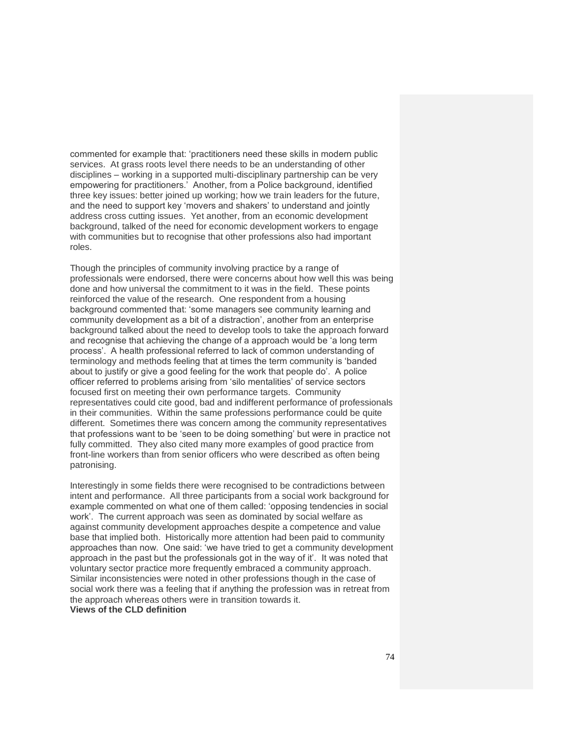commented for example that: "practitioners need these skills in modern public services. At grass roots level there needs to be an understanding of other disciplines – working in a supported multi-disciplinary partnership can be very empowering for practitioners." Another, from a Police background, identified three key issues: better joined up working; how we train leaders for the future, and the need to support key "movers and shakers" to understand and jointly address cross cutting issues. Yet another, from an economic development background, talked of the need for economic development workers to engage with communities but to recognise that other professions also had important roles.

Though the principles of community involving practice by a range of professionals were endorsed, there were concerns about how well this was being done and how universal the commitment to it was in the field. These points reinforced the value of the research. One respondent from a housing background commented that: "some managers see community learning and community development as a bit of a distraction", another from an enterprise background talked about the need to develop tools to take the approach forward and recognise that achieving the change of a approach would be "a long term process". A health professional referred to lack of common understanding of terminology and methods feeling that at times the term community is "banded about to justify or give a good feeling for the work that people do". A police officer referred to problems arising from "silo mentalities" of service sectors focused first on meeting their own performance targets. Community representatives could cite good, bad and indifferent performance of professionals in their communities. Within the same professions performance could be quite different. Sometimes there was concern among the community representatives that professions want to be "seen to be doing something" but were in practice not fully committed. They also cited many more examples of good practice from front-line workers than from senior officers who were described as often being patronising.

Interestingly in some fields there were recognised to be contradictions between intent and performance. All three participants from a social work background for example commented on what one of them called: "opposing tendencies in social work". The current approach was seen as dominated by social welfare as against community development approaches despite a competence and value base that implied both. Historically more attention had been paid to community approaches than now. One said: "we have tried to get a community development approach in the past but the professionals got in the way of it". It was noted that voluntary sector practice more frequently embraced a community approach. Similar inconsistencies were noted in other professions though in the case of social work there was a feeling that if anything the profession was in retreat from the approach whereas others were in transition towards it. **Views of the CLD definition**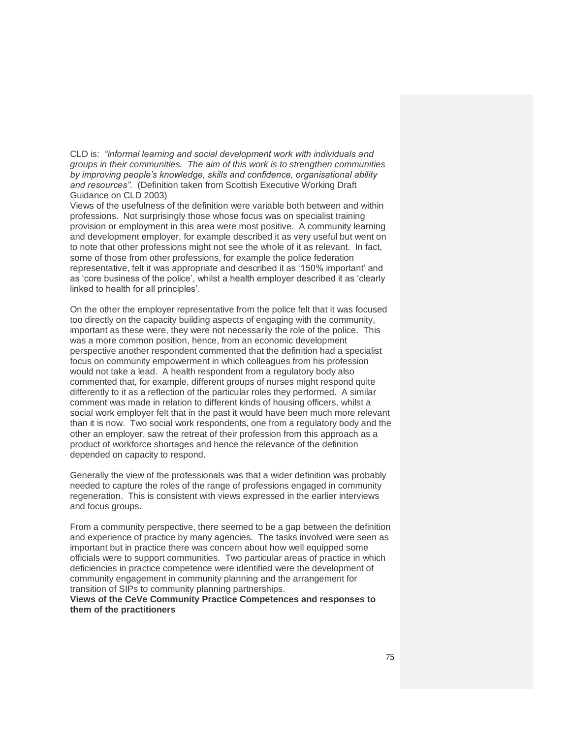CLD is: *"informal learning and social development work with individuals and groups in their communities. The aim of this work is to strengthen communities by improving people"s knowledge, skills and confidence, organisational ability and resources".* (Definition taken from Scottish Executive Working Draft Guidance on CLD 2003)

Views of the usefulness of the definition were variable both between and within professions. Not surprisingly those whose focus was on specialist training provision or employment in this area were most positive. A community learning and development employer, for example described it as very useful but went on to note that other professions might not see the whole of it as relevant. In fact, some of those from other professions, for example the police federation representative, felt it was appropriate and described it as "150% important" and as "core business of the police", whilst a health employer described it as "clearly linked to health for all principles".

On the other the employer representative from the police felt that it was focused too directly on the capacity building aspects of engaging with the community, important as these were, they were not necessarily the role of the police. This was a more common position, hence, from an economic development perspective another respondent commented that the definition had a specialist focus on community empowerment in which colleagues from his profession would not take a lead. A health respondent from a regulatory body also commented that, for example, different groups of nurses might respond quite differently to it as a reflection of the particular roles they performed. A similar comment was made in relation to different kinds of housing officers, whilst a social work employer felt that in the past it would have been much more relevant than it is now. Two social work respondents, one from a regulatory body and the other an employer, saw the retreat of their profession from this approach as a product of workforce shortages and hence the relevance of the definition depended on capacity to respond.

Generally the view of the professionals was that a wider definition was probably needed to capture the roles of the range of professions engaged in community regeneration. This is consistent with views expressed in the earlier interviews and focus groups.

From a community perspective, there seemed to be a gap between the definition and experience of practice by many agencies. The tasks involved were seen as important but in practice there was concern about how well equipped some officials were to support communities. Two particular areas of practice in which deficiencies in practice competence were identified were the development of community engagement in community planning and the arrangement for transition of SIPs to community planning partnerships.

**Views of the CeVe Community Practice Competences and responses to them of the practitioners**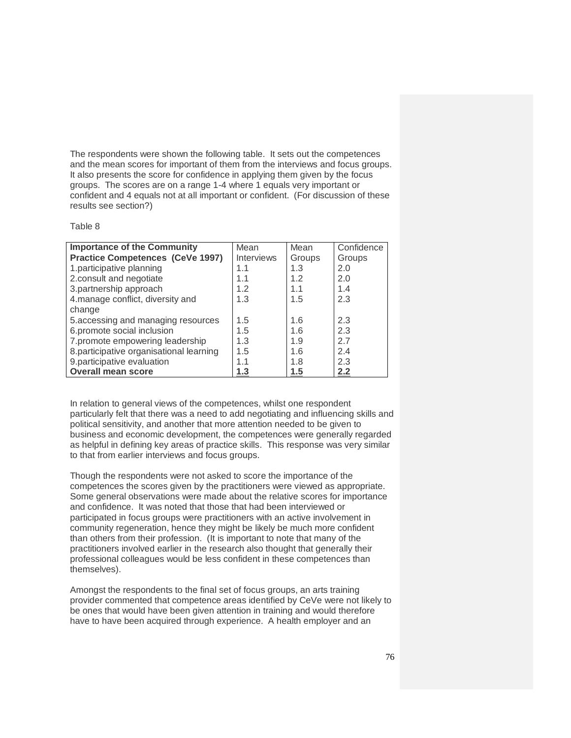The respondents were shown the following table. It sets out the competences and the mean scores for important of them from the interviews and focus groups. It also presents the score for confidence in applying them given by the focus groups. The scores are on a range 1-4 where 1 equals very important or confident and 4 equals not at all important or confident. (For discussion of these results see section?)

Table 8

| <b>Importance of the Community</b>      | Mean              | Mean   | Confidence |
|-----------------------------------------|-------------------|--------|------------|
| <b>Practice Competences (CeVe 1997)</b> | <b>Interviews</b> | Groups | Groups     |
| 1.participative planning                | 1.1               | 1.3    | 2.0        |
| 2.consult and negotiate                 | 1.1               | 1.2    | 2.0        |
| 3.partnership approach                  | 1.2               | 1.1    | 1.4        |
| 4.manage conflict, diversity and        | 1.3               | 1.5    | 2.3        |
| change                                  |                   |        |            |
| 5. accessing and managing resources     | 1.5               | 1.6    | 2.3        |
| 6.promote social inclusion              | 1.5               | 1.6    | 2.3        |
| 7.promote empowering leadership         | 1.3               | 1.9    | 2.7        |
| 8.participative organisational learning | 1.5               | 1.6    | 2.4        |
| 9.participative evaluation              | 1.1               | 1.8    | 2.3        |
| <b>Overall mean score</b>               | 1.3               | 1.5    | 2.2        |

In relation to general views of the competences, whilst one respondent particularly felt that there was a need to add negotiating and influencing skills and political sensitivity, and another that more attention needed to be given to business and economic development, the competences were generally regarded as helpful in defining key areas of practice skills. This response was very similar to that from earlier interviews and focus groups.

Though the respondents were not asked to score the importance of the competences the scores given by the practitioners were viewed as appropriate. Some general observations were made about the relative scores for importance and confidence. It was noted that those that had been interviewed or participated in focus groups were practitioners with an active involvement in community regeneration, hence they might be likely be much more confident than others from their profession. (It is important to note that many of the practitioners involved earlier in the research also thought that generally their professional colleagues would be less confident in these competences than themselves).

Amongst the respondents to the final set of focus groups, an arts training provider commented that competence areas identified by CeVe were not likely to be ones that would have been given attention in training and would therefore have to have been acquired through experience. A health employer and an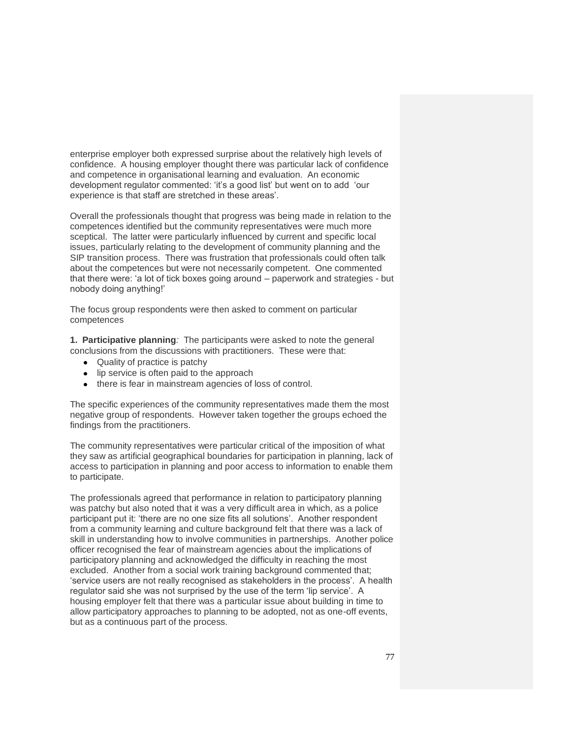enterprise employer both expressed surprise about the relatively high levels of confidence. A housing employer thought there was particular lack of confidence and competence in organisational learning and evaluation. An economic development regulator commented: "it"s a good list" but went on to add "our experience is that staff are stretched in these areas'.

Overall the professionals thought that progress was being made in relation to the competences identified but the community representatives were much more sceptical. The latter were particularly influenced by current and specific local issues, particularly relating to the development of community planning and the SIP transition process. There was frustration that professionals could often talk about the competences but were not necessarily competent. One commented that there were: "a lot of tick boxes going around – paperwork and strategies - but nobody doing anything!"

The focus group respondents were then asked to comment on particular competences

**1. Participative planning***:* The participants were asked to note the general conclusions from the discussions with practitioners. These were that:

- Quality of practice is patchy
- lip service is often paid to the approach
- there is fear in mainstream agencies of loss of control.

The specific experiences of the community representatives made them the most negative group of respondents. However taken together the groups echoed the findings from the practitioners.

The community representatives were particular critical of the imposition of what they saw as artificial geographical boundaries for participation in planning, lack of access to participation in planning and poor access to information to enable them to participate.

The professionals agreed that performance in relation to participatory planning was patchy but also noted that it was a very difficult area in which, as a police participant put it: 'there are no one size fits all solutions'. Another respondent from a community learning and culture background felt that there was a lack of skill in understanding how to involve communities in partnerships. Another police officer recognised the fear of mainstream agencies about the implications of participatory planning and acknowledged the difficulty in reaching the most excluded. Another from a social work training background commented that; "service users are not really recognised as stakeholders in the process". A health regulator said she was not surprised by the use of the term "lip service". A housing employer felt that there was a particular issue about building in time to allow participatory approaches to planning to be adopted, not as one-off events, but as a continuous part of the process.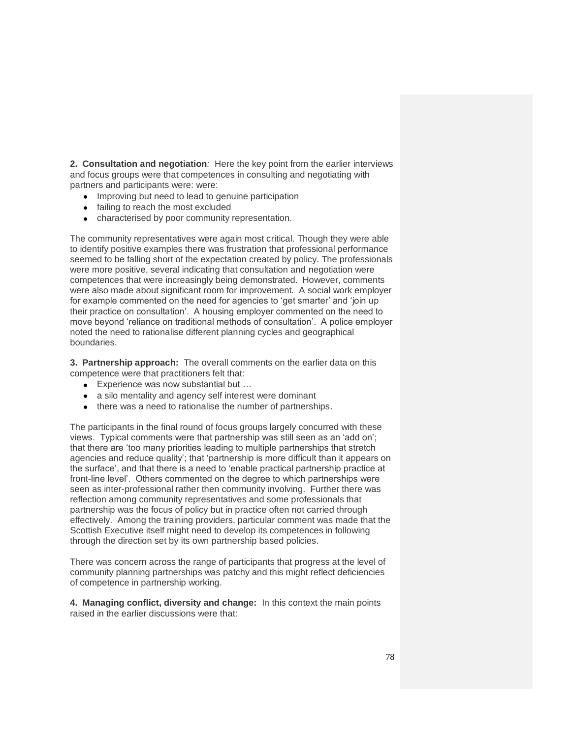**2. Consultation and negotiation***:* Here the key point from the earlier interviews and focus groups were that competences in consulting and negotiating with partners and participants were: were:

- Improving but need to lead to genuine participation
- failing to reach the most excluded
- characterised by poor community representation.

The community representatives were again most critical. Though they were able to identify positive examples there was frustration that professional performance seemed to be falling short of the expectation created by policy. The professionals were more positive, several indicating that consultation and negotiation were competences that were increasingly being demonstrated. However, comments were also made about significant room for improvement. A social work employer for example commented on the need for agencies to "get smarter" and "join up their practice on consultation". A housing employer commented on the need to move beyond "reliance on traditional methods of consultation". A police employer noted the need to rationalise different planning cycles and geographical boundaries.

**3. Partnership approach:**The overall comments on the earlier data on this competence were that practitioners felt that:

- Experience was now substantial but ...
- a silo mentality and agency self interest were dominant
- there was a need to rationalise the number of partnerships.

The participants in the final round of focus groups largely concurred with these views. Typical comments were that partnership was still seen as an "add on"; that there are "too many priorities leading to multiple partnerships that stretch agencies and reduce quality"; that "partnership is more difficult than it appears on the surface", and that there is a need to "enable practical partnership practice at front-line level". Others commented on the degree to which partnerships were seen as inter-professional rather then community involving. Further there was reflection among community representatives and some professionals that partnership was the focus of policy but in practice often not carried through effectively. Among the training providers, particular comment was made that the Scottish Executive itself might need to develop its competences in following through the direction set by its own partnership based policies.

There was concern across the range of participants that progress at the level of community planning partnerships was patchy and this might reflect deficiencies of competence in partnership working.

**4. Managing conflict, diversity and change:** In this context the main points raised in the earlier discussions were that: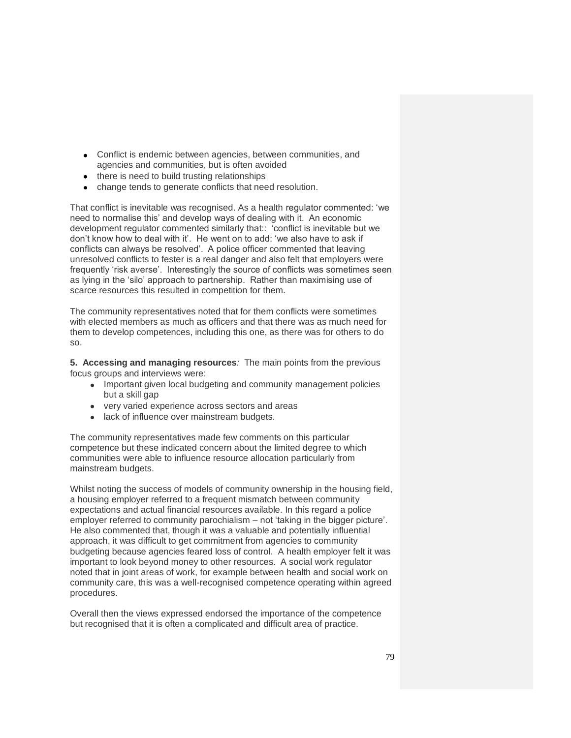- Conflict is endemic between agencies, between communities, and agencies and communities, but is often avoided
- there is need to build trusting relationships
- change tends to generate conflicts that need resolution.

That conflict is inevitable was recognised. As a health regulator commented: "we need to normalise this" and develop ways of dealing with it. An economic development regulator commented similarly that:: "conflict is inevitable but we don"t know how to deal with it". He went on to add: "we also have to ask if conflicts can always be resolved'. A police officer commented that leaving unresolved conflicts to fester is a real danger and also felt that employers were frequently 'risk averse'. Interestingly the source of conflicts was sometimes seen as lying in the "silo" approach to partnership. Rather than maximising use of scarce resources this resulted in competition for them.

The community representatives noted that for them conflicts were sometimes with elected members as much as officers and that there was as much need for them to develop competences, including this one, as there was for others to do so.

**5. Accessing and managing resources***:* The main points from the previous focus groups and interviews were:

- Important given local budgeting and community management policies but a skill gap
- very varied experience across sectors and areas
- lack of influence over mainstream budgets.

The community representatives made few comments on this particular competence but these indicated concern about the limited degree to which communities were able to influence resource allocation particularly from mainstream budgets.

Whilst noting the success of models of community ownership in the housing field, a housing employer referred to a frequent mismatch between community expectations and actual financial resources available. In this regard a police employer referred to community parochialism – not "taking in the bigger picture". He also commented that, though it was a valuable and potentially influential approach, it was difficult to get commitment from agencies to community budgeting because agencies feared loss of control. A health employer felt it was important to look beyond money to other resources. A social work regulator noted that in joint areas of work, for example between health and social work on community care, this was a well-recognised competence operating within agreed procedures.

Overall then the views expressed endorsed the importance of the competence but recognised that it is often a complicated and difficult area of practice.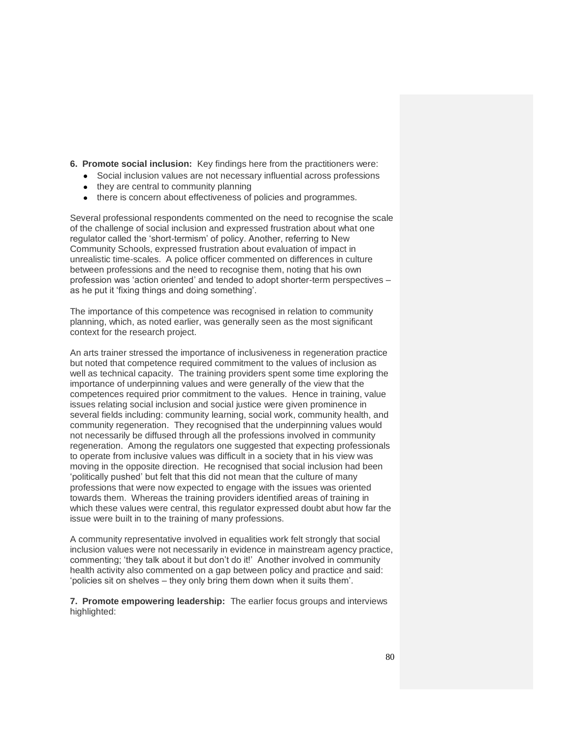- **6. Promote social inclusion:** Key findings here from the practitioners were:
	- Social inclusion values are not necessary influential across professions
	- they are central to community planning
	- there is concern about effectiveness of policies and programmes.

Several professional respondents commented on the need to recognise the scale of the challenge of social inclusion and expressed frustration about what one regulator called the "short-termism" of policy. Another, referring to New Community Schools, expressed frustration about evaluation of impact in unrealistic time-scales. A police officer commented on differences in culture between professions and the need to recognise them, noting that his own profession was "action oriented" and tended to adopt shorter-term perspectives – as he put it "fixing things and doing something".

The importance of this competence was recognised in relation to community planning, which, as noted earlier, was generally seen as the most significant context for the research project.

An arts trainer stressed the importance of inclusiveness in regeneration practice but noted that competence required commitment to the values of inclusion as well as technical capacity. The training providers spent some time exploring the importance of underpinning values and were generally of the view that the competences required prior commitment to the values. Hence in training, value issues relating social inclusion and social justice were given prominence in several fields including: community learning, social work, community health, and community regeneration. They recognised that the underpinning values would not necessarily be diffused through all the professions involved in community regeneration. Among the regulators one suggested that expecting professionals to operate from inclusive values was difficult in a society that in his view was moving in the opposite direction. He recognised that social inclusion had been "politically pushed" but felt that this did not mean that the culture of many professions that were now expected to engage with the issues was oriented towards them. Whereas the training providers identified areas of training in which these values were central, this regulator expressed doubt abut how far the issue were built in to the training of many professions.

A community representative involved in equalities work felt strongly that social inclusion values were not necessarily in evidence in mainstream agency practice, commenting; 'they talk about it but don't do it!' Another involved in community health activity also commented on a gap between policy and practice and said: "policies sit on shelves – they only bring them down when it suits them".

**7. Promote empowering leadership:** The earlier focus groups and interviews highlighted: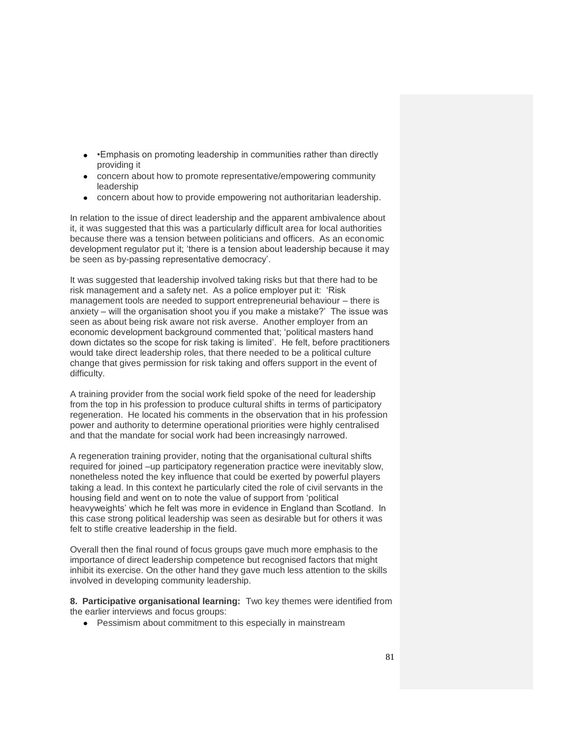- • Emphasis on promoting leadership in communities rather than directly providing it
- concern about how to promote representative/empowering community leadership
- concern about how to provide empowering not authoritarian leadership.

In relation to the issue of direct leadership and the apparent ambivalence about it, it was suggested that this was a particularly difficult area for local authorities because there was a tension between politicians and officers. As an economic development regulator put it; "there is a tension about leadership because it may be seen as by-passing representative democracy'.

It was suggested that leadership involved taking risks but that there had to be risk management and a safety net. As a police employer put it: "Risk management tools are needed to support entrepreneurial behaviour – there is anxiety – will the organisation shoot you if you make a mistake?" The issue was seen as about being risk aware not risk averse. Another employer from an economic development background commented that; "political masters hand down dictates so the scope for risk taking is limited". He felt, before practitioners would take direct leadership roles, that there needed to be a political culture change that gives permission for risk taking and offers support in the event of difficulty.

A training provider from the social work field spoke of the need for leadership from the top in his profession to produce cultural shifts in terms of participatory regeneration. He located his comments in the observation that in his profession power and authority to determine operational priorities were highly centralised and that the mandate for social work had been increasingly narrowed.

A regeneration training provider, noting that the organisational cultural shifts required for joined –up participatory regeneration practice were inevitably slow, nonetheless noted the key influence that could be exerted by powerful players taking a lead. In this context he particularly cited the role of civil servants in the housing field and went on to note the value of support from "political heavyweights' which he felt was more in evidence in England than Scotland. In this case strong political leadership was seen as desirable but for others it was felt to stifle creative leadership in the field.

Overall then the final round of focus groups gave much more emphasis to the importance of direct leadership competence but recognised factors that might inhibit its exercise. On the other hand they gave much less attention to the skills involved in developing community leadership.

**8. Participative organisational learning:** Two key themes were identified from the earlier interviews and focus groups:

Pessimism about commitment to this especially in mainstream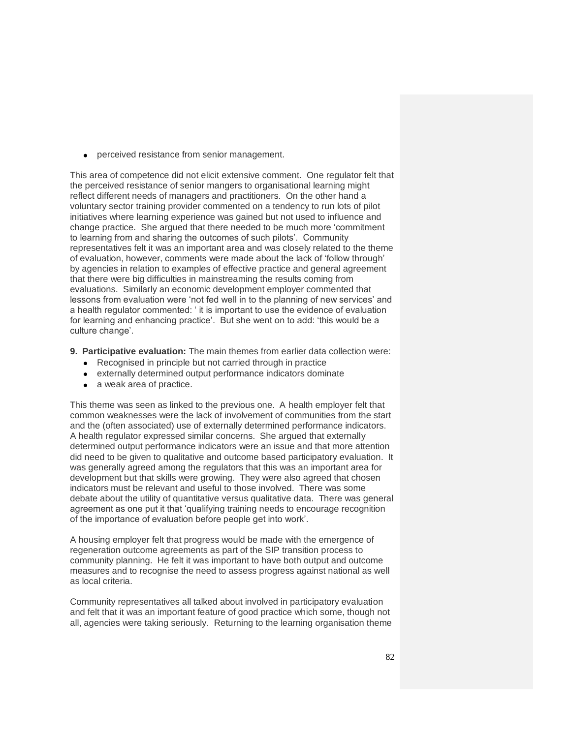• perceived resistance from senior management.

This area of competence did not elicit extensive comment. One regulator felt that the perceived resistance of senior mangers to organisational learning might reflect different needs of managers and practitioners. On the other hand a voluntary sector training provider commented on a tendency to run lots of pilot initiatives where learning experience was gained but not used to influence and change practice. She argued that there needed to be much more "commitment to learning from and sharing the outcomes of such pilots'. Community representatives felt it was an important area and was closely related to the theme of evaluation, however, comments were made about the lack of "follow through" by agencies in relation to examples of effective practice and general agreement that there were big difficulties in mainstreaming the results coming from evaluations. Similarly an economic development employer commented that lessons from evaluation were "not fed well in to the planning of new services" and a health regulator commented: " it is important to use the evidence of evaluation for learning and enhancing practice'. But she went on to add: 'this would be a culture change'.

**9. Participative evaluation:** The main themes from earlier data collection were:

- Recognised in principle but not carried through in practice
- externally determined output performance indicators dominate
- a weak area of practice.

This theme was seen as linked to the previous one. A health employer felt that common weaknesses were the lack of involvement of communities from the start and the (often associated) use of externally determined performance indicators. A health regulator expressed similar concerns. She argued that externally determined output performance indicators were an issue and that more attention did need to be given to qualitative and outcome based participatory evaluation. It was generally agreed among the regulators that this was an important area for development but that skills were growing. They were also agreed that chosen indicators must be relevant and useful to those involved. There was some debate about the utility of quantitative versus qualitative data. There was general agreement as one put it that "qualifying training needs to encourage recognition of the importance of evaluation before people get into work".

A housing employer felt that progress would be made with the emergence of regeneration outcome agreements as part of the SIP transition process to community planning. He felt it was important to have both output and outcome measures and to recognise the need to assess progress against national as well as local criteria.

Community representatives all talked about involved in participatory evaluation and felt that it was an important feature of good practice which some, though not all, agencies were taking seriously. Returning to the learning organisation theme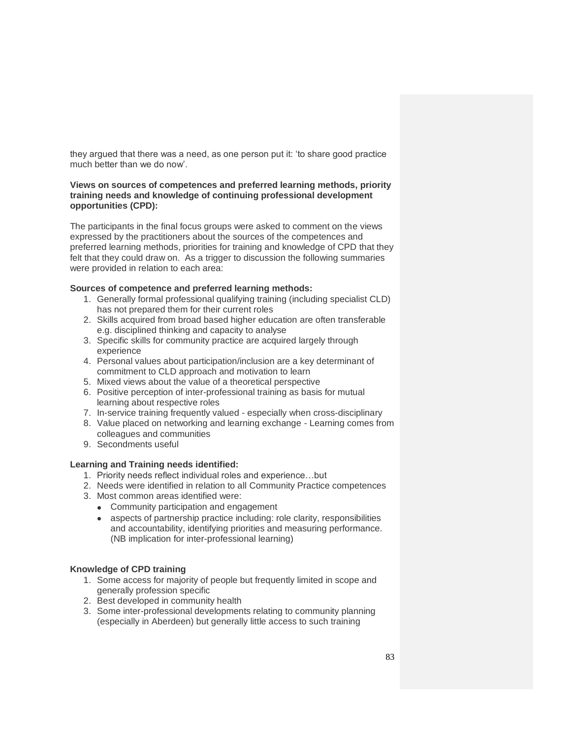they argued that there was a need, as one person put it: "to share good practice much better than we do now".

# **Views on sources of competences and preferred learning methods, priority training needs and knowledge of continuing professional development opportunities (CPD):**

The participants in the final focus groups were asked to comment on the views expressed by the practitioners about the sources of the competences and preferred learning methods, priorities for training and knowledge of CPD that they felt that they could draw on. As a trigger to discussion the following summaries were provided in relation to each area:

# **Sources of competence and preferred learning methods:**

- 1. Generally formal professional qualifying training (including specialist CLD) has not prepared them for their current roles
- 2. Skills acquired from broad based higher education are often transferable e.g. disciplined thinking and capacity to analyse
- 3. Specific skills for community practice are acquired largely through experience
- 4. Personal values about participation/inclusion are a key determinant of commitment to CLD approach and motivation to learn
- 5. Mixed views about the value of a theoretical perspective
- 6. Positive perception of inter-professional training as basis for mutual learning about respective roles
- 7. In-service training frequently valued especially when cross-disciplinary
- 8. Value placed on networking and learning exchange Learning comes from colleagues and communities
- 9. Secondments useful

# **Learning and Training needs identified:**

- 1. Priority needs reflect individual roles and experience…but
- 2. Needs were identified in relation to all Community Practice competences 3. Most common areas identified were:
- - Community participation and engagement aspects of partnership practice including: role clarity, responsibilities
		- and accountability, identifying priorities and measuring performance. (NB implication for inter-professional learning)

# **Knowledge of CPD training**

- 1. Some access for majority of people but frequently limited in scope and generally profession specific
- 2. Best developed in community health
- 3. Some inter-professional developments relating to community planning (especially in Aberdeen) but generally little access to such training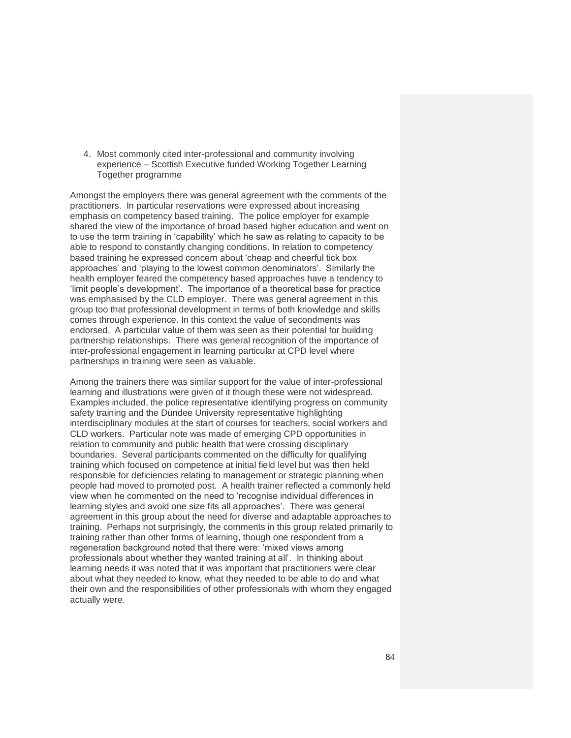4. Most commonly cited inter-professional and community involving experience – Scottish Executive funded Working Together Learning Together programme

Amongst the employers there was general agreement with the comments of the practitioners. In particular reservations were expressed about increasing emphasis on competency based training. The police employer for example shared the view of the importance of broad based higher education and went on to use the term training in "capability" which he saw as relating to capacity to be able to respond to constantly changing conditions. In relation to competency based training he expressed concern about "cheap and cheerful tick box approaches" and "playing to the lowest common denominators". Similarly the health employer feared the competency based approaches have a tendency to "limit people"s development". The importance of a theoretical base for practice was emphasised by the CLD employer. There was general agreement in this group too that professional development in terms of both knowledge and skills comes through experience. In this context the value of secondments was endorsed. A particular value of them was seen as their potential for building partnership relationships. There was general recognition of the importance of inter-professional engagement in learning particular at CPD level where partnerships in training were seen as valuable.

Among the trainers there was similar support for the value of inter-professional learning and illustrations were given of it though these were not widespread. Examples included, the police representative identifying progress on community safety training and the Dundee University representative highlighting interdisciplinary modules at the start of courses for teachers, social workers and CLD workers. Particular note was made of emerging CPD opportunities in relation to community and public health that were crossing disciplinary boundaries. Several participants commented on the difficulty for qualifying training which focused on competence at initial field level but was then held responsible for deficiencies relating to management or strategic planning when people had moved to promoted post. A health trainer reflected a commonly held view when he commented on the need to "recognise individual differences in learning styles and avoid one size fits all approaches'. There was general agreement in this group about the need for diverse and adaptable approaches to training. Perhaps not surprisingly, the comments in this group related primarily to training rather than other forms of learning, though one respondent from a regeneration background noted that there were: "mixed views among professionals about whether they wanted training at all". In thinking about learning needs it was noted that it was important that practitioners were clear about what they needed to know, what they needed to be able to do and what their own and the responsibilities of other professionals with whom they engaged actually were.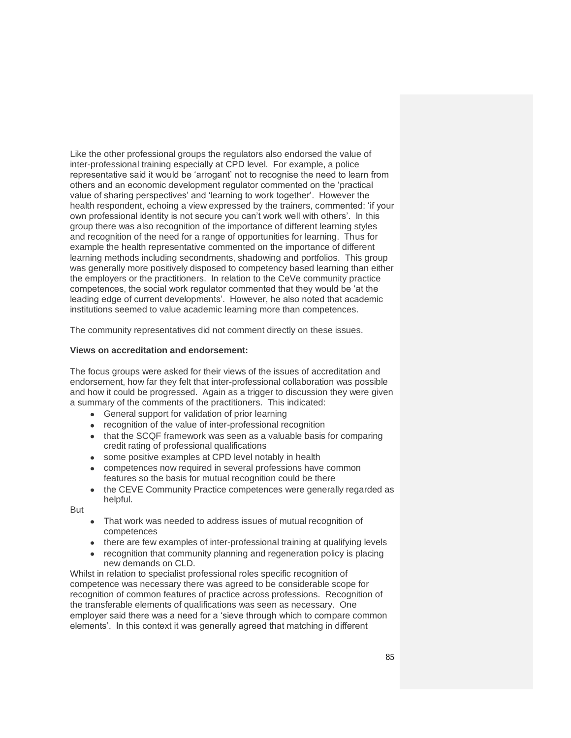Like the other professional groups the regulators also endorsed the value of inter-professional training especially at CPD level. For example, a police representative said it would be "arrogant" not to recognise the need to learn from others and an economic development regulator commented on the "practical value of sharing perspectives' and 'learning to work together'. However the health respondent, echoing a view expressed by the trainers, commented: "if your own professional identity is not secure you can"t work well with others". In this group there was also recognition of the importance of different learning styles and recognition of the need for a range of opportunities for learning. Thus for example the health representative commented on the importance of different learning methods including secondments, shadowing and portfolios. This group was generally more positively disposed to competency based learning than either the employers or the practitioners. In relation to the CeVe community practice competences, the social work regulator commented that they would be "at the leading edge of current developments'. However, he also noted that academic institutions seemed to value academic learning more than competences.

The community representatives did not comment directly on these issues.

#### **Views on accreditation and endorsement:**

The focus groups were asked for their views of the issues of accreditation and endorsement, how far they felt that inter-professional collaboration was possible and how it could be progressed. Again as a trigger to discussion they were given a summary of the comments of the practitioners. This indicated:

- General support for validation of prior learning
- recognition of the value of inter-professional recognition
- that the SCQF framework was seen as a valuable basis for comparing credit rating of professional qualifications
- some positive examples at CPD level notably in health
- competences now required in several professions have common features so the basis for mutual recognition could be there
- the CEVE Community Practice competences were generally regarded as helpful.

But

- That work was needed to address issues of mutual recognition of competences
- there are few examples of inter-professional training at qualifying levels
- recognition that community planning and regeneration policy is placing new demands on CLD.

Whilst in relation to specialist professional roles specific recognition of competence was necessary there was agreed to be considerable scope for recognition of common features of practice across professions. Recognition of the transferable elements of qualifications was seen as necessary. One employer said there was a need for a "sieve through which to compare common elements'. In this context it was generally agreed that matching in different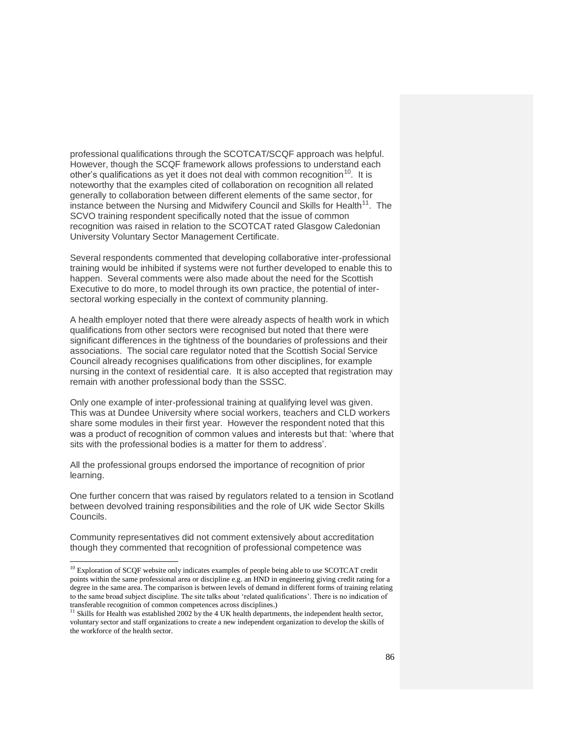professional qualifications through the SCOTCAT/SCQF approach was helpful. However, though the SCQF framework allows professions to understand each other's qualifications as yet it does not deal with common recognition<sup>10</sup>. It is noteworthy that the examples cited of collaboration on recognition all related generally to collaboration between different elements of the same sector, for instance between the Nursing and Midwifery Council and Skills for Health<sup>11</sup>. The SCVO training respondent specifically noted that the issue of common recognition was raised in relation to the SCOTCAT rated Glasgow Caledonian University Voluntary Sector Management Certificate.

Several respondents commented that developing collaborative inter-professional training would be inhibited if systems were not further developed to enable this to happen. Several comments were also made about the need for the Scottish Executive to do more, to model through its own practice, the potential of intersectoral working especially in the context of community planning.

A health employer noted that there were already aspects of health work in which qualifications from other sectors were recognised but noted that there were significant differences in the tightness of the boundaries of professions and their associations. The social care regulator noted that the Scottish Social Service Council already recognises qualifications from other disciplines, for example nursing in the context of residential care. It is also accepted that registration may remain with another professional body than the SSSC.

Only one example of inter-professional training at qualifying level was given. This was at Dundee University where social workers, teachers and CLD workers share some modules in their first year. However the respondent noted that this was a product of recognition of common values and interests but that: "where that sits with the professional bodies is a matter for them to address'.

All the professional groups endorsed the importance of recognition of prior learning.

One further concern that was raised by regulators related to a tension in Scotland between devolved training responsibilities and the role of UK wide Sector Skills Councils.

Community representatives did not comment extensively about accreditation though they commented that recognition of professional competence was

l

 $10$  Exploration of SCQF website only indicates examples of people being able to use SCOTCAT credit points within the same professional area or discipline e.g. an HND in engineering giving credit rating for a degree in the same area. The comparison is between levels of demand in different forms of training relating to the same broad subject discipline. The site talks about "related qualifications". There is no indication of transferable recognition of common competences across disciplines.)

<sup>&</sup>lt;sup>11</sup> Skills for Health was established 2002 by the 4 UK health departments, the independent health sector, voluntary sector and staff organizations to create a new independent organization to develop the skills of the workforce of the health sector.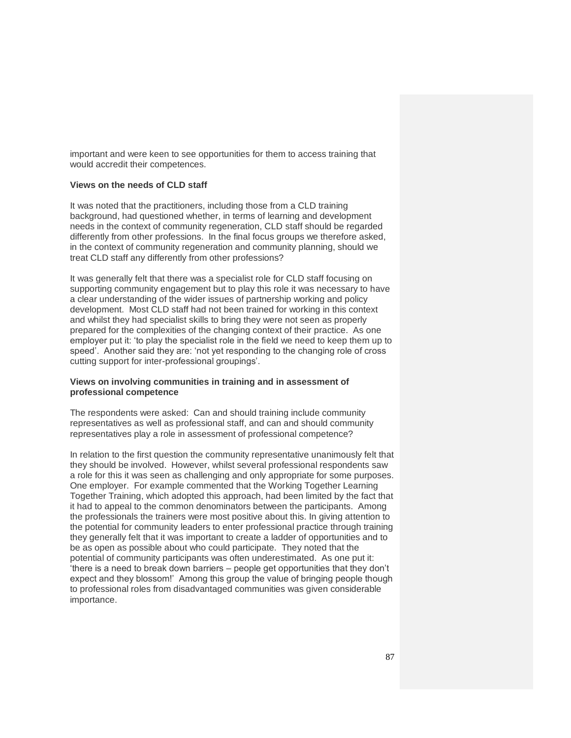important and were keen to see opportunities for them to access training that would accredit their competences.

#### **Views on the needs of CLD staff**

It was noted that the practitioners, including those from a CLD training background, had questioned whether, in terms of learning and development needs in the context of community regeneration, CLD staff should be regarded differently from other professions. In the final focus groups we therefore asked, in the context of community regeneration and community planning, should we treat CLD staff any differently from other professions?

It was generally felt that there was a specialist role for CLD staff focusing on supporting community engagement but to play this role it was necessary to have a clear understanding of the wider issues of partnership working and policy development. Most CLD staff had not been trained for working in this context and whilst they had specialist skills to bring they were not seen as properly prepared for the complexities of the changing context of their practice. As one employer put it: "to play the specialist role in the field we need to keep them up to speed'. Another said they are: 'not yet responding to the changing role of cross cutting support for inter-professional groupings".

### **Views on involving communities in training and in assessment of professional competence**

The respondents were asked: Can and should training include community representatives as well as professional staff, and can and should community representatives play a role in assessment of professional competence?

In relation to the first question the community representative unanimously felt that they should be involved. However, whilst several professional respondents saw a role for this it was seen as challenging and only appropriate for some purposes. One employer. For example commented that the Working Together Learning Together Training, which adopted this approach, had been limited by the fact that it had to appeal to the common denominators between the participants. Among the professionals the trainers were most positive about this. In giving attention to the potential for community leaders to enter professional practice through training they generally felt that it was important to create a ladder of opportunities and to be as open as possible about who could participate. They noted that the potential of community participants was often underestimated. As one put it: "there is a need to break down barriers – people get opportunities that they don"t expect and they blossom!" Among this group the value of bringing people though to professional roles from disadvantaged communities was given considerable importance.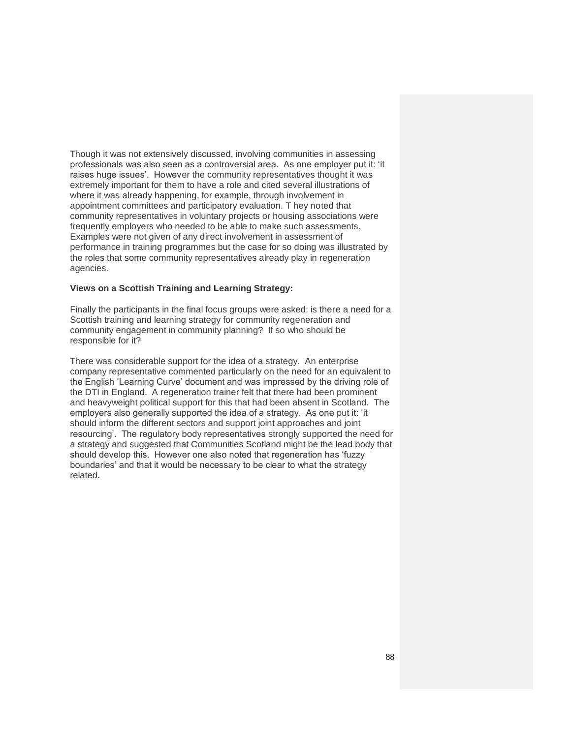Though it was not extensively discussed, involving communities in assessing professionals was also seen as a controversial area. As one employer put it: "it raises huge issues'. However the community representatives thought it was extremely important for them to have a role and cited several illustrations of where it was already happening, for example, through involvement in appointment committees and participatory evaluation. T hey noted that community representatives in voluntary projects or housing associations were frequently employers who needed to be able to make such assessments. Examples were not given of any direct involvement in assessment of performance in training programmes but the case for so doing was illustrated by the roles that some community representatives already play in regeneration agencies.

### **Views on a Scottish Training and Learning Strategy:**

Finally the participants in the final focus groups were asked: is there a need for a Scottish training and learning strategy for community regeneration and community engagement in community planning? If so who should be responsible for it?

There was considerable support for the idea of a strategy. An enterprise company representative commented particularly on the need for an equivalent to the English "Learning Curve" document and was impressed by the driving role of the DTI in England. A regeneration trainer felt that there had been prominent and heavyweight political support for this that had been absent in Scotland. The employers also generally supported the idea of a strategy. As one put it: "it should inform the different sectors and support joint approaches and joint resourcing'. The regulatory body representatives strongly supported the need for a strategy and suggested that Communities Scotland might be the lead body that should develop this. However one also noted that regeneration has "fuzzy boundaries' and that it would be necessary to be clear to what the strategy related.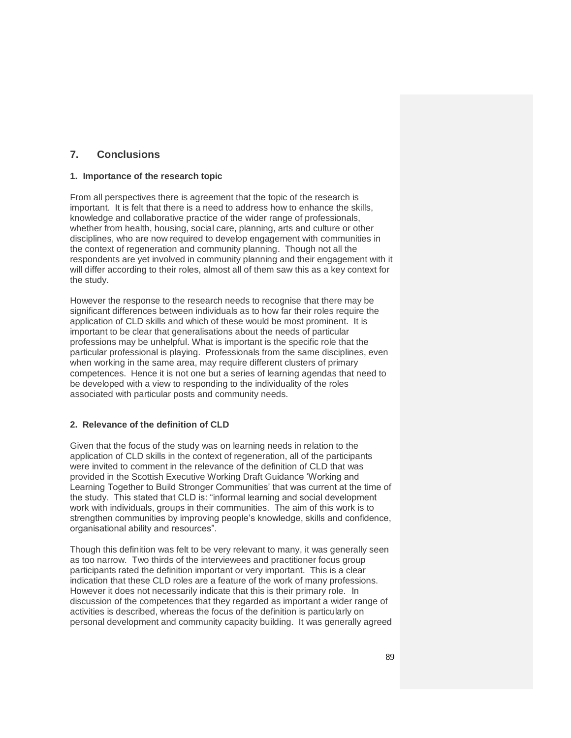# **7. Conclusions**

# **1. Importance of the research topic**

From all perspectives there is agreement that the topic of the research is important. It is felt that there is a need to address how to enhance the skills, knowledge and collaborative practice of the wider range of professionals, whether from health, housing, social care, planning, arts and culture or other disciplines, who are now required to develop engagement with communities in the context of regeneration and community planning. Though not all the respondents are yet involved in community planning and their engagement with it will differ according to their roles, almost all of them saw this as a key context for the study.

However the response to the research needs to recognise that there may be significant differences between individuals as to how far their roles require the application of CLD skills and which of these would be most prominent. It is important to be clear that generalisations about the needs of particular professions may be unhelpful. What is important is the specific role that the particular professional is playing. Professionals from the same disciplines, even when working in the same area, may require different clusters of primary competences. Hence it is not one but a series of learning agendas that need to be developed with a view to responding to the individuality of the roles associated with particular posts and community needs.

#### **2. Relevance of the definition of CLD**

Given that the focus of the study was on learning needs in relation to the application of CLD skills in the context of regeneration, all of the participants were invited to comment in the relevance of the definition of CLD that was provided in the Scottish Executive Working Draft Guidance "Working and Learning Together to Build Stronger Communities" that was current at the time of the study. This stated that CLD is: "informal learning and social development work with individuals, groups in their communities. The aim of this work is to strengthen communities by improving people's knowledge, skills and confidence, organisational ability and resources".

Though this definition was felt to be very relevant to many, it was generally seen as too narrow. Two thirds of the interviewees and practitioner focus group participants rated the definition important or very important. This is a clear indication that these CLD roles are a feature of the work of many professions. However it does not necessarily indicate that this is their primary role. In discussion of the competences that they regarded as important a wider range of activities is described, whereas the focus of the definition is particularly on personal development and community capacity building. It was generally agreed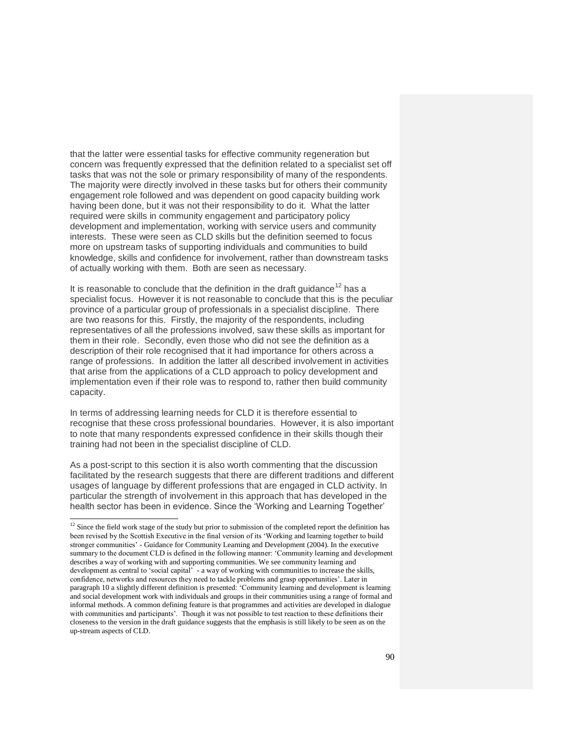that the latter were essential tasks for effective community regeneration but concern was frequently expressed that the definition related to a specialist set off tasks that was not the sole or primary responsibility of many of the respondents. The majority were directly involved in these tasks but for others their community engagement role followed and was dependent on good capacity building work having been done, but it was not their responsibility to do it. What the latter required were skills in community engagement and participatory policy development and implementation, working with service users and community interests. These were seen as CLD skills but the definition seemed to focus more on upstream tasks of supporting individuals and communities to build knowledge, skills and confidence for involvement, rather than downstream tasks of actually working with them. Both are seen as necessary.

It is reasonable to conclude that the definition in the draft guidance<sup>12</sup> has a specialist focus. However it is not reasonable to conclude that this is the peculiar province of a particular group of professionals in a specialist discipline. There are two reasons for this. Firstly, the majority of the respondents, including representatives of all the professions involved, saw these skills as important for them in their role. Secondly, even those who did not see the definition as a description of their role recognised that it had importance for others across a range of professions. In addition the latter all described involvement in activities that arise from the applications of a CLD approach to policy development and implementation even if their role was to respond to, rather then build community capacity.

In terms of addressing learning needs for CLD it is therefore essential to recognise that these cross professional boundaries. However, it is also important to note that many respondents expressed confidence in their skills though their training had not been in the specialist discipline of CLD.

As a post-script to this section it is also worth commenting that the discussion facilitated by the research suggests that there are different traditions and different usages of language by different professions that are engaged in CLD activity. In particular the strength of involvement in this approach that has developed in the health sector has been in evidence. Since the "Working and Learning Together"

 $\overline{a}$ 

 $12$  Since the field work stage of the study but prior to submission of the completed report the definition has been revised by the Scottish Executive in the final version of its "Working and learning together to build stronger communities" - Guidance for Community Learning and Development (2004). In the executive summary to the document CLD is defined in the following manner: "Community learning and development describes a way of working with and supporting communities. We see community learning and development as central to "social capital" - a way of working with communities to increase the skills, confidence, networks and resources they need to tackle problems and grasp opportunities". Later in paragraph 10 a slightly different definition is presented: "Community learning and development is learning and social development work with individuals and groups in their communities using a range of formal and informal methods. A common defining feature is that programmes and activities are developed in dialogue with communities and participants'. Though it was not possible to test reaction to these definitions their closeness to the version in the draft guidance suggests that the emphasis is still likely to be seen as on the up-stream aspects of CLD.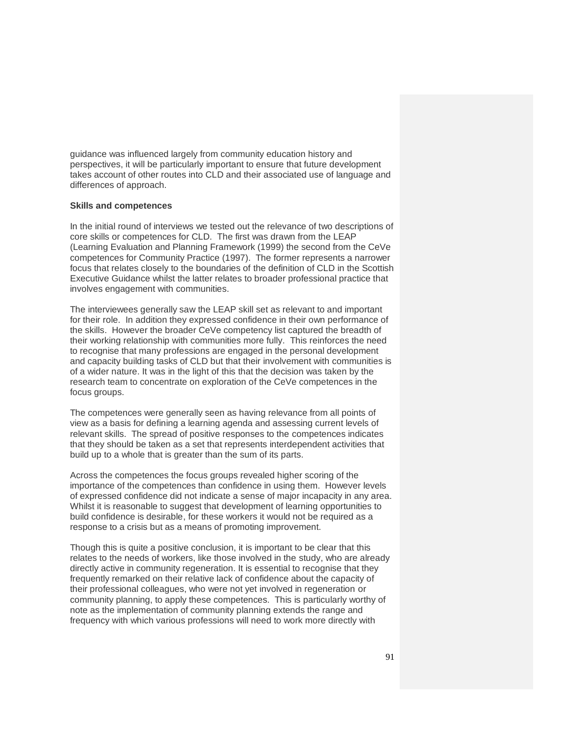guidance was influenced largely from community education history and perspectives, it will be particularly important to ensure that future development takes account of other routes into CLD and their associated use of language and differences of approach.

#### **Skills and competences**

In the initial round of interviews we tested out the relevance of two descriptions of core skills or competences for CLD. The first was drawn from the LEAP (Learning Evaluation and Planning Framework (1999) the second from the CeVe competences for Community Practice (1997). The former represents a narrower focus that relates closely to the boundaries of the definition of CLD in the Scottish Executive Guidance whilst the latter relates to broader professional practice that involves engagement with communities.

The interviewees generally saw the LEAP skill set as relevant to and important for their role. In addition they expressed confidence in their own performance of the skills. However the broader CeVe competency list captured the breadth of their working relationship with communities more fully. This reinforces the need to recognise that many professions are engaged in the personal development and capacity building tasks of CLD but that their involvement with communities is of a wider nature. It was in the light of this that the decision was taken by the research team to concentrate on exploration of the CeVe competences in the focus groups.

The competences were generally seen as having relevance from all points of view as a basis for defining a learning agenda and assessing current levels of relevant skills. The spread of positive responses to the competences indicates that they should be taken as a set that represents interdependent activities that build up to a whole that is greater than the sum of its parts.

Across the competences the focus groups revealed higher scoring of the importance of the competences than confidence in using them. However levels of expressed confidence did not indicate a sense of major incapacity in any area. Whilst it is reasonable to suggest that development of learning opportunities to build confidence is desirable, for these workers it would not be required as a response to a crisis but as a means of promoting improvement.

Though this is quite a positive conclusion, it is important to be clear that this relates to the needs of workers, like those involved in the study, who are already directly active in community regeneration. It is essential to recognise that they frequently remarked on their relative lack of confidence about the capacity of their professional colleagues, who were not yet involved in regeneration or community planning, to apply these competences. This is particularly worthy of note as the implementation of community planning extends the range and frequency with which various professions will need to work more directly with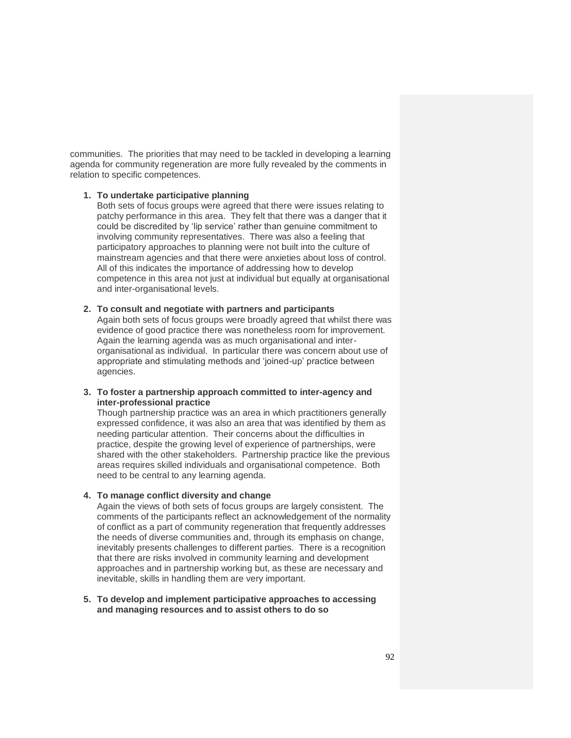communities. The priorities that may need to be tackled in developing a learning agenda for community regeneration are more fully revealed by the comments in relation to specific competences.

# **1. To undertake participative planning**

Both sets of focus groups were agreed that there were issues relating to patchy performance in this area. They felt that there was a danger that it could be discredited by "lip service" rather than genuine commitment to involving community representatives. There was also a feeling that participatory approaches to planning were not built into the culture of mainstream agencies and that there were anxieties about loss of control. All of this indicates the importance of addressing how to develop competence in this area not just at individual but equally at organisational and inter-organisational levels.

# **2. To consult and negotiate with partners and participants**

Again both sets of focus groups were broadly agreed that whilst there was evidence of good practice there was nonetheless room for improvement. Again the learning agenda was as much organisational and interorganisational as individual. In particular there was concern about use of appropriate and stimulating methods and "joined-up" practice between agencies.

# **3. To foster a partnership approach committed to inter-agency and inter-professional practice**

Though partnership practice was an area in which practitioners generally expressed confidence, it was also an area that was identified by them as needing particular attention. Their concerns about the difficulties in practice, despite the growing level of experience of partnerships, were shared with the other stakeholders. Partnership practice like the previous areas requires skilled individuals and organisational competence. Both need to be central to any learning agenda.

# **4. To manage conflict diversity and change**

Again the views of both sets of focus groups are largely consistent. The comments of the participants reflect an acknowledgement of the normality of conflict as a part of community regeneration that frequently addresses the needs of diverse communities and, through its emphasis on change, inevitably presents challenges to different parties. There is a recognition that there are risks involved in community learning and development approaches and in partnership working but, as these are necessary and inevitable, skills in handling them are very important.

# **5. To develop and implement participative approaches to accessing and managing resources and to assist others to do so**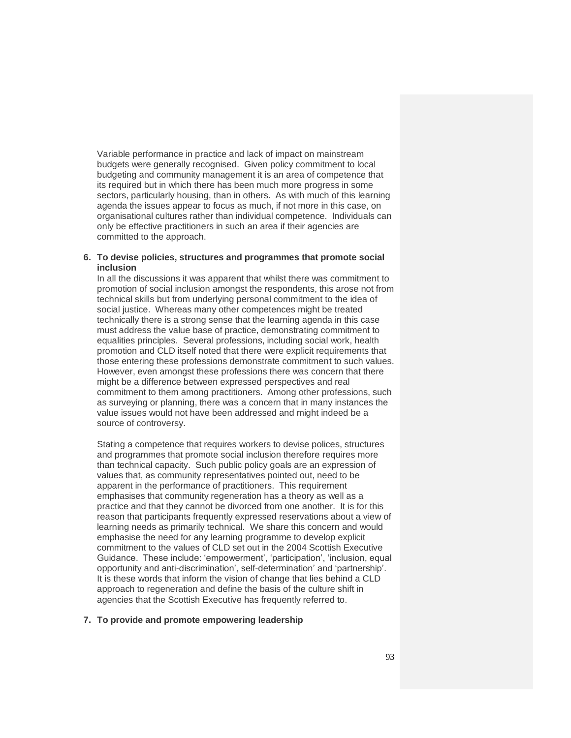Variable performance in practice and lack of impact on mainstream budgets were generally recognised. Given policy commitment to local budgeting and community management it is an area of competence that its required but in which there has been much more progress in some sectors, particularly housing, than in others. As with much of this learning agenda the issues appear to focus as much, if not more in this case, on organisational cultures rather than individual competence. Individuals can only be effective practitioners in such an area if their agencies are committed to the approach.

# **6. To devise policies, structures and programmes that promote social inclusion**

In all the discussions it was apparent that whilst there was commitment to promotion of social inclusion amongst the respondents, this arose not from technical skills but from underlying personal commitment to the idea of social justice. Whereas many other competences might be treated technically there is a strong sense that the learning agenda in this case must address the value base of practice, demonstrating commitment to equalities principles. Several professions, including social work, health promotion and CLD itself noted that there were explicit requirements that those entering these professions demonstrate commitment to such values. However, even amongst these professions there was concern that there might be a difference between expressed perspectives and real commitment to them among practitioners. Among other professions, such as surveying or planning, there was a concern that in many instances the value issues would not have been addressed and might indeed be a source of controversy.

Stating a competence that requires workers to devise polices, structures and programmes that promote social inclusion therefore requires more than technical capacity. Such public policy goals are an expression of values that, as community representatives pointed out, need to be apparent in the performance of practitioners. This requirement emphasises that community regeneration has a theory as well as a practice and that they cannot be divorced from one another. It is for this reason that participants frequently expressed reservations about a view of learning needs as primarily technical. We share this concern and would emphasise the need for any learning programme to develop explicit commitment to the values of CLD set out in the 2004 Scottish Executive Guidance. These include: "empowerment", "participation", "inclusion, equal opportunity and anti-discrimination', self-determination' and 'partnership'. It is these words that inform the vision of change that lies behind a CLD approach to regeneration and define the basis of the culture shift in agencies that the Scottish Executive has frequently referred to.

### **7. To provide and promote empowering leadership**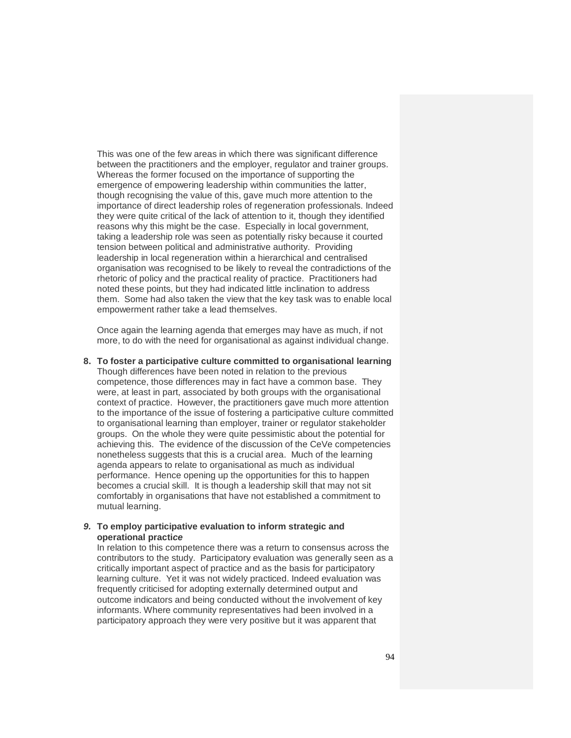This was one of the few areas in which there was significant difference between the practitioners and the employer, regulator and trainer groups. Whereas the former focused on the importance of supporting the emergence of empowering leadership within communities the latter, though recognising the value of this, gave much more attention to the importance of direct leadership roles of regeneration professionals. Indeed they were quite critical of the lack of attention to it, though they identified reasons why this might be the case. Especially in local government, taking a leadership role was seen as potentially risky because it courted tension between political and administrative authority. Providing leadership in local regeneration within a hierarchical and centralised organisation was recognised to be likely to reveal the contradictions of the rhetoric of policy and the practical reality of practice. Practitioners had noted these points, but they had indicated little inclination to address them. Some had also taken the view that the key task was to enable local empowerment rather take a lead themselves.

Once again the learning agenda that emerges may have as much, if not more, to do with the need for organisational as against individual change.

#### **8. To foster a participative culture committed to organisational learning**

Though differences have been noted in relation to the previous competence, those differences may in fact have a common base. They were, at least in part, associated by both groups with the organisational context of practice. However, the practitioners gave much more attention to the importance of the issue of fostering a participative culture committed to organisational learning than employer, trainer or regulator stakeholder groups. On the whole they were quite pessimistic about the potential for achieving this. The evidence of the discussion of the CeVe competencies nonetheless suggests that this is a crucial area. Much of the learning agenda appears to relate to organisational as much as individual performance. Hence opening up the opportunities for this to happen becomes a crucial skill. It is though a leadership skill that may not sit comfortably in organisations that have not established a commitment to mutual learning.

#### *9.* **To employ participative evaluation to inform strategic and operational practi***ce*

In relation to this competence there was a return to consensus across the contributors to the study. Participatory evaluation was generally seen as a critically important aspect of practice and as the basis for participatory learning culture. Yet it was not widely practiced. Indeed evaluation was frequently criticised for adopting externally determined output and outcome indicators and being conducted without the involvement of key informants. Where community representatives had been involved in a participatory approach they were very positive but it was apparent that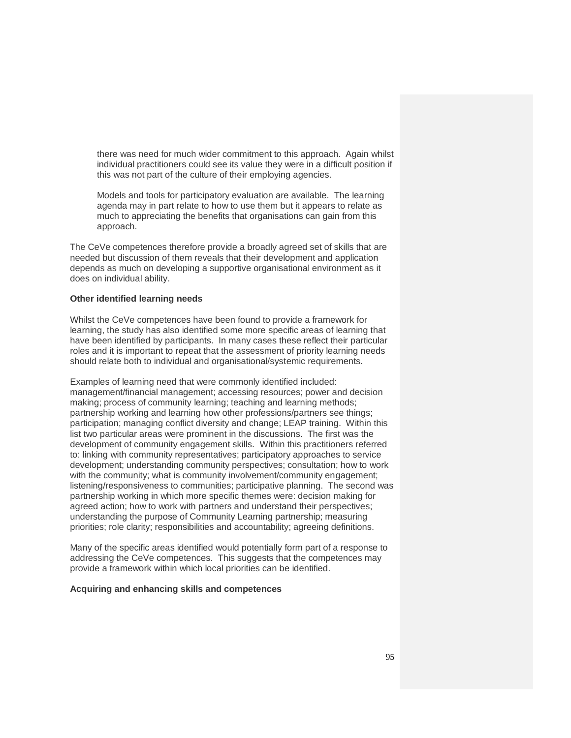there was need for much wider commitment to this approach. Again whilst individual practitioners could see its value they were in a difficult position if this was not part of the culture of their employing agencies.

Models and tools for participatory evaluation are available. The learning agenda may in part relate to how to use them but it appears to relate as much to appreciating the benefits that organisations can gain from this approach.

The CeVe competences therefore provide a broadly agreed set of skills that are needed but discussion of them reveals that their development and application depends as much on developing a supportive organisational environment as it does on individual ability.

#### **Other identified learning needs**

Whilst the CeVe competences have been found to provide a framework for learning, the study has also identified some more specific areas of learning that have been identified by participants. In many cases these reflect their particular roles and it is important to repeat that the assessment of priority learning needs should relate both to individual and organisational/systemic requirements.

Examples of learning need that were commonly identified included: management/financial management; accessing resources; power and decision making; process of community learning; teaching and learning methods; partnership working and learning how other professions/partners see things; participation; managing conflict diversity and change; LEAP training. Within this list two particular areas were prominent in the discussions. The first was the development of community engagement skills. Within this practitioners referred to: linking with community representatives; participatory approaches to service development; understanding community perspectives; consultation; how to work with the community; what is community involvement/community engagement; listening/responsiveness to communities; participative planning. The second was partnership working in which more specific themes were: decision making for agreed action; how to work with partners and understand their perspectives; understanding the purpose of Community Learning partnership; measuring priorities; role clarity; responsibilities and accountability; agreeing definitions.

Many of the specific areas identified would potentially form part of a response to addressing the CeVe competences. This suggests that the competences may provide a framework within which local priorities can be identified.

### **Acquiring and enhancing skills and competences**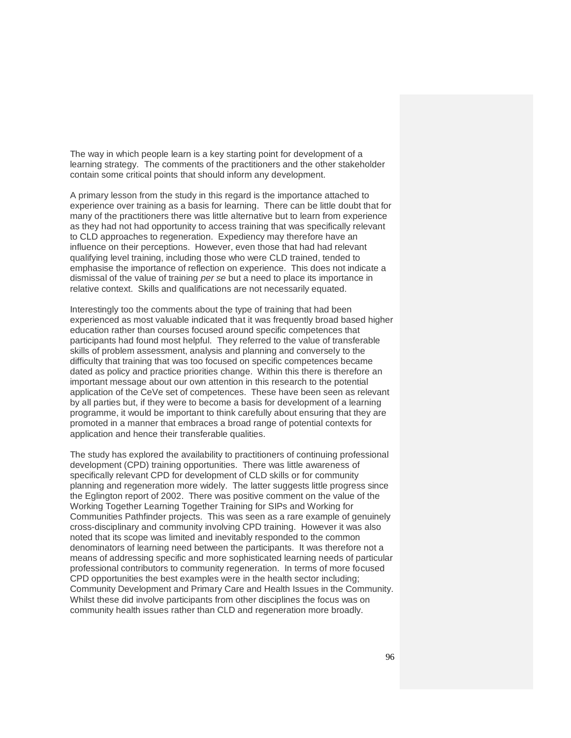The way in which people learn is a key starting point for development of a learning strategy. The comments of the practitioners and the other stakeholder contain some critical points that should inform any development.

A primary lesson from the study in this regard is the importance attached to experience over training as a basis for learning. There can be little doubt that for many of the practitioners there was little alternative but to learn from experience as they had not had opportunity to access training that was specifically relevant to CLD approaches to regeneration. Expediency may therefore have an influence on their perceptions. However, even those that had had relevant qualifying level training, including those who were CLD trained, tended to emphasise the importance of reflection on experience. This does not indicate a dismissal of the value of training *per se* but a need to place its importance in relative context. Skills and qualifications are not necessarily equated.

Interestingly too the comments about the type of training that had been experienced as most valuable indicated that it was frequently broad based higher education rather than courses focused around specific competences that participants had found most helpful. They referred to the value of transferable skills of problem assessment, analysis and planning and conversely to the difficulty that training that was too focused on specific competences became dated as policy and practice priorities change. Within this there is therefore an important message about our own attention in this research to the potential application of the CeVe set of competences. These have been seen as relevant by all parties but, if they were to become a basis for development of a learning programme, it would be important to think carefully about ensuring that they are promoted in a manner that embraces a broad range of potential contexts for application and hence their transferable qualities.

The study has explored the availability to practitioners of continuing professional development (CPD) training opportunities. There was little awareness of specifically relevant CPD for development of CLD skills or for community planning and regeneration more widely. The latter suggests little progress since the Eglington report of 2002. There was positive comment on the value of the Working Together Learning Together Training for SIPs and Working for Communities Pathfinder projects. This was seen as a rare example of genuinely cross-disciplinary and community involving CPD training. However it was also noted that its scope was limited and inevitably responded to the common denominators of learning need between the participants. It was therefore not a means of addressing specific and more sophisticated learning needs of particular professional contributors to community regeneration. In terms of more focused CPD opportunities the best examples were in the health sector including; Community Development and Primary Care and Health Issues in the Community. Whilst these did involve participants from other disciplines the focus was on community health issues rather than CLD and regeneration more broadly.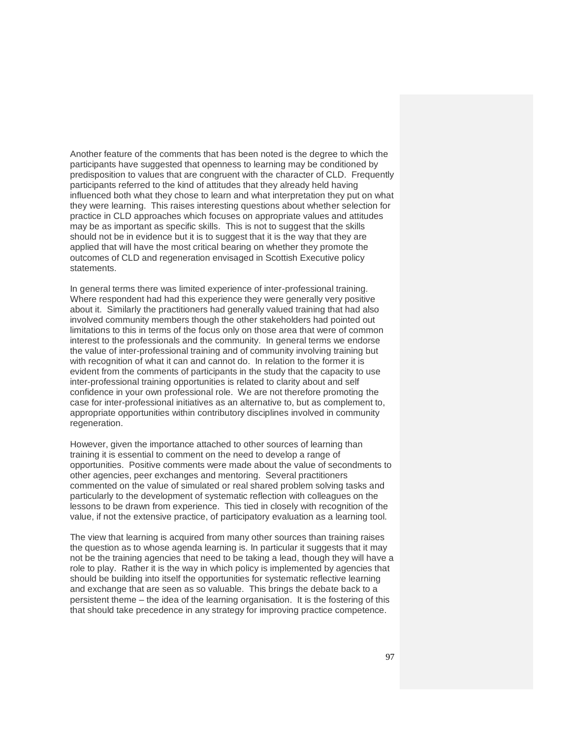Another feature of the comments that has been noted is the degree to which the participants have suggested that openness to learning may be conditioned by predisposition to values that are congruent with the character of CLD. Frequently participants referred to the kind of attitudes that they already held having influenced both what they chose to learn and what interpretation they put on what they were learning. This raises interesting questions about whether selection for practice in CLD approaches which focuses on appropriate values and attitudes may be as important as specific skills. This is not to suggest that the skills should not be in evidence but it is to suggest that it is the way that they are applied that will have the most critical bearing on whether they promote the outcomes of CLD and regeneration envisaged in Scottish Executive policy statements.

In general terms there was limited experience of inter-professional training. Where respondent had had this experience they were generally very positive about it. Similarly the practitioners had generally valued training that had also involved community members though the other stakeholders had pointed out limitations to this in terms of the focus only on those area that were of common interest to the professionals and the community. In general terms we endorse the value of inter-professional training and of community involving training but with recognition of what it can and cannot do. In relation to the former it is evident from the comments of participants in the study that the capacity to use inter-professional training opportunities is related to clarity about and self confidence in your own professional role. We are not therefore promoting the case for inter-professional initiatives as an alternative to, but as complement to, appropriate opportunities within contributory disciplines involved in community regeneration.

However, given the importance attached to other sources of learning than training it is essential to comment on the need to develop a range of opportunities. Positive comments were made about the value of secondments to other agencies, peer exchanges and mentoring. Several practitioners commented on the value of simulated or real shared problem solving tasks and particularly to the development of systematic reflection with colleagues on the lessons to be drawn from experience. This tied in closely with recognition of the value, if not the extensive practice, of participatory evaluation as a learning tool.

The view that learning is acquired from many other sources than training raises the question as to whose agenda learning is. In particular it suggests that it may not be the training agencies that need to be taking a lead, though they will have a role to play. Rather it is the way in which policy is implemented by agencies that should be building into itself the opportunities for systematic reflective learning and exchange that are seen as so valuable. This brings the debate back to a persistent theme – the idea of the learning organisation. It is the fostering of this that should take precedence in any strategy for improving practice competence.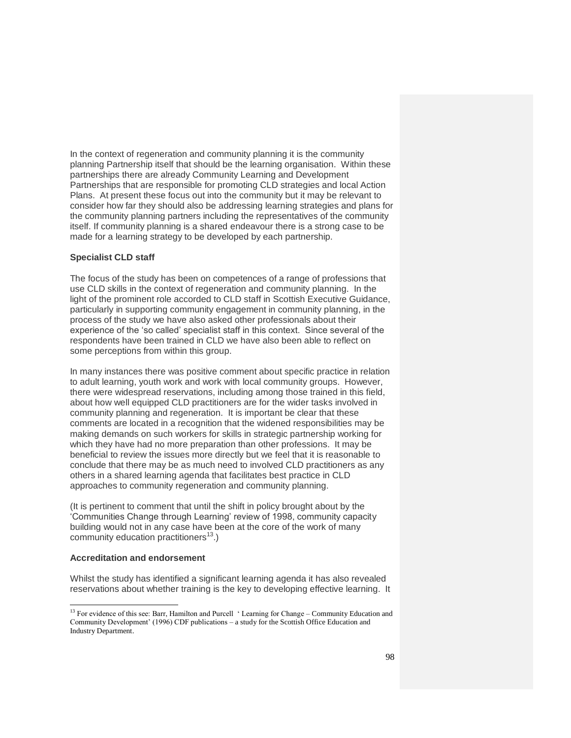In the context of regeneration and community planning it is the community planning Partnership itself that should be the learning organisation. Within these partnerships there are already Community Learning and Development Partnerships that are responsible for promoting CLD strategies and local Action Plans. At present these focus out into the community but it may be relevant to consider how far they should also be addressing learning strategies and plans for the community planning partners including the representatives of the community itself. If community planning is a shared endeavour there is a strong case to be made for a learning strategy to be developed by each partnership.

#### **Specialist CLD staff**

The focus of the study has been on competences of a range of professions that use CLD skills in the context of regeneration and community planning. In the light of the prominent role accorded to CLD staff in Scottish Executive Guidance, particularly in supporting community engagement in community planning, in the process of the study we have also asked other professionals about their experience of the "so called" specialist staff in this context. Since several of the respondents have been trained in CLD we have also been able to reflect on some perceptions from within this group.

In many instances there was positive comment about specific practice in relation to adult learning, youth work and work with local community groups. However, there were widespread reservations, including among those trained in this field, about how well equipped CLD practitioners are for the wider tasks involved in community planning and regeneration. It is important be clear that these comments are located in a recognition that the widened responsibilities may be making demands on such workers for skills in strategic partnership working for which they have had no more preparation than other professions. It may be beneficial to review the issues more directly but we feel that it is reasonable to conclude that there may be as much need to involved CLD practitioners as any others in a shared learning agenda that facilitates best practice in CLD approaches to community regeneration and community planning.

(It is pertinent to comment that until the shift in policy brought about by the "Communities Change through Learning" review of 1998, community capacity building would not in any case have been at the core of the work of many community education practitioners<sup>13</sup>.)

#### **Accreditation and endorsement**

 $\overline{a}$ 

Whilst the study has identified a significant learning agenda it has also revealed reservations about whether training is the key to developing effective learning. It

<sup>&</sup>lt;sup>13</sup> For evidence of this see: Barr, Hamilton and Purcell 'Learning for Change – Community Education and Community Development" (1996) CDF publications – a study for the Scottish Office Education and Industry Department.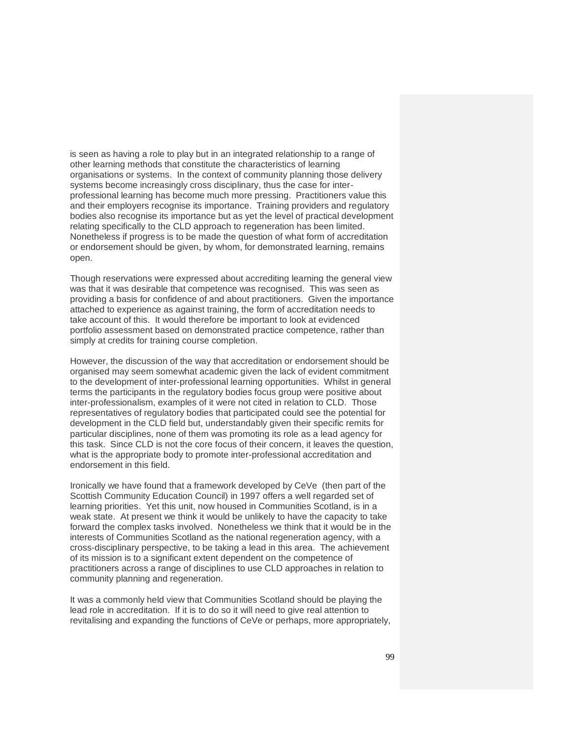is seen as having a role to play but in an integrated relationship to a range of other learning methods that constitute the characteristics of learning organisations or systems. In the context of community planning those delivery systems become increasingly cross disciplinary, thus the case for interprofessional learning has become much more pressing. Practitioners value this and their employers recognise its importance. Training providers and regulatory bodies also recognise its importance but as yet the level of practical development relating specifically to the CLD approach to regeneration has been limited. Nonetheless if progress is to be made the question of what form of accreditation or endorsement should be given, by whom, for demonstrated learning, remains open.

Though reservations were expressed about accrediting learning the general view was that it was desirable that competence was recognised. This was seen as providing a basis for confidence of and about practitioners. Given the importance attached to experience as against training, the form of accreditation needs to take account of this. It would therefore be important to look at evidenced portfolio assessment based on demonstrated practice competence, rather than simply at credits for training course completion.

However, the discussion of the way that accreditation or endorsement should be organised may seem somewhat academic given the lack of evident commitment to the development of inter-professional learning opportunities. Whilst in general terms the participants in the regulatory bodies focus group were positive about inter-professionalism, examples of it were not cited in relation to CLD. Those representatives of regulatory bodies that participated could see the potential for development in the CLD field but, understandably given their specific remits for particular disciplines, none of them was promoting its role as a lead agency for this task. Since CLD is not the core focus of their concern, it leaves the question, what is the appropriate body to promote inter-professional accreditation and endorsement in this field.

Ironically we have found that a framework developed by CeVe (then part of the Scottish Community Education Council) in 1997 offers a well regarded set of learning priorities. Yet this unit, now housed in Communities Scotland, is in a weak state. At present we think it would be unlikely to have the capacity to take forward the complex tasks involved. Nonetheless we think that it would be in the interests of Communities Scotland as the national regeneration agency, with a cross-disciplinary perspective, to be taking a lead in this area. The achievement of its mission is to a significant extent dependent on the competence of practitioners across a range of disciplines to use CLD approaches in relation to community planning and regeneration.

It was a commonly held view that Communities Scotland should be playing the lead role in accreditation. If it is to do so it will need to give real attention to revitalising and expanding the functions of CeVe or perhaps, more appropriately,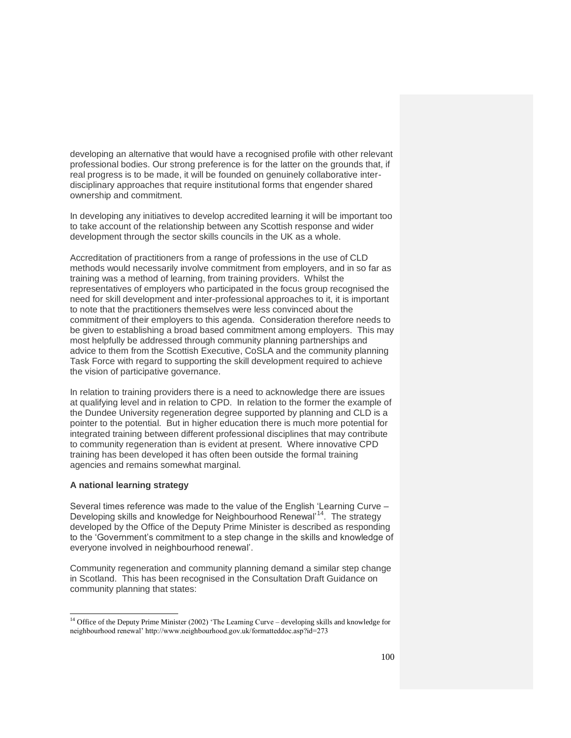developing an alternative that would have a recognised profile with other relevant professional bodies. Our strong preference is for the latter on the grounds that, if real progress is to be made, it will be founded on genuinely collaborative interdisciplinary approaches that require institutional forms that engender shared ownership and commitment.

In developing any initiatives to develop accredited learning it will be important too to take account of the relationship between any Scottish response and wider development through the sector skills councils in the UK as a whole.

Accreditation of practitioners from a range of professions in the use of CLD methods would necessarily involve commitment from employers, and in so far as training was a method of learning, from training providers. Whilst the representatives of employers who participated in the focus group recognised the need for skill development and inter-professional approaches to it, it is important to note that the practitioners themselves were less convinced about the commitment of their employers to this agenda. Consideration therefore needs to be given to establishing a broad based commitment among employers. This may most helpfully be addressed through community planning partnerships and advice to them from the Scottish Executive, CoSLA and the community planning Task Force with regard to supporting the skill development required to achieve the vision of participative governance.

In relation to training providers there is a need to acknowledge there are issues at qualifying level and in relation to CPD. In relation to the former the example of the Dundee University regeneration degree supported by planning and CLD is a pointer to the potential. But in higher education there is much more potential for integrated training between different professional disciplines that may contribute to community regeneration than is evident at present. Where innovative CPD training has been developed it has often been outside the formal training agencies and remains somewhat marginal.

#### **A national learning strategy**

l

Several times reference was made to the value of the English "Learning Curve – Developing skills and knowledge for Neighbourhood Renewal'<sup>14</sup>. The strategy developed by the Office of the Deputy Prime Minister is described as responding to the "Government"s commitment to a step change in the skills and knowledge of everyone involved in neighbourhood renewal".

Community regeneration and community planning demand a similar step change in Scotland. This has been recognised in the Consultation Draft Guidance on community planning that states:

<sup>&</sup>lt;sup>14</sup> Office of the Deputy Prime Minister (2002) 'The Learning Curve – developing skills and knowledge for neighbourhood renewal" http://www.neighbourhood.gov.uk/formatteddoc.asp?id=273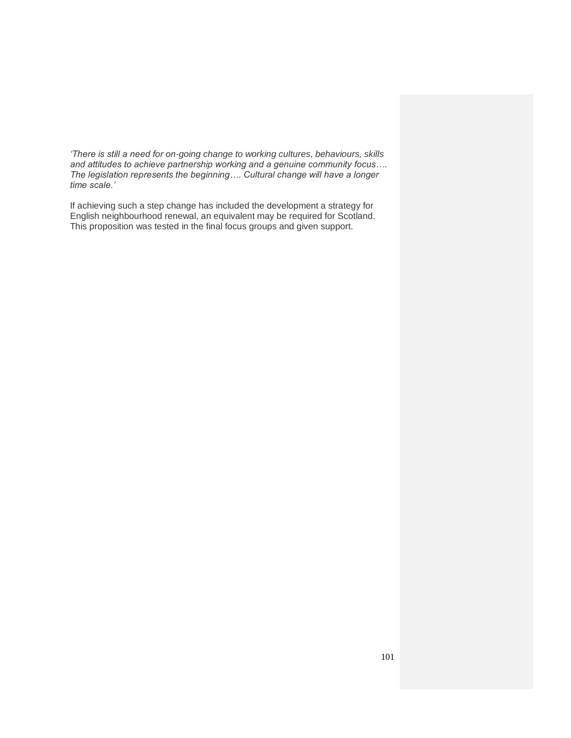*"There is still a need for on-going change to working cultures, behaviours, skills and attitudes to achieve partnership working and a genuine community focus…. The legislation represents the beginning…. Cultural change will have a longer time scale."*

If achieving such a step change has included the development a strategy for English neighbourhood renewal, an equivalent may be required for Scotland. This proposition was tested in the final focus groups and given support.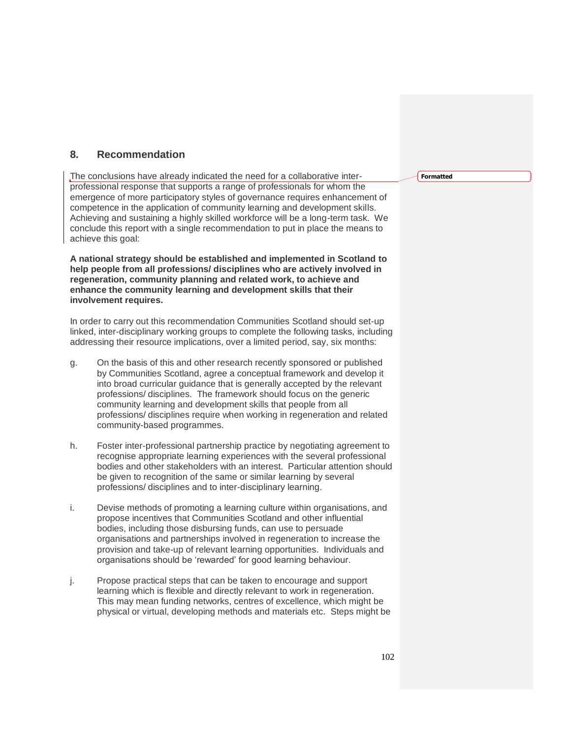# **8. Recommendation**

The conclusions have already indicated the need for a collaborative interprofessional response that supports a range of professionals for whom the emergence of more participatory styles of governance requires enhancement of competence in the application of community learning and development skills. Achieving and sustaining a highly skilled workforce will be a long-term task. We conclude this report with a single recommendation to put in place the means to achieve this goal:

**A national strategy should be established and implemented in Scotland to help people from all professions/ disciplines who are actively involved in regeneration, community planning and related work, to achieve and enhance the community learning and development skills that their involvement requires.** 

In order to carry out this recommendation Communities Scotland should set-up linked, inter-disciplinary working groups to complete the following tasks, including addressing their resource implications, over a limited period, say, six months:

- g. On the basis of this and other research recently sponsored or published by Communities Scotland, agree a conceptual framework and develop it into broad curricular guidance that is generally accepted by the relevant professions/ disciplines. The framework should focus on the generic community learning and development skills that people from all professions/ disciplines require when working in regeneration and related community-based programmes.
- h. Foster inter-professional partnership practice by negotiating agreement to recognise appropriate learning experiences with the several professional bodies and other stakeholders with an interest. Particular attention should be given to recognition of the same or similar learning by several professions/ disciplines and to inter-disciplinary learning.
- i. Devise methods of promoting a learning culture within organisations, and propose incentives that Communities Scotland and other influential bodies, including those disbursing funds, can use to persuade organisations and partnerships involved in regeneration to increase the provision and take-up of relevant learning opportunities. Individuals and organisations should be "rewarded" for good learning behaviour.
- j. Propose practical steps that can be taken to encourage and support learning which is flexible and directly relevant to work in regeneration. This may mean funding networks, centres of excellence, which might be physical or virtual, developing methods and materials etc. Steps might be

**Formatted**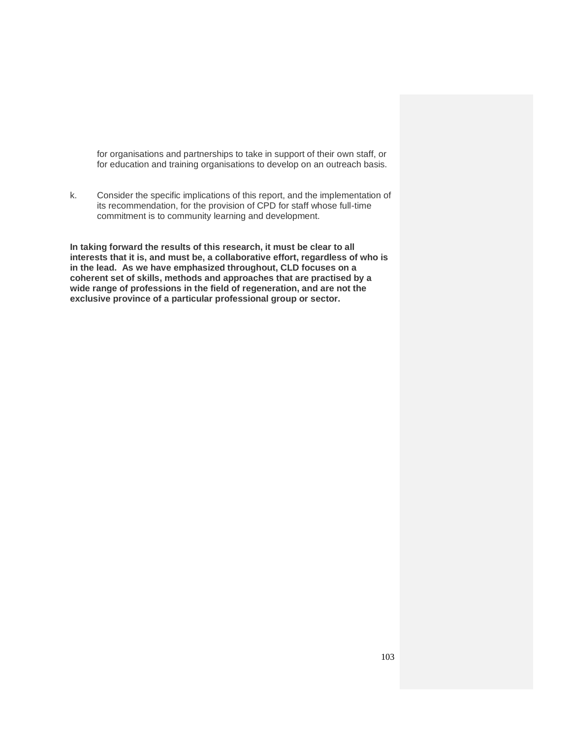for organisations and partnerships to take in support of their own staff, or for education and training organisations to develop on an outreach basis.

k. Consider the specific implications of this report, and the implementation of its recommendation, for the provision of CPD for staff whose full-time commitment is to community learning and development.

**In taking forward the results of this research, it must be clear to all interests that it is, and must be, a collaborative effort, regardless of who is in the lead. As we have emphasized throughout, CLD focuses on a coherent set of skills, methods and approaches that are practised by a wide range of professions in the field of regeneration, and are not the exclusive province of a particular professional group or sector.**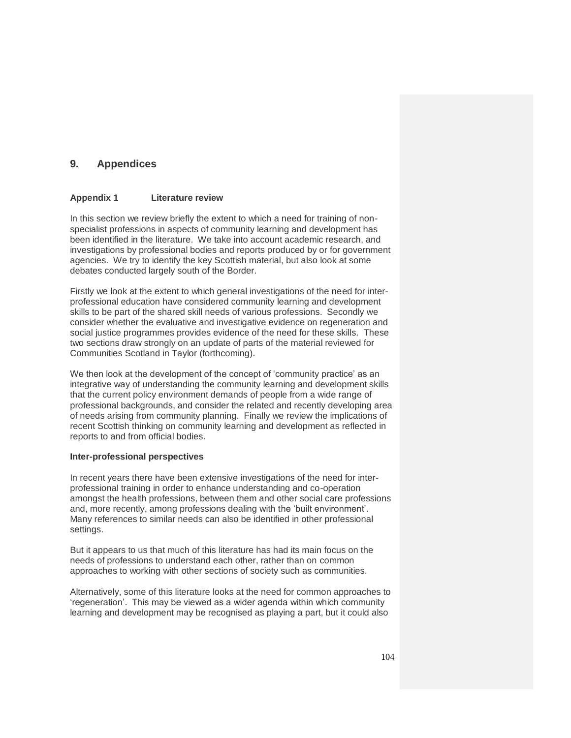# **9. Appendices**

# **Appendix 1 Literature review**

In this section we review briefly the extent to which a need for training of nonspecialist professions in aspects of community learning and development has been identified in the literature. We take into account academic research, and investigations by professional bodies and reports produced by or for government agencies. We try to identify the key Scottish material, but also look at some debates conducted largely south of the Border.

Firstly we look at the extent to which general investigations of the need for interprofessional education have considered community learning and development skills to be part of the shared skill needs of various professions. Secondly we consider whether the evaluative and investigative evidence on regeneration and social justice programmes provides evidence of the need for these skills. These two sections draw strongly on an update of parts of the material reviewed for Communities Scotland in Taylor (forthcoming).

We then look at the development of the concept of 'community practice' as an integrative way of understanding the community learning and development skills that the current policy environment demands of people from a wide range of professional backgrounds, and consider the related and recently developing area of needs arising from community planning. Finally we review the implications of recent Scottish thinking on community learning and development as reflected in reports to and from official bodies.

#### **Inter-professional perspectives**

In recent years there have been extensive investigations of the need for interprofessional training in order to enhance understanding and co-operation amongst the health professions, between them and other social care professions and, more recently, among professions dealing with the "built environment". Many references to similar needs can also be identified in other professional settings.

But it appears to us that much of this literature has had its main focus on the needs of professions to understand each other, rather than on common approaches to working with other sections of society such as communities.

Alternatively, some of this literature looks at the need for common approaches to "regeneration". This may be viewed as a wider agenda within which community learning and development may be recognised as playing a part, but it could also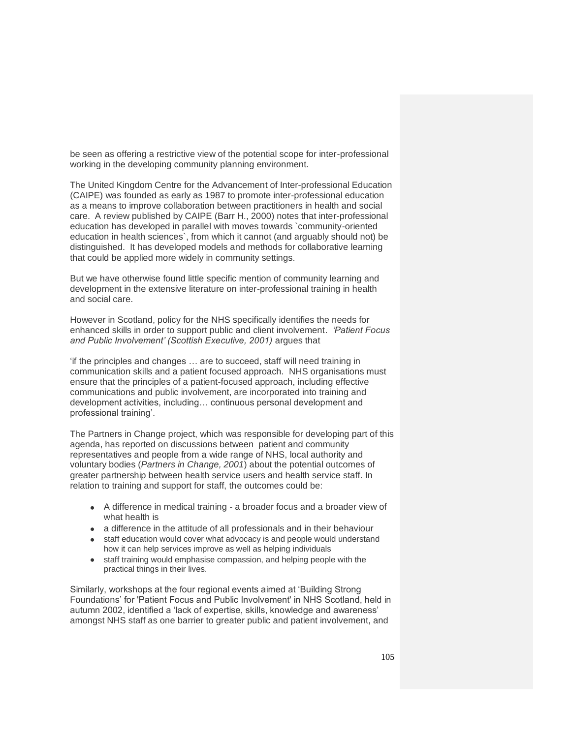be seen as offering a restrictive view of the potential scope for inter-professional working in the developing community planning environment.

The United Kingdom Centre for the Advancement of Inter-professional Education (CAIPE) was founded as early as 1987 to promote inter-professional education as a means to improve collaboration between practitioners in health and social care. A review published by CAIPE (Barr H., 2000) notes that inter-professional education has developed in parallel with moves towards `community-oriented education in health sciences`, from which it cannot (and arguably should not) be distinguished. It has developed models and methods for collaborative learning that could be applied more widely in community settings.

But we have otherwise found little specific mention of community learning and development in the extensive literature on inter-professional training in health and social care.

However in Scotland, policy for the NHS specifically identifies the needs for enhanced skills in order to support public and client involvement. *"Patient Focus and Public Involvement" (Scottish Executive, 2001)* argues that

"if the principles and changes … are to succeed, staff will need training in communication skills and a patient focused approach. NHS organisations must ensure that the principles of a patient-focused approach, including effective communications and public involvement, are incorporated into training and development activities, including… continuous personal development and professional training".

The Partners in Change project, which was responsible for developing part of this agenda, has reported on discussions between patient and community representatives and people from a wide range of NHS, local authority and voluntary bodies (*Partners in Change, 2001*) about the potential outcomes of greater partnership between health service users and health service staff. In relation to training and support for staff, the outcomes could be:

- A difference in medical training a broader focus and a broader view of what health is
- a difference in the attitude of all professionals and in their behaviour
- staff education would cover what advocacy is and people would understand how it can help services improve as well as helping individuals
- staff training would emphasise compassion, and helping people with the practical things in their lives.

Similarly, workshops at the four regional events aimed at "Building Strong Foundations" for 'Patient Focus and Public Involvement' in NHS Scotland, held in autumn 2002, identified a "lack of expertise, skills, knowledge and awareness" amongst NHS staff as one barrier to greater public and patient involvement, and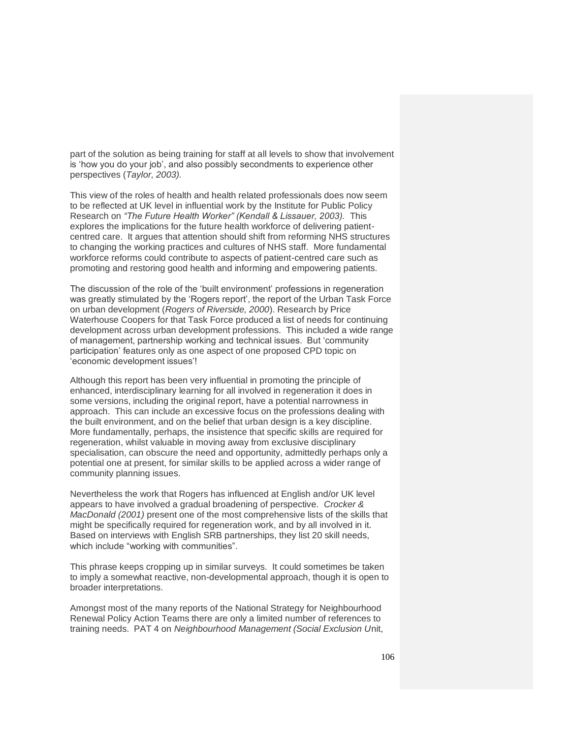part of the solution as being training for staff at all levels to show that involvement is "how you do your job", and also possibly secondments to experience other perspectives (*Taylor, 2003).*

This view of the roles of health and health related professionals does now seem to be reflected at UK level in influential work by the Institute for Public Policy Research on *"The Future Health Worker" (Kendall & Lissauer, 2003).* This explores the implications for the future health workforce of delivering patientcentred care. It argues that attention should shift from reforming NHS structures to changing the working practices and cultures of NHS staff. More fundamental workforce reforms could contribute to aspects of patient-centred care such as promoting and restoring good health and informing and empowering patients.

The discussion of the role of the "built environment" professions in regeneration was greatly stimulated by the 'Rogers report', the report of the Urban Task Force on urban development (*Rogers of Riverside, 2000*). Research by Price Waterhouse Coopers for that Task Force produced a list of needs for continuing development across urban development professions. This included a wide range of management, partnership working and technical issues. But "community participation" features only as one aspect of one proposed CPD topic on "economic development issues"!

Although this report has been very influential in promoting the principle of enhanced, interdisciplinary learning for all involved in regeneration it does in some versions, including the original report, have a potential narrowness in approach. This can include an excessive focus on the professions dealing with the built environment, and on the belief that urban design is a key discipline. More fundamentally, perhaps, the insistence that specific skills are required for regeneration, whilst valuable in moving away from exclusive disciplinary specialisation, can obscure the need and opportunity, admittedly perhaps only a potential one at present, for similar skills to be applied across a wider range of community planning issues.

Nevertheless the work that Rogers has influenced at English and/or UK level appears to have involved a gradual broadening of perspective. *Crocker & MacDonald (2001)* present one of the most comprehensive lists of the skills that might be specifically required for regeneration work, and by all involved in it. Based on interviews with English SRB partnerships, they list 20 skill needs, which include "working with communities".

This phrase keeps cropping up in similar surveys. It could sometimes be taken to imply a somewhat reactive, non-developmental approach, though it is open to broader interpretations.

Amongst most of the many reports of the National Strategy for Neighbourhood Renewal Policy Action Teams there are only a limited number of references to training needs. PAT 4 on *Neighbourhood Management (Social Exclusion U*nit,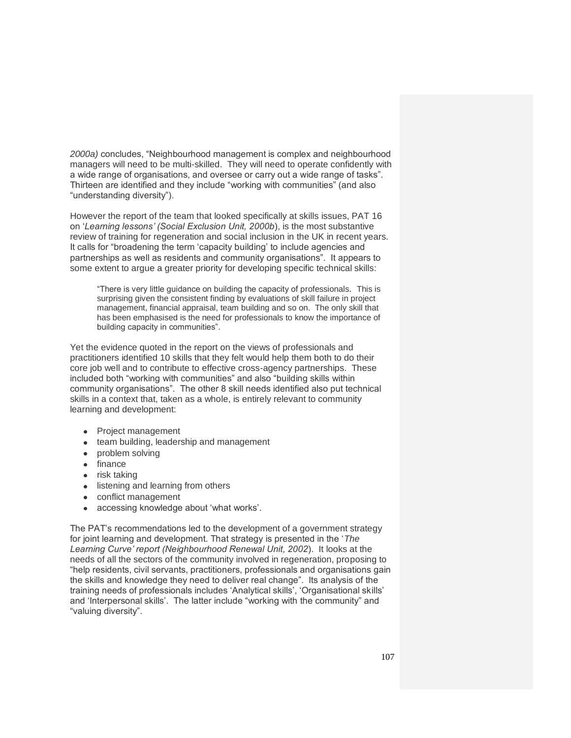*2000a)* concludes, "Neighbourhood management is complex and neighbourhood managers will need to be multi-skilled. They will need to operate confidently with a wide range of organisations, and oversee or carry out a wide range of tasks". Thirteen are identified and they include "working with communities" (and also "understanding diversity").

However the report of the team that looked specifically at skills issues, PAT 16 on "*Learning lessons" (Social Exclusion Unit, 2000b*), is the most substantive review of training for regeneration and social inclusion in the UK in recent years. It calls for "broadening the term "capacity building" to include agencies and partnerships as well as residents and community organisations". It appears to some extent to argue a greater priority for developing specific technical skills:

"There is very little guidance on building the capacity of professionals. This is surprising given the consistent finding by evaluations of skill failure in project management, financial appraisal, team building and so on. The only skill that has been emphasised is the need for professionals to know the importance of building capacity in communities".

Yet the evidence quoted in the report on the views of professionals and practitioners identified 10 skills that they felt would help them both to do their core job well and to contribute to effective cross-agency partnerships. These included both "working with communities" and also "building skills within community organisations". The other 8 skill needs identified also put technical skills in a context that, taken as a whole, is entirely relevant to community learning and development:

- Project management
- team building, leadership and management
- problem solving
- finance
- risk taking
- listening and learning from others  $\bullet$
- conflict management
- accessing knowledge about 'what works'.

The PAT"s recommendations led to the development of a government strategy for joint learning and development. That strategy is presented in the "*The Learning Curve" report (Neighbourhood Renewal Unit, 2002*). It looks at the needs of all the sectors of the community involved in regeneration, proposing to "help residents, civil servants, practitioners, professionals and organisations gain the skills and knowledge they need to deliver real change". Its analysis of the training needs of professionals includes "Analytical skills", "Organisational skills" and "Interpersonal skills". The latter include "working with the community" and "valuing diversity".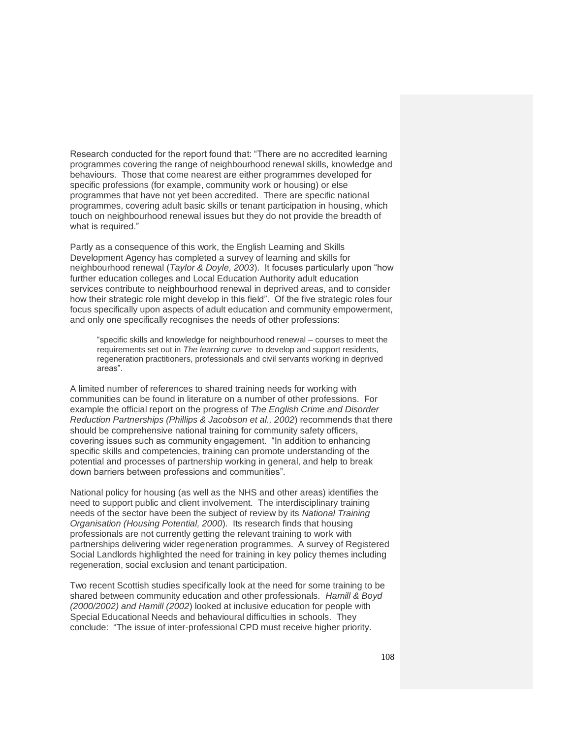Research conducted for the report found that: "There are no accredited learning programmes covering the range of neighbourhood renewal skills, knowledge and behaviours. Those that come nearest are either programmes developed for specific professions (for example, community work or housing) or else programmes that have not yet been accredited. There are specific national programmes, covering adult basic skills or tenant participation in housing, which touch on neighbourhood renewal issues but they do not provide the breadth of what is required."

Partly as a consequence of this work, the English Learning and Skills Development Agency has completed a survey of learning and skills for neighbourhood renewal (*Taylor & Doyle, 2003*). It focuses particularly upon "how further education colleges and Local Education Authority adult education services contribute to neighbourhood renewal in deprived areas, and to consider how their strategic role might develop in this field". Of the five strategic roles four focus specifically upon aspects of adult education and community empowerment, and only one specifically recognises the needs of other professions:

"specific skills and knowledge for neighbourhood renewal – courses to meet the requirements set out in *The learning curve* to develop and support residents, regeneration practitioners, professionals and civil servants working in deprived areas".

A limited number of references to shared training needs for working with communities can be found in literature on a number of other professions. For example the official report on the progress of *The English Crime and Disorder Reduction Partnerships (Phillips & Jacobson et al., 2002*) recommends that there should be comprehensive national training for community safety officers, covering issues such as community engagement. "In addition to enhancing specific skills and competencies, training can promote understanding of the potential and processes of partnership working in general, and help to break down barriers between professions and communities".

National policy for housing (as well as the NHS and other areas) identifies the need to support public and client involvement. The interdisciplinary training needs of the sector have been the subject of review by its *National Training Organisation (Housing Potential, 2000*). Its research finds that housing professionals are not currently getting the relevant training to work with partnerships delivering wider regeneration programmes. A survey of Registered Social Landlords highlighted the need for training in key policy themes including regeneration, social exclusion and tenant participation.

Two recent Scottish studies specifically look at the need for some training to be shared between community education and other professionals. *Hamill & Boyd (2000/2002) and Hamill (2002*) looked at inclusive education for people with Special Educational Needs and behavioural difficulties in schools. They conclude: "The issue of inter-professional CPD must receive higher priority.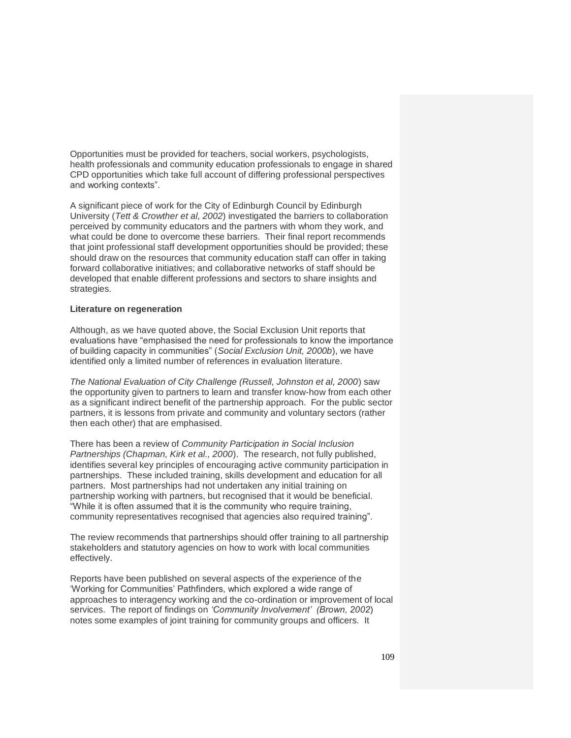Opportunities must be provided for teachers, social workers, psychologists, health professionals and community education professionals to engage in shared CPD opportunities which take full account of differing professional perspectives and working contexts".

A significant piece of work for the City of Edinburgh Council by Edinburgh University (*Tett & Crowther et al, 2002*) investigated the barriers to collaboration perceived by community educators and the partners with whom they work, and what could be done to overcome these barriers. Their final report recommends that joint professional staff development opportunities should be provided; these should draw on the resources that community education staff can offer in taking forward collaborative initiatives; and collaborative networks of staff should be developed that enable different professions and sectors to share insights and strategies.

#### **Literature on regeneration**

Although, as we have quoted above, the Social Exclusion Unit reports that evaluations have "emphasised the need for professionals to know the importance of building capacity in communities" (*Social Exclusion Unit, 2000b*), we have identified only a limited number of references in evaluation literature.

*The National Evaluation of City Challenge (Russell, Johnston et al, 2000*) saw the opportunity given to partners to learn and transfer know-how from each other as a significant indirect benefit of the partnership approach. For the public sector partners, it is lessons from private and community and voluntary sectors (rather then each other) that are emphasised.

There has been a review of *Community Participation in Social Inclusion Partnerships (Chapman, Kirk et al., 2000*). The research, not fully published, identifies several key principles of encouraging active community participation in partnerships. These included training, skills development and education for all partners. Most partnerships had not undertaken any initial training on partnership working with partners, but recognised that it would be beneficial. "While it is often assumed that it is the community who require training, community representatives recognised that agencies also required training".

The review recommends that partnerships should offer training to all partnership stakeholders and statutory agencies on how to work with local communities effectively.

Reports have been published on several aspects of the experience of the "Working for Communities" Pathfinders, which explored a wide range of approaches to interagency working and the co-ordination or improvement of local services. The report of findings on *"Community Involvement" (Brown, 2002*) notes some examples of joint training for community groups and officers. It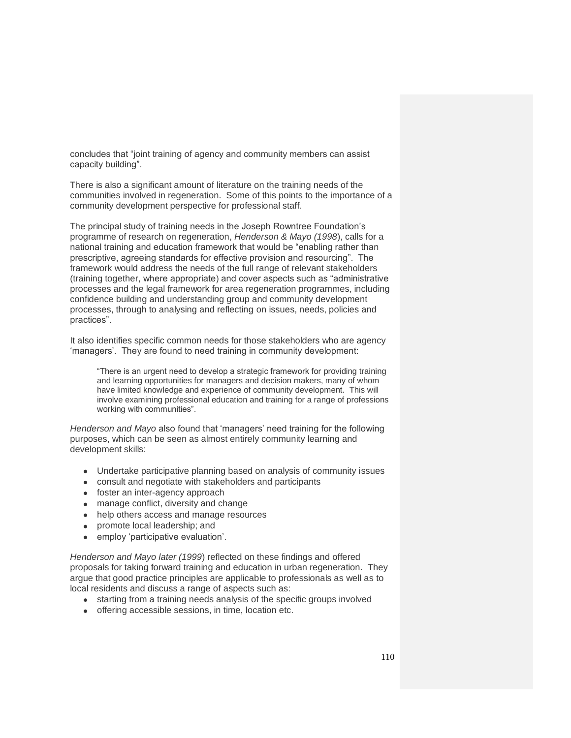concludes that "joint training of agency and community members can assist capacity building".

There is also a significant amount of literature on the training needs of the communities involved in regeneration. Some of this points to the importance of a community development perspective for professional staff.

The principal study of training needs in the Joseph Rowntree Foundation"s programme of research on regeneration, *Henderson & Mayo (1998*), calls for a national training and education framework that would be "enabling rather than prescriptive, agreeing standards for effective provision and resourcing". The framework would address the needs of the full range of relevant stakeholders (training together, where appropriate) and cover aspects such as "administrative processes and the legal framework for area regeneration programmes, including confidence building and understanding group and community development processes, through to analysing and reflecting on issues, needs, policies and practices".

It also identifies specific common needs for those stakeholders who are agency "managers". They are found to need training in community development:

"There is an urgent need to develop a strategic framework for providing training and learning opportunities for managers and decision makers, many of whom have limited knowledge and experience of community development. This will involve examining professional education and training for a range of professions working with communities".

*Henderson and Mayo* also found that "managers" need training for the following purposes, which can be seen as almost entirely community learning and development skills:

- Undertake participative planning based on analysis of community issues
- consult and negotiate with stakeholders and participants
- foster an inter-agency approach
- manage conflict, diversity and change
- help others access and manage resources
- $\bullet$ promote local leadership; and
- employ 'participative evaluation'.

*Henderson and Mayo later (1999*) reflected on these findings and offered proposals for taking forward training and education in urban regeneration. They argue that good practice principles are applicable to professionals as well as to local residents and discuss a range of aspects such as:

- starting from a training needs analysis of the specific groups involved
- offering accessible sessions, in time, location etc.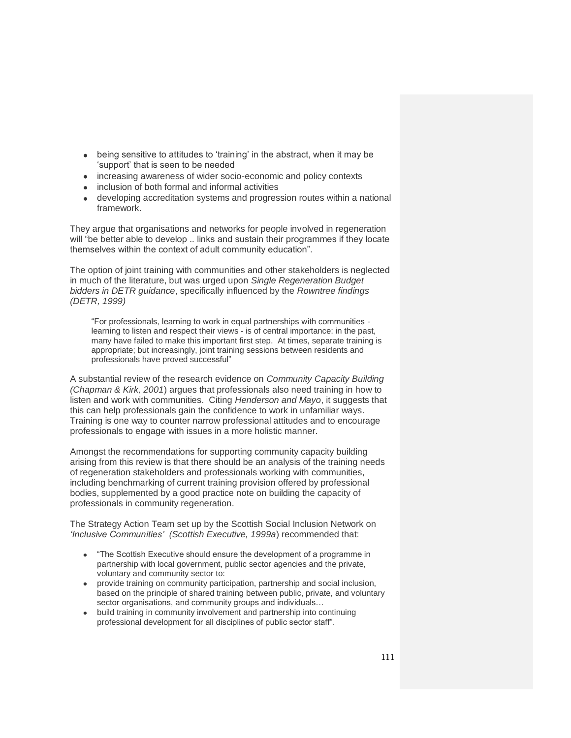- being sensitive to attitudes to 'training' in the abstract, when it may be "support" that is seen to be needed
- increasing awareness of wider socio-economic and policy contexts
- inclusion of both formal and informal activities
- developing accreditation systems and progression routes within a national framework.

They argue that organisations and networks for people involved in regeneration will "be better able to develop .. links and sustain their programmes if they locate themselves within the context of adult community education".

The option of joint training with communities and other stakeholders is neglected in much of the literature, but was urged upon *Single Regeneration Budget bidders in DETR guidance*, specifically influenced by the *Rowntree findings (DETR, 1999)*

"For professionals, learning to work in equal partnerships with communities learning to listen and respect their views - is of central importance: in the past, many have failed to make this important first step. At times, separate training is appropriate; but increasingly, joint training sessions between residents and professionals have proved successful"

A substantial review of the research evidence on *Community Capacity Building (Chapman & Kirk, 2001*) argues that professionals also need training in how to listen and work with communities. Citing *Henderson and Mayo*, it suggests that this can help professionals gain the confidence to work in unfamiliar ways. Training is one way to counter narrow professional attitudes and to encourage professionals to engage with issues in a more holistic manner.

Amongst the recommendations for supporting community capacity building arising from this review is that there should be an analysis of the training needs of regeneration stakeholders and professionals working with communities, including benchmarking of current training provision offered by professional bodies, supplemented by a good practice note on building the capacity of professionals in community regeneration.

The Strategy Action Team set up by the Scottish Social Inclusion Network on *"Inclusive Communities" (Scottish Executive, 1999a*) recommended that:

- "The Scottish Executive should ensure the development of a programme in partnership with local government, public sector agencies and the private, voluntary and community sector to:
- provide training on community participation, partnership and social inclusion, based on the principle of shared training between public, private, and voluntary sector organisations, and community groups and individuals...
- build training in community involvement and partnership into continuing professional development for all disciplines of public sector staff".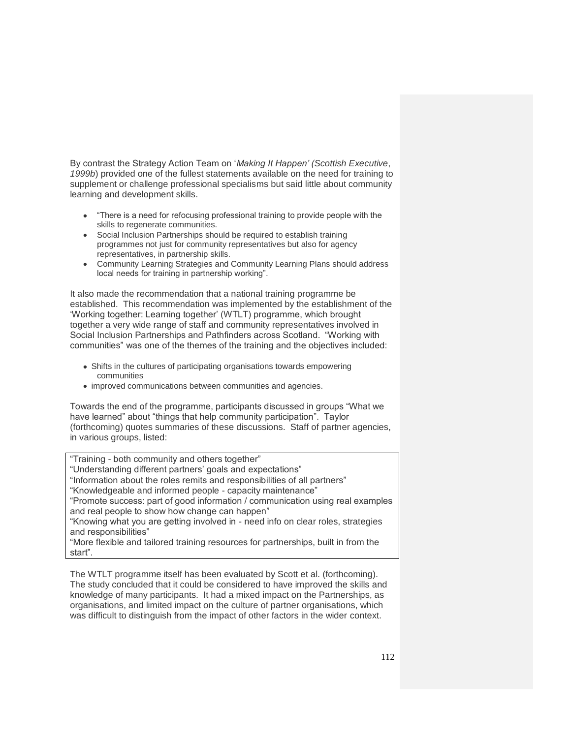By contrast the Strategy Action Team on "*Making It Happen" (Scottish Executive*, *1999b*) provided one of the fullest statements available on the need for training to supplement or challenge professional specialisms but said little about community learning and development skills.

- "There is a need for refocusing professional training to provide people with the skills to regenerate communities.
- Social Inclusion Partnerships should be required to establish training programmes not just for community representatives but also for agency representatives, in partnership skills.
- Community Learning Strategies and Community Learning Plans should address local needs for training in partnership working".

It also made the recommendation that a national training programme be established. This recommendation was implemented by the establishment of the "Working together: Learning together" (WTLT) programme, which brought together a very wide range of staff and community representatives involved in Social Inclusion Partnerships and Pathfinders across Scotland. "Working with communities" was one of the themes of the training and the objectives included:

- Shifts in the cultures of participating organisations towards empowering communities
- improved communications between communities and agencies.

Towards the end of the programme, participants discussed in groups "What we have learned" about "things that help community participation". Taylor (forthcoming) quotes summaries of these discussions. Staff of partner agencies, in various groups, listed:

"Training - both community and others together" "Understanding different partners" goals and expectations" "Information about the roles remits and responsibilities of all partners" "Knowledgeable and informed people - capacity maintenance" "Promote success: part of good information / communication using real examples and real people to show how change can happen" "Knowing what you are getting involved in - need info on clear roles, strategies and responsibilities" "More flexible and tailored training resources for partnerships, built in from the start".

The WTLT programme itself has been evaluated by Scott et al. (forthcoming). The study concluded that it could be considered to have improved the skills and knowledge of many participants. It had a mixed impact on the Partnerships, as organisations, and limited impact on the culture of partner organisations, which was difficult to distinguish from the impact of other factors in the wider context.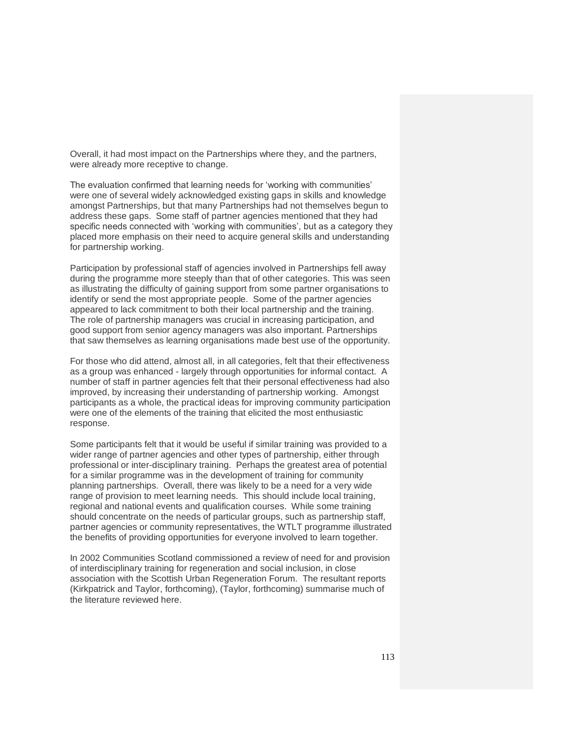Overall, it had most impact on the Partnerships where they, and the partners, were already more receptive to change.

The evaluation confirmed that learning needs for "working with communities" were one of several widely acknowledged existing gaps in skills and knowledge amongst Partnerships, but that many Partnerships had not themselves begun to address these gaps. Some staff of partner agencies mentioned that they had specific needs connected with 'working with communities', but as a category they placed more emphasis on their need to acquire general skills and understanding for partnership working.

Participation by professional staff of agencies involved in Partnerships fell away during the programme more steeply than that of other categories. This was seen as illustrating the difficulty of gaining support from some partner organisations to identify or send the most appropriate people. Some of the partner agencies appeared to lack commitment to both their local partnership and the training. The role of partnership managers was crucial in increasing participation, and good support from senior agency managers was also important. Partnerships that saw themselves as learning organisations made best use of the opportunity.

For those who did attend, almost all, in all categories, felt that their effectiveness as a group was enhanced - largely through opportunities for informal contact. A number of staff in partner agencies felt that their personal effectiveness had also improved, by increasing their understanding of partnership working. Amongst participants as a whole, the practical ideas for improving community participation were one of the elements of the training that elicited the most enthusiastic response.

Some participants felt that it would be useful if similar training was provided to a wider range of partner agencies and other types of partnership, either through professional or inter-disciplinary training. Perhaps the greatest area of potential for a similar programme was in the development of training for community planning partnerships. Overall, there was likely to be a need for a very wide range of provision to meet learning needs. This should include local training, regional and national events and qualification courses. While some training should concentrate on the needs of particular groups, such as partnership staff, partner agencies or community representatives, the WTLT programme illustrated the benefits of providing opportunities for everyone involved to learn together.

In 2002 Communities Scotland commissioned a review of need for and provision of interdisciplinary training for regeneration and social inclusion, in close association with the Scottish Urban Regeneration Forum. The resultant reports (Kirkpatrick and Taylor, forthcoming), (Taylor, forthcoming) summarise much of the literature reviewed here.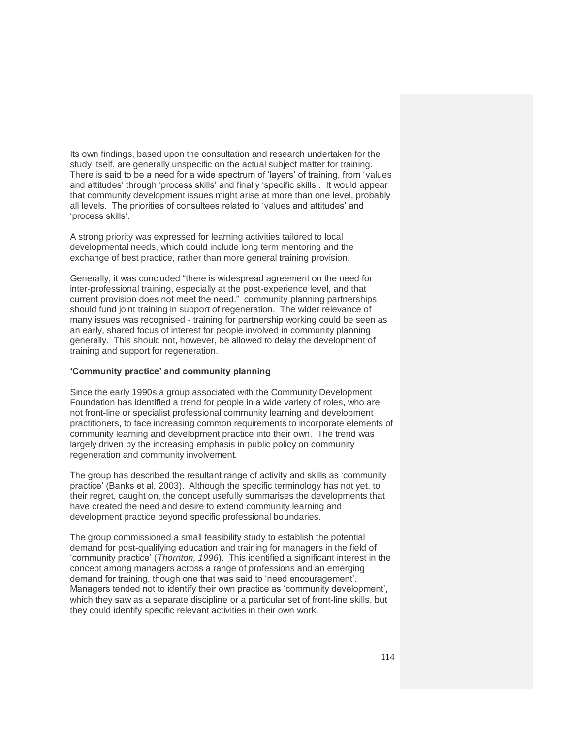Its own findings, based upon the consultation and research undertaken for the study itself, are generally unspecific on the actual subject matter for training. There is said to be a need for a wide spectrum of "layers" of training, from "values and attitudes' through 'process skills' and finally 'specific skills'. It would appear that community development issues might arise at more than one level, probably all levels. The priorities of consultees related to "values and attitudes" and 'process skills'.

A strong priority was expressed for learning activities tailored to local developmental needs, which could include long term mentoring and the exchange of best practice, rather than more general training provision.

Generally, it was concluded "there is widespread agreement on the need for inter-professional training, especially at the post-experience level, and that current provision does not meet the need." community planning partnerships should fund joint training in support of regeneration. The wider relevance of many issues was recognised - training for partnership working could be seen as an early, shared focus of interest for people involved in community planning generally. This should not, however, be allowed to delay the development of training and support for regeneration.

#### **'Community practice' and community planning**

Since the early 1990s a group associated with the Community Development Foundation has identified a trend for people in a wide variety of roles, who are not front-line or specialist professional community learning and development practitioners, to face increasing common requirements to incorporate elements of community learning and development practice into their own. The trend was largely driven by the increasing emphasis in public policy on community regeneration and community involvement.

The group has described the resultant range of activity and skills as "community practice" (Banks et al, 2003). Although the specific terminology has not yet, to their regret, caught on, the concept usefully summarises the developments that have created the need and desire to extend community learning and development practice beyond specific professional boundaries.

The group commissioned a small feasibility study to establish the potential demand for post-qualifying education and training for managers in the field of "community practice" (*Thornton, 1996*). This identified a significant interest in the concept among managers across a range of professions and an emerging demand for training, though one that was said to "need encouragement". Managers tended not to identify their own practice as "community development", which they saw as a separate discipline or a particular set of front-line skills, but they could identify specific relevant activities in their own work.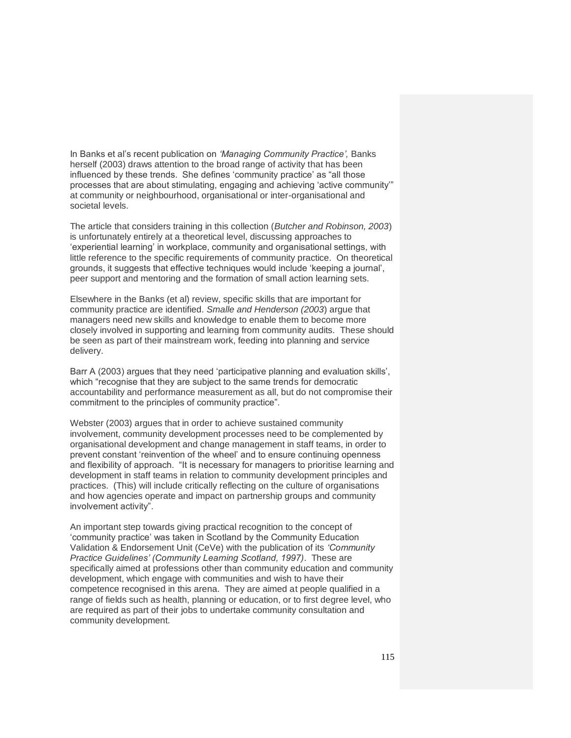In Banks et al"s recent publication on *"Managing Community Practice",* Banks herself (2003) draws attention to the broad range of activity that has been influenced by these trends. She defines 'community practice' as "all those processes that are about stimulating, engaging and achieving "active community"" at community or neighbourhood, organisational or inter-organisational and societal levels.

The article that considers training in this collection (*Butcher and Robinson, 2003*) is unfortunately entirely at a theoretical level, discussing approaches to "experiential learning" in workplace, community and organisational settings, with little reference to the specific requirements of community practice. On theoretical grounds, it suggests that effective techniques would include "keeping a journal", peer support and mentoring and the formation of small action learning sets.

Elsewhere in the Banks (et al) review, specific skills that are important for community practice are identified. *Smalle and Henderson (2003*) argue that managers need new skills and knowledge to enable them to become more closely involved in supporting and learning from community audits. These should be seen as part of their mainstream work, feeding into planning and service delivery.

Barr A (2003) argues that they need "participative planning and evaluation skills", which "recognise that they are subject to the same trends for democratic accountability and performance measurement as all, but do not compromise their commitment to the principles of community practice".

Webster (2003) argues that in order to achieve sustained community involvement, community development processes need to be complemented by organisational development and change management in staff teams, in order to prevent constant "reinvention of the wheel" and to ensure continuing openness and flexibility of approach. "It is necessary for managers to prioritise learning and development in staff teams in relation to community development principles and practices. (This) will include critically reflecting on the culture of organisations and how agencies operate and impact on partnership groups and community involvement activity".

An important step towards giving practical recognition to the concept of "community practice" was taken in Scotland by the Community Education Validation & Endorsement Unit (CeVe) with the publication of its *"Community Practice Guidelines" (Community Learning Scotland, 1997)*. These are specifically aimed at professions other than community education and community development, which engage with communities and wish to have their competence recognised in this arena. They are aimed at people qualified in a range of fields such as health, planning or education, or to first degree level, who are required as part of their jobs to undertake community consultation and community development.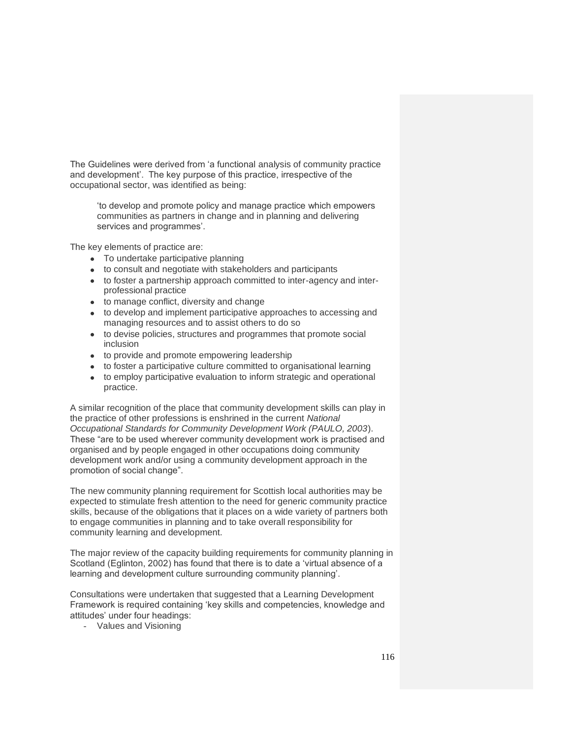The Guidelines were derived from "a functional analysis of community practice and development". The key purpose of this practice, irrespective of the occupational sector, was identified as being:

"to develop and promote policy and manage practice which empowers communities as partners in change and in planning and delivering services and programmes'.

The key elements of practice are:

- To undertake participative planning
- to consult and negotiate with stakeholders and participants
- to foster a partnership approach committed to inter-agency and interprofessional practice
- to manage conflict, diversity and change
- to develop and implement participative approaches to accessing and managing resources and to assist others to do so
- to devise policies, structures and programmes that promote social inclusion
- to provide and promote empowering leadership
- to foster a participative culture committed to organisational learning
- to employ participative evaluation to inform strategic and operational practice.

A similar recognition of the place that community development skills can play in the practice of other professions is enshrined in the current *National Occupational Standards for Community Development Work (PAULO, 2003*). These "are to be used wherever community development work is practised and organised and by people engaged in other occupations doing community development work and/or using a community development approach in the promotion of social change".

The new community planning requirement for Scottish local authorities may be expected to stimulate fresh attention to the need for generic community practice skills, because of the obligations that it places on a wide variety of partners both to engage communities in planning and to take overall responsibility for community learning and development.

The major review of the capacity building requirements for community planning in Scotland (Eglinton, 2002) has found that there is to date a "virtual absence of a learning and development culture surrounding community planning'.

Consultations were undertaken that suggested that a Learning Development Framework is required containing "key skills and competencies, knowledge and attitudes" under four headings:

- Values and Visioning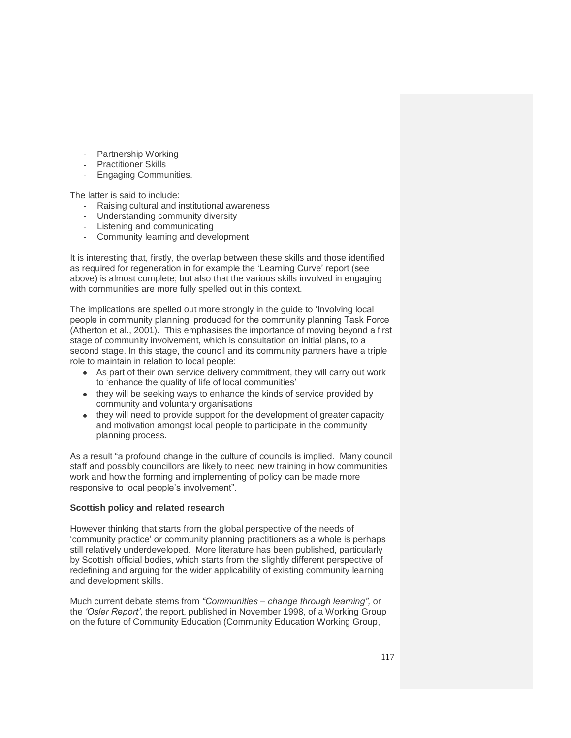- Partnership Working
- Practitioner Skills
- Engaging Communities.

The latter is said to include:

- Raising cultural and institutional awareness
- Understanding community diversity
- Listening and communicating
- Community learning and development

It is interesting that, firstly, the overlap between these skills and those identified as required for regeneration in for example the "Learning Curve" report (see above) is almost complete; but also that the various skills involved in engaging with communities are more fully spelled out in this context.

The implications are spelled out more strongly in the guide to "Involving local people in community planning" produced for the community planning Task Force (Atherton et al., 2001). This emphasises the importance of moving beyond a first stage of community involvement, which is consultation on initial plans, to a second stage. In this stage, the council and its community partners have a triple role to maintain in relation to local people:

- As part of their own service delivery commitment, they will carry out work to 'enhance the quality of life of local communities'
- they will be seeking ways to enhance the kinds of service provided by community and voluntary organisations
- they will need to provide support for the development of greater capacity and motivation amongst local people to participate in the community planning process.

As a result "a profound change in the culture of councils is implied. Many council staff and possibly councillors are likely to need new training in how communities work and how the forming and implementing of policy can be made more responsive to local people"s involvement".

# **Scottish policy and related research**

However thinking that starts from the global perspective of the needs of "community practice" or community planning practitioners as a whole is perhaps still relatively underdeveloped. More literature has been published, particularly by Scottish official bodies, which starts from the slightly different perspective of redefining and arguing for the wider applicability of existing community learning and development skills.

Much current debate stems from *"Communities – change through learning",* or the *"Osler Report"*, the report, published in November 1998, of a Working Group on the future of Community Education (Community Education Working Group,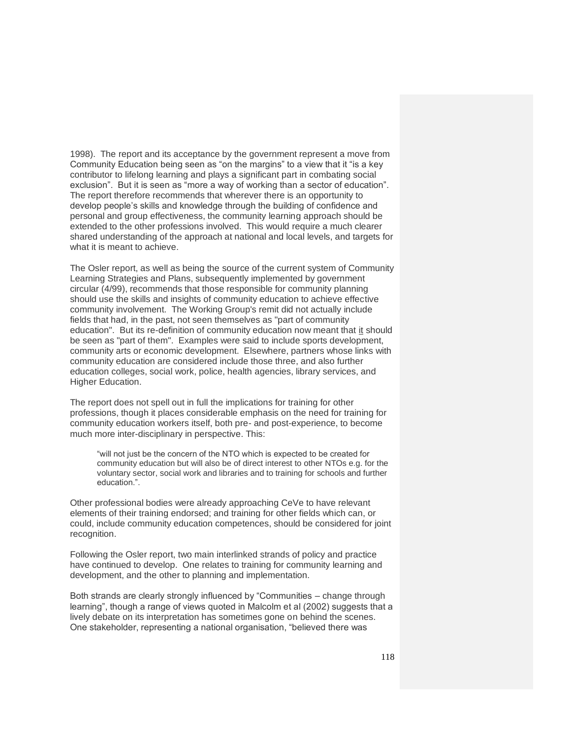1998). The report and its acceptance by the government represent a move from Community Education being seen as "on the margins" to a view that it "is a key contributor to lifelong learning and plays a significant part in combating social exclusion". But it is seen as "more a way of working than a sector of education". The report therefore recommends that wherever there is an opportunity to develop people"s skills and knowledge through the building of confidence and personal and group effectiveness, the community learning approach should be extended to the other professions involved. This would require a much clearer shared understanding of the approach at national and local levels, and targets for what it is meant to achieve.

The Osler report, as well as being the source of the current system of Community Learning Strategies and Plans, subsequently implemented by government circular (4/99), recommends that those responsible for community planning should use the skills and insights of community education to achieve effective community involvement. The Working Group's remit did not actually include fields that had, in the past, not seen themselves as "part of community education". But its re-definition of community education now meant that it should be seen as "part of them". Examples were said to include sports development, community arts or economic development. Elsewhere, partners whose links with community education are considered include those three, and also further education colleges, social work, police, health agencies, library services, and Higher Education.

The report does not spell out in full the implications for training for other professions, though it places considerable emphasis on the need for training for community education workers itself, both pre- and post-experience, to become much more inter-disciplinary in perspective. This:

"will not just be the concern of the NTO which is expected to be created for community education but will also be of direct interest to other NTOs e.g. for the voluntary sector, social work and libraries and to training for schools and further education.".

Other professional bodies were already approaching CeVe to have relevant elements of their training endorsed; and training for other fields which can, or could, include community education competences, should be considered for joint recognition.

Following the Osler report, two main interlinked strands of policy and practice have continued to develop. One relates to training for community learning and development, and the other to planning and implementation.

Both strands are clearly strongly influenced by "Communities – change through learning", though a range of views quoted in Malcolm et al (2002) suggests that a lively debate on its interpretation has sometimes gone on behind the scenes. One stakeholder, representing a national organisation, "believed there was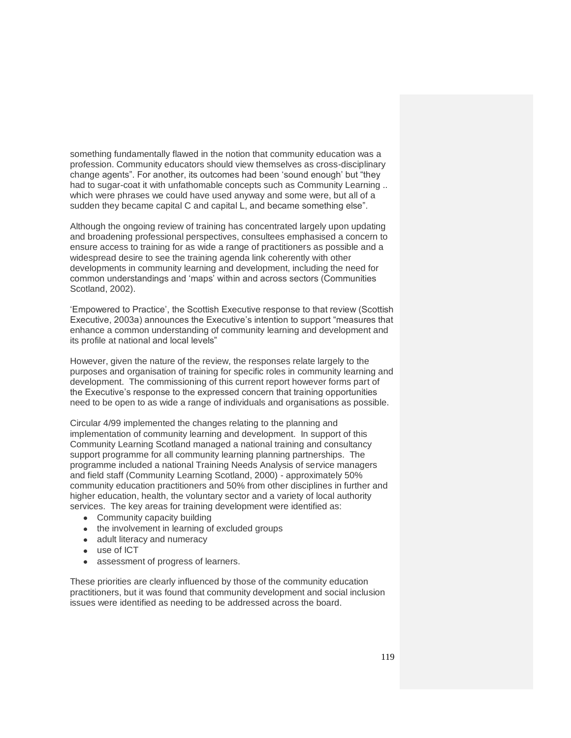something fundamentally flawed in the notion that community education was a profession. Community educators should view themselves as cross-disciplinary change agents". For another, its outcomes had been "sound enough" but "they had to sugar-coat it with unfathomable concepts such as Community Learning .. which were phrases we could have used anyway and some were, but all of a sudden they became capital C and capital L, and became something else".

Although the ongoing review of training has concentrated largely upon updating and broadening professional perspectives, consultees emphasised a concern to ensure access to training for as wide a range of practitioners as possible and a widespread desire to see the training agenda link coherently with other developments in community learning and development, including the need for common understandings and "maps" within and across sectors (Communities Scotland, 2002).

"Empowered to Practice", the Scottish Executive response to that review (Scottish Executive, 2003a) announces the Executive"s intention to support "measures that enhance a common understanding of community learning and development and its profile at national and local levels"

However, given the nature of the review, the responses relate largely to the purposes and organisation of training for specific roles in community learning and development. The commissioning of this current report however forms part of the Executive's response to the expressed concern that training opportunities need to be open to as wide a range of individuals and organisations as possible.

Circular 4/99 implemented the changes relating to the planning and implementation of community learning and development. In support of this Community Learning Scotland managed a national training and consultancy support programme for all community learning planning partnerships. The programme included a national Training Needs Analysis of service managers and field staff (Community Learning Scotland, 2000) - approximately 50% community education practitioners and 50% from other disciplines in further and higher education, health, the voluntary sector and a variety of local authority services. The key areas for training development were identified as:

- Community capacity building
- the involvement in learning of excluded groups
- adult literacy and numeracy
- use of ICT
- assessment of progress of learners.

These priorities are clearly influenced by those of the community education practitioners, but it was found that community development and social inclusion issues were identified as needing to be addressed across the board.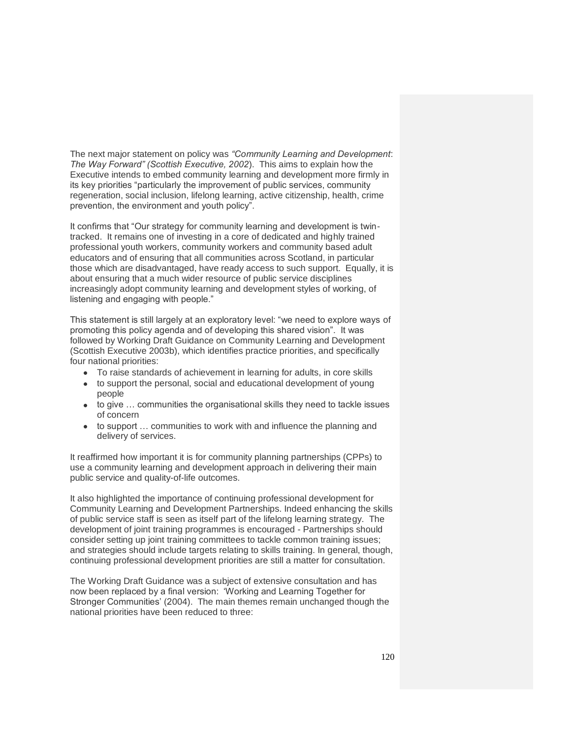The next major statement on policy was *"Community Learning and Development*: *The Way Forward" (Scottish Executive, 2002*). This aims to explain how the Executive intends to embed community learning and development more firmly in its key priorities "particularly the improvement of public services, community regeneration, social inclusion, lifelong learning, active citizenship, health, crime prevention, the environment and youth policy".

It confirms that "Our strategy for community learning and development is twintracked. It remains one of investing in a core of dedicated and highly trained professional youth workers, community workers and community based adult educators and of ensuring that all communities across Scotland, in particular those which are disadvantaged, have ready access to such support. Equally, it is about ensuring that a much wider resource of public service disciplines increasingly adopt community learning and development styles of working, of listening and engaging with people."

This statement is still largely at an exploratory level: "we need to explore ways of promoting this policy agenda and of developing this shared vision". It was followed by Working Draft Guidance on Community Learning and Development (Scottish Executive 2003b), which identifies practice priorities, and specifically four national priorities:

- To raise standards of achievement in learning for adults, in core skills
- to support the personal, social and educational development of young people
- to give … communities the organisational skills they need to tackle issues of concern
- to support … communities to work with and influence the planning and delivery of services.

It reaffirmed how important it is for community planning partnerships (CPPs) to use a community learning and development approach in delivering their main public service and quality-of-life outcomes.

It also highlighted the importance of continuing professional development for Community Learning and Development Partnerships. Indeed enhancing the skills of public service staff is seen as itself part of the lifelong learning strategy. The development of joint training programmes is encouraged - Partnerships should consider setting up joint training committees to tackle common training issues; and strategies should include targets relating to skills training. In general, though, continuing professional development priorities are still a matter for consultation.

The Working Draft Guidance was a subject of extensive consultation and has now been replaced by a final version: "Working and Learning Together for Stronger Communities' (2004). The main themes remain unchanged though the national priorities have been reduced to three: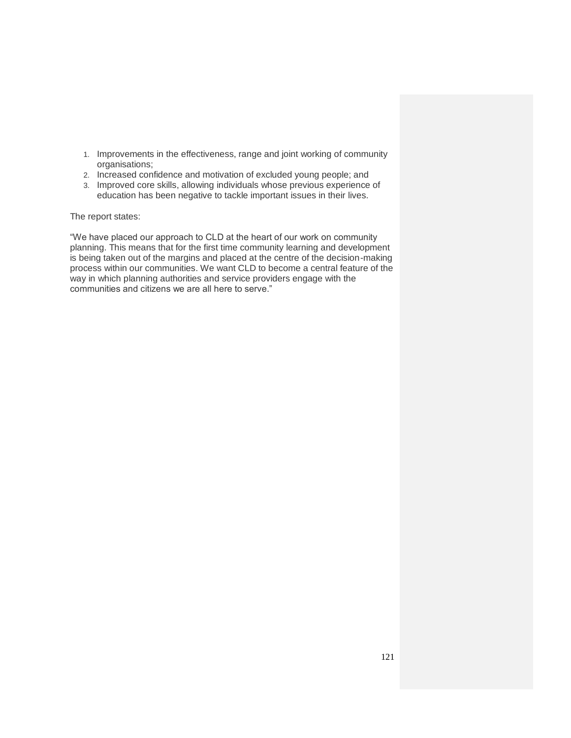- 1. Improvements in the effectiveness, range and joint working of community organisations;
- 2. Increased confidence and motivation of excluded young people; and
- 3. Improved core skills, allowing individuals whose previous experience of education has been negative to tackle important issues in their lives.

#### The report states:

"We have placed our approach to CLD at the heart of our work on community planning. This means that for the first time community learning and development is being taken out of the margins and placed at the centre of the decision-making process within our communities. We want CLD to become a central feature of the way in which planning authorities and service providers engage with the communities and citizens we are all here to serve."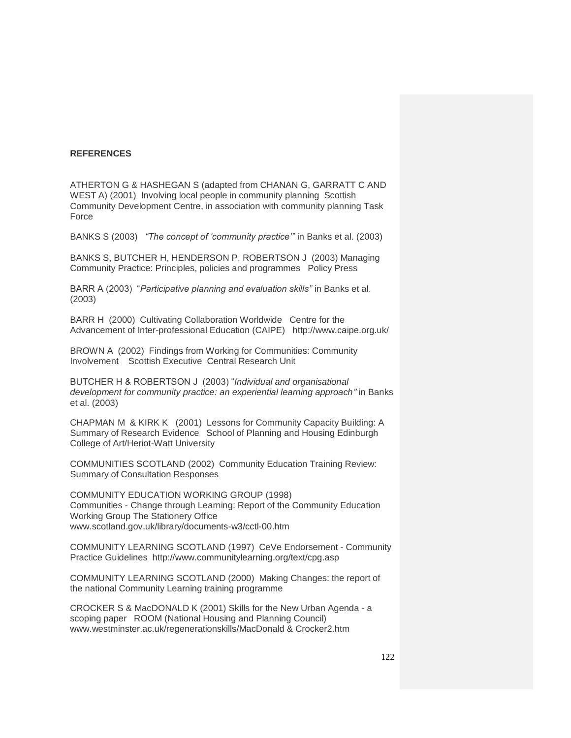#### **REFERENCES**

ATHERTON G & HASHEGAN S (adapted from CHANAN G, GARRATT C AND WEST A) (2001) Involving local people in community planning Scottish Community Development Centre, in association with community planning Task Force

BANKS S (2003) *"The concept of "community practice""* in Banks et al. (2003)

BANKS S, BUTCHER H, HENDERSON P, ROBERTSON J (2003) Managing Community Practice: Principles, policies and programmes Policy Press

BARR A (2003) "*Participative planning and evaluation skills"* in Banks et al. (2003)

BARR H (2000) Cultivating Collaboration Worldwide Centre for the Advancement of Inter-professional Education (CAIPE) http://www.caipe.org.uk/

BROWN A (2002) Findings from Working for Communities: Community Involvement Scottish Executive Central Research Unit

BUTCHER H & ROBERTSON J (2003) "*Individual and organisational development for community practice: an experiential learning approach"* in Banks et al. (2003)

CHAPMAN M & KIRK K(2001) Lessons for Community Capacity Building: A Summary of Research Evidence School of Planning and Housing Edinburgh College of Art/Heriot-Watt University

COMMUNITIES SCOTLAND (2002) Community Education Training Review: Summary of Consultation Responses

COMMUNITY EDUCATION WORKING GROUP (1998) Communities - Change through Learning: Report of the Community Education Working Group The Stationery Office www.scotland.gov.uk/library/documents-w3/cctl-00.htm

COMMUNITY LEARNING SCOTLAND (1997) CeVe Endorsement - Community Practice Guidelines http://www.communitylearning.org/text/cpg.asp

COMMUNITY LEARNING SCOTLAND (2000) Making Changes: the report of the national Community Learning training programme

CROCKER S & MacDONALD K (2001) Skills for the New Urban Agenda - a scoping paper ROOM (National Housing and Planning Council) www.westminster.ac.uk/regenerationskills/MacDonald & Crocker2.htm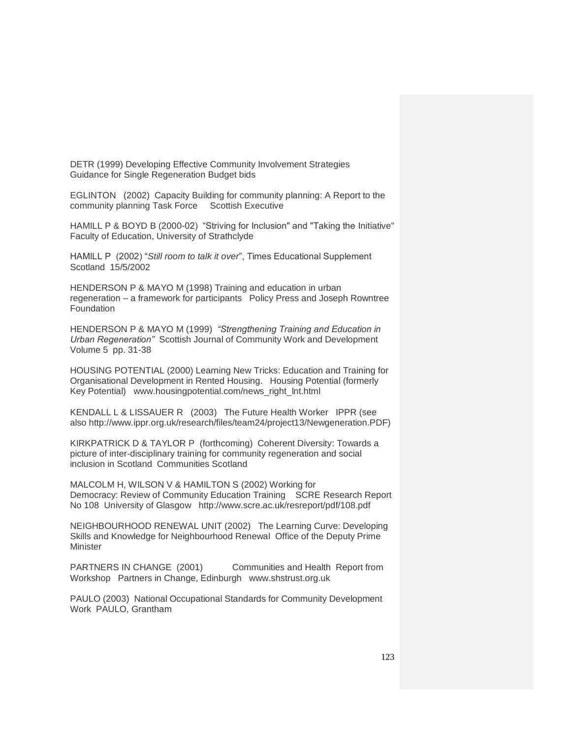DETR (1999) Developing Effective Community Involvement Strategies Guidance for Single Regeneration Budget bids

EGLINTON (2002) Capacity Building for community planning: A Report to the community planning Task Force Scottish Executive

HAMILL P & BOYD B (2000-02) "Striving for Inclusion" and "Taking the Initiative" Faculty of Education, University of Strathclyde

HAMILL P (2002) "*Still room to talk it over*", Times Educational Supplement Scotland 15/5/2002

HENDERSON P & MAYO M (1998) Training and education in urban regeneration – a framework for participants Policy Press and Joseph Rowntree **Foundation** 

HENDERSON P & MAYO M (1999) *"Strengthening Training and Education in Urban Regeneration"* Scottish Journal of Community Work and Development Volume 5 pp. 31-38

HOUSING POTENTIAL (2000) Learning New Tricks: Education and Training for Organisational Development in Rented Housing. Housing Potential (formerly Key Potential) www.housingpotential.com/news\_right\_lnt.html

KENDALL L & LISSAUER R (2003) The Future Health Worker IPPR (see also http://www.ippr.org.uk/research/files/team24/project13/Newgeneration.PDF)

KIRKPATRICK D & TAYLOR P (forthcoming) Coherent Diversity: Towards a picture of inter-disciplinary training for community regeneration and social inclusion in Scotland Communities Scotland

MALCOLM H, WILSON V & HAMILTON S (2002) Working for Democracy: Review of Community Education Training SCRE Research Report No 108 University of Glasgow http://www.scre.ac.uk/resreport/pdf/108.pdf

NEIGHBOURHOOD RENEWAL UNIT (2002) The Learning Curve: Developing Skills and Knowledge for Neighbourhood Renewal Office of the Deputy Prime Minister

PARTNERS IN CHANGE (2001) Communities and Health Report from Workshop Partners in Change, Edinburgh www.shstrust.org.uk

PAULO (2003) National Occupational Standards for Community Development Work PAULO, Grantham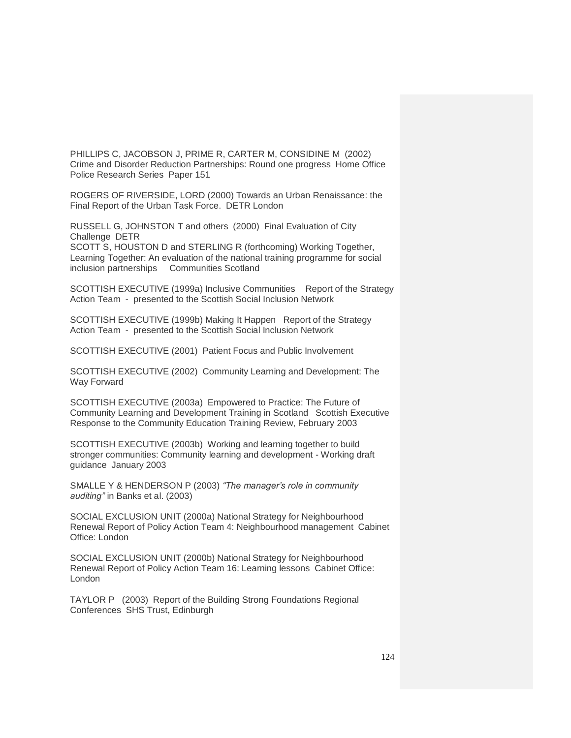PHILLIPS C, JACOBSON J, PRIME R, CARTER M, CONSIDINE M (2002) Crime and Disorder Reduction Partnerships: Round one progress Home Office Police Research Series Paper 151

ROGERS OF RIVERSIDE, LORD (2000) Towards an Urban Renaissance: the Final Report of the Urban Task Force. DETR London

RUSSELL G, JOHNSTON T and others (2000) Final Evaluation of City Challenge DETR SCOTT S, HOUSTON D and STERLING R (forthcoming) Working Together,

Learning Together: An evaluation of the national training programme for social inclusion partnerships Communities Scotland

SCOTTISH EXECUTIVE (1999a) Inclusive CommunitiesReport of the Strategy Action Team - presented to the Scottish Social Inclusion Network

SCOTTISH EXECUTIVE (1999b) Making It Happen Report of the Strategy Action Team - presented to the Scottish Social Inclusion Network

SCOTTISH EXECUTIVE (2001) Patient Focus and Public Involvement

SCOTTISH EXECUTIVE (2002) Community Learning and Development: The Way Forward

SCOTTISH EXECUTIVE (2003a) Empowered to Practice: The Future of Community Learning and Development Training in Scotland Scottish Executive Response to the Community Education Training Review, February 2003

SCOTTISH EXECUTIVE (2003b) Working and learning together to build stronger communities: Community learning and development - Working draft guidance January 2003

SMALLE Y & HENDERSON P (2003) *"The manager"s role in community auditing"* in Banks et al. (2003)

SOCIAL EXCLUSION UNIT (2000a) National Strategy for Neighbourhood Renewal Report of Policy Action Team 4: Neighbourhood management Cabinet Office: London

SOCIAL EXCLUSION UNIT (2000b) National Strategy for Neighbourhood Renewal Report of Policy Action Team 16: Learning lessons Cabinet Office: London

TAYLOR P (2003) Report of the Building Strong Foundations Regional Conferences SHS Trust, Edinburgh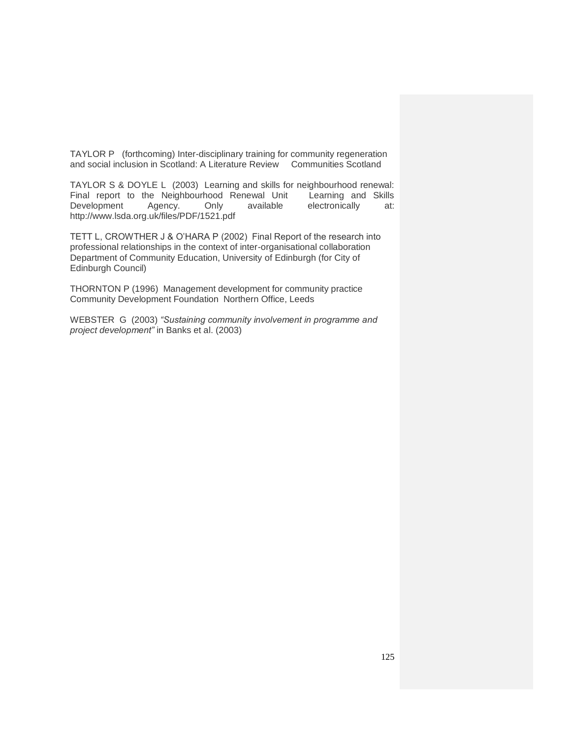TAYLOR P (forthcoming) Inter-disciplinary training for community regeneration and social inclusion in Scotland: A Literature Review Communities Scotland

TAYLOR S & DOYLE L (2003) Learning and skills for neighbourhood renewal: Final report to the Neighbourhood Renewal Unit Learning and Skills<br>Development Agency. Only available electronically at: Development Agency. Only available electronically at: http://www.lsda.org.uk/files/PDF/1521.pdf

TETT L, CROWTHER J & O"HARA P (2002) Final Report of the research into professional relationships in the context of inter-organisational collaboration Department of Community Education, University of Edinburgh (for City of Edinburgh Council)

THORNTON P (1996) Management development for community practice Community Development Foundation Northern Office, Leeds

WEBSTER G (2003) *"Sustaining community involvement in programme and project development"* in Banks et al. (2003)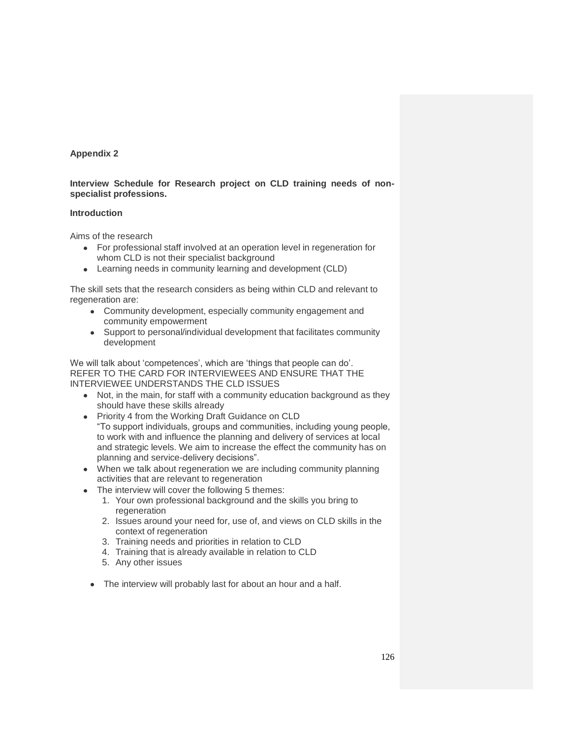# **Appendix 2**

**Interview Schedule for Research project on CLD training needs of nonspecialist professions.**

# **Introduction**

Aims of the research

- For professional staff involved at an operation level in regeneration for whom CLD is not their specialist background
- Learning needs in community learning and development (CLD)

The skill sets that the research considers as being within CLD and relevant to regeneration are:

- Community development, especially community engagement and community empowerment
- Support to personal/individual development that facilitates community development

We will talk about 'competences', which are 'things that people can do'. REFER TO THE CARD FOR INTERVIEWEES AND ENSURE THAT THE INTERVIEWEE UNDERSTANDS THE CLD ISSUES

- Not, in the main, for staff with a community education background as they should have these skills already
- Priority 4 from the Working Draft Guidance on CLD "To support individuals, groups and communities, including young people, to work with and influence the planning and delivery of services at local and strategic levels. We aim to increase the effect the community has on planning and service-delivery decisions".
- When we talk about regeneration we are including community planning activities that are relevant to regeneration
- The interview will cover the following 5 themes:
	- 1. Your own professional background and the skills you bring to regeneration
	- 2. Issues around your need for, use of, and views on CLD skills in the context of regeneration
	- 3. Training needs and priorities in relation to CLD
	- 4. Training that is already available in relation to CLD
	- 5. Any other issues
- The interview will probably last for about an hour and a half.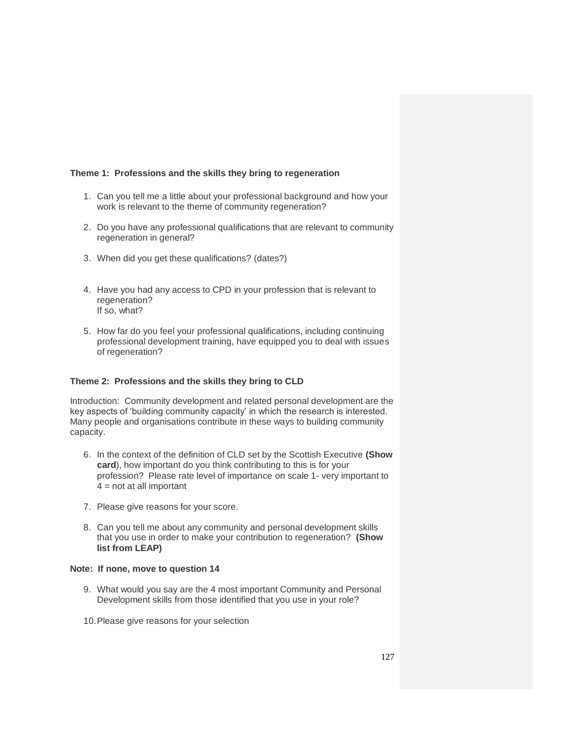#### **Theme 1: Professions and the skills they bring to regeneration**

- 1. Can you tell me a little about your professional background and how your work is relevant to the theme of community regeneration?
- 2. Do you have any professional qualifications that are relevant to community regeneration in general?
- 3. When did you get these qualifications? (dates?)
- 4. Have you had any access to CPD in your profession that is relevant to regeneration? If so, what?
- 5. How far do you feel your professional qualifications, including continuing professional development training, have equipped you to deal with issues of regeneration?

# **Theme 2: Professions and the skills they bring to CLD**

Introduction: Community development and related personal development are the key aspects of "building community capacity" in which the research is interested. Many people and organisations contribute in these ways to building community capacity.

- 6. In the context of the definition of CLD set by the Scottish Executive **(Show card**), how important do you think contributing to this is for your profession? Please rate level of importance on scale 1- very important to  $4 = not$  at all important
- 7. Please give reasons for your score.
- 8. Can you tell me about any community and personal development skills that you use in order to make your contribution to regeneration? **(Show list from LEAP)**

#### **Note: If none, move to question 14**

- 9. What would you say are the 4 most important Community and Personal Development skills from those identified that you use in your role?
- 10.Please give reasons for your selection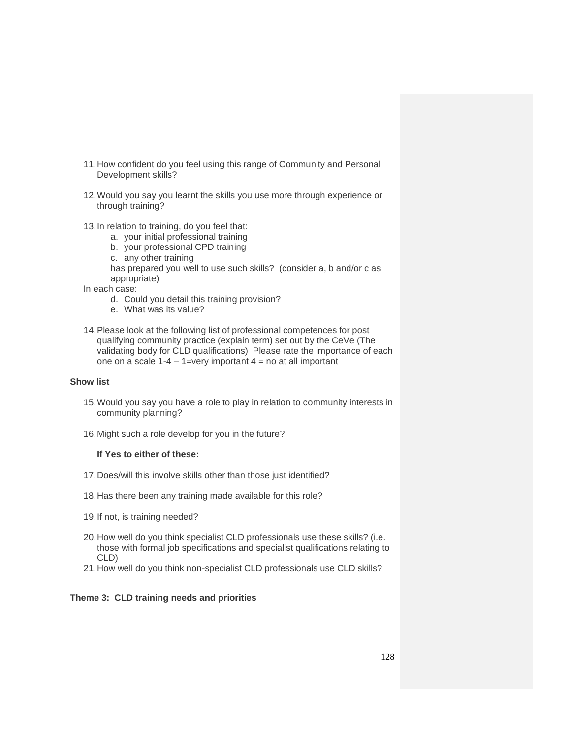- 11.How confident do you feel using this range of Community and Personal Development skills?
- 12.Would you say you learnt the skills you use more through experience or through training?
- 13.In relation to training, do you feel that:
	- a. your initial professional training
	- b. your professional CPD training
	- c. any other training

has prepared you well to use such skills? (consider a, b and/or c as appropriate)

In each case:

- d. Could you detail this training provision?
- e. What was its value?
- 14.Please look at the following list of professional competences for post qualifying community practice (explain term) set out by the CeVe (The validating body for CLD qualifications) Please rate the importance of each one on a scale  $1-4 - 1$ =very important  $4 =$  no at all important

#### **Show list**

- 15.Would you say you have a role to play in relation to community interests in community planning?
- 16.Might such a role develop for you in the future?

#### **If Yes to either of these:**

- 17.Does/will this involve skills other than those just identified?
- 18.Has there been any training made available for this role?
- 19.If not, is training needed?
- 20.How well do you think specialist CLD professionals use these skills? (i.e. those with formal job specifications and specialist qualifications relating to CLD)
- 21.How well do you think non-specialist CLD professionals use CLD skills?

# **Theme 3: CLD training needs and priorities**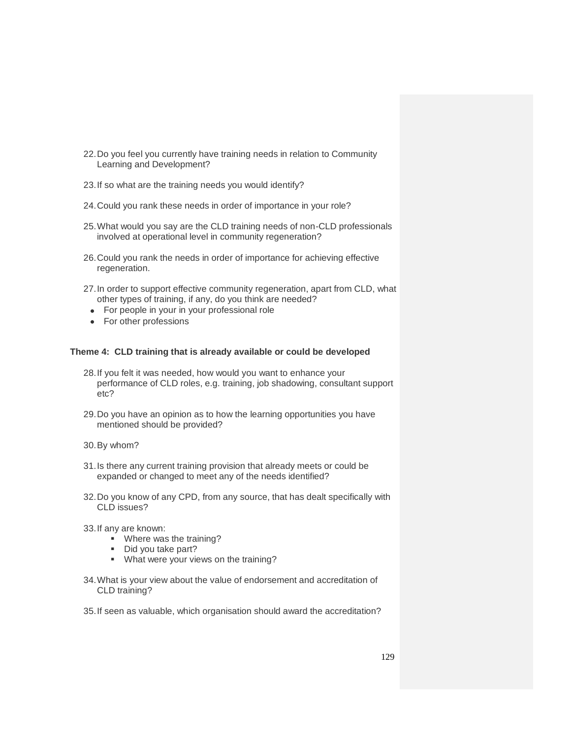- 22.Do you feel you currently have training needs in relation to Community Learning and Development?
- 23.If so what are the training needs you would identify?
- 24.Could you rank these needs in order of importance in your role?
- 25.What would you say are the CLD training needs of non-CLD professionals involved at operational level in community regeneration?
- 26.Could you rank the needs in order of importance for achieving effective regeneration.
- 27.In order to support effective community regeneration, apart from CLD, what other types of training, if any, do you think are needed?
	- For people in your in your professional role
	- For other professions

#### **Theme 4: CLD training that is already available or could be developed**

- 28.If you felt it was needed, how would you want to enhance your performance of CLD roles, e.g. training, job shadowing, consultant support etc?
- 29.Do you have an opinion as to how the learning opportunities you have mentioned should be provided?
- 30.By whom?
- 31.Is there any current training provision that already meets or could be expanded or changed to meet any of the needs identified?
- 32.Do you know of any CPD, from any source, that has dealt specifically with CLD issues?
- 33.If any are known:
	- Where was the training?
	- Did you take part?
	- What were your views on the training?
- 34.What is your view about the value of endorsement and accreditation of CLD training?
- 35.If seen as valuable, which organisation should award the accreditation?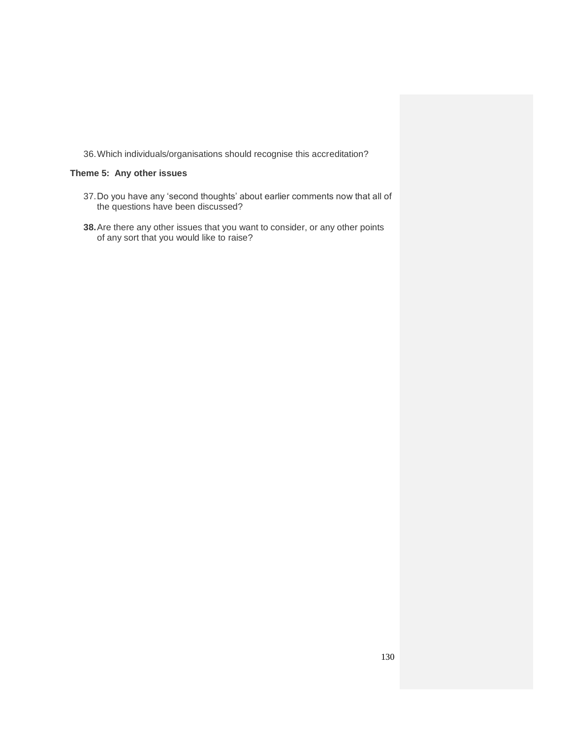36.Which individuals/organisations should recognise this accreditation?

# **Theme 5: Any other issues**

- 37.Do you have any "second thoughts" about earlier comments now that all of the questions have been discussed?
- **38.**Are there any other issues that you want to consider, or any other points of any sort that you would like to raise?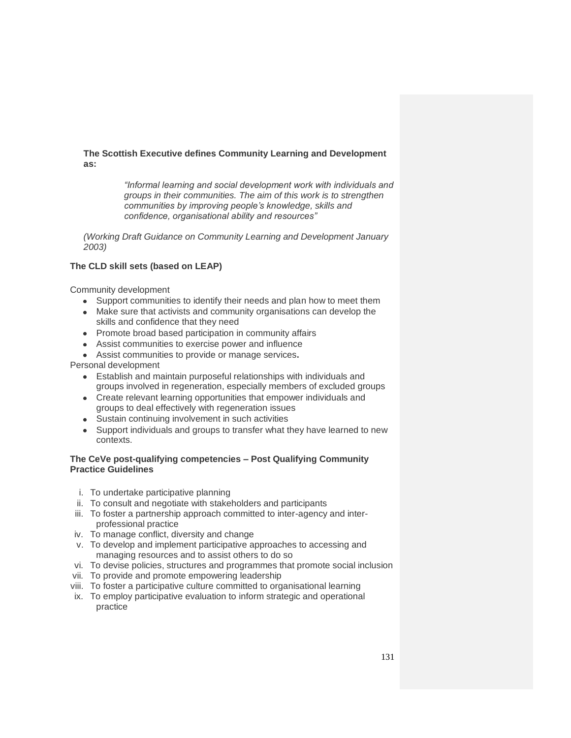# **The Scottish Executive defines Community Learning and Development as:**

*"Informal learning and social development work with individuals and groups in their communities. The aim of this work is to strengthen communities by improving people"s knowledge, skills and confidence, organisational ability and resources"* 

*(Working Draft Guidance on Community Learning and Development January 2003)*

# **The CLD skill sets (based on LEAP)**

Community development

- Support communities to identify their needs and plan how to meet them
- Make sure that activists and community organisations can develop the skills and confidence that they need
- Promote broad based participation in community affairs
- Assist communities to exercise power and influence
- Assist communities to provide or manage services**.**
- Personal development
	- Establish and maintain purposeful relationships with individuals and groups involved in regeneration, especially members of excluded groups
	- Create relevant learning opportunities that empower individuals and groups to deal effectively with regeneration issues
	- Sustain continuing involvement in such activities
	- Support individuals and groups to transfer what they have learned to new contexts.

# **The CeVe post-qualifying competencies – Post Qualifying Community Practice Guidelines**

- i. To undertake participative planning
- ii. To consult and negotiate with stakeholders and participants
- iii. To foster a partnership approach committed to inter-agency and interprofessional practice
- iv. To manage conflict, diversity and change
- v. To develop and implement participative approaches to accessing and managing resources and to assist others to do so
- vi. To devise policies, structures and programmes that promote social inclusion
- vii. To provide and promote empowering leadership
- viii. To foster a participative culture committed to organisational learning
- ix. To employ participative evaluation to inform strategic and operational practice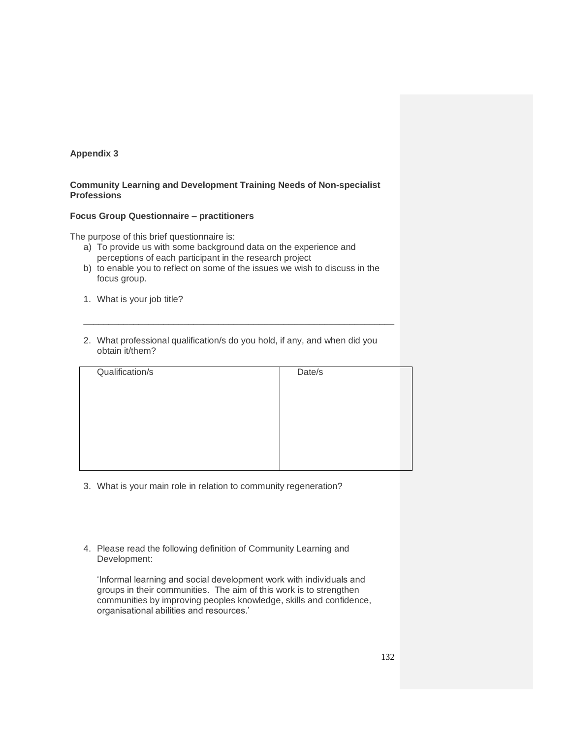# **Appendix 3**

# **Community Learning and Development Training Needs of Non-specialist Professions**

# **Focus Group Questionnaire – practitioners**

The purpose of this brief questionnaire is:

- a) To provide us with some background data on the experience and perceptions of each participant in the research project
- b) to enable you to reflect on some of the issues we wish to discuss in the focus group.
- 1. What is your job title?
- 2. What professional qualification/s do you hold, if any, and when did you obtain it/them?

\_\_\_\_\_\_\_\_\_\_\_\_\_\_\_\_\_\_\_\_\_\_\_\_\_\_\_\_\_\_\_\_\_\_\_\_\_\_\_\_\_\_\_\_\_\_\_\_\_\_\_\_\_\_\_\_\_\_\_\_\_\_

| Qualification/s | Date/s |
|-----------------|--------|
|                 |        |
|                 |        |
|                 |        |
|                 |        |
|                 |        |
|                 |        |
|                 |        |
|                 |        |
|                 |        |

- 3. What is your main role in relation to community regeneration?
- 4. Please read the following definition of Community Learning and Development:

"Informal learning and social development work with individuals and groups in their communities. The aim of this work is to strengthen communities by improving peoples knowledge, skills and confidence, organisational abilities and resources."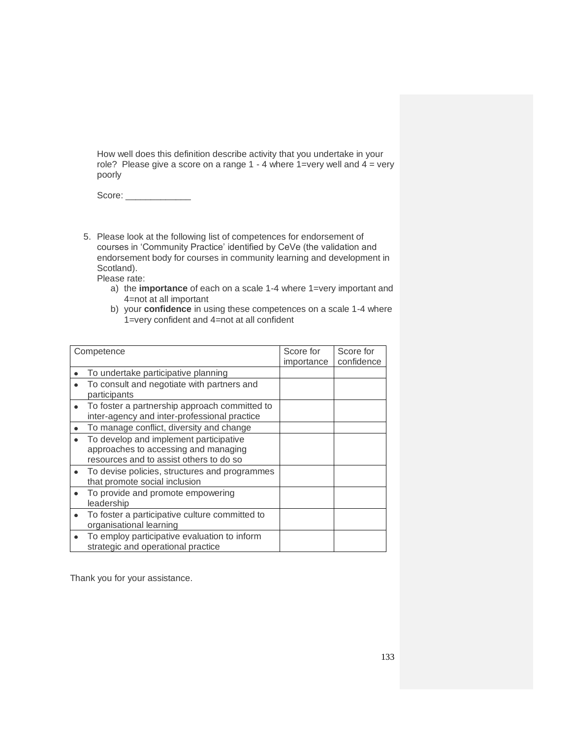How well does this definition describe activity that you undertake in your role? Please give a score on a range 1 - 4 where  $1=$ very well and  $4=$  very poorly

Score:  $\Box$ 

5. Please look at the following list of competences for endorsement of courses in "Community Practice" identified by CeVe (the validation and endorsement body for courses in community learning and development in Scotland).

Please rate:

- a) the **importance** of each on a scale 1-4 where 1=very important and 4=not at all important
- b) your **confidence** in using these competences on a scale 1-4 where 1=very confident and 4=not at all confident

| Competence                                                                                                                | Score for<br>importance | Score for<br>confidence |
|---------------------------------------------------------------------------------------------------------------------------|-------------------------|-------------------------|
| To undertake participative planning                                                                                       |                         |                         |
| To consult and negotiate with partners and<br>participants                                                                |                         |                         |
| To foster a partnership approach committed to<br>inter-agency and inter-professional practice                             |                         |                         |
| To manage conflict, diversity and change                                                                                  |                         |                         |
| To develop and implement participative<br>approaches to accessing and managing<br>resources and to assist others to do so |                         |                         |
| To devise policies, structures and programmes<br>that promote social inclusion                                            |                         |                         |
| To provide and promote empowering<br>leadership                                                                           |                         |                         |
| To foster a participative culture committed to<br>organisational learning                                                 |                         |                         |
| To employ participative evaluation to inform<br>strategic and operational practice                                        |                         |                         |

Thank you for your assistance.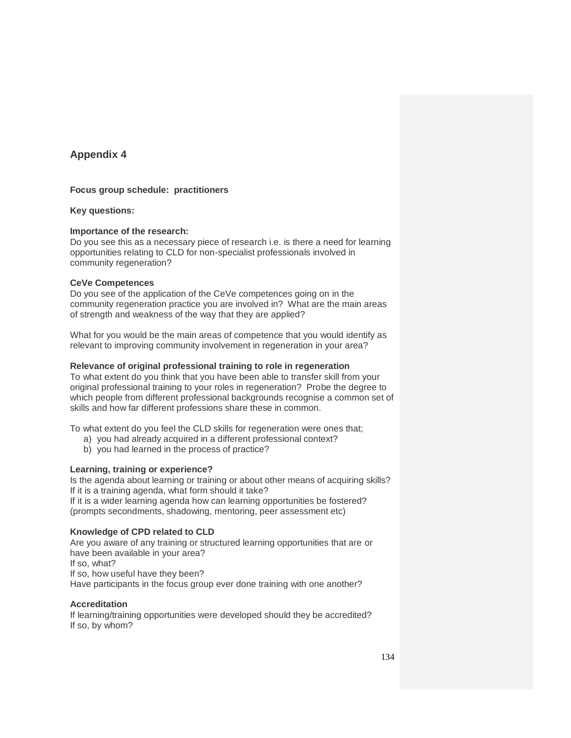# **Appendix 4**

# **Focus group schedule: practitioners**

# **Key questions:**

#### **Importance of the research:**

Do you see this as a necessary piece of research i.e. is there a need for learning opportunities relating to CLD for non-specialist professionals involved in community regeneration?

#### **CeVe Competences**

Do you see of the application of the CeVe competences going on in the community regeneration practice you are involved in? What are the main areas of strength and weakness of the way that they are applied?

What for you would be the main areas of competence that you would identify as relevant to improving community involvement in regeneration in your area?

#### **Relevance of original professional training to role in regeneration**

To what extent do you think that you have been able to transfer skill from your original professional training to your roles in regeneration? Probe the degree to which people from different professional backgrounds recognise a common set of skills and how far different professions share these in common.

To what extent do you feel the CLD skills for regeneration were ones that;

- a) you had already acquired in a different professional context?
- b) you had learned in the process of practice?

# **Learning, training or experience?**

Is the agenda about learning or training or about other means of acquiring skills? If it is a training agenda, what form should it take?

If it is a wider learning agenda how can learning opportunities be fostered? (prompts secondments, shadowing, mentoring, peer assessment etc)

# **Knowledge of CPD related to CLD**

Are you aware of any training or structured learning opportunities that are or have been available in your area? If so, what? If so, how useful have they been?

Have participants in the focus group ever done training with one another?

#### **Accreditation**

If learning/training opportunities were developed should they be accredited? If so, by whom?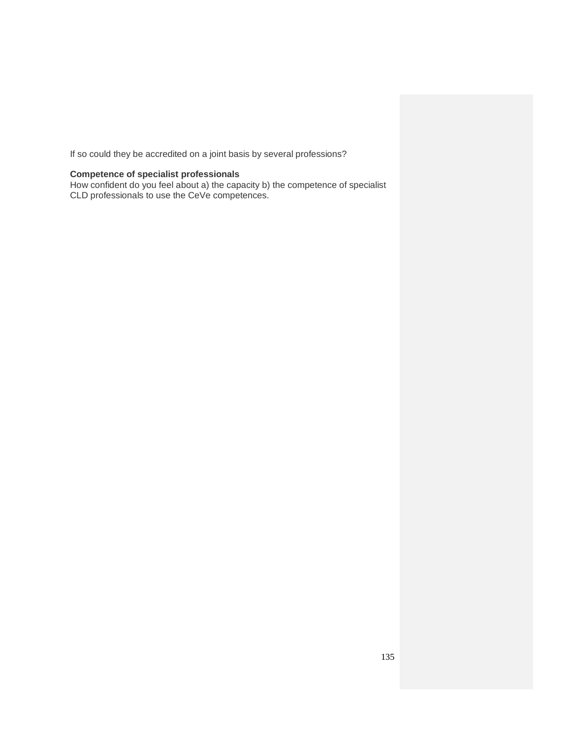If so could they be accredited on a joint basis by several professions?

#### **Competence of specialist professionals**

How confident do you feel about a) the capacity b) the competence of specialist CLD professionals to use the CeVe competences.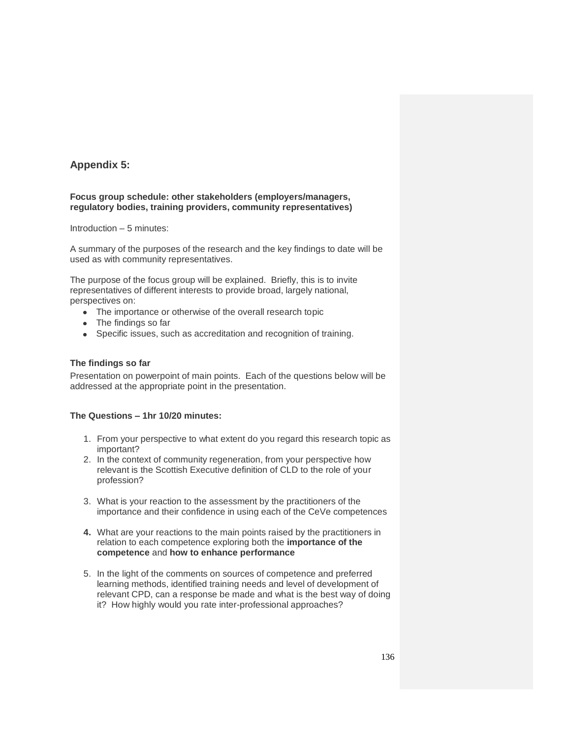# **Appendix 5:**

# **Focus group schedule: other stakeholders (employers/managers, regulatory bodies, training providers, community representatives)**

Introduction – 5 minutes:

A summary of the purposes of the research and the key findings to date will be used as with community representatives.

The purpose of the focus group will be explained. Briefly, this is to invite representatives of different interests to provide broad, largely national, perspectives on:

- The importance or otherwise of the overall research topic
- The findings so far
- Specific issues, such as accreditation and recognition of training.

#### **The findings so far**

Presentation on powerpoint of main points. Each of the questions below will be addressed at the appropriate point in the presentation.

# **The Questions – 1hr 10/20 minutes:**

- 1. From your perspective to what extent do you regard this research topic as important?
- 2. In the context of community regeneration, from your perspective how relevant is the Scottish Executive definition of CLD to the role of your profession?
- 3. What is your reaction to the assessment by the practitioners of the importance and their confidence in using each of the CeVe competences
- **4.** What are your reactions to the main points raised by the practitioners in relation to each competence exploring both the **importance of the competence** and **how to enhance performance**
- 5. In the light of the comments on sources of competence and preferred learning methods, identified training needs and level of development of relevant CPD, can a response be made and what is the best way of doing it? How highly would you rate inter-professional approaches?